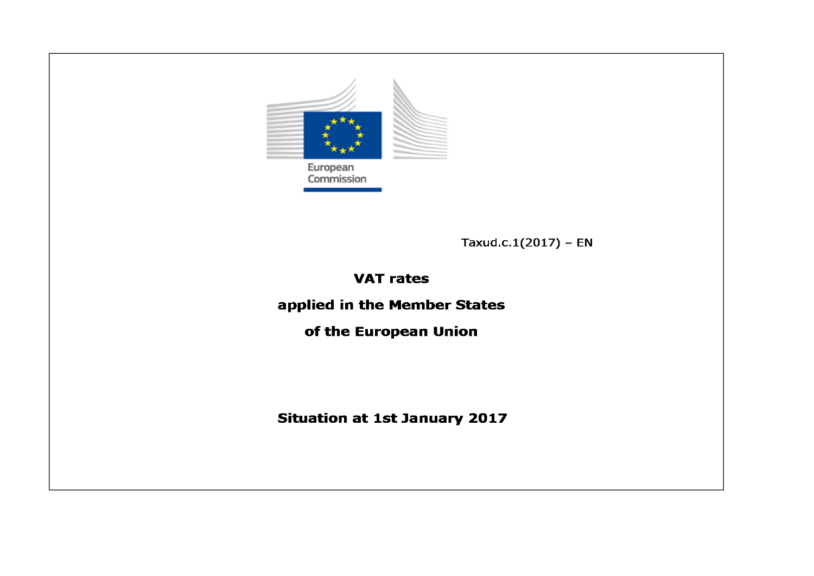

Taxud.c.1(2017) - EN

# **VAT rates**

applied in the Member States

of the European Union

**Situation at 1st January 2017**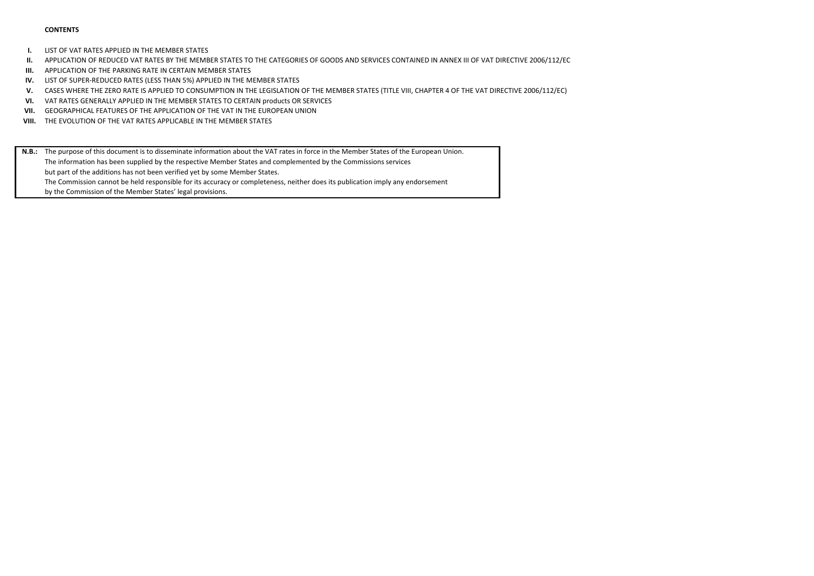#### **CONTENTS**

**I.**LIST OF VAT RATES APPLIED IN THE MEMBER STATES

- **II.**APPLICATION OF REDUCED VAT RATES BY THE MEMBER STATES TO THE CATEGORIES OF GOODS AND SERVICES CONTAINED IN ANNEX III OF VAT DIRECTIVE 2006/112/EC
- **III.**APPLICATION OF THE PARKING RATE IN CERTAIN MEMBER STATES
- **IV.** LIST OF SUPER-REDUCED RATES (LESS THAN 5%) APPLIED IN THE MEMBER STATES
- **V.**CASES WHERE THE ZERO RATE IS APPLIED TO CONSUMPTION IN THE LEGISLATION OF THE MEMBER STATES (TITLE VIII, CHAPTER 4 OF THE VAT DIRECTIVE 2006/112/EC)
- **VI.**VAT RATES GENERALLY APPLIED IN THE MEMBER STATES TO CERTAIN products OR SERVICES
- **VII.** GEOGRAPHICAL FEATURES OF THE APPLICATION OF THE VAT IN THE EUROPEAN UNION
- **VIII.** THE EVOLUTION OF THE VAT RATES APPLICABLE IN THE MEMBER STATES
- **N.B.:** The purpose of this document is to disseminate information about the VAT rates in force in the Member States of the European Union. The information has been supplied by the respective Member States and complemented by the Commissions services but part of the additions has not been verified yet by some Member States. The Commission cannot be held responsible for its accuracy or completeness, neither does its publication imply any endorsement by the Commission of the Member States' legal provisions.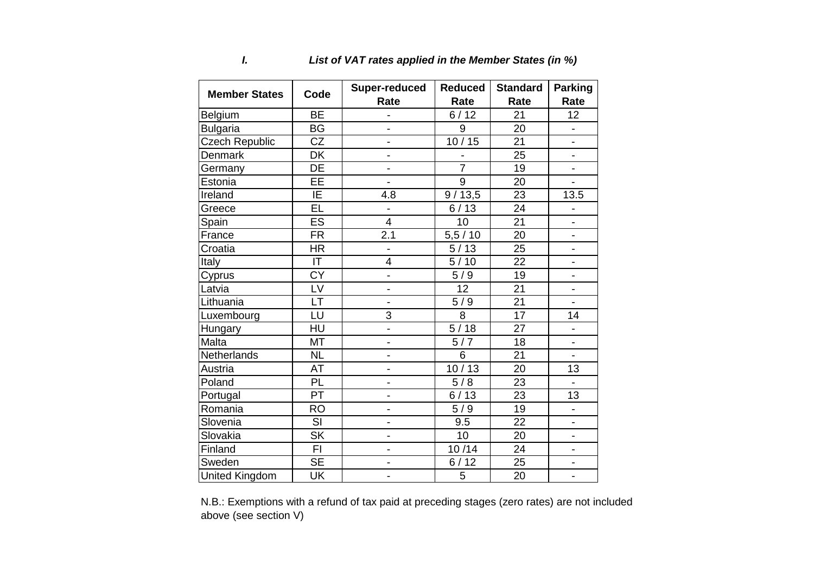| <b>Member States</b>  | Code                     | <b>Super-reduced</b>     | <b>Reduced</b> | <b>Standard</b> | <b>Parking</b>           |
|-----------------------|--------------------------|--------------------------|----------------|-----------------|--------------------------|
|                       |                          | Rate                     | Rate           | Rate            | Rate                     |
| Belgium               | <b>BE</b>                | $\overline{a}$           | 6/12           | 21              | 12 <sup>2</sup>          |
| <b>Bulgaria</b>       | <b>BG</b>                | $\overline{\phantom{0}}$ | 9              | 20              |                          |
| <b>Czech Republic</b> | CZ                       | $\overline{\phantom{0}}$ | 10/15          | 21              | $\overline{\phantom{0}}$ |
| <b>Denmark</b>        | DK                       | $\overline{a}$           |                | 25              | $\overline{\phantom{0}}$ |
| Germany               | <b>DE</b>                | $\overline{a}$           | $\overline{7}$ | 19              | L.                       |
| Estonia               | EE                       |                          | $\overline{9}$ | 20              |                          |
| Ireland               | IE                       | 4.8                      | 9/13,5         | 23              | 13.5                     |
| Greece                | EL                       | $\overline{a}$           | 6/13           | 24              |                          |
| Spain                 | ES                       | $\overline{4}$           | 10             | 21              | $\overline{\phantom{0}}$ |
| France                | <b>FR</b>                | 2.1                      | 5,5/10         | 20              |                          |
| Croatia               | <b>HR</b>                | $\overline{\phantom{a}}$ | 5/13           | 25              | $\blacksquare$           |
| Italy                 | IT                       | 4                        | 5/10           | 22              |                          |
| Cyprus                | <b>CY</b>                | $\frac{1}{2}$            | 5/9            | 19              | $\blacksquare$           |
| Latvia                | LV                       | $\frac{1}{2}$            | 12             | 21              | $\overline{\phantom{0}}$ |
| Lithuania             | <b>LT</b>                | $\overline{a}$           | 5/9            | 21              | $\overline{a}$           |
| Luxembourg            | LU                       | 3                        | $\overline{8}$ | 17              | 14                       |
| Hungary               | HU                       | $\frac{1}{2}$            | 5/18           | 27              | $\blacksquare$           |
| Malta                 | <b>MT</b>                | $\overline{\phantom{0}}$ | 5/7            | 18              | $\blacksquare$           |
| Netherlands           | <b>NL</b>                | $\overline{\phantom{0}}$ | 6              | 21              |                          |
| Austria               | AT                       | $\blacksquare$           | 10/13          | 20              | 13                       |
| Poland                | PL                       | $\overline{a}$           | 5/8            | 23              |                          |
| Portugal              | PT                       | $\blacksquare$           | 6/13           | 23              | 13                       |
| Romania               | <b>RO</b>                | $\overline{\phantom{0}}$ | 5/9            | 19              |                          |
| Slovenia              | SI                       | $\frac{1}{2}$            | 9.5            | 22              | $\overline{\phantom{0}}$ |
| Slovakia              | $\overline{\mathsf{SK}}$ | $\overline{a}$           | 10             | 20              | L.                       |
| Finland               | FI.                      | $\overline{a}$           | 10/14          | 24              | $\overline{\phantom{0}}$ |
| Sweden                | <b>SE</b>                | $\overline{a}$           | 6/12           | 25              |                          |
| <b>United Kingdom</b> | UK                       | $\frac{1}{2}$            | 5              | 20              | $\blacksquare$           |

# *I. List of VAT rates applied in the Member States (in %)*

N.B.: Exemptions with a refund of tax paid at preceding stages (zero rates) are not included above (see section V)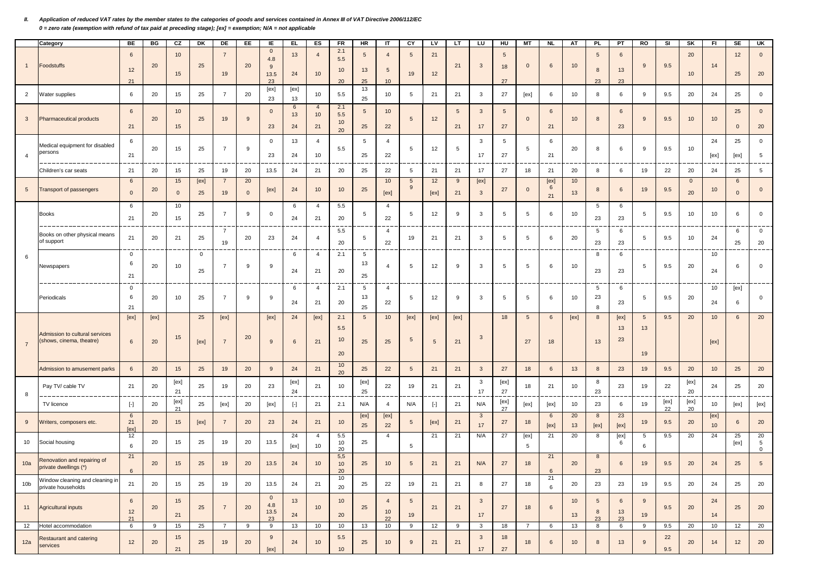#### *II. Application of reduced VAT rates by the member states to the categories of goods and services contained in Annex III of VAT Directive 2006/112/EC 0 = zero rate (exemption with refund of tax paid at preceding stage); [ex] = exemption; N/A = not applicable*

|                 | Category                                                         | <b>BE</b>                   | BG         | CZ                | DK         | DE                     | EE.                | IE.                                      | EL.           | ES                         | <b>FR</b>                            | <b>HR</b>             | IT                         | CY                    | LV                      | LT         | LU                   | HU                    | <b>MT</b>             | <b>NL</b>       | AT                    | <b>PL</b>                  | PT               | RO                          | SI         | SK                 | FI.        | SE                 | UK                     |
|-----------------|------------------------------------------------------------------|-----------------------------|------------|-------------------|------------|------------------------|--------------------|------------------------------------------|---------------|----------------------------|--------------------------------------|-----------------------|----------------------------|-----------------------|-------------------------|------------|----------------------|-----------------------|-----------------------|-----------------|-----------------------|----------------------------|------------------|-----------------------------|------------|--------------------|------------|--------------------|------------------------|
| -1              | Foodstuffs                                                       | 6<br>12<br>21               | 20         | 10<br>15          | 25         | $\overline{7}$<br>19   | 20                 | $\overline{0}$<br>4.8<br>9<br>13.5<br>23 | 13<br>24      | $\overline{4}$<br>10       | 2.1<br>5.5<br>10<br>20               | 5<br>13<br>25         | $\overline{4}$<br>5<br>10  | 5<br>19               | 21<br>12                | 21         | $\mathbf{3}$         | 5<br>18<br>27         | $\mathbf 0$           | 6               | 10 <sup>°</sup>       | 5<br>8<br>23               | 6<br>13<br>23    | 9                           | 9.5        | 20<br>10           | 14         | 12<br>25           | $\mathbf{0}$<br>20     |
| $\overline{2}$  | Water supplies                                                   | 6                           | 20         | 15                | 25         | $\overline{7}$         | 20                 | [ex]<br>23                               | [ex]<br>13    | 10                         | 5.5                                  | 13<br>25              | 10                         | 5                     | 21                      | 21         | 3                    | 27                    | [ex]                  | 6               | 10                    | 8                          | 6                | 9                           | 9.5        | 20                 | 24         | 25                 | $\mathbf 0$            |
| $\mathbf{3}$    | <b>Pharmaceutical products</b>                                   | $6\overline{6}$<br>21       | 20         | 10<br>15          | 25         | 19                     | 9                  | $\mathbf 0$<br>23                        | 6<br>13<br>24 | $\overline{4}$<br>10<br>21 | 2.1<br>5.5<br>10<br>20               | 5<br>25               | 10<br>22                   | 5                     | 12                      | 5<br>21    | $\mathbf{3}$<br>17   | $5\phantom{.0}$<br>27 | $\mathbf{0}$          | 6<br>21         | 10 <sup>1</sup>       | 8                          | 6<br>23          | 9                           | 9.5        | 10                 | 10         | 25<br>$\mathbf{0}$ | $\mathbf{0}$<br>20     |
| $\overline{4}$  | Medical equipment for disabled<br>persons<br>---                 | 6<br>21                     | 20         | 15                | 25         | $\overline{7}$         | 9                  | $\mathbf 0$<br>23                        | 13<br>24      | $\overline{4}$<br>10       | 5.5                                  | 5<br>25               | $\overline{4}$<br>22       | 5                     | 12                      | 5          | 3<br>17              | 5<br>27               | 5                     | 6<br>21         | 20                    | 8                          | 6                | 9                           | 9.5        | 10                 | 24<br>[ex] | 25<br>[ex]         | $\mathbf 0$<br>5       |
|                 | Children's car seats                                             | 21                          | 20         | 15                | 25         | 19                     | 20                 | 13.5                                     | 24            | 21                         | 20                                   | 25                    | 22                         | $5\phantom{.0}$       | 21                      | 21         | $17$                 | 27                    | 18                    | 21              | 20                    | 8                          | 6                | 19                          | 22         | 20                 | 24         | 25                 | $5\phantom{.0}$        |
| 5 <sub>5</sub>  | Transport of passengers                                          | 6<br>$\mathbf 0$            | 20         | 15<br>$\mathbf 0$ | [ex]<br>25 | 7<br>19                | 20<br>$\mathbf{0}$ | [ex]                                     | 24            | 10                         | 10 <sup>10</sup>                     | 25                    | 10<br>[ex]                 | 5<br>9                | 12<br>[ex]              | 9<br>21    | [ex]<br>$\mathbf{3}$ | 27                    | $\mathbf 0$           | [ex]<br>6<br>21 | 10 <sup>°</sup><br>13 | 8                          | 6                | 19                          | 9.5        | $\mathbf{0}$<br>20 | 10         | 6<br>$\mathbf{0}$  | $\mathbf{0}$           |
|                 | <b>Books</b>                                                     | 6<br>21                     | 20         | 10<br>15          | 25         | $\overline{7}$         | 9                  | 0                                        | 6<br>24       | $\overline{4}$<br>21       | 5.5<br>20                            | 5                     | $\overline{4}$<br>22       | 5                     | 12                      | 9          | 3                    | 5                     | 5                     | 6               | 10                    | 5<br>23                    | 6<br>23          | 5                           | 9.5        | 10                 | 10         | 6                  | $\mathbf 0$            |
|                 | Books on other physical means<br>of support                      | 21                          | 20         | 21                | 25         | $\overline{7}$<br>19   | 20                 | 23                                       | 24            | $\overline{4}$             | 5.5<br>20                            | 5                     | $\overline{4}$<br>22       | 19                    | 21                      | 21         | 3                    | 5                     | 5                     | 6               | 20                    | $\sqrt{5}$<br>23           | 6<br>23          | 5                           | 9.5        | 10                 | 24         | 6<br>25            | $\mathbf{0}$<br>20     |
| 6               | Newspapers                                                       | $\mathbf{0}$<br>6<br>21     | 20         | 10                | 0<br>25    | $\overline{7}$         | 9                  | 9                                        | 6<br>24       | $\overline{4}$<br>21       | 2.1<br>20                            | 5<br>13<br>25         | $\overline{4}$             | 5                     | 12                      | 9          | 3                    | 5                     | 5                     | 6               | 10                    | 8<br>23                    | 6<br>23          | 5                           | 9.5        | 20                 | 10<br>24   | 6                  | $\mathbf 0$            |
|                 | Periodicals                                                      | $\mathbf{0}$<br>6<br>21     | 20         | 10                | 25         | $\overline{7}$         | 9                  | 9                                        | 6<br>24       | $\overline{4}$<br>21       | 2.1<br>20                            | 5<br>13<br>25         | $\overline{4}$<br>22       | 5                     | 12                      | 9          | 3                    | $\overline{5}$        | 5                     | 6               | 10                    | 5<br>23<br>8               | 6<br>23          | 5                           | 9.5        | 20                 | 10<br>24   | [ex]<br>6          | $\mathbf 0$            |
| $7\overline{}$  | <b>Admission to cultural services</b><br>shows, cinema, theatre) | [ex]<br>6                   | [ex]<br>20 | 15                | 25<br>[ex] | [ex]<br>$\overline{7}$ | 20                 | [ex]<br>9                                | 24<br>6       | [ex]<br>21                 | 2.1<br>5.5<br>10 <sup>10</sup><br>20 | $5\phantom{.0}$<br>25 | 10<br>25                   | [ex]<br>5             | [ex]<br>$5\phantom{.0}$ | [ex]<br>21 | $\mathbf{3}$         | 18                    | $5\phantom{.0}$<br>27 | 6<br>18         | [ex]                  | 8<br>13                    | [ex]<br>13<br>23 | $5\overline{)}$<br>13<br>19 | 9.5        | 20                 | 10<br>[ex] | $6\phantom{.}$     | 20                     |
|                 | Admission to amusement parks                                     | $6\overline{6}$             | 20         | 15                | 25         | 19                     | 20                 | 9                                        | 24            | 21                         | 10<br>20                             | 25                    | 22                         | $\sqrt{5}$            | 21                      | 21         | $\mathbf{3}$         | 27                    | 18                    | 6               | 13                    | 8                          | 23               | 19                          | 9.5        | 20                 | 10         | 25                 | 20                     |
| 8               | Pay TV/ cable TV                                                 | 21                          | 20         | [ex]<br>21        | 25         | 19                     | 20                 | 23                                       | [ex]<br>24    | 21                         | 10                                   | [ex]<br>25            | 22                         | 19                    | 21                      | 21         | 3<br>17              | [ex]<br>27            | 18                    | 21              | 10                    | 8<br>23                    | 23               | 19                          | 22         | [ex]<br>20         | 24         | 25                 | 20                     |
|                 | TV licence                                                       | $\lbrack \cdot \rbrack$     | 20         | [ex]<br>21        | 25         | [ex]                   | 20                 | [ex]                                     | $[\cdot]$     | 21                         | 2.1                                  | N/A                   | $\overline{4}$             | N/A                   | $[\cdot]$               | 21         | N/A                  | [ex]<br>27            | [ex]                  | [ex]            | 10                    | 23                         | 6                | 19                          | [ex]<br>22 | [ex]<br>20         | 10         | [ex]               | [ex]                   |
| 9               | Vriters, composers etc.                                          | 6<br>21<br>[ex]             | 20         | 15                | [ex]       | $\overline{7}$         | 20                 | 23                                       | 24            | 21                         | 10 <sup>°</sup>                      | [ex]<br>25            | [ex]<br>22                 | 5 <sub>5</sub>        | [ex]                    | 21         | $\mathbf{3}$<br>17   | 27                    | 18                    | 6<br>[ex]       | 20<br>13              | 8<br>[ex]                  | 23<br>[ex]       | 19                          | 9.5        | 20                 | [ex]<br>10 | 6                  | 20                     |
| 10              | Social housing                                                   | 12<br>6                     | 20         | 15                | 25         | 19                     | 20                 | 13.5                                     | 24<br>[ex]    | $\overline{4}$<br>10       | 5.5<br>10<br>20                      | 25                    | $\overline{4}$             | 5                     | 21                      | 21         | N/A                  | 27                    | [ex]<br>5             | 21              | 20                    | 8                          | [ex]<br>6        | 5<br>6                      | 9.5        | 20                 | 24         | 25<br>[ex]         | 20<br>5<br>$\mathsf 0$ |
| 10a             | Renovation and repairing of<br>private dwellings (*)             | 21<br>$6\overline{6}$       | 20         | 15                | 25         | 19                     | 20                 | 13.5                                     | 24            | 10                         | 5,5<br>10<br>20                      | 25                    | 10                         | 5                     | 21                      | 21         | N/A                  | 27                    | 18                    | 21              | 20                    | 8<br>23                    | 6                | 19                          | 9.5        | 20                 | 24         | 25                 | 5                      |
| 10 <sub>b</sub> | Window cleaning and cleaning in<br>private households            | 21                          | 20         | 15                | 25         | 19                     | 20                 | 13.5                                     | 24            | 21                         | 10<br>20                             | 25                    | 22                         | 19                    | 21                      | 21         | 8                    | 27                    | 18                    | 21<br>6         | 20                    | 23                         | 23               | 19                          | 9.5        | 20                 | 24         | 25                 | 20                     |
| 11              | Agricultural inputs                                              | $6\phantom{.}6$<br>12<br>21 | 20         | 15<br>21          | 25         | $\overline{7}$         | 20                 | $\overline{0}$<br>4.8<br>13.5<br>23      | 13<br>24      | 10                         | 10<br>20                             | 25                    | $\overline{4}$<br>10<br>22 | $5\overline{)}$<br>19 | 21                      | 21         | $\mathbf{3}$<br>17   | 27                    | 18                    | 6               | 10<br>13              | $5\phantom{.0}$<br>8<br>23 | 6<br>13<br>23    | 9<br>19                     | 9.5        | 20                 | 24<br>14   | 25                 | 20                     |
| 12              | Hotel accommodation                                              | 6                           | 9          | 15                | 25         | $\overline{7}$         | 9                  | 9                                        | 13            | 10                         | 10                                   | 13                    | 10                         | 9                     | 12                      | 9          | $\mathbf{3}$         | 18                    | $\overline{7}$        | 6               | 13                    | 8                          | 6                | 9                           | 9.5        | 20                 | 10         | 12                 | 20                     |
| 12a             | Restaurant and catering<br>services                              | 12                          | 20         | 15<br>21          | 25         | 19                     | 20                 | 9<br>[ex]                                | 24            | 10                         | 5.5<br>10                            | 25                    | 10                         | 9                     | 21                      | 21         | $\mathbf{3}$<br>17   | 18<br>27              | 18                    | 6               | 10                    | 8                          | 13               | 9                           | 22<br>9.5  | 20                 | 14         | 12                 | 20                     |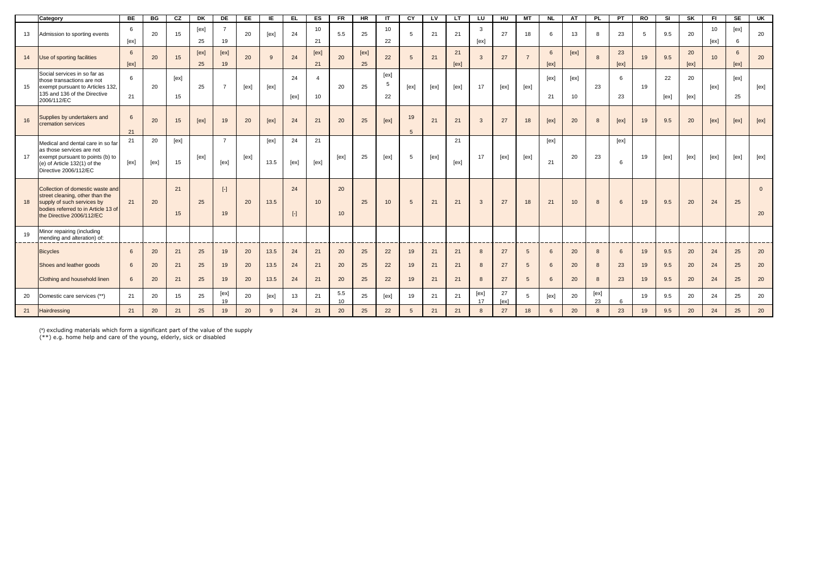|    | Category                                                                                                                                                              | BE                        | <b>BG</b>      | cz             | DK             | <b>DE</b>              | EE             | IE.                  | EL.             | E                                 | $F$ R                  | <b>HR</b>      | -IT              | CY                | <b>LV</b>      | LT.            | LU          | $H$ U          | <b>MT</b>                                             | <b>NL</b>               | AT             | <b>PL</b>              | PT            | RO             | SI                | <b>SK</b>      | FI.             | SE             | $\overline{\mathsf{g}}$ |
|----|-----------------------------------------------------------------------------------------------------------------------------------------------------------------------|---------------------------|----------------|----------------|----------------|------------------------|----------------|----------------------|-----------------|-----------------------------------|------------------------|----------------|------------------|-------------------|----------------|----------------|-------------|----------------|-------------------------------------------------------|-------------------------|----------------|------------------------|---------------|----------------|-------------------|----------------|-----------------|----------------|-------------------------|
| 13 | Admission to sporting events                                                                                                                                          | 6<br>[ex]                 | 20             | 15             | [ex]<br>25     | $\overline{7}$<br>19   | 20             | [ex]                 | 24              | 10<br>21                          | 5.5                    | 25             | 10<br>22         | 5                 | 21             | 21             | 3<br>[ex]   | 27             | 18                                                    | 6                       | 13             | 8                      | 23            | $\overline{5}$ | 9.5               | 20             | 10<br>[ex]      | [ex]<br>6      | 20                      |
| 14 | Use of sporting facilities                                                                                                                                            | 6<br>[ex]                 | 20             | 15             | [ex]<br>25     | [ex]<br>19             | 20             | 9                    | 24              | [ex]<br>21                        | 20                     | [ex]<br>25     | 22               | $5\phantom{.0}$   | 21             | 21<br>[ex]     | 3           | 27             | $\overline{7}$                                        | $6\phantom{.}6$<br>[ex] | [ex]           | 8                      | 23<br>[ex]    | 19             | 9.5               | 20<br>[ex]     | 10 <sup>1</sup> | 6<br>[ex]      | 20                      |
| 15 | Social services in so far as<br>those transactions are not<br>exempt pursuant to Articles 132,<br>135 and 136 of the Directive<br>2006/112/EC                         | 6<br>21                   | 20             | [ex]<br>15     | 25             | $\overline{7}$         | [ex]           | [ex]                 | 24<br>[ex]      | $\overline{a}$<br>10 <sup>1</sup> | 20                     | 25             | [ex]<br>5<br>22  | [ex]              | [ex]           | [ex]           | 17          | [ex]           | [ex]                                                  | [ex]<br>21              | [ex]<br>10     | 23                     | 6<br>23       | 19             | 22<br>[ex]        | 20<br>[ex]     | [ex]            | [ex]<br>25     | [ex]                    |
| 16 | Supplies by undertakers and<br>cremation services                                                                                                                     | $6\overline{6}$<br>21     | 20             | 15             | [ex]           | 19                     | 20             | [ex]                 | 24              | 21                                | 20                     | 25             | [ex]             | 19<br>$5^{\circ}$ | 21             | 21             | 3           | 27             | 18                                                    | [ex]                    | 20             | 8                      | [ex]          | 19             | 9.5               | 20             | [ex]            | [ex]           | [ex]                    |
| 17 | Medical and dental care in so far<br>as those services are not<br>exempt pursuant to points (b) to<br>(e) of Article 132(1) of the<br>Directive 2006/112/EC           | 21<br>[ex]                | 20<br>[ex]     | [ex]<br>15     | [ex]           | $\overline{7}$<br>[ex] | [ex]           | [ex]<br>13.5         | 24<br>[ex]      | 21<br>[ex]                        | [ex]                   | 25             | [ex]             | 5                 | [ex]           | 21<br>[ex]     | 17          | [ex]           | [ex]                                                  | [ex]<br>21              | 20             | 23                     | [ex]<br>6     | 19             | [ex]              | [ex]           | [ex]            | [ex]           | [ex]                    |
| 18 | Collection of domestic waste and<br>street cleaning, other than the<br>supply of such services by<br>bodies referred to in Article 13 of<br>the Directive 2006/112/EC | 21                        | 20             | 21<br>15       | 25             | $[\cdot]$<br>19        | 20             | 13.5                 | 24<br>$[\cdot]$ | 10                                | 20<br>10 <sup>10</sup> | 25             | 10 <sup>10</sup> | 5                 | 21             | 21             | 3           | 27             | 18                                                    | 21                      | 10             | 8                      | 6             | 19             | 9.5               | 20             | 24              | 25             | $\mathbf{0}$<br>20      |
| 19 | Minor repairing (including<br>mending and alteration) of:                                                                                                             |                           |                |                |                |                        |                |                      |                 |                                   |                        |                |                  |                   |                |                |             |                |                                                       |                         |                |                        |               |                |                   |                |                 |                |                         |
|    | <b>Bicycles</b><br>Shoes and leather goods<br>Clothing and household linen                                                                                            | 6<br>6<br>$6\overline{6}$ | 20<br>20<br>20 | 21<br>21<br>21 | 25<br>25<br>25 | 19<br>19<br>19         | 20<br>20<br>20 | 13.5<br>13.5<br>13.5 | 24<br>24<br>24  | 21<br>21<br>21                    | 20<br>20<br>20         | 25<br>25<br>25 | 22<br>22<br>22   | 19<br>19<br>19    | 21<br>21<br>21 | 21<br>21<br>21 | 8<br>8<br>8 | 27<br>27<br>27 | $5\overline{5}$<br>$5\overline{5}$<br>$5\overline{5}$ | 6<br>6<br>6             | 20<br>20<br>20 | 8<br>8<br>$\mathbf{8}$ | 6<br>23<br>23 | 19<br>19<br>19 | 9.5<br>9.5<br>9.5 | 20<br>20<br>20 | 24<br>24<br>24  | 25<br>25<br>25 | 20<br>20<br>20          |
| 20 | Domestic care services (**)                                                                                                                                           | 21                        | 20             | 15             | 25             | [ex]<br>19             | 20             | [ex]                 | 13              | 21                                | 5.5<br>10              | 25             | [ex]             | 19                | 21             | 21             | [ex]<br>17  | 27<br>[ex]     | 5                                                     | [ex]                    | 20             | [ex]<br>23             | $\epsilon$    | 19             | 9.5               | 20             | 24              | 25             | 20                      |
| 21 | Hairdressing                                                                                                                                                          | 21                        | 20             | 21             | 25             | 19                     | 20             | 9                    | 24              | 21                                | 20                     | 25             | 22               | 5 <sup>5</sup>    | 21             | 21             | 8           | 27             | 18                                                    | 6                       | 20             | 8                      | 23            | 19             | 9.5               | 20             | 24              | 25             | 20                      |

(\*) excluding materials which form a significant part of the value of the supply (\*\*) e.g. home help and care of the young, elderly, sick or disabled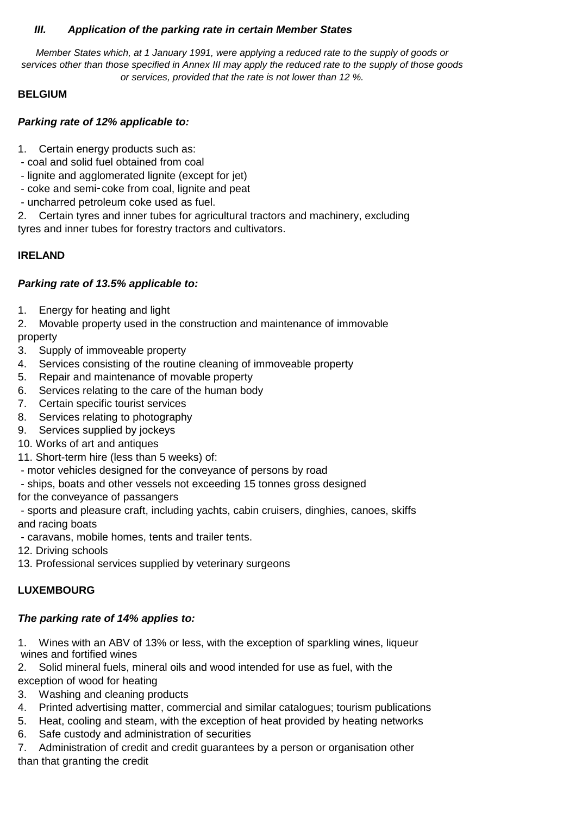### *III. Application of the parking rate in certain Member States*

*Member States which, at 1 January 1991, were applying a reduced rate to the supply of goods or services other than those specified in Annex III may apply the reduced rate to the supply of those goods or services, provided that the rate is not lower than 12 %.*

### **BELGIUM**

### *Parking rate of 12% applicable to:*

1. Certain energy products such as:

- coal and solid fuel obtained from coal
- lignite and agglomerated lignite (except for jet)
- coke and semi-coke from coal, lignite and peat
- uncharred petroleum coke used as fuel.

-coke from coal, lignite and peat<br>
coleum coke used as fuel.<br>
s and inner tubes for agricultural<br>
ubes for forestry tractors and cult 2. Certain tyres and inner tubes for agricultural tractors and machinery, excluding tyres and inner tubes for forestry tractors and cultivators.

## **IRELAND**

### *Parking rate of 13.5% applicable to:*

1. Energy for heating and light

2. Movable property used in the construction and maintenance of immovable property

- 3. Supply of immoveable property
- 4. Services consisting of the routine cleaning of immoveable property
- 5. Repair and maintenance of movable property
- 6. Services relating to the care of the human body
- 7. Certain specific tourist services
- 8. Services relating to photography
- 9. Services supplied by jockeys
- 10. Works of art and antiques
- 11. Short-term hire (less than 5 weeks) of:
- motor vehicles designed for the conveyance of persons by road
- ships, boats and other vessels not exceeding 15 tonnes gross designed

for the conveyance of passangers

 - sports and pleasure craft, including yachts, cabin cruisers, dinghies, canoes, skiffs and racing boats

- caravans, mobile homes, tents and trailer tents.

- 12. Driving schools
- 13. Professional services supplied by veterinary surgeons

# **LUXEMBOURG**

# *The parking rate of 14% applies to:*

1. Wines with an ABV of 13% or less, with the exception of sparkling wines, liqueur wines and fortified wines

2. Solid mineral fuels, mineral oils and wood intended for use as fuel, with the exception of wood for heating

- 3. Washing and cleaning products
- 4. Printed advertising matter, commercial and similar catalogues; tourism publications
- 5. Heat, cooling and steam, with the exception of heat provided by heating networks
- 6. Safe custody and administration of securities

7. Administration of credit and credit guarantees by a person or organisation other than that granting the credit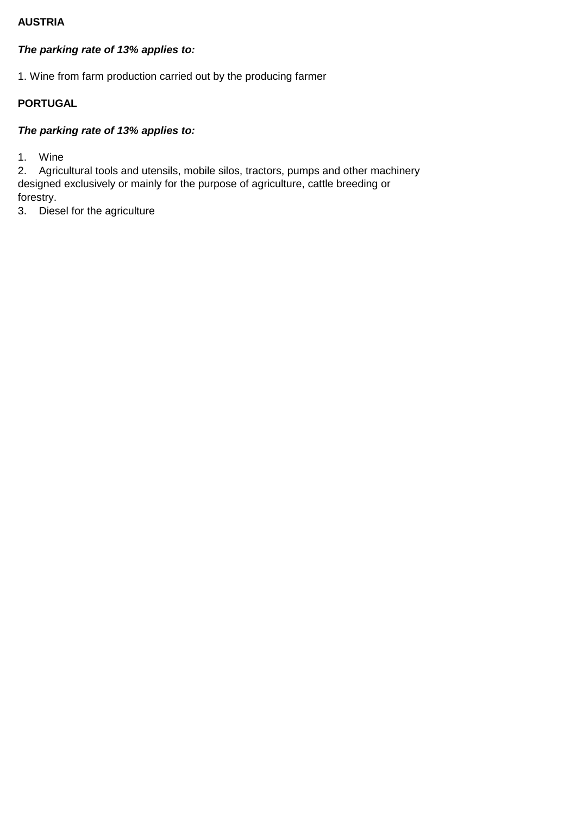### **AUSTRIA**

# *The parking rate of 13% applies to:*

1. Wine from farm production carried out by the producing farmer

# **PORTUGAL**

# *The parking rate of 13% applies to:*

1. Wine

2. Agricultural tools and utensils, mobile silos, tractors, pumps and other machinery designed exclusively or mainly for the purpose of agriculture, cattle breeding or forestry.

3. Diesel for the agriculture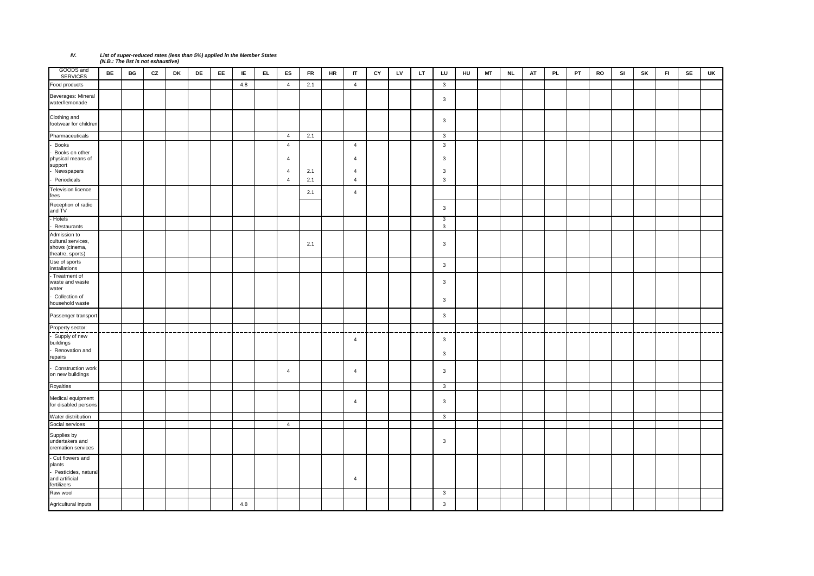### *IV. List of super-reduced rates (less than 5%) applied in the Member States (N.B.: The list is not exhaustive)*

| GOODS and<br><b>SERVICES</b>                                                        | <b>BE</b> | BG | CZ | DK | DE | EE | IE  | EL. | ES                                                 | <b>FR</b> | HR | $\mathsf{I}$             | CY | LV | LT. | LU                                           | HU | <b>MT</b> | <b>NL</b> | AT | PL | PT | RO | SI | SK | F1 | SE | UK |
|-------------------------------------------------------------------------------------|-----------|----|----|----|----|----|-----|-----|----------------------------------------------------|-----------|----|--------------------------|----|----|-----|----------------------------------------------|----|-----------|-----------|----|----|----|----|----|----|----|----|----|
| Food products                                                                       |           |    |    |    |    |    | 4.8 |     | $\overline{4}$                                     | 2.1       |    | $\overline{4}$           |    |    |     | $\mathbf{3}$                                 |    |           |           |    |    |    |    |    |    |    |    |    |
| Beverages: Mineral<br>water/lemonade                                                |           |    |    |    |    |    |     |     |                                                    |           |    |                          |    |    |     | $\mathbf{3}$                                 |    |           |           |    |    |    |    |    |    |    |    |    |
| Clothing and<br>footwear for children                                               |           |    |    |    |    |    |     |     |                                                    |           |    |                          |    |    |     | $\mathbf{3}$                                 |    |           |           |    |    |    |    |    |    |    |    |    |
| Pharmaceuticals                                                                     |           |    |    |    |    |    |     |     | $\overline{4}$                                     | 2.1       |    |                          |    |    |     | $\mathbf{3}$                                 |    |           |           |    |    |    |    |    |    |    |    |    |
| <b>Books</b><br>Books on other<br>physical means of<br>support<br>Newspapers        |           |    |    |    |    |    |     |     | $\overline{4}$<br>$\overline{4}$<br>$\overline{4}$ | 2.1       |    | $\overline{4}$<br>4<br>4 |    |    |     | $\mathbf{3}$<br>3<br>$\overline{\mathbf{3}}$ |    |           |           |    |    |    |    |    |    |    |    |    |
| Periodicals                                                                         |           |    |    |    |    |    |     |     | $\overline{4}$                                     | 2.1       |    | $\overline{4}$           |    |    |     | $\mathbf{3}$                                 |    |           |           |    |    |    |    |    |    |    |    |    |
| <b>Television licence</b><br>fees                                                   |           |    |    |    |    |    |     |     |                                                    | 2.1       |    | $\overline{4}$           |    |    |     |                                              |    |           |           |    |    |    |    |    |    |    |    |    |
| Reception of radio<br>and TV                                                        |           |    |    |    |    |    |     |     |                                                    |           |    |                          |    |    |     | $\overline{3}$                               |    |           |           |    |    |    |    |    |    |    |    |    |
| - Hotels<br>Restaurants                                                             |           |    |    |    |    |    |     |     |                                                    |           |    |                          |    |    |     | 3<br>$\overline{3}$                          |    |           |           |    |    |    |    |    |    |    |    |    |
| Admission to<br>cultural services,<br>shows (cinema,<br>theatre, sports)            |           |    |    |    |    |    |     |     |                                                    | 2.1       |    |                          |    |    |     | $\overline{3}$                               |    |           |           |    |    |    |    |    |    |    |    |    |
| Use of sports<br>installations                                                      |           |    |    |    |    |    |     |     |                                                    |           |    |                          |    |    |     | $\mathbf{3}$                                 |    |           |           |    |    |    |    |    |    |    |    |    |
| - Treatment of<br>waste and waste<br>water                                          |           |    |    |    |    |    |     |     |                                                    |           |    |                          |    |    |     | $\overline{3}$                               |    |           |           |    |    |    |    |    |    |    |    |    |
| Collection of<br>household waste                                                    |           |    |    |    |    |    |     |     |                                                    |           |    |                          |    |    |     | 3                                            |    |           |           |    |    |    |    |    |    |    |    |    |
| Passenger transport                                                                 |           |    |    |    |    |    |     |     |                                                    |           |    |                          |    |    |     | $\mathbf{3}$                                 |    |           |           |    |    |    |    |    |    |    |    |    |
| Property sector:                                                                    |           |    |    |    |    |    |     |     |                                                    |           |    |                          |    |    |     |                                              |    |           |           |    |    |    |    |    |    |    |    |    |
| Supply of new<br>buildings<br>Renovation and<br>repairs                             |           |    |    |    |    |    |     |     |                                                    |           |    | 4                        |    |    |     | $\overline{\mathbf{3}}$<br>3                 |    |           |           |    |    |    |    |    |    |    |    |    |
| Construction work<br>on new buildings                                               |           |    |    |    |    |    |     |     | $\overline{4}$                                     |           |    | $\overline{4}$           |    |    |     | $\overline{3}$                               |    |           |           |    |    |    |    |    |    |    |    |    |
| Royalties                                                                           |           |    |    |    |    |    |     |     |                                                    |           |    |                          |    |    |     | $\overline{3}$                               |    |           |           |    |    |    |    |    |    |    |    |    |
| Medical equipment<br>for disabled persons                                           |           |    |    |    |    |    |     |     |                                                    |           |    | 4                        |    |    |     | $\overline{\mathbf{3}}$                      |    |           |           |    |    |    |    |    |    |    |    |    |
| Water distribution                                                                  |           |    |    |    |    |    |     |     |                                                    |           |    |                          |    |    |     | $\mathbf{3}$                                 |    |           |           |    |    |    |    |    |    |    |    |    |
| Social services                                                                     |           |    |    |    |    |    |     |     | $\overline{4}$                                     |           |    |                          |    |    |     |                                              |    |           |           |    |    |    |    |    |    |    |    |    |
| Supplies by<br>undertakers and<br>cremation services                                |           |    |    |    |    |    |     |     |                                                    |           |    |                          |    |    |     | $\overline{3}$                               |    |           |           |    |    |    |    |    |    |    |    |    |
| - Cut flowers and<br>plants<br>Pesticides, natural<br>and artificial<br>fertilizers |           |    |    |    |    |    |     |     |                                                    |           |    | $\overline{4}$           |    |    |     |                                              |    |           |           |    |    |    |    |    |    |    |    |    |
| Raw wool                                                                            |           |    |    |    |    |    |     |     |                                                    |           |    |                          |    |    |     | $\mathbf{3}$                                 |    |           |           |    |    |    |    |    |    |    |    |    |
| Agricultural inputs                                                                 |           |    |    |    |    |    | 4.8 |     |                                                    |           |    |                          |    |    |     | $\mathbf{3}$                                 |    |           |           |    |    |    |    |    |    |    |    |    |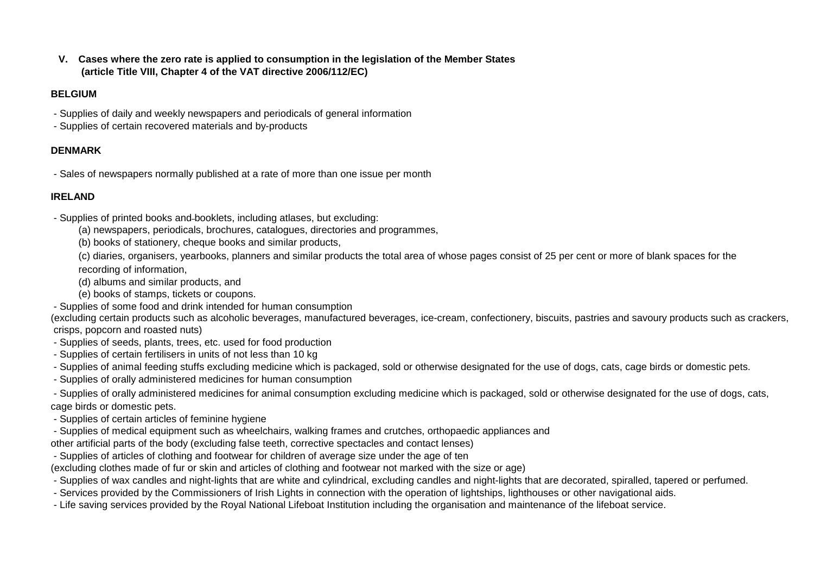**V. Cases where the zero rate is applied to consumption in the legislation of the Member States (article Title VIII, Chapter 4 of the VAT directive 2006/112/EC)**

#### **BELGIUM**

- Supplies of daily and weekly newspapers and periodicals of general information
- Supplies of certain recovered materials and by-products

## **DENMARK**

- Sales of newspapers normally published at a rate of more than one issue per month

## **IRELAND**

- Supplies of printed books and booklets, including atlases, but excluding:
	- (a) newspapers, periodicals, brochures, catalogues, directories and programmes,
	- (b) books of stationery, cheque books and similar products,
	- (c) diaries, organisers, yearbooks, planners and similar products the total area of whose pages consist of 25 per cent or more of blank spaces for the recording of information,
	- (d) albums and similar products, and
	- (e) books of stamps, tickets or coupons.
- Supplies of some food and drink intended for human consumption

(excluding certain products such as alcoholic beverages, manufactured beverages, ice-cream, confectionery, biscuits, pastries and savoury products such as crackers, crisps, popcorn and roasted nuts)

- Supplies of seeds, plants, trees, etc. used for food production
- Supplies of certain fertilisers in units of not less than 10 kg
- Supplies of animal feeding stuffs excluding medicine which is packaged, sold or otherwise designated for the use of dogs, cats, cage birds or domestic pets.
- Supplies of orally administered medicines for human consumption

 - Supplies of orally administered medicines for animal consumption excluding medicine which is packaged, sold or otherwise designated for the use of dogs, cats, cage birds or domestic pets.

- Supplies of certain articles of feminine hygiene
- Supplies of medical equipment such as wheelchairs, walking frames and crutches, orthopaedic appliances and
- other artificial parts of the body (excluding false teeth, corrective spectacles and contact lenses)
- Supplies of articles of clothing and footwear for children of average size under the age of ten

(excluding clothes made of fur or skin and articles of clothing and footwear not marked with the size or age)

- Supplies of wax candles and night-lights that are white and cylindrical, excluding candles and night-lights that are decorated, spiralled, tapered or perfumed.
- Services provided by the Commissioners of Irish Lights in connection with the operation of lightships, lighthouses or other navigational aids.
- Life saving services provided by the Royal National Lifeboat Institution including the organisation and maintenance of the lifeboat service.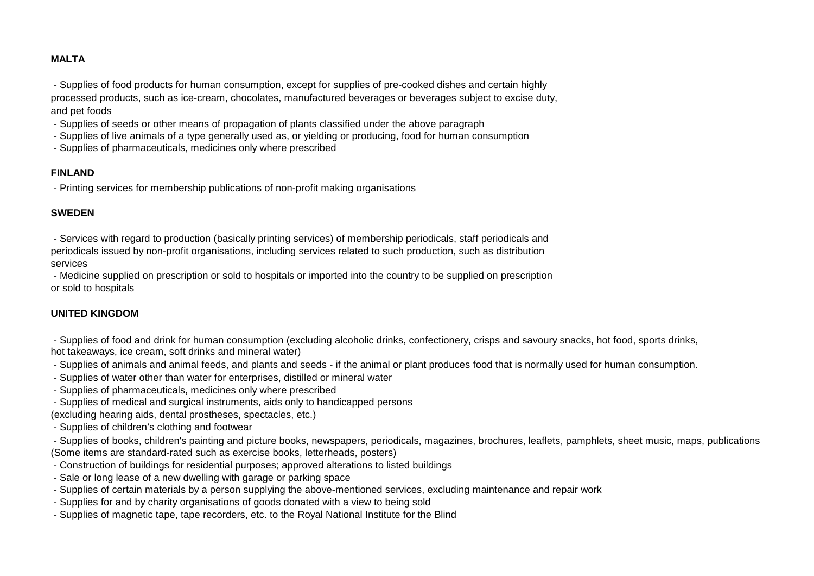#### **MALTA**

 - Supplies of food products for human consumption, except for supplies of pre-cooked dishes and certain highly processed products, such as ice-cream, chocolates, manufactured beverages or beverages subject to excise duty, and pet foods

- Supplies of seeds or other means of propagation of plants classified under the above paragraph
- Supplies of live animals of a type generally used as, or yielding or producing, food for human consumption
- Supplies of pharmaceuticals, medicines only where prescribed

#### **FINLAND**

- Printing services for membership publications of non-profit making organisations

#### **SWEDEN**

 - Services with regard to production (basically printing services) of membership periodicals, staff periodicals and periodicals issued by non-profit organisations, including services related to such production, such as distribution services

 - Medicine supplied on prescription or sold to hospitals or imported into the country to be supplied on prescription or sold to hospitals

#### **UNITED KINGDOM**

 - Supplies of food and drink for human consumption (excluding alcoholic drinks, confectionery, crisps and savoury snacks, hot food, sports drinks, hot takeaways, ice cream, soft drinks and mineral water)

- Supplies of animals and animal feeds, and plants and seeds if the animal or plant produces food that is normally used for human consumption.
- Supplies of water other than water for enterprises, distilled or mineral water
- Supplies of pharmaceuticals, medicines only where prescribed
- Supplies of medical and surgical instruments, aids only to handicapped persons (excluding hearing aids, dental prostheses, spectacles, etc.)
- Supplies of children's clothing and footwear

 - Supplies of books, children's painting and picture books, newspapers, periodicals, magazines, brochures, leaflets, pamphlets, sheet music, maps, publications (Some items are standard-rated such as exercise books, letterheads, posters)

- Construction of buildings for residential purposes; approved alterations to listed buildings
- Sale or long lease of a new dwelling with garage or parking space
- Supplies of certain materials by a person supplying the above-mentioned services, excluding maintenance and repair work
- Supplies for and by charity organisations of goods donated with a view to being sold
- Supplies of magnetic tape, tape recorders, etc. to the Royal National Institute for the Blind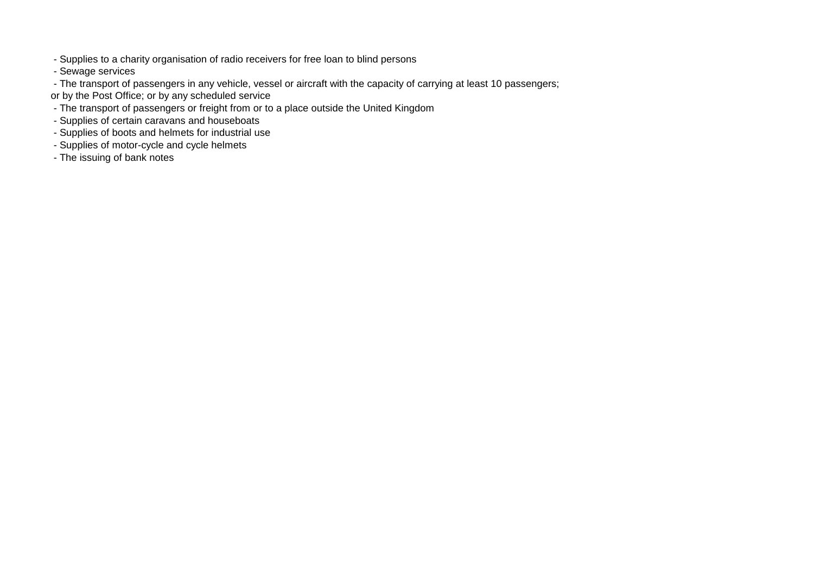- Supplies to a charity organisation of radio receivers for free loan to blind persons
- Sewage services
- The transport of passengers in any vehicle, vessel or aircraft with the capacity of carrying at least 10 passengers;
- or by the Post Office; or by any scheduled service
- The transport of passengers or freight from or to a place outside the United Kingdom
- Supplies of certain caravans and houseboats
- Supplies of boots and helmets for industrial use
- Supplies of motor-cycle and cycle helmets
- The issuing of bank notes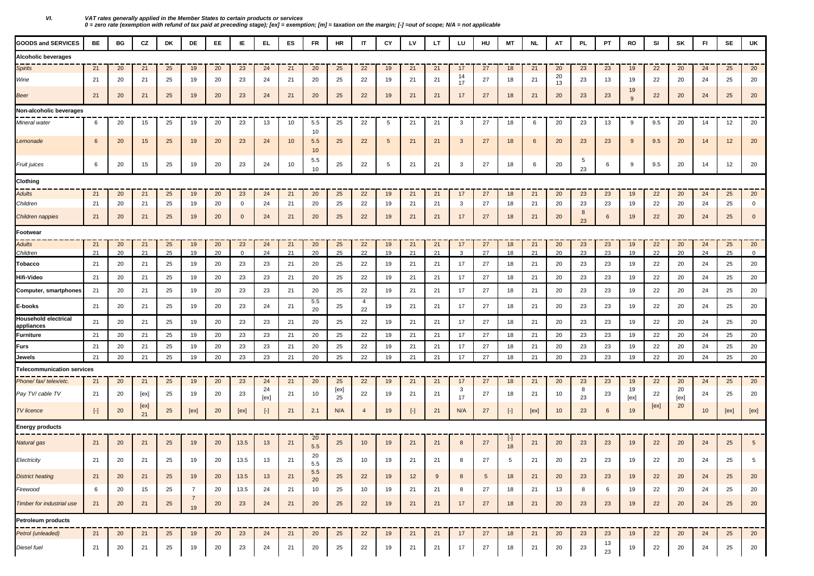| <b>GOODS and SERVICES</b>          | BE    | BG | CZ         | DK | DE                   | EE. | IE             | EL.        | ES | <b>FR</b>   | HR         | IT             | CY | LV        | LT. | LU       | HU         | МT        | NL   | AT       | <b>PL</b> | PT       | RO         | SI   | SK         | FI | SE   | UK              |
|------------------------------------|-------|----|------------|----|----------------------|-----|----------------|------------|----|-------------|------------|----------------|----|-----------|-----|----------|------------|-----------|------|----------|-----------|----------|------------|------|------------|----|------|-----------------|
| Alcoholic beverages                |       |    |            |    |                      |     |                |            |    |             |            |                |    |           |     |          |            |           |      |          |           |          |            |      |            |    |      |                 |
| <b>Spirits</b>                     | 21    | 20 | 21         | 25 | 19                   | 20  | 23             | 24         | 21 | 20          | 25         | 22             | 19 | 21        | 21  | 17       | 27         | 18        | 21   | 20       | 23        | 23       | 19         | 22   | 20         | 24 | 25   | 20              |
| Wine                               | 21    | 20 | 21         | 25 | 19                   | 20  | 23             | -24        | 21 | 20          | 25         | 22             | 19 | 21        | 21  | 14<br>17 | 27         | 18        | 21   | 20<br>13 | 23        | 13       | 19         | 22   | 20         | 24 | 25   | 20              |
| Beer                               | 21    | 20 | 21         | 25 | 19                   | 20  | 23             | 24         | 21 | 20          | 25         | 22             | 19 | 21        | 21  | 17       | 27         | 18        | 21   | 20       | 23        | 23       | 19<br>9    | 22   | 20         | 24 | 25   | 20              |
| Non-alcoholic beverages            |       |    |            |    |                      |     |                |            |    |             |            |                |    |           |     |          |            |           |      |          |           |          |            |      |            |    |      |                 |
| Mineral water                      | 6     | 20 | 15         | 25 | 19                   | 20  | 23             | 13         | 10 | 5.5<br>10   | 25         | 22             | 5  | 21        | 21  | 3        | 27         | 18        | 6    | 20       | 23        | 13       | 9          | 9.5  | 20         | 14 | 12   | 20              |
| Lemonade                           | 6     | 20 | 15         | 25 | 19                   | 20  | 23             | 24         | 10 | 5.5<br>10   | 25         | 22             | 5  | 21        | 21  | 3        | 27         | 18        | 6    | 20       | 23        | 23       | 9          | 9.5  | 20         | 14 | 12   | 20              |
| Fruit juices                       | 6     | 20 | 15         | 25 | 19                   | 20  | 23             | 24         | 10 | 5.5<br>10   | 25         | 22             | 5  | 21        | 21  | 3        | 27         | 18        | 6    | 20       | 5<br>23   | 6        | 9          | 9.5  | 20         | 14 | 12   | 20              |
| Clothing                           |       |    |            |    |                      |     |                |            |    |             |            |                |    |           |     |          |            |           |      |          |           |          |            |      |            |    |      |                 |
| Adults                             | 21    | 20 | 21         | 25 | 19                   | 20  | 23             | 24         | 21 | 20          | 25         | 22             | 19 | 21        | 21  | 17       | 27         | 18        | 21   | 20       | 23        | 23       | 19         | 22   | 20         | 24 | 25   | 20              |
| Children                           | 21    | 20 | 21         | 25 | 19                   | 20  | $\mathbf{0}$   | 24         | 21 | 20          | 25         | 22             | 19 | 21        | 21  | 3        | 27         | 18        | 21   | 20       | 23        | 23       | 19         | 22   | 20         | 24 | 25   | $\overline{0}$  |
| Children nappies                   | 21    | 20 | 21         | 25 | 19                   | 20  | $\overline{0}$ | 24         | 21 | 20          | 25         | 22             | 19 | 21        | 21  | 17       | 27         | 18        | 21   | 20       | 8<br>23   | 6        | 19         | 22   | 20         | 24 | 25   | $\mathbf 0$     |
| Footwear                           |       |    |            |    |                      |     |                |            |    |             |            |                |    |           |     |          |            |           |      |          |           |          |            |      |            |    |      |                 |
| Adults                             | 21    | 20 | 21         | 25 | 19                   | 20  | 23             | 24         | 21 | 20          | 25         | 22             | 19 | 21        | 21  | 17       | 27         | 18        | 21   | 20       | 23        | 23       | 19         | 22   | 20         | 24 | 25   | 20              |
| Children                           | 21    | 20 | 21         | 25 | 19                   | 20  | $\overline{0}$ | 24         | 21 | 20          | 25         | 22             | 19 | 21        | 21  | 3        | 27         | 18        | 21   | 20       | 23        | 23       | 19         | 22   | 20         | 24 | 25   | $\overline{0}$  |
| Tobacco                            | 21    | 20 | 21         | 25 | 19                   | 20  | 23             | 23         | 21 | 20          | 25         | 22             | 19 | 21        | 21  | 17       | 27         | 18        | 21   | 20       | 23        | 23       | 19         | 22   | 20         | 24 | 25   | 20              |
| Hifi-Video                         | 21    | 20 | 21         | 25 | 19                   | 20  | 23             | 23         | 21 | 20          | 25         | 22             | 19 | 21        | 21  | 17       | 27         | 18        | 21   | 20       | 23        | 23       | 19         | 22   | 20         | 24 | 25   | 20              |
| Computer, smartphones              | 21    | 20 | 21         | 25 | 19                   | 20  | 23             | 23         | 21 | 20          | 25         | 22             | 19 | 21        | 21  | 17       | 27         | 18        | 21   | 20       | 23        | 23       | 19         | 22   | 20         | 24 | 25   | 20              |
| E-books                            | 21    | 20 | 21         | 25 | 19                   | 20  | 23             | 24         | 21 | 5.5<br>20   | 25         | 4<br>22        | 19 | 21        | 21  | 17       | 27         | 18        | 21   | 20       | 23        | 23       | 19         | 22   | 20         | 24 | 25   | 20              |
| Household electrical<br>appliances | 21    | 20 | 21         | 25 | 19                   | 20  | 23             | 23         | 21 | 20          | 25         | 22             | 19 | 21        | 21  | 17       | 27         | 18        | 21   | 20       | 23        | 23       | 19         | 22   | 20         | 24 | 25   | 20              |
| Furniture                          | 21    | 20 | 21         | 25 | 19                   | 20  | 23             | 23         | 21 | 20          | 25         | 22             | 19 | 21        | 21  | 17       | 27         | 18        | 21   | 20       | 23        | 23       | 19         | 22   | 20         | 24 | 25   | 20              |
| Furs                               | 21    | 20 | 21         | 25 | 19                   | 20  | 23             | 23         | 21 | 20          | 25         | 22             | 19 | 21        | 21  | 17       | 27         | 18        | 21   | 20       | 23        | 23       | 19         | 22   | 20         | 24 | 25   | 20              |
| Jewels                             | 21    | 20 | 21         | 25 | 19                   | 20  | 23             | 23         | 21 | 20          | 25         | 22             | 19 | 21        | 21  | 17       | 27         | 18        | 21   | 20       | 23        | 23       | 19         | 22   | 20         | 24 | 25   | 20              |
| <b>Telecommunication services</b>  |       |    |            |    |                      |     |                |            |    |             |            |                |    |           |     |          |            |           |      |          |           |          |            |      |            |    |      |                 |
| Phone/ fax/ telex/etc.             | 21    | 20 | 21         | 25 | 19                   | 20  | 23             | 24         | 21 | 20          | 25         | 22             | 19 | 21        | 21  | 17       | 27         | 18        | 21   | 20       | 23        | 23       | 19         | 22   | 20         | 24 | 25   | 20              |
| Pay TV/ cable TV                   | 21    | 20 | [ex]       | 25 | 19                   | 20  | 23             | 24<br>[ex] | 21 | 10          | [ex]<br>25 | 22             | 19 | 21        | 21  | 3<br>17  | 27         | 18        | 21   | 10       | 8<br>23   | 23       | 19<br>[ex] | 22   | 20<br>[ex] | 24 | 25   | 20              |
| <b>TV</b> licence                  | $[-]$ | 20 | [ex]<br>21 | 25 | [ex]                 | 20  | [ex]           | $[\cdot]$  | 21 | 2.1         | N/A        | $\overline{4}$ | 19 | $[\cdot]$ | 21  | N/A      | 27         | $[\cdot]$ | [ex] | 10       | 23        | 6        | 19         | [ex] | 20         | 10 | [ex] | [ex]            |
| <b>Energy products</b>             |       |    |            |    |                      |     |                |            |    |             |            |                |    |           |     |          |            |           |      |          |           |          |            |      |            |    |      |                 |
| Natural gas                        | 21    | 20 | 21         | 25 | 19                   | 20  | 13.5           | 13         | 21 | 20<br>5.5   | 25         | 10             | 19 | 21        | 21  | 8        | 27         | H<br>18   | 21   | 20       | 23        | 23       | 19         | 22   | 20         | 24 | 25   | $5\phantom{.0}$ |
| Electricity                        | 21    | 20 | 21         | 25 | 19                   | 20  | 13.5           | 13         | 21 | 20<br>5.5   | 25         | 10             | 19 | 21        | 21  | 8        | 27         | 5         | 21   | 20       | 23        | 23       | 19         | 22   | 20         | 24 | 25   | 5               |
| <b>District heating</b>            | 21    | 20 | 21         | 25 | 19                   | 20  | 13.5           | 13         | 21 | $5.5$<br>20 | 25         | 22             | 19 | 12        | 9   | 8        | $\sqrt{5}$ | 18        | 21   | 20       | 23        | 23       | 19         | 22   | 20         | 24 | 25   | 20              |
| Firewood                           | 6     | 20 | 15         | 25 | $\overline{7}$       | 20  | 13.5           | 24         | 21 | 10          | 25         | 10             | 19 | 21        | 21  | 8        | 27         | 18        | 21   | 13       | 8         | 6        | 19         | 22   | 20         | 24 | 25   | 20              |
| Timber for industrial use          | 21    | 20 | 21         | 25 | $\overline{7}$<br>19 | 20  | 23             | 24         | 21 | 20          | 25         | 22             | 19 | 21        | 21  | 17       | 27         | 18        | 21   | 20       | 23        | 23       | 19         | 22   | 20         | 24 | 25   | 20              |
| Petroleum products                 |       |    |            |    |                      |     |                |            |    |             |            |                |    |           |     |          |            |           |      |          |           |          |            |      |            |    |      |                 |
| Petrol (unleaded)                  | 21    | 20 | 21         | 25 | 19                   | 20  | 23             | 24         | 21 | 20          | 25         | 22             | 19 | 21        | 21  | 17       | 27         | 18        | 21   | 20       | 23        | 23       | 19         | 22   | 20         | 24 | 25   | 20              |
| Diesel fuel                        | 21    | 20 | 21         | 25 | 19                   | 20  | 23             | 24         | 21 | 20          | 25         | 22             | 19 | 21        | 21  | 17       | 27         | 18        | 21   | 20       | 23        | 13<br>23 | 19         | 22   | 20         | 24 | 25   | 20              |

*VI. VAT rates generally applied in the Member States to certain products or services 0 = zero rate (exemption with refund of tax paid at preceding stage); [ex] = exemption; [m] = taxation on the margin; [-] =out of scope; N/A = not applicable*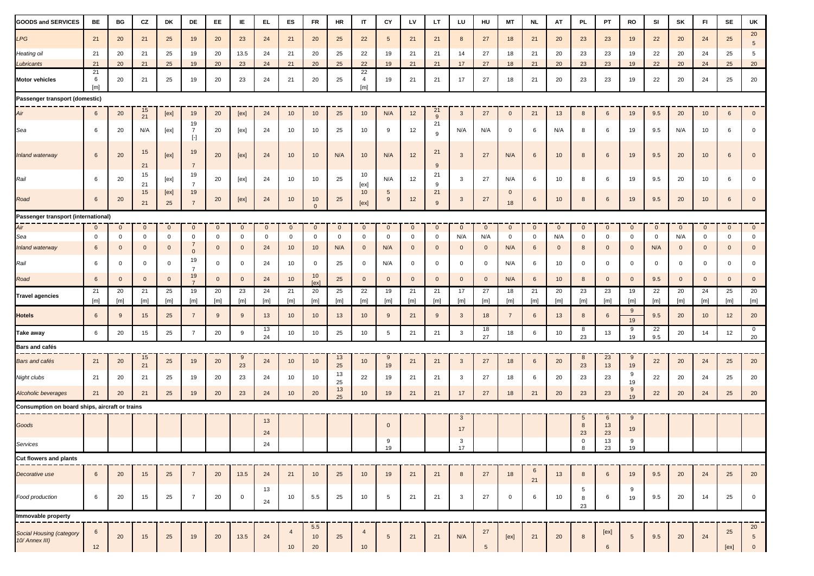| GOODS and SERVICES                             | <b>BE</b>       | BG                           | CZ                            | DK                          | DE                                  | EE.                         | IE.                           | EL.               | ES                   | <b>FR</b>         | <b>HR</b>          | $\mathsf{I}\mathsf{T}$      | CY                   | LV                               | LT                | LU                  | HU                    | <b>MT</b>          | <b>NL</b>        | AT                  | <b>PL</b>                  | PT                | RO                          | SI                 | SK                  | $\mathsf{FI}$               | SE                | UK                                      |
|------------------------------------------------|-----------------|------------------------------|-------------------------------|-----------------------------|-------------------------------------|-----------------------------|-------------------------------|-------------------|----------------------|-------------------|--------------------|-----------------------------|----------------------|----------------------------------|-------------------|---------------------|-----------------------|--------------------|------------------|---------------------|----------------------------|-------------------|-----------------------------|--------------------|---------------------|-----------------------------|-------------------|-----------------------------------------|
| LPG                                            | 21              | 20                           | 21                            | 25                          | 19                                  | 20                          | 23                            | 24                | 21                   | 20                | 25                 | 22                          | 5 <sup>5</sup>       | 21                               | 21                | 8                   | 27                    | 18                 | 21               | 20                  | 23                         | 23                | 19                          | 22                 | 20                  | 24                          | 25                | $20\,$<br>$5\overline{5}$               |
| Heating oil                                    | 21              | 20                           | 21                            | 25                          | 19                                  | 20                          | 13.5                          | 24                | 21                   | 20                | 25                 | 22                          | 19                   | 21                               | 21                | 14                  | 27                    | 18                 | 21               | 20                  | 23                         | 23                | 19                          | 22                 | 20                  | 24                          | 25                | 5                                       |
| Lubricants                                     | 21              | 20                           | 21                            | 25                          | 19                                  | 20                          | 23                            | 24                | 21                   | 20                | 25                 | 22                          | 19                   | 21                               | 21                | 17                  | 27                    | 18                 | 21               | 20                  | 23                         | 23                | 19                          | 22                 | 20                  | 24                          | 25                | $20\,$                                  |
| Motor vehicles                                 | 21<br>6<br>[m]  | 20                           | 21                            | 25                          | 19                                  | 20                          | 23                            | 24                | 21                   | 20                | 25                 | 22<br>$\overline{4}$<br>[m] | 19                   | 21                               | 21                | 17                  | 27                    | 18                 | 21               | 20                  | 23                         | 23                | 19                          | 22                 | 20                  | 24                          | 25                | 20                                      |
| Passenger transport (domestic)                 |                 |                              |                               |                             |                                     |                             |                               |                   |                      |                   |                    |                             |                      |                                  |                   |                     |                       |                    |                  |                     |                            |                   |                             |                    |                     |                             |                   |                                         |
| Air                                            | 6               | 20                           | 15<br>21                      | [ex]                        | 19                                  | 20                          | [ex]                          | 24                | 10                   | 10                | 25                 | 10                          | N/A                  | 12                               | 21<br>9           | $\mathbf{3}$        | 27                    | $\mathbf{0}$       | 21               | 13                  | 8                          | 6                 | 19                          | 9.5                | 20                  | 10                          | 6                 | $\mathbf 0$                             |
| Sea                                            | 6               | 20                           | N/A                           | [ex]                        | 19<br>$\overline{7}$<br>$[\cdot]$   | 20                          | [ex]                          | 24                | 10                   | 10                | 25                 | 10                          | 9                    | 12                               | 21<br>9           | N/A                 | N/A                   | 0                  | 6                | N/A                 | 8                          | -6                | 19                          | 9.5                | N/A                 | 10                          | 6                 | $\mathbf 0$                             |
| Inland waterway                                | 6               | 20                           | 15<br>21                      | [ex]                        | 19<br>$\overline{7}$                | 20                          | [ex]                          | 24                | 10                   | 10                | N/A                | 10                          | N/A                  | 12                               | 21<br>9           | $\mathbf{3}$        | 27                    | N/A                | $6\phantom{.}6$  | 10                  | 8                          | 6                 | 19                          | 9.5                | 20                  | 10 <sup>°</sup>             | 6                 | $\overline{0}$                          |
| Rail                                           | 6               | 20                           | 15<br>21                      | [ex]                        | 19<br>$\overline{7}$                | 20                          | [ex]                          | 24                | 10                   | 10                | 25                 | 10<br>[ex]                  | N/A                  | 12                               | 21<br>9           | 3                   | 27                    | N/A                | 6                | 10                  | 8                          | 6                 | 19                          | 9.5                | 20                  | 10                          | 6                 | $\mathbf 0$                             |
| Road                                           | $6\phantom{.}6$ | 20                           | 15<br>21                      | [ex]<br>25                  | 19<br>$\overline{7}$                | 20                          | [ex]                          | 24                | 10                   | 10<br>$\Omega$    | 25                 | 10<br>[ex]                  | $5\overline{)}$<br>9 | 12                               | 21<br>9           | $\mathbf{3}$        | 27                    | $\mathbf{0}$<br>18 | 6                | 10                  | 8                          | $6\phantom{.}6$   | 19                          | 9.5                | 20                  | 10 <sup>°</sup>             | 6                 | $\mathbf 0$                             |
| Passenger transport (international)            |                 |                              |                               |                             |                                     |                             |                               |                   |                      |                   |                    |                             |                      |                                  |                   |                     |                       |                    |                  |                     |                            |                   |                             |                    |                     |                             |                   |                                         |
| Air                                            | $\mathbf{0}$    | $\overline{0}$               | $\mathbf{0}$                  | $\mathbf{0}$                | $\mathbf{0}$                        | $\mathbf{0}$                | $\mathbf{0}$                  | $\mathbf{0}$      | $\mathbf{0}$         | $\mathbf 0$       | $\mathbf 0$        | $\mathbf{0}$                | $\mathbf{0}$         | $\mathbf{0}$                     | $\mathbf{0}$      | $\mathbf{0}$        | $\mathbf{0}$          | $\mathbf{0}$       | $\mathbf{0}$     | $\mathbf{0}$        | $\mathbf{0}$               | $\mathbf{0}$      | $\mathbf{0}$                | $\overline{0}$     | $\mathbf{0}$        | $\mathbf{0}$                | $\mathbf{0}$      | $\overline{0}$                          |
| Sea<br>Inland waterway                         | 0<br>6          | $\mathbf{0}$<br>$\mathbf{0}$ | $\mathbf 0$<br>$\overline{0}$ | $\mathbf 0$<br>$\mathbf{0}$ | 0<br>$\overline{7}$                 | $\mathbf 0$<br>$\mathbf{0}$ | $\mathbf 0$<br>$\overline{0}$ | $\mathbf 0$<br>24 | $\mathbf 0$<br>10    | $\mathbf 0$<br>10 | $\mathbf 0$<br>N/A | $\mathbf 0$<br>$\mathbf{0}$ | $\mathbf 0$<br>N/A   | $\overline{0}$<br>$\overline{0}$ | 0<br>$\mathbf{0}$ | N/A<br>$\mathbf{0}$ | N/A<br>$\overline{0}$ | 0<br>N/A           | $\mathbf 0$<br>6 | N/A<br>$\mathbf{0}$ | $\mathbf 0$<br>8           | 0<br>$\mathbf{0}$ | $\mathbf 0$<br>$\mathbf{0}$ | $\mathbf 0$<br>N/A | N/A<br>$\mathbf{0}$ | $\mathbf 0$<br>$\mathbf{0}$ | 0<br>$\mathbf{0}$ | $\mathbf 0$<br>$\mathbf 0$              |
| Rail                                           | 6               | $\overline{0}$               | $\mathbf 0$                   | $\mathbf 0$                 | $\mathbf 0$<br>19<br>$\overline{7}$ | $\mathbf{0}$                | $\mathbf 0$                   | 24                | 10                   | $\mathbf 0$       | 25                 | $\mathbf 0$                 | N/A                  | $\mathbf 0$                      | $\mathbf 0$       | $\mathbf 0$         | $\mathbf 0$           | N/A                | 6                | 10                  | $\mathbf 0$                | 0                 | $\overline{0}$              | $\overline{0}$     | $\mathbf 0$         | $\mathbf 0$                 | $\mathbf{0}$      | $\mathbf 0$                             |
| Road                                           | $6\phantom{.}6$ | $\mathbf{0}$                 | $\overline{0}$                | $\mathbf{0}$                | 19                                  | $\mathbf{0}$                | $\overline{0}$                | 24                | 10                   | 10<br>[ex]        | 25                 | $\mathbf{0}$                | $\mathbf{0}$         | $\mathbf{0}$                     | $\mathbf 0$       | $\mathbf{0}$        | $\overline{0}$        | N/A                | $6\phantom{.}6$  | 10                  | 8                          | $\mathbf{0}$      | $\mathbf{0}$                | 9.5                | $\mathbf{0}$        | $\mathbf{0}$                | $\mathbf{0}$      | $\overline{0}$                          |
| <b>Travel agencies</b>                         | 21<br>[m]       | 20<br>[m]                    | 21<br>[m]                     | 25<br>[m]                   | 19<br>[m]                           | 20<br>[m]                   | 23<br>[m]                     | 24<br>[m]         | 21<br>[m]            | 20<br>[m]         | 25<br>[m]          | 22<br>[m]                   | 19<br>[m]            | 21<br>[m]                        | 21<br>[m]         | 17<br>[m]           | 27<br>[m]             | 18<br>[m]          | 21<br>[m]        | 20<br>[m]           | 23<br>[m]                  | 23<br>[m]         | 19<br>[m]                   | 22<br>[m]          | 20<br>[m]           | 24<br>[m]                   | 25<br>[m]         | 20<br>$[\mathsf{m}]$                    |
| Hotels                                         | $6\phantom{.}6$ | 9                            | 15                            | 25                          | $\overline{7}$                      | 9                           | 9                             | 13                | 10                   | 10 <sup>°</sup>   | 13                 | 10                          | 9                    | 21                               | 9                 | $\mathbf{3}$        | 18                    | $\overline{7}$     | $6\phantom{.}6$  | 13                  | 8                          | $6\phantom{.}6$   | 9<br>19                     | 9.5                | 20                  | 10                          | 12                | 20                                      |
| Take away                                      | 6               | 20                           | 15                            | 25                          | $\overline{7}$                      | 20                          | 9                             | 13<br>24          | 10                   | 10                | 25                 | 10                          | $5\phantom{.0}$      | 21                               | 21                | $\mathbf{3}$        | 18<br>27              | 18                 | 6                | 10                  | 8<br>23                    | 13                | 9<br>19                     | 22<br>9.5          | 20                  | 14                          | 12                | $\overline{0}$<br>20                    |
| Bars and cafés                                 |                 |                              |                               |                             |                                     |                             |                               |                   |                      |                   |                    |                             |                      |                                  |                   |                     |                       |                    |                  |                     |                            |                   |                             |                    |                     |                             |                   |                                         |
| Bars and cafés                                 | 21              | 20                           | 15<br>21                      | 25                          | 19                                  | 20                          | 9<br>23                       | 24                | 10                   | 10                | 13<br>25           | 10                          | 9<br>19              | 21                               | 21                | $\mathbf{3}$        | 27                    | 18                 | $6\phantom{.}6$  | 20                  | 8<br>23                    | 23<br>13          | 9<br>19                     | 22                 | 20                  | 24                          | 25                | $20\,$                                  |
| Night clubs                                    | 21              | 20                           | 21                            | 25                          | 19                                  | 20                          | 23                            | 24                | 10                   | 10                | 13<br>25           | 22                          | 19                   | 21                               | 21                | 3                   | 27                    | 18                 | 6                | 20                  | 23                         | 23                | 9<br>19                     | 22                 | 20                  | 24                          | 25                | 20                                      |
| Alcoholic beverages                            | 21              | 20                           | 21                            | 25                          | 19                                  | 20                          | 23                            | 24                | 10                   | 20                | 13<br>25           | 10                          | 19                   | 21                               | 21                | 17                  | 27                    | 18                 | 21               | 20                  | 23                         | 23                | 9<br>19                     | 22                 | 20                  | 24                          | 25                | 20                                      |
| Consumption on board ships, aircraft or trains |                 |                              |                               |                             |                                     |                             |                               |                   |                      |                   |                    |                             |                      |                                  |                   |                     |                       |                    |                  |                     |                            |                   |                             |                    |                     |                             |                   |                                         |
| Goods                                          |                 |                              |                               |                             |                                     |                             |                               | 13<br>24          |                      |                   |                    |                             | $\mathbf{0}$         |                                  |                   | $\mathbf{3}$<br>17  |                       |                    |                  |                     | $5\overline{)}$<br>8<br>23 | 6<br>13<br>23     | 9<br>19                     |                    |                     |                             |                   |                                         |
| Services                                       |                 |                              |                               |                             |                                     |                             |                               | 24                |                      |                   |                    |                             | 9<br>19              |                                  |                   | 3                   |                       |                    |                  |                     | $\mathbf 0$<br>8           | 13<br>23          | 9<br>19                     |                    |                     |                             |                   |                                         |
| Cut flowers and plants                         |                 |                              |                               |                             |                                     |                             |                               |                   |                      |                   |                    |                             |                      |                                  |                   |                     |                       |                    |                  |                     |                            |                   |                             |                    |                     |                             |                   |                                         |
|                                                |                 |                              |                               |                             |                                     |                             |                               |                   |                      |                   |                    |                             |                      |                                  |                   |                     |                       |                    |                  |                     |                            |                   |                             |                    |                     |                             |                   |                                         |
| Decorative use                                 | 6               | 20                           | 15                            | 25                          | $\overline{7}$                      | 20                          | 13.5                          | 24<br>13          | 21                   | 10                | 25                 | 10                          | 19                   | 21                               | 21                | 8                   | 27                    | 18                 | 6<br>21          | 13                  | 8<br>5                     | 6                 | 19<br>9                     | 9.5                | 20                  | 24                          | 25                | 20                                      |
| Food production                                | 6               | 20                           | 15                            | 25                          | $\overline{7}$                      | 20                          | $\overline{0}$                | 24                | 10                   | 5.5               | 25                 | 10                          | $5\overline{)}$      | 21                               | 21                | $\mathbf{3}$        | 27                    | $\mathbf 0$        | 6                | 10                  | 8<br>23                    | 6                 | 19                          | 9.5                | 20                  | 14                          | 25                | $\mathbf 0$                             |
| Immovable property                             |                 |                              |                               |                             |                                     |                             |                               |                   |                      |                   |                    |                             |                      |                                  |                   |                     |                       |                    |                  |                     |                            |                   |                             |                    |                     |                             |                   |                                         |
| Social Housing (category<br>10/ Annex III)     | 6<br>12         | 20                           | 15                            | 25                          | 19                                  | 20                          | 13.5                          | 24                | $\overline{4}$<br>10 | 5.5<br>10<br>20   | 25                 | $\overline{4}$<br>10        | 5                    | 21                               | 21                | N/A                 | 27<br>$5\phantom{.0}$ | [ex]               | 21               | 20                  | $\boldsymbol{8}$           | 6                 | $5\phantom{.0}$             | 9.5                | 20                  | 24                          | 25<br>[ex]        | 20<br>$5\phantom{.0}$<br>$\overline{0}$ |
|                                                |                 |                              |                               |                             |                                     |                             |                               |                   |                      |                   |                    |                             |                      |                                  |                   |                     |                       |                    |                  |                     |                            |                   |                             |                    |                     |                             |                   |                                         |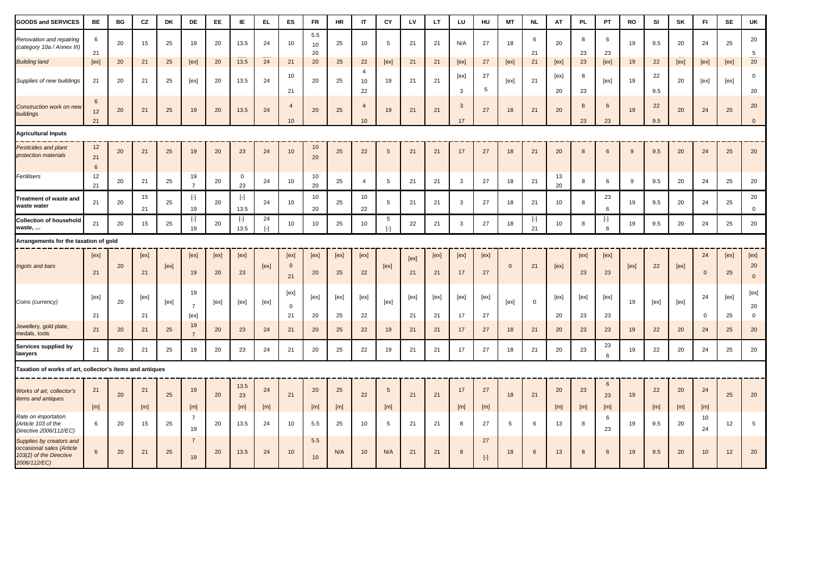| <b>GOODS and SERVICES</b>                                                                        | BE                          | BG | CZ         | DK   | DE                                                                                                                                                                                                                        | EE                  | IE                  | EL.               | ES                         | <b>FR</b>       | <b>HR</b>  | $\mathsf{I}\mathsf{T}$     | CY                                                                                                                                                                                                                                                                                                                                                                                                                                                                                                                                                                                                                                                                                                                                                                                                                                                                                            | LV         | LT.        | LU                 | HU              | <b>MT</b>      | <b>NL</b>                                                                                                                                                                                                       | AT         | <b>PL</b>  | PT             | RO   | SI         | SK        | F1                 | <b>SE</b>  | UK                         |
|--------------------------------------------------------------------------------------------------|-----------------------------|----|------------|------|---------------------------------------------------------------------------------------------------------------------------------------------------------------------------------------------------------------------------|---------------------|---------------------|-------------------|----------------------------|-----------------|------------|----------------------------|-----------------------------------------------------------------------------------------------------------------------------------------------------------------------------------------------------------------------------------------------------------------------------------------------------------------------------------------------------------------------------------------------------------------------------------------------------------------------------------------------------------------------------------------------------------------------------------------------------------------------------------------------------------------------------------------------------------------------------------------------------------------------------------------------------------------------------------------------------------------------------------------------|------------|------------|--------------------|-----------------|----------------|-----------------------------------------------------------------------------------------------------------------------------------------------------------------------------------------------------------------|------------|------------|----------------|------|------------|-----------|--------------------|------------|----------------------------|
| Renovation and repairing<br>(category 10a / Annex III)                                           | 6<br>21                     | 20 | 15         | 25   | 19                                                                                                                                                                                                                        | 20                  | 13.5                | 24                | 10 <sup>1</sup>            | 5.5<br>10<br>20 | 25         | 10                         | 5                                                                                                                                                                                                                                                                                                                                                                                                                                                                                                                                                                                                                                                                                                                                                                                                                                                                                             | 21         | 21         | N/A                | 27              | 18             | 6<br>21                                                                                                                                                                                                         | 20         | 8<br>23    | 6<br>23        | 19   | 9.5        | 20        | 24                 | 25         | 20<br>5                    |
| <b>Building land</b>                                                                             | [ex]                        | 20 | 21         | 25   | [ex]                                                                                                                                                                                                                      | 20                  | 13.5                | 24                | 21                         | 20              | 25         | 22                         | [ex]                                                                                                                                                                                                                                                                                                                                                                                                                                                                                                                                                                                                                                                                                                                                                                                                                                                                                          | 21         | 21         | [ex]               | 27              | [ex]           | 21                                                                                                                                                                                                              | [ex]       | 23         | [ex]           | 19   | 22         | [ex]      | [ex]               | [ex]       | 20                         |
| Supplies of new buildings                                                                        | 21                          | 20 | 21         | 25   | [ex]                                                                                                                                                                                                                      | 20                  | 13.5                | 24                | 10<br>21                   | 20              | 25         | $\overline{4}$<br>10<br>22 | 19                                                                                                                                                                                                                                                                                                                                                                                                                                                                                                                                                                                                                                                                                                                                                                                                                                                                                            | 21         | 21         | [ex]<br>3          | 27<br>5         | [ex]           | 21                                                                                                                                                                                                              | [ex]<br>20 | 8<br>23    | [ex]           | 19   | 22<br>9.5  | 20        | [ex]               | [ex]       | $\pmb{0}$<br>20            |
| Construction work on new<br>buildings                                                            | $6\phantom{1}6$<br>12<br>21 | 20 | 21         | 25   | 19                                                                                                                                                                                                                        | 20                  | 13.5                | 24                | $\overline{4}$<br>10       | 20              | 25         | $\overline{4}$<br>10       | 19                                                                                                                                                                                                                                                                                                                                                                                                                                                                                                                                                                                                                                                                                                                                                                                                                                                                                            | 21         | 21         | $\mathbf{3}$<br>17 | 27              | 18             | 21                                                                                                                                                                                                              | 20         | 8<br>23    | 6<br>23        | 19   | 22<br>9.5  | 20        | 24                 | 25         | 20<br>$\mathbf{0}$         |
| <b>Agricultural Inputs</b>                                                                       |                             |    |            |      |                                                                                                                                                                                                                           |                     |                     |                   |                            |                 |            |                            |                                                                                                                                                                                                                                                                                                                                                                                                                                                                                                                                                                                                                                                                                                                                                                                                                                                                                               |            |            |                    |                 |                |                                                                                                                                                                                                                 |            |            |                |      |            |           |                    |            |                            |
| <b>Pesticides and plant</b><br>protection materials                                              | 12<br>21<br>$6\phantom{1}6$ | 20 | 21         | 25   | 19                                                                                                                                                                                                                        | 20                  | 23                  | 24                | 10                         | 10<br>20        | 25         | 22                         | 5                                                                                                                                                                                                                                                                                                                                                                                                                                                                                                                                                                                                                                                                                                                                                                                                                                                                                             | 21         | 21         | 17                 | 27              | 18             | 21                                                                                                                                                                                                              | 20         | 8          | 6              | 9    | 9.5        | 20        | 24                 | 25         | 20                         |
| Fertilisers                                                                                      | 12<br>21                    | 20 | 21         | 25   | 19<br>$\overline{7}$                                                                                                                                                                                                      | 20                  | $\mathbf 0$<br>23   | 24                | 10                         | 10<br>20        | 25         | $\overline{a}$             | 5                                                                                                                                                                                                                                                                                                                                                                                                                                                                                                                                                                                                                                                                                                                                                                                                                                                                                             | 21         | 21         | 3                  | 27              | 18             | 21                                                                                                                                                                                                              | 13<br>20   | 8          | 6              | 9    | 9.5        | 20        | 24                 | 25         | 20                         |
| reatment of waste and<br>waste water                                                             | 21                          | 20 | 15<br>21   | 25   | $[\cdot] % \centering \includegraphics[width=0.9\textwidth]{images/TrDiM-Architecture.png} % \caption{The first two different values of $S$ and $S$ are shown in the left.} \label{TrDiS} %$<br>19                        | 20                  | $[ - ]$<br>13.5     | 24                | 10                         | 10<br>20        | 25         | 10<br>22                   | 5                                                                                                                                                                                                                                                                                                                                                                                                                                                                                                                                                                                                                                                                                                                                                                                                                                                                                             | 21         | 21         | $\mathbf{3}$       | 27              | 18             | 21                                                                                                                                                                                                              | 10         | 8          | 23<br>6        | 19   | 9.5        | 20        | 24                 | 25         | 20<br>$\mathbf 0$          |
| <b>Collection of household</b><br>waste,                                                         | 21                          | 20 | 15         | 25   | $[\cdot] % \centering \includegraphics[width=0.9\textwidth]{images/TrDiM-Architecture.png} % \caption{The first two different values of $S$ in the image \cite{AilM-Architecture} \label{fig:TrDiM-Architecture} %$<br>19 | 20                  | $[ \cdot ]$<br>13.5 | 24<br>$[ \cdot ]$ | 10                         | 10              | 25         | 10                         | 5<br>$[\cdot] % \centering \includegraphics[width=0.9\textwidth]{images/TrDiM-Architecture.png} % \caption{The first two different values of $S$ and $S$ are shown in the left, the first two different values of $S$ and $S$ are shown in the right, and the second two different values of $S$ are shown in the right, and the second two different values of $S$ are shown in the right, and the second two different values of $S$ are shown in the right, and the third two different values of $S$ are shown in the right, and the third two different values of $S$ are shown in the right, and the third two different values of $S$ are shown in the right, and the third two different values of $S$ are shown in the right, and the third two different values of $S$ are shown in the right, and the third two different values of $S$ are shown in the right, and the third two$ | 22         | 21         | 3                  | 27              | 18             | $[\cdot] % \centering \includegraphics[width=0.9\textwidth]{images/TrDiM-Architecture.png} % \caption{The first two different values of $S$ and $S$ are shown in the left.} \label{TrDiM-Architecture} %$<br>21 | 10         | 8          | H<br>6         | 19   | 9.5        | 20        | 24                 | 25         | 20                         |
| Arrangements for the taxation of gold                                                            |                             |    |            |      |                                                                                                                                                                                                                           |                     |                     |                   |                            |                 |            |                            |                                                                                                                                                                                                                                                                                                                                                                                                                                                                                                                                                                                                                                                                                                                                                                                                                                                                                               |            |            |                    |                 |                |                                                                                                                                                                                                                 |            |            |                |      |            |           |                    |            |                            |
| Ingots and bars                                                                                  | [ex]<br>21                  | 20 | [ex]<br>21 | [ex] | [ex]<br>19                                                                                                                                                                                                                | [ex]<br>$20\degree$ | [ex]<br>23          | [ex]              | [ex]<br>$\mathbf{0}$<br>21 | [ex]<br>20      | [ex]<br>25 | [ex]<br>22                 | [ex]                                                                                                                                                                                                                                                                                                                                                                                                                                                                                                                                                                                                                                                                                                                                                                                                                                                                                          | [ex]<br>21 | [ex]<br>21 | [ex]<br>17         | [ex]<br>27      | $\overline{0}$ | 21                                                                                                                                                                                                              | [ex]       | [ex]<br>23 | [ex]<br>23     | [ex] | 22         | [ex]      | 24<br>$\mathbf{0}$ | [ex]<br>25 | [ex]<br>20<br>$\mathbf{0}$ |
| Coins (currency)                                                                                 | [ex]                        | 20 | [ex]       | [ex] | 19<br>$\overline{7}$                                                                                                                                                                                                      | [ex]                | [ex]                | [ex]              | [ex]<br>$\mathbf 0$        | [ex]            | [ex]       | [ex]                       | [ex]                                                                                                                                                                                                                                                                                                                                                                                                                                                                                                                                                                                                                                                                                                                                                                                                                                                                                          | [ex]       | [ex]       | [ex]               | [ex]            | [ex]           | $\mathbf 0$                                                                                                                                                                                                     | [ex]       | [ex]       | [ex]           | 19   | [ex]       | [ex]      | 24                 | [ex]       | [ex]<br>20                 |
| Jewellery, gold plate,<br>medals, tools                                                          | 21<br>21                    | 20 | 21<br>21   | 25   | [ex]<br>19<br>$\overline{7}$                                                                                                                                                                                              | 20                  | 23                  | 24                | 21<br>21                   | 20<br>20        | 25<br>25   | 22<br>22                   | 19                                                                                                                                                                                                                                                                                                                                                                                                                                                                                                                                                                                                                                                                                                                                                                                                                                                                                            | 21<br>21   | 21<br>21   | 17<br>17           | 27<br>27        | 18             | 21                                                                                                                                                                                                              | 20<br>20   | 23<br>23   | 23<br>23       | 19   | 22         | 20        | $\mathbf 0$<br>24  | 25<br>25   | $\mathbf 0$<br>20          |
| Services supplied by<br>lawyers                                                                  | 21                          | 20 | 21         | 25   | 19                                                                                                                                                                                                                        | 20                  | 23                  | 24                | 21                         | 20              | 25         | 22                         | 19                                                                                                                                                                                                                                                                                                                                                                                                                                                                                                                                                                                                                                                                                                                                                                                                                                                                                            | 21         | 21         | 17                 | 27              | 18             | 21                                                                                                                                                                                                              | 20         | 23         | 23<br>6        | 19   | 22         | 20        | 24                 | 25         | 20                         |
| Taxation of works of art, collector's items and antiques                                         |                             |    |            |      |                                                                                                                                                                                                                           |                     |                     |                   |                            |                 |            |                            |                                                                                                                                                                                                                                                                                                                                                                                                                                                                                                                                                                                                                                                                                                                                                                                                                                                                                               |            |            |                    |                 |                |                                                                                                                                                                                                                 |            |            |                |      |            |           |                    |            |                            |
| Works of art, collector's<br><i>items and antiques</i>                                           | 21                          | 20 | 21         | 25   | 19                                                                                                                                                                                                                        | 20                  | 13.5<br>23          | 24                | 21                         | 20              | 25         | 22                         | 5                                                                                                                                                                                                                                                                                                                                                                                                                                                                                                                                                                                                                                                                                                                                                                                                                                                                                             | 21         | 21         | 17                 | 27              | 18             | 21                                                                                                                                                                                                              | 20         | 23         | 6<br>23        | 19   | 22         | 20        | 24                 | 25         | 20                         |
| Rate on importation<br>Article 103 of the<br>Directive 2006/112/EC)                              | [m]<br>6                    | 20 | [m]<br>15  | 25   | [m]<br>$\overline{7}$<br>19                                                                                                                                                                                               | 20                  | [m]<br>13.5         | [m]<br>24         | 10                         | [m]<br>5.5      | [m]<br>25  | 10                         | [m]<br>5                                                                                                                                                                                                                                                                                                                                                                                                                                                                                                                                                                                                                                                                                                                                                                                                                                                                                      | 21         | 21         | [m]<br>8           | [m]<br>27       | 5              | 6                                                                                                                                                                                                               | [m]<br>13  | [m]<br>8   | [m]<br>6<br>23 | 19   | [m]<br>9.5 | [m]<br>20 | [m]<br>10<br>24    | 12         | 5                          |
| Supplies by creators and<br>occasional sales (Article<br>103(2) of the Directive<br>2006/112/EC) | 6                           | 20 | 21         | 25   | $\overline{7}$<br>19                                                                                                                                                                                                      | 20                  | 13.5                | 24                | 10                         | 5.5<br>10       | N/A        | 10                         | N/A                                                                                                                                                                                                                                                                                                                                                                                                                                                                                                                                                                                                                                                                                                                                                                                                                                                                                           | 21         | 21         | 8                  | 27<br>$[\cdot]$ | 18             | $6\phantom{.}6$                                                                                                                                                                                                 | 13         | 8          | 6              | 19   | 9.5        | 20        | 10 <sup>10</sup>   | 12         | 20                         |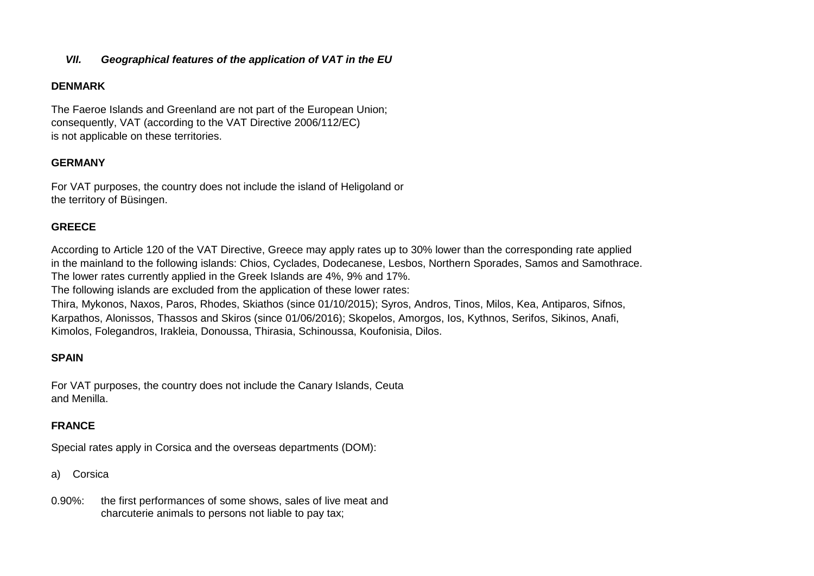### *VII. Geographical features of the application of VAT in the EU*

### **DENMARK**

The Faeroe Islands and Greenland are not part of the European Union; consequently, VAT (according to the VAT Directive 2006/112/EC) is not applicable on these territories.

## **GERMANY**

For VAT purposes, the country does not include the island of Heligoland or the territory of Büsingen.

### **GREECE**

According to Article 120 of the VAT Directive, Greece may apply rates up to 30% lower than the corresponding rate applied in the mainland to the following islands: Chios, Cyclades, Dodecanese, Lesbos, Northern Sporades, Samos and Samothrace. The lower rates currently applied in the Greek Islands are 4%, 9% and 17%.

The following islands are excluded from the application of these lower rates:

Thira, Mykonos, Naxos, Paros, Rhodes, Skiathos (since 01/10/2015); Syros, Andros, Tinos, Milos, Kea, Antiparos, Sifnos, Karpathos, Alonissos, Thassos and Skiros (since 01/06/2016); Skopelos, Amorgos, Ios, Kythnos, Serifos, Sikinos, Anafi, Kimolos, Folegandros, Irakleia, Donoussa, Thirasia, Schinoussa, Koufonisia, Dilos.

## **SPAIN**

For VAT purposes, the country does not include the Canary Islands, Ceuta and Menilla.

## **FRANCE**

Special rates apply in Corsica and the overseas departments (DOM):

a) Corsica

0.90%: the first performances of some shows, sales of live meat and charcuterie animals to persons not liable to pay tax;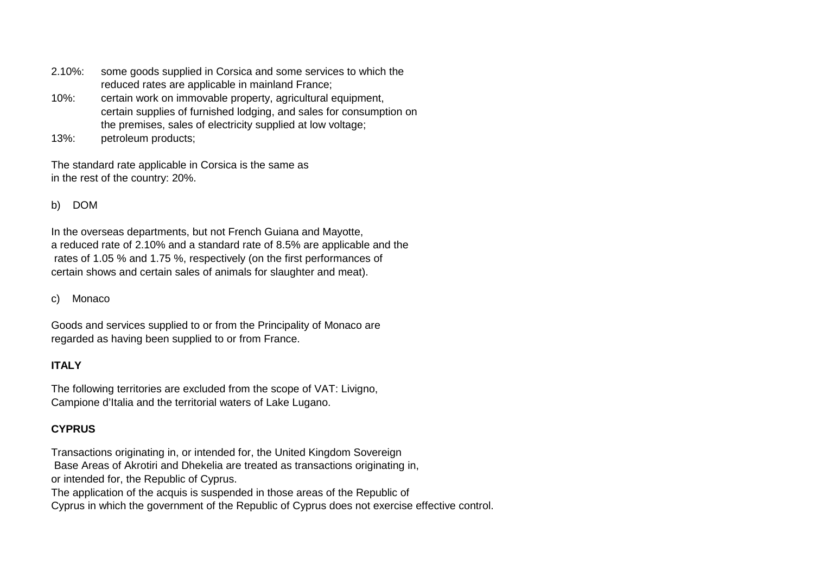- 2.10%: some goods supplied in Corsica and some services to which the reduced rates are applicable in mainland France;
- 10%: certain work on immovable property, agricultural equipment, certain supplies of furnished lodging, and sales for consumption on the premises, sales of electricity supplied at low voltage;
- 13%: petroleum products;

The standard rate applicable in Corsica is the same as in the rest of the country: 20%.

b) DOM

In the overseas departments, but not French Guiana and Mayotte, a reduced rate of 2.10% and a standard rate of 8.5% are applicable and the rates of 1.05 % and 1.75 %, respectively (on the first performances of certain shows and certain sales of animals for slaughter and meat).

c) Monaco

Goods and services supplied to or from the Principality of Monaco are regarded as having been supplied to or from France.

# **ITALY**

The following territories are excluded from the scope of VAT: Livigno, Campione d'Italia and the territorial waters of Lake Lugano.

# **CYPRUS**

Transactions originating in, or intended for, the United Kingdom Sovereign Base Areas of Akrotiri and Dhekelia are treated as transactions originating in, or intended for, the Republic of Cyprus. The application of the acquis is suspended in those areas of the Republic of Cyprus in which the government of the Republic of Cyprus does not exercise effective control.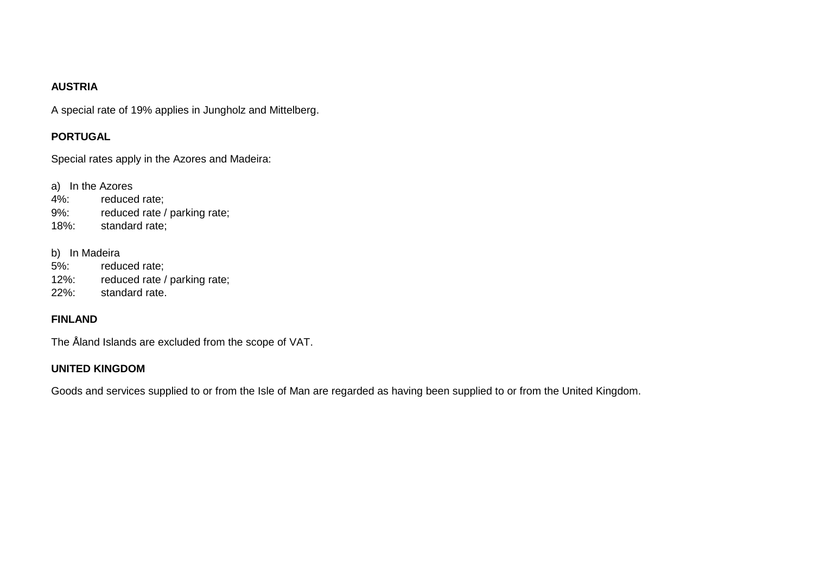## **AUSTRIA**

A special rate of 19% applies in Jungholz and Mittelberg.

# **PORTUGAL**

Special rates apply in the Azores and Madeira:

a) In the Azores

- 4%: reduced rate;
- 9%: reduced rate / parking rate;
- 18%: standard rate;

### b) In Madeira

- 5%: reduced rate;
- 12%: reduced rate / parking rate;
- 22%: standard rate.

# **FINLAND**

The Åland Islands are excluded from the scope of VAT.

# **UNITED KINGDOM**

Goods and services supplied to or from the Isle of Man are regarded as having been supplied to or from the United Kingdom.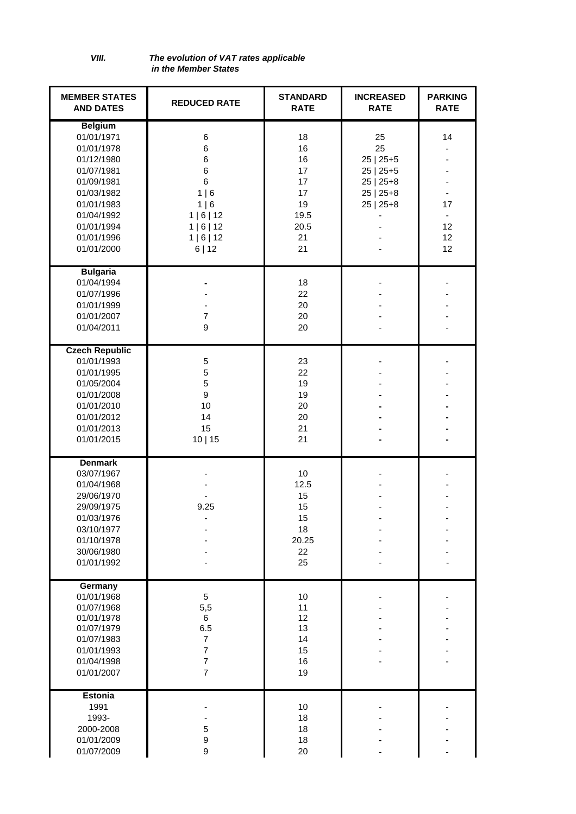*VIII. The evolution of VAT rates applicable in the Member States* 

| <b>MEMBER STATES</b><br><b>AND DATES</b>                                                                                                                                 | <b>REDUCED RATE</b>                                                                          | <b>STANDARD</b><br><b>RATE</b>                                     | <b>INCREASED</b><br><b>RATE</b>                                                     | <b>PARKING</b><br><b>RATE</b> |
|--------------------------------------------------------------------------------------------------------------------------------------------------------------------------|----------------------------------------------------------------------------------------------|--------------------------------------------------------------------|-------------------------------------------------------------------------------------|-------------------------------|
| <b>Belgium</b><br>01/01/1971<br>01/01/1978<br>01/12/1980<br>01/07/1981<br>01/09/1981<br>01/03/1982<br>01/01/1983<br>01/04/1992<br>01/01/1994<br>01/01/1996<br>01/01/2000 | 6<br>6<br>6<br>6<br>6<br>1 6<br>1 6<br>1   6   12<br>1   6   12<br>1   6   12<br>6 12        | 18<br>16<br>16<br>17<br>17<br>17<br>19<br>19.5<br>20.5<br>21<br>21 | 25<br>25<br>$25   25+5$<br>$25   25+5$<br>$25   25+8$<br>$25   25+8$<br>$25   25+8$ | 14<br>17<br>12<br>12<br>12    |
| <b>Bulgaria</b><br>01/04/1994<br>01/07/1996<br>01/01/1999<br>01/01/2007<br>01/04/2011                                                                                    | $\overline{7}$<br>9                                                                          | 18<br>22<br>20<br>20<br>20                                         |                                                                                     |                               |
| <b>Czech Republic</b><br>01/01/1993<br>01/01/1995<br>01/05/2004<br>01/01/2008<br>01/01/2010<br>01/01/2012<br>01/01/2013<br>01/01/2015                                    | $\sqrt{5}$<br>5<br>5<br>9<br>10<br>14<br>15<br>10 15                                         | 23<br>22<br>19<br>19<br>20<br>20<br>21<br>21                       |                                                                                     |                               |
| <b>Denmark</b><br>03/07/1967<br>01/04/1968<br>29/06/1970<br>29/09/1975<br>01/03/1976<br>03/10/1977<br>01/10/1978<br>30/06/1980<br>01/01/1992                             | 9.25                                                                                         | 10<br>12.5<br>15<br>15<br>15<br>18<br>20.25<br>22<br>25            |                                                                                     |                               |
| Germany<br>01/01/1968<br>01/07/1968<br>01/01/1978<br>01/07/1979<br>01/07/1983<br>01/01/1993<br>01/04/1998<br>01/01/2007                                                  | 5<br>5,5<br>6<br>6.5<br>$\overline{7}$<br>$\overline{7}$<br>$\overline{7}$<br>$\overline{7}$ | 10<br>11<br>12<br>13<br>14<br>15<br>16<br>19                       |                                                                                     |                               |
| <b>Estonia</b><br>1991<br>1993-<br>2000-2008<br>01/01/2009<br>01/07/2009                                                                                                 | 5<br>9<br>9                                                                                  | 10<br>18<br>18<br>18<br>20                                         |                                                                                     |                               |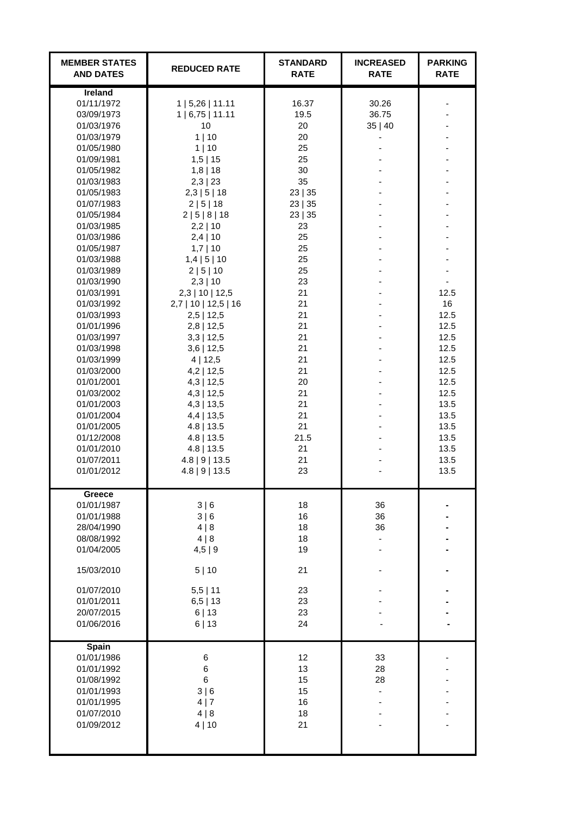| <b>MEMBER STATES</b><br><b>AND DATES</b>                                                                                                                                                                                                                                                                                                                                                                                                                                                            | <b>REDUCED RATE</b>                                                                                                                                                                                                                                                                                                                                                                                                                                                                                                                     | <b>STANDARD</b><br><b>RATE</b>                                                                                                                                                                                                 | <b>INCREASED</b><br><b>RATE</b> | <b>PARKING</b><br><b>RATE</b>                                                                                                      |
|-----------------------------------------------------------------------------------------------------------------------------------------------------------------------------------------------------------------------------------------------------------------------------------------------------------------------------------------------------------------------------------------------------------------------------------------------------------------------------------------------------|-----------------------------------------------------------------------------------------------------------------------------------------------------------------------------------------------------------------------------------------------------------------------------------------------------------------------------------------------------------------------------------------------------------------------------------------------------------------------------------------------------------------------------------------|--------------------------------------------------------------------------------------------------------------------------------------------------------------------------------------------------------------------------------|---------------------------------|------------------------------------------------------------------------------------------------------------------------------------|
| Ireland<br>01/11/1972<br>03/09/1973<br>01/03/1976<br>01/03/1979<br>01/05/1980<br>01/09/1981<br>01/05/1982<br>01/03/1983<br>01/05/1983<br>01/07/1983<br>01/05/1984<br>01/03/1985<br>01/03/1986<br>01/05/1987<br>01/03/1988<br>01/03/1989<br>01/03/1990<br>01/03/1991<br>01/03/1992<br>01/03/1993<br>01/01/1996<br>01/03/1997<br>01/03/1998<br>01/03/1999<br>01/03/2000<br>01/01/2001<br>01/03/2002<br>01/01/2003<br>01/01/2004<br>01/01/2005<br>01/12/2008<br>01/01/2010<br>01/07/2011<br>01/01/2012 | 1   5,26   11.11<br>1   6,75   11.11<br>10<br>1   10<br>1 10<br>$1,5$   15<br>$1,8$   18<br>2,3   23<br>2,3   5   18<br>2   5   18<br>2 5 8 18<br>$2,2$   10<br>$2,4$   10<br>$1,7$   10<br>$1,4$   5   10<br>2   5   10<br>$2,3$   10<br>$2,3$   10   12,5<br>$2,7$   10   12,5   16<br>$2,5$   12,5<br>$2,8$   12,5<br>$3,3$   12,5<br>$3,6$   12,5<br>4 12,5<br>$4,2$   12,5<br>$4,3$   12,5<br>$4,3$   12,5<br>$4,3$   13,5<br>$4,4$   13,5<br>$4.8$   13.5<br>$4.8$   13.5<br>$4.8$   13.5<br>$4.8$   9   13.5<br>$4.8$   9   13.5 | 16.37<br>19.5<br>20<br>20<br>25<br>25<br>30<br>35<br>23   35<br>23   35<br>23   35<br>23<br>25<br>25<br>25<br>25<br>23<br>21<br>21<br>21<br>21<br>21<br>21<br>21<br>21<br>20<br>21<br>21<br>21<br>21<br>21.5<br>21<br>21<br>23 | 30.26<br>36.75<br>35 40         | 12.5<br>16<br>12.5<br>12.5<br>12.5<br>12.5<br>12.5<br>12.5<br>12.5<br>12.5<br>13.5<br>13.5<br>13.5<br>13.5<br>13.5<br>13.5<br>13.5 |
| Greece<br>01/01/1987<br>01/01/1988<br>28/04/1990<br>08/08/1992<br>01/04/2005<br>15/03/2010<br>01/07/2010<br>01/01/2011<br>20/07/2015<br>01/06/2016                                                                                                                                                                                                                                                                                                                                                  | 3 6<br>3 6<br>4 8<br>4 8<br>4,5 9<br>5 10<br>$5,5$   11<br>$6,5$   13<br>6 13<br>6 13                                                                                                                                                                                                                                                                                                                                                                                                                                                   | 18<br>16<br>18<br>18<br>19<br>21<br>23<br>23<br>23<br>24                                                                                                                                                                       | 36<br>36<br>36                  |                                                                                                                                    |
| Spain<br>01/01/1986<br>01/01/1992<br>01/08/1992<br>01/01/1993<br>01/01/1995<br>01/07/2010<br>01/09/2012                                                                                                                                                                                                                                                                                                                                                                                             | 6<br>6<br>6<br>3 6<br>4 7<br>4 8<br>4 10                                                                                                                                                                                                                                                                                                                                                                                                                                                                                                | 12<br>13<br>15<br>15<br>16<br>18<br>21                                                                                                                                                                                         | 33<br>28<br>28                  |                                                                                                                                    |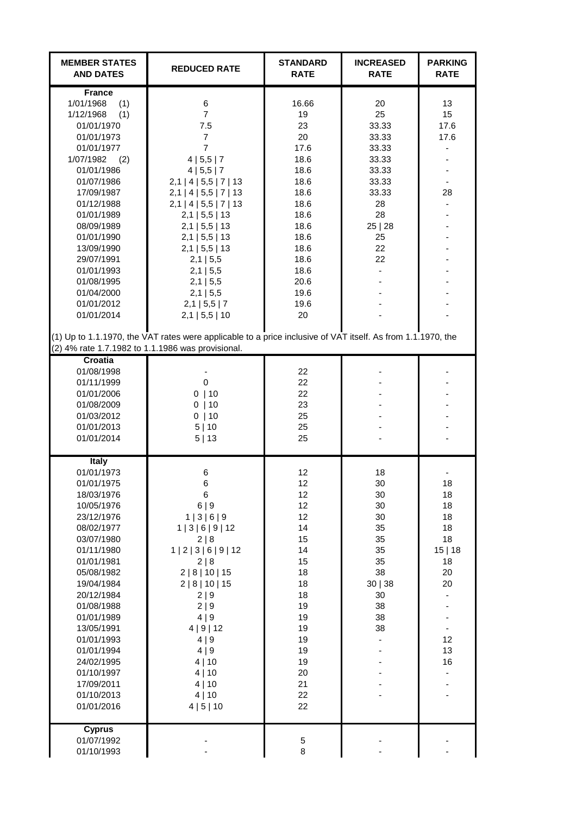| <b>MEMBER STATES</b><br><b>AND DATES</b>                                                                                                                                                                                                                                                                                                       | <b>REDUCED RATE</b>                                                                                                                                                                                                                                                                                                                                                                                                                                                                  | <b>STANDARD</b><br><b>RATE</b>                                                                                                                        | <b>INCREASED</b><br><b>RATE</b>                                                                                | <b>PARKING</b><br><b>RATE</b>                                                                             |
|------------------------------------------------------------------------------------------------------------------------------------------------------------------------------------------------------------------------------------------------------------------------------------------------------------------------------------------------|--------------------------------------------------------------------------------------------------------------------------------------------------------------------------------------------------------------------------------------------------------------------------------------------------------------------------------------------------------------------------------------------------------------------------------------------------------------------------------------|-------------------------------------------------------------------------------------------------------------------------------------------------------|----------------------------------------------------------------------------------------------------------------|-----------------------------------------------------------------------------------------------------------|
| <b>France</b><br>1/01/1968<br>(1)<br>1/12/1968<br>(1)<br>01/01/1970<br>01/01/1973<br>01/01/1977<br>1/07/1982<br>(2)<br>01/01/1986<br>01/07/1986<br>17/09/1987<br>01/12/1988<br>01/01/1989<br>08/09/1989<br>01/01/1990<br>13/09/1990<br>29/07/1991<br>01/01/1993<br>01/08/1995<br>01/04/2000<br>01/01/2012<br>01/01/2014                        | 6<br>$\overline{7}$<br>7.5<br>$\overline{7}$<br>$\overline{7}$<br>4   5, 5   7<br>4   5, 5   7<br>$2,1$   4   5,5   7   13<br>$2,1$   4   5,5   7   13<br>$2,1$   4   5,5   7   13<br>$2,1$   5,5   13<br>$2,1$   5,5   13<br>$2,1$   5,5   13<br>$2,1$   5,5   13<br>$2,1$   5,5<br>$2,1$   5,5<br>$2,1$   5,5<br>$2,1$   5,5<br>$2,1$   5,5   7<br>$2,1$   5,5   10<br>(1) Up to 1.1.1970, the VAT rates were applicable to a price inclusive of VAT itself. As from 1.1.1970, the | 16.66<br>19<br>23<br>20<br>17.6<br>18.6<br>18.6<br>18.6<br>18.6<br>18.6<br>18.6<br>18.6<br>18.6<br>18.6<br>18.6<br>18.6<br>20.6<br>19.6<br>19.6<br>20 | 20<br>25<br>33.33<br>33.33<br>33.33<br>33.33<br>33.33<br>33.33<br>33.33<br>28<br>28<br>25 28<br>25<br>22<br>22 | 13<br>15<br>17.6<br>17.6<br>28                                                                            |
| Croatia<br>01/08/1998<br>01/11/1999<br>01/01/2006<br>01/08/2009<br>01/03/2012<br>01/01/2013                                                                                                                                                                                                                                                    | (2) 4% rate 1.7.1982 to 1.1.1986 was provisional.<br>$\mathbf 0$<br>0   10<br>0   10<br>0   10<br>5 10                                                                                                                                                                                                                                                                                                                                                                               | 22<br>22<br>22<br>23<br>25<br>25                                                                                                                      |                                                                                                                |                                                                                                           |
| 01/01/2014<br><b>Italy</b><br>01/01/1973<br>01/01/1975<br>18/03/1976<br>10/05/1976<br>23/12/1976<br>08/02/1977<br>03/07/1980<br>01/11/1980<br>01/01/1981<br>05/08/1982<br>19/04/1984<br>20/12/1984<br>01/08/1988<br>01/01/1989<br>13/05/1991<br>01/01/1993<br>01/01/1994<br>24/02/1995<br>01/10/1997<br>17/09/2011<br>01/10/2013<br>01/01/2016 | 5 13<br>6<br>6<br>6<br>6 9<br>1   3   6   9<br>1 3 6 9 12<br>2 8<br>1   2   3   6   9   12<br>2 8<br>2   8   10   15<br>2 8 10 15<br>2 9<br>2 9<br>4 9<br>4   9   12<br>4 9<br>4 9<br>4 10<br>4 10<br>4 10<br>4 10<br>4   5   10                                                                                                                                                                                                                                                     | 25<br>12<br>12<br>12<br>12<br>12<br>14<br>15<br>14<br>15<br>18<br>18<br>18<br>19<br>19<br>19<br>19<br>19<br>19<br>20<br>21<br>22<br>22                | 18<br>30<br>30<br>30<br>30<br>35<br>35<br>35<br>35<br>38<br>30   38<br>30<br>38<br>38<br>38                    | 18<br>18<br>18<br>18<br>18<br>18<br>15 18<br>18<br>20<br>20<br>$\overline{\phantom{a}}$<br>12<br>13<br>16 |
| <b>Cyprus</b><br>01/07/1992<br>01/10/1993                                                                                                                                                                                                                                                                                                      |                                                                                                                                                                                                                                                                                                                                                                                                                                                                                      | 5<br>8                                                                                                                                                |                                                                                                                |                                                                                                           |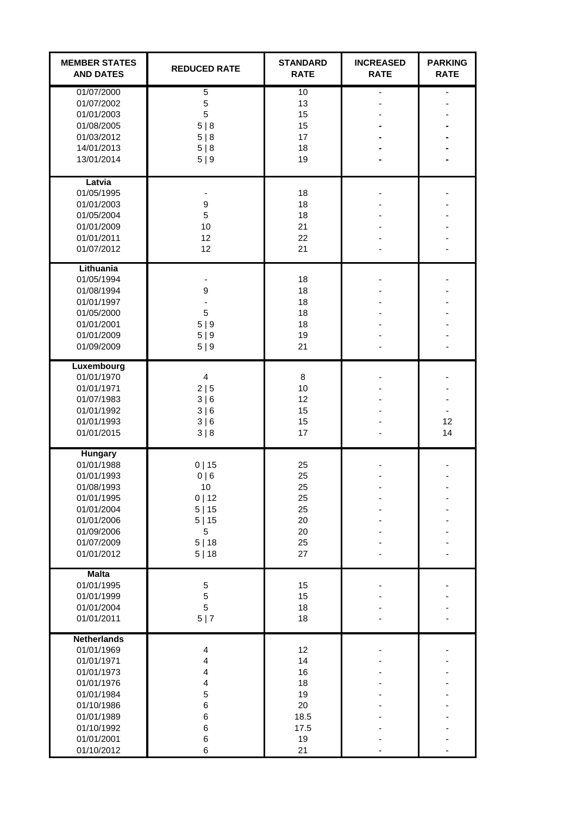| <b>MEMBER STATES</b><br><b>AND DATES</b>                                                                                                                       | <b>REDUCED RATE</b>                                                                        | <b>STANDARD</b><br><b>RATE</b>                               | <b>INCREASED</b><br><b>RATE</b> | <b>PARKING</b><br><b>RATE</b> |
|----------------------------------------------------------------------------------------------------------------------------------------------------------------|--------------------------------------------------------------------------------------------|--------------------------------------------------------------|---------------------------------|-------------------------------|
| 01/07/2000<br>01/07/2002<br>01/01/2003<br>01/08/2005<br>01/03/2012<br>14/01/2013<br>13/01/2014                                                                 | 5<br>5<br>5<br>5 8<br>5 8<br>5 8<br>5 9                                                    | 10<br>13<br>15<br>15<br>17<br>18<br>19                       |                                 |                               |
| Latvia<br>01/05/1995<br>01/01/2003<br>01/05/2004<br>01/01/2009<br>01/01/2011<br>01/07/2012                                                                     | $\boldsymbol{9}$<br>5<br>10<br>12<br>12                                                    | 18<br>18<br>18<br>21<br>22<br>21                             |                                 |                               |
| Lithuania<br>01/05/1994<br>01/08/1994<br>01/01/1997<br>01/05/2000<br>01/01/2001<br>01/01/2009<br>01/09/2009                                                    | 9<br>5<br>5 9<br>5 9<br>5 9                                                                | 18<br>18<br>18<br>18<br>18<br>19<br>21                       |                                 |                               |
| Luxembourg<br>01/01/1970<br>01/01/1971<br>01/07/1983<br>01/01/1992<br>01/01/1993<br>01/01/2015                                                                 | $\overline{4}$<br>2 5<br>3 6<br>3 6<br>3 6<br>3 8                                          | 8<br>10<br>12<br>15<br>15<br>17                              |                                 | 12<br>14                      |
| <b>Hungary</b><br>01/01/1988<br>01/01/1993<br>01/08/1993<br>01/01/1995<br>01/01/2004<br>01/01/2006<br>01/09/2006<br>01/07/2009<br>01/01/2012                   | 0 15<br>0 6<br>10<br>0   12<br>5 15<br>5 15<br>5<br>5 18<br>5 18                           | 25<br>25<br>25<br>25<br>25<br>20<br>20<br>25<br>27           |                                 |                               |
| <b>Malta</b><br>01/01/1995<br>01/01/1999<br>01/01/2004<br>01/01/2011                                                                                           | 5<br>5<br>5<br>5 7                                                                         | 15<br>15<br>18<br>18                                         |                                 |                               |
| <b>Netherlands</b><br>01/01/1969<br>01/01/1971<br>01/01/1973<br>01/01/1976<br>01/01/1984<br>01/10/1986<br>01/01/1989<br>01/10/1992<br>01/01/2001<br>01/10/2012 | $\overline{\mathbf{4}}$<br>4<br>4<br>$\overline{\mathbf{4}}$<br>5<br>6<br>6<br>6<br>6<br>6 | 12<br>14<br>16<br>18<br>19<br>20<br>18.5<br>17.5<br>19<br>21 |                                 |                               |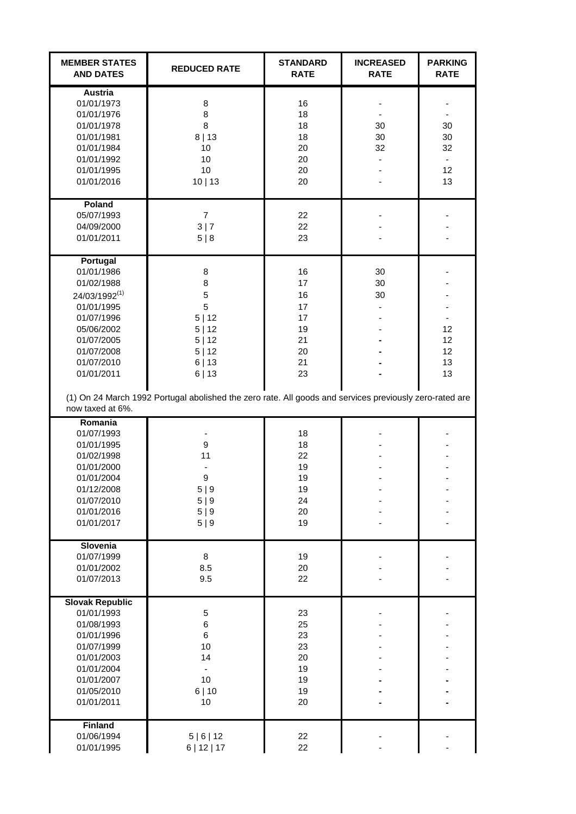| <b>MEMBER STATES</b><br><b>AND DATES</b>                                                                                                                                                | <b>REDUCED RATE</b>                                                                                                                                                         | <b>STANDARD</b><br><b>RATE</b>                           | <b>INCREASED</b><br><b>RATE</b> | <b>PARKING</b><br><b>RATE</b>                          |
|-----------------------------------------------------------------------------------------------------------------------------------------------------------------------------------------|-----------------------------------------------------------------------------------------------------------------------------------------------------------------------------|----------------------------------------------------------|---------------------------------|--------------------------------------------------------|
| <b>Austria</b><br>01/01/1973<br>01/01/1976<br>01/01/1978<br>01/01/1981<br>01/01/1984<br>01/01/1992<br>01/01/1995<br>01/01/2016                                                          | 8<br>8<br>8<br>8 13<br>10<br>10<br>10<br>10 13                                                                                                                              | 16<br>18<br>18<br>18<br>20<br>20<br>20<br>20             | 30<br>30<br>32                  | 30<br>30<br>32<br>$\overline{\phantom{a}}$<br>12<br>13 |
| Poland<br>05/07/1993<br>04/09/2000<br>01/01/2011                                                                                                                                        | $\overline{7}$<br>3 7<br>5 8                                                                                                                                                | 22<br>22<br>23                                           |                                 |                                                        |
| Portugal<br>01/01/1986<br>01/02/1988<br>24/03/1992 <sup>(1)</sup><br>01/01/1995<br>01/07/1996<br>05/06/2002<br>01/07/2005<br>01/07/2008<br>01/07/2010<br>01/01/2011<br>now taxed at 6%. | 8<br>8<br>5<br>5<br>5 12<br>5 12<br>5 12<br>5 12<br>6 13<br>6 13<br>(1) On 24 March 1992 Portugal abolished the zero rate. All goods and services previously zero-rated are | 16<br>17<br>16<br>17<br>17<br>19<br>21<br>20<br>21<br>23 | 30<br>30<br>30                  | 12<br>12<br>12<br>13<br>13                             |
| Romania<br>01/07/1993<br>01/01/1995<br>01/02/1998<br>01/01/2000<br>01/01/2004<br>01/12/2008<br>01/07/2010<br>01/01/2016<br>01/01/2017                                                   | 9<br>11<br>9<br>5 9<br>5 9<br>5 9<br>5 9                                                                                                                                    | 18<br>18<br>22<br>19<br>19<br>19<br>24<br>20<br>19       |                                 |                                                        |
| Slovenia<br>01/07/1999<br>01/01/2002<br>01/07/2013                                                                                                                                      | 8<br>8.5<br>9.5                                                                                                                                                             | 19<br>20<br>22                                           |                                 |                                                        |
| <b>Slovak Republic</b><br>01/01/1993<br>01/08/1993<br>01/01/1996<br>01/07/1999<br>01/01/2003<br>01/01/2004<br>01/01/2007<br>01/05/2010<br>01/01/2011                                    | 5<br>6<br>6<br>10<br>14<br>10<br>6 10<br>10                                                                                                                                 | 23<br>25<br>23<br>23<br>20<br>19<br>19<br>19<br>20       |                                 |                                                        |
| <b>Finland</b><br>01/06/1994<br>01/01/1995                                                                                                                                              | 5   6   12<br>6   12   17                                                                                                                                                   | 22<br>22                                                 |                                 |                                                        |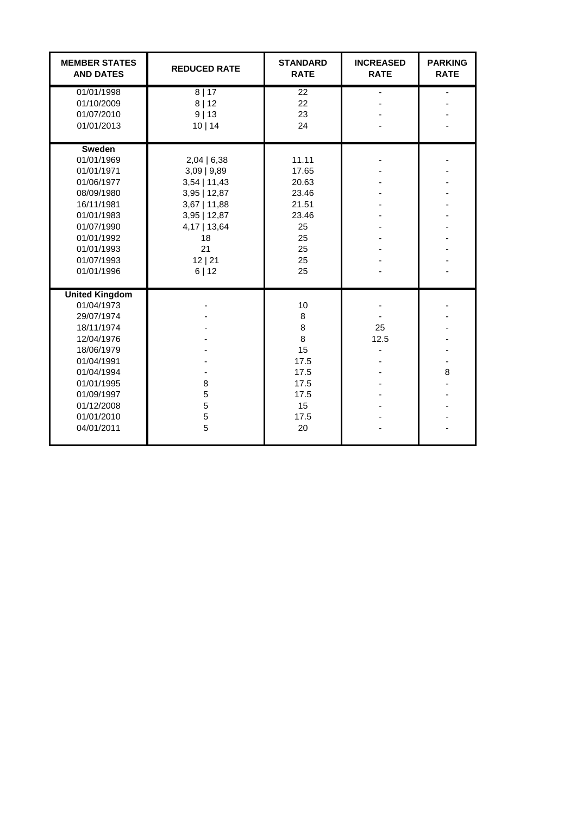| <b>MEMBER STATES</b><br><b>AND DATES</b>                                                                                                                                                      | <b>REDUCED RATE</b>                                                                                                                                   | <b>STANDARD</b><br><b>RATE</b>                                                   | <b>INCREASED</b><br><b>RATE</b> | <b>PARKING</b><br><b>RATE</b> |
|-----------------------------------------------------------------------------------------------------------------------------------------------------------------------------------------------|-------------------------------------------------------------------------------------------------------------------------------------------------------|----------------------------------------------------------------------------------|---------------------------------|-------------------------------|
| 01/01/1998<br>01/10/2009<br>01/07/2010<br>01/01/2013                                                                                                                                          | 8 17<br>8 12<br>9 13<br>10 14                                                                                                                         | 22<br>22<br>23<br>24                                                             |                                 |                               |
| Sweden<br>01/01/1969<br>01/01/1971<br>01/06/1977<br>08/09/1980<br>16/11/1981<br>01/01/1983<br>01/07/1990<br>01/01/1992<br>01/01/1993<br>01/07/1993<br>01/01/1996                              | 2,04   6,38<br>$3,09$   $9,89$<br>$3,54$   11,43<br>$3,95$   12,87<br>$3,67$   11,88<br>$3,95$   12,87<br>4,17   13,64<br>18<br>21<br>12   21<br>6 12 | 11.11<br>17.65<br>20.63<br>23.46<br>21.51<br>23.46<br>25<br>25<br>25<br>25<br>25 |                                 |                               |
| <b>United Kingdom</b><br>01/04/1973<br>29/07/1974<br>18/11/1974<br>12/04/1976<br>18/06/1979<br>01/04/1991<br>01/04/1994<br>01/01/1995<br>01/09/1997<br>01/12/2008<br>01/01/2010<br>04/01/2011 | 8<br>5<br>5<br>5<br>5                                                                                                                                 | 10<br>8<br>8<br>8<br>15<br>17.5<br>17.5<br>17.5<br>17.5<br>15<br>17.5<br>20      | 25<br>12.5                      | 8                             |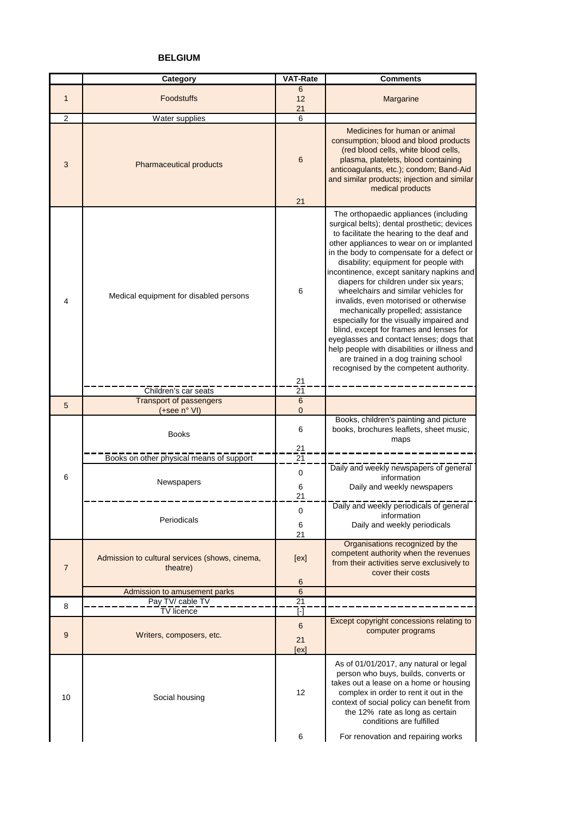#### **BELGIUM**

|                | Category                                                   | <b>VAT-Rate</b>              | <b>Comments</b>                                                                                                                                                                                                                                                                                                                                                                                                                                                                                                                                                                                                                                                                                              |
|----------------|------------------------------------------------------------|------------------------------|--------------------------------------------------------------------------------------------------------------------------------------------------------------------------------------------------------------------------------------------------------------------------------------------------------------------------------------------------------------------------------------------------------------------------------------------------------------------------------------------------------------------------------------------------------------------------------------------------------------------------------------------------------------------------------------------------------------|
| $\mathbf{1}$   | <b>Foodstuffs</b>                                          | 6<br>12<br>21                | Margarine                                                                                                                                                                                                                                                                                                                                                                                                                                                                                                                                                                                                                                                                                                    |
| $\overline{2}$ | Water supplies                                             | 6                            |                                                                                                                                                                                                                                                                                                                                                                                                                                                                                                                                                                                                                                                                                                              |
| 3              | Pharmaceutical products                                    | 6<br>21                      | Medicines for human or animal<br>consumption; blood and blood products<br>(red blood cells, white blood cells,<br>plasma, platelets, blood containing<br>anticoagulants, etc.); condom; Band-Aid<br>and similar products; injection and similar<br>medical products                                                                                                                                                                                                                                                                                                                                                                                                                                          |
|                |                                                            |                              | The orthopaedic appliances (including                                                                                                                                                                                                                                                                                                                                                                                                                                                                                                                                                                                                                                                                        |
| 4              | Medical equipment for disabled persons                     | 6                            | surgical belts); dental prosthetic; devices<br>to facilitate the hearing to the deaf and<br>other appliances to wear on or implanted<br>in the body to compensate for a defect or<br>disability; equipment for people with<br>incontinence, except sanitary napkins and<br>diapers for children under six years;<br>wheelchairs and similar vehicles for<br>invalids, even motorised or otherwise<br>mechanically propelled; assistance<br>especially for the visually impaired and<br>blind, except for frames and lenses for<br>eyeglasses and contact lenses; dogs that<br>help people with disabilities or illness and<br>are trained in a dog training school<br>recognised by the competent authority. |
|                |                                                            | 21                           |                                                                                                                                                                                                                                                                                                                                                                                                                                                                                                                                                                                                                                                                                                              |
|                | Children's car seats                                       | 21                           |                                                                                                                                                                                                                                                                                                                                                                                                                                                                                                                                                                                                                                                                                                              |
| 5              | Transport of passengers                                    | $\,6$                        |                                                                                                                                                                                                                                                                                                                                                                                                                                                                                                                                                                                                                                                                                                              |
|                | (+see n° VI)<br><b>Books</b>                               | $\mathbf 0$<br>6             | Books, children's painting and picture<br>books, brochures leaflets, sheet music,<br>maps                                                                                                                                                                                                                                                                                                                                                                                                                                                                                                                                                                                                                    |
|                |                                                            | 21                           |                                                                                                                                                                                                                                                                                                                                                                                                                                                                                                                                                                                                                                                                                                              |
| 6              | Books on other physical means of support<br>Newspapers     | 21<br>$\mathbf 0$<br>6<br>21 | Daily and weekly newspapers of general<br>information<br>Daily and weekly newspapers                                                                                                                                                                                                                                                                                                                                                                                                                                                                                                                                                                                                                         |
|                | Periodicals                                                | 0<br>6<br>21                 | Daily and weekly periodicals of general<br>information<br>Daily and weekly periodicals                                                                                                                                                                                                                                                                                                                                                                                                                                                                                                                                                                                                                       |
| $\overline{7}$ | Admission to cultural services (shows, cinema,<br>theatre) | [ex]<br>6                    | Organisations recognized by the<br>competent authority when the revenues<br>from their activities serve exclusively to<br>cover their costs                                                                                                                                                                                                                                                                                                                                                                                                                                                                                                                                                                  |
|                | Admission to amusement parks                               | $6\phantom{1}$               |                                                                                                                                                                                                                                                                                                                                                                                                                                                                                                                                                                                                                                                                                                              |
| 8              | Pay TV/ cable TV                                           | 21                           |                                                                                                                                                                                                                                                                                                                                                                                                                                                                                                                                                                                                                                                                                                              |
|                | TV licence                                                 | $[\cdot]$                    |                                                                                                                                                                                                                                                                                                                                                                                                                                                                                                                                                                                                                                                                                                              |
| 9              | Writers, composers, etc.                                   | $6\phantom{1}$<br>21<br>[ex] | Except copyright concessions relating to<br>computer programs                                                                                                                                                                                                                                                                                                                                                                                                                                                                                                                                                                                                                                                |
| 10             | Social housing                                             | 12<br>6                      | As of 01/01/2017, any natural or legal<br>person who buys, builds, converts or<br>takes out a lease on a home or housing<br>complex in order to rent it out in the<br>context of social policy can benefit from<br>the 12% rate as long as certain<br>conditions are fulfilled<br>For renovation and repairing works                                                                                                                                                                                                                                                                                                                                                                                         |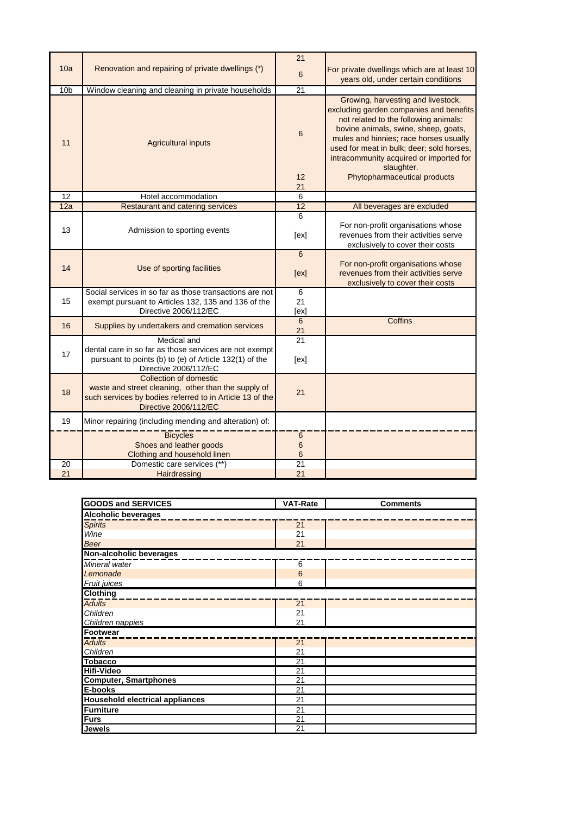|                 |                                                                                                                                                                           | 21              |                                                                                                                                                                                                                                                                                                                                                |
|-----------------|---------------------------------------------------------------------------------------------------------------------------------------------------------------------------|-----------------|------------------------------------------------------------------------------------------------------------------------------------------------------------------------------------------------------------------------------------------------------------------------------------------------------------------------------------------------|
| 10a             | Renovation and repairing of private dwellings (*)                                                                                                                         | 6               | For private dwellings which are at least 10<br>years old, under certain conditions                                                                                                                                                                                                                                                             |
| 10 <sub>b</sub> | Window cleaning and cleaning in private households                                                                                                                        | $\overline{21}$ |                                                                                                                                                                                                                                                                                                                                                |
| 11              | <b>Agricultural inputs</b>                                                                                                                                                | 6<br>12<br>21   | Growing, harvesting and livestock,<br>excluding garden companies and benefits<br>not related to the following animals:<br>bovine animals, swine, sheep, goats,<br>mules and hinnies; race horses usually<br>used for meat in bulk; deer; sold horses,<br>intracommunity acquired or imported for<br>slaughter.<br>Phytopharmaceutical products |
| 12              | Hotel accommodation                                                                                                                                                       | 6               |                                                                                                                                                                                                                                                                                                                                                |
| 12a             | <b>Restaurant and catering services</b>                                                                                                                                   | 12              | All beverages are excluded                                                                                                                                                                                                                                                                                                                     |
| 13              | Admission to sporting events                                                                                                                                              | 6<br>[ex]       | For non-profit organisations whose<br>revenues from their activities serve<br>exclusively to cover their costs                                                                                                                                                                                                                                 |
| 14              | Use of sporting facilities                                                                                                                                                | 6<br>[ex]       | For non-profit organisations whose<br>revenues from their activities serve<br>exclusively to cover their costs                                                                                                                                                                                                                                 |
| 15              | Social services in so far as those transactions are not<br>exempt pursuant to Articles 132, 135 and 136 of the<br>Directive 2006/112/EC                                   | 6<br>21<br>[ex] |                                                                                                                                                                                                                                                                                                                                                |
| 16              | Supplies by undertakers and cremation services                                                                                                                            | 6<br>21         | Coffins                                                                                                                                                                                                                                                                                                                                        |
| 17              | Medical and<br>dental care in so far as those services are not exempt<br>pursuant to points (b) to (e) of Article 132(1) of the<br>Directive 2006/112/EC                  | 21<br>[ex]      |                                                                                                                                                                                                                                                                                                                                                |
| 18              | <b>Collection of domestic</b><br>waste and street cleaning, other than the supply of<br>such services by bodies referred to in Article 13 of the<br>Directive 2006/112/EC | 21              |                                                                                                                                                                                                                                                                                                                                                |
| 19              | Minor repairing (including mending and alteration) of:                                                                                                                    |                 |                                                                                                                                                                                                                                                                                                                                                |
|                 | <b>Bicycles</b><br>Shoes and leather goods<br>Clothing and household linen                                                                                                | 6<br>$\,6$<br>6 |                                                                                                                                                                                                                                                                                                                                                |
| 20<br>21        | Domestic care services (**)                                                                                                                                               | 21<br>21        |                                                                                                                                                                                                                                                                                                                                                |
|                 | Hairdressing                                                                                                                                                              |                 |                                                                                                                                                                                                                                                                                                                                                |

| <b>GOODS and SERVICES</b>              | <b>VAT-Rate</b> | <b>Comments</b> |
|----------------------------------------|-----------------|-----------------|
| <b>Alcoholic beverages</b>             |                 |                 |
| <b>Spirits</b>                         | 21              |                 |
| Wine                                   | 21              |                 |
| <b>Beer</b>                            | 21              |                 |
| Non-alcoholic beverages                |                 |                 |
| Mineral water                          | 6               |                 |
| Lemonade                               | $6\phantom{1}6$ |                 |
| Fruit juices                           | 6               |                 |
| <b>Clothing</b>                        |                 |                 |
| <b>Adults</b>                          | $\overline{21}$ |                 |
| Children                               | 21              |                 |
| Children nappies                       | 21              |                 |
| <b>Footwear</b>                        |                 |                 |
| <b>Adults</b>                          | 21              |                 |
| Children                               | 21              |                 |
| <b>Tobacco</b>                         | $\overline{21}$ |                 |
| <b>Hifi-Video</b>                      | 21              |                 |
| <b>Computer, Smartphones</b>           | $\overline{21}$ |                 |
| E-books                                | 21              |                 |
| <b>Household electrical appliances</b> | 21              |                 |
| <b>Furniture</b>                       | $\overline{21}$ |                 |
| <b>Furs</b>                            | 21              |                 |
| <b>Jewels</b>                          | 21              |                 |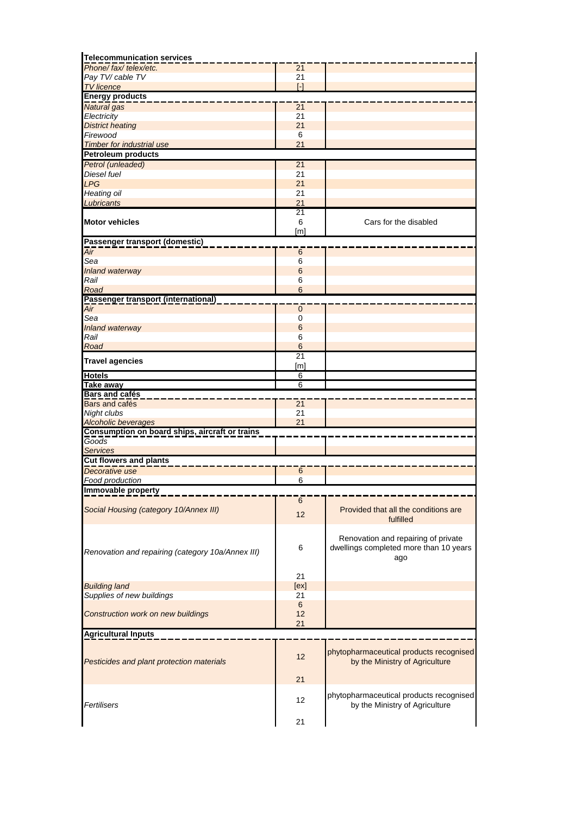| <b>Telecommunication services</b>                 |                   |                                         |
|---------------------------------------------------|-------------------|-----------------------------------------|
| Phone/fax/telex/etc.                              | 21                |                                         |
| Pay TV/cable TV                                   | 21                |                                         |
| <b>TV</b> licence                                 | $\lceil - \rceil$ |                                         |
| <b>Energy products</b>                            |                   |                                         |
|                                                   |                   |                                         |
| Natural gas                                       | $\overline{21}$   |                                         |
| Electricity                                       | 21                |                                         |
| <b>District heating</b>                           | 21                |                                         |
| Firewood                                          | 6                 |                                         |
| <b>Timber for industrial use</b>                  | 21                |                                         |
| <b>Petroleum products</b>                         |                   |                                         |
| Petrol (unleaded)                                 | 21                |                                         |
| Diesel fuel                                       | 21                |                                         |
| <b>LPG</b>                                        | 21                |                                         |
| <b>Heating oil</b>                                | 21                |                                         |
| Lubricants                                        | 21                |                                         |
|                                                   | 21                |                                         |
|                                                   |                   |                                         |
| <b>Motor vehicles</b>                             | 6                 | Cars for the disabled                   |
|                                                   | [m]               |                                         |
| Passenger transport (domestic)                    |                   |                                         |
| Air                                               | 6                 |                                         |
| Sea                                               | 6                 |                                         |
| Inland waterway                                   | $6\phantom{1}6$   |                                         |
| Rail                                              | 6                 |                                         |
| Road                                              | 6                 |                                         |
| Passenger transport (international)               |                   |                                         |
| $\overline{Air}$                                  | $\mathbf 0$       |                                         |
| Sea                                               | $\mathbf 0$       |                                         |
| <b>Inland waterway</b>                            | $6\phantom{1}$    |                                         |
|                                                   |                   |                                         |
| Rail                                              | 6                 |                                         |
| Road                                              | $6\phantom{1}6$   |                                         |
| <b>Travel agencies</b>                            | $\overline{21}$   |                                         |
|                                                   | [m]               |                                         |
| <b>Hotels</b>                                     | 6                 |                                         |
| Take away                                         | $\overline{6}$    |                                         |
| <b>Bars and cafés</b>                             |                   |                                         |
| Bars and cafés                                    | $\overline{21}$   |                                         |
| Night clubs                                       | 21                |                                         |
| <b>Alcoholic beverages</b>                        | 21                |                                         |
| Consumption on board ships, aircraft or trains    |                   |                                         |
| Goods                                             |                   |                                         |
| <b>Services</b>                                   |                   |                                         |
| <b>Cut flowers and plants</b>                     |                   |                                         |
| Decorative use                                    | 6                 |                                         |
| Food production                                   | 6                 |                                         |
|                                                   |                   |                                         |
| <b>Immovable property</b>                         |                   |                                         |
|                                                   | 6                 |                                         |
| Social Housing (category 10/Annex III)            | 12                | Provided that all the conditions are    |
|                                                   |                   | fulfilled                               |
|                                                   |                   |                                         |
|                                                   |                   | Renovation and repairing of private     |
|                                                   | 6                 | dwellings completed more than 10 years  |
| Renovation and repairing (category 10a/Annex III) |                   | ago                                     |
|                                                   |                   |                                         |
|                                                   | 21                |                                         |
| <b>Building land</b>                              | [ex]              |                                         |
|                                                   | 21                |                                         |
| Supplies of new buildings                         |                   |                                         |
|                                                   | $6\phantom{1}$    |                                         |
| Construction work on new buildings                | 12                |                                         |
|                                                   | 21                |                                         |
| <b>Agricultural Inputs</b>                        |                   |                                         |
|                                                   |                   |                                         |
|                                                   |                   | phytopharmaceutical products recognised |
| Pesticides and plant protection materials         | 12                | by the Ministry of Agriculture          |
|                                                   |                   |                                         |
|                                                   | 21                |                                         |
|                                                   |                   |                                         |
|                                                   |                   |                                         |
|                                                   |                   | phytopharmaceutical products recognised |
| Fertilisers                                       | $12 \overline{ }$ | by the Ministry of Agriculture          |
|                                                   | 21                |                                         |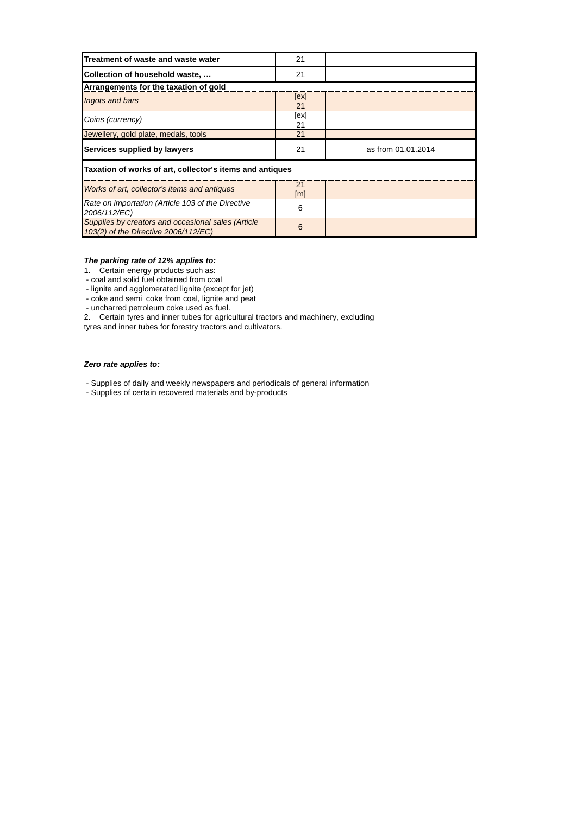| Treatment of waste and waste water                                                         | 21                      |                    |  |
|--------------------------------------------------------------------------------------------|-------------------------|--------------------|--|
| Collection of household waste,                                                             | 21                      |                    |  |
| Arrangements for the taxation of gold                                                      |                         |                    |  |
| Ingots and bars                                                                            | [ex]<br>21              |                    |  |
| Coins (currency)                                                                           | [ex]<br>21              |                    |  |
| Jewellery, gold plate, medals, tools                                                       | 21                      |                    |  |
| Services supplied by lawyers                                                               | 21                      | as from 01.01.2014 |  |
| Taxation of works of art, collector's items and antiques                                   |                         |                    |  |
| Works of art, collector's items and antiques                                               | 21<br>$\lceil m \rceil$ |                    |  |
| Rate on importation (Article 103 of the Directive<br>2006/112/EC)                          | 6                       |                    |  |
| Supplies by creators and occasional sales (Article<br>103(2) of the Directive 2006/112/EC) | 6                       |                    |  |

#### *The parking rate of 12% applies to:*

1. Certain energy products such as:

- coal and solid fuel obtained from coal

- lignite and agglomerated lignite (except for jet)

- coke and semi-coke from coal, lignite and peat

- uncharred petroleum coke used as fuel.

-coke from coal, lignite and peat<br>oleum coke used as fuel.<br>s and inner tubes for agricultural<br>ubes for forestry tractors and cult 2. Certain tyres and inner tubes for agricultural tractors and machinery, excluding tyres and inner tubes for forestry tractors and cultivators.

#### *Zero rate applies to:*

- Supplies of daily and weekly newspapers and periodicals of general information

- Supplies of certain recovered materials and by-products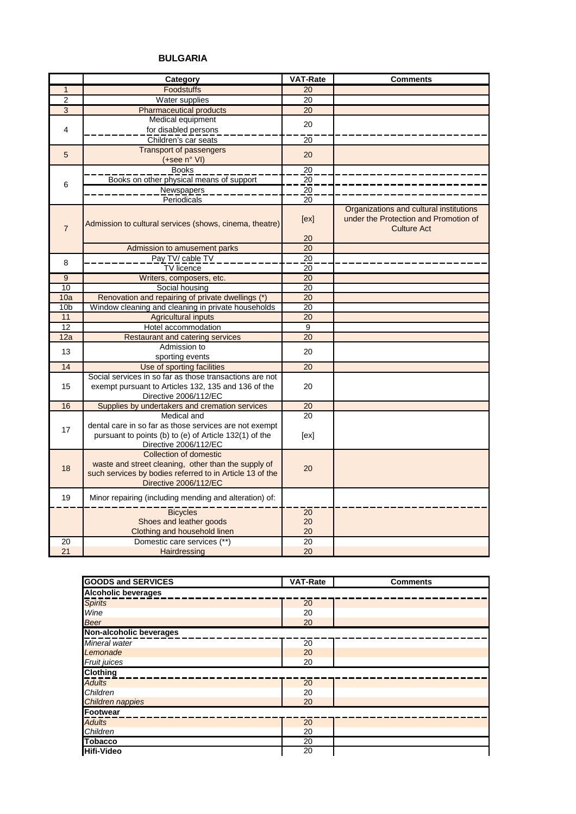#### **BULGARIA**

|                 | Category                                                                                                                                                           | <b>VAT-Rate</b>       | <b>Comments</b>                                                                                        |
|-----------------|--------------------------------------------------------------------------------------------------------------------------------------------------------------------|-----------------------|--------------------------------------------------------------------------------------------------------|
| $\mathbf{1}$    | <b>Foodstuffs</b>                                                                                                                                                  | 20                    |                                                                                                        |
| $\overline{2}$  | Water supplies                                                                                                                                                     | 20                    |                                                                                                        |
| $\overline{3}$  | <b>Pharmaceutical products</b>                                                                                                                                     | $\overline{20}$       |                                                                                                        |
|                 | Medical equipment                                                                                                                                                  | 20                    |                                                                                                        |
| 4               | for disabled persons                                                                                                                                               |                       |                                                                                                        |
|                 | Children's car seats                                                                                                                                               | 20                    |                                                                                                        |
| 5               | <b>Transport of passengers</b>                                                                                                                                     | 20                    |                                                                                                        |
|                 | (+see n° VI)                                                                                                                                                       |                       |                                                                                                        |
|                 | <b>Books</b>                                                                                                                                                       | 20                    |                                                                                                        |
| 6               | Books on other physical means of support                                                                                                                           | 20                    |                                                                                                        |
|                 | <b>Newspapers</b>                                                                                                                                                  | 20                    |                                                                                                        |
|                 | Periodicals                                                                                                                                                        | 20                    |                                                                                                        |
| $\overline{7}$  | Admission to cultural services (shows, cinema, theatre)                                                                                                            | [ex]                  | Organizations and cultural institutions<br>under the Protection and Promotion of<br><b>Culture Act</b> |
|                 |                                                                                                                                                                    | 20                    |                                                                                                        |
|                 | Admission to amusement parks<br>Pay TV/ cable TV                                                                                                                   | 20                    |                                                                                                        |
| 8               | <b>TV</b> licence                                                                                                                                                  | $\overline{20}$<br>20 |                                                                                                        |
| 9               | Writers, composers, etc.                                                                                                                                           | 20                    |                                                                                                        |
| 10              | Social housing                                                                                                                                                     | 20                    |                                                                                                        |
| 10a             | Renovation and repairing of private dwellings (*)                                                                                                                  | 20                    |                                                                                                        |
| 10 <sub>b</sub> | Window cleaning and cleaning in private households                                                                                                                 | 20                    |                                                                                                        |
| 11              | <b>Agricultural inputs</b>                                                                                                                                         | 20                    |                                                                                                        |
| 12              | Hotel accommodation                                                                                                                                                | 9                     |                                                                                                        |
| 12a             | <b>Restaurant and catering services</b>                                                                                                                            | 20                    |                                                                                                        |
|                 | Admission to                                                                                                                                                       |                       |                                                                                                        |
| 13              | sporting events                                                                                                                                                    | 20                    |                                                                                                        |
| 14              | Use of sporting facilities                                                                                                                                         | 20                    |                                                                                                        |
| 15              | Social services in so far as those transactions are not<br>exempt pursuant to Articles 132, 135 and 136 of the<br>Directive 2006/112/EC                            | 20                    |                                                                                                        |
| 16              | Supplies by undertakers and cremation services                                                                                                                     | 20                    |                                                                                                        |
|                 | Medical and                                                                                                                                                        | 20                    |                                                                                                        |
| 17              | dental care in so far as those services are not exempt<br>pursuant to points (b) to (e) of Article 132(1) of the<br>Directive 2006/112/EC                          | [ex]                  |                                                                                                        |
| 18              | Collection of domestic<br>waste and street cleaning, other than the supply of<br>such services by bodies referred to in Article 13 of the<br>Directive 2006/112/EC | 20                    |                                                                                                        |
| 19              | Minor repairing (including mending and alteration) of:                                                                                                             |                       |                                                                                                        |
|                 | <b>Bicycles</b>                                                                                                                                                    | 20                    |                                                                                                        |
|                 | Shoes and leather goods                                                                                                                                            | 20                    |                                                                                                        |
|                 | Clothing and household linen                                                                                                                                       | 20                    |                                                                                                        |
| 20              | Domestic care services (**)                                                                                                                                        | 20                    |                                                                                                        |
| 21              | Hairdressing                                                                                                                                                       | 20                    |                                                                                                        |

| <b>GOODS and SERVICES</b>  | <b>VAT-Rate</b> | <b>Comments</b> |  |  |
|----------------------------|-----------------|-----------------|--|--|
| <b>Alcoholic beverages</b> |                 |                 |  |  |
| <b>Spirits</b>             | 20              |                 |  |  |
| Wine                       | 20              |                 |  |  |
| <b>Beer</b>                | 20              |                 |  |  |
| Non-alcoholic beverages    |                 |                 |  |  |
| Mineral water              | 20              |                 |  |  |
| Lemonade                   | 20              |                 |  |  |
| Fruit juices               | 20              |                 |  |  |
| <b>Clothing</b>            |                 |                 |  |  |
| <b>Adults</b>              | 20              |                 |  |  |
| Children                   | 20              |                 |  |  |
| Children nappies           | 20              |                 |  |  |
| Footwear                   |                 |                 |  |  |
| <b>Adults</b>              | 20              |                 |  |  |
| Children                   | 20              |                 |  |  |
| <b>Tobacco</b>             | 20              |                 |  |  |
| <b>Hifi-Video</b>          | 20              |                 |  |  |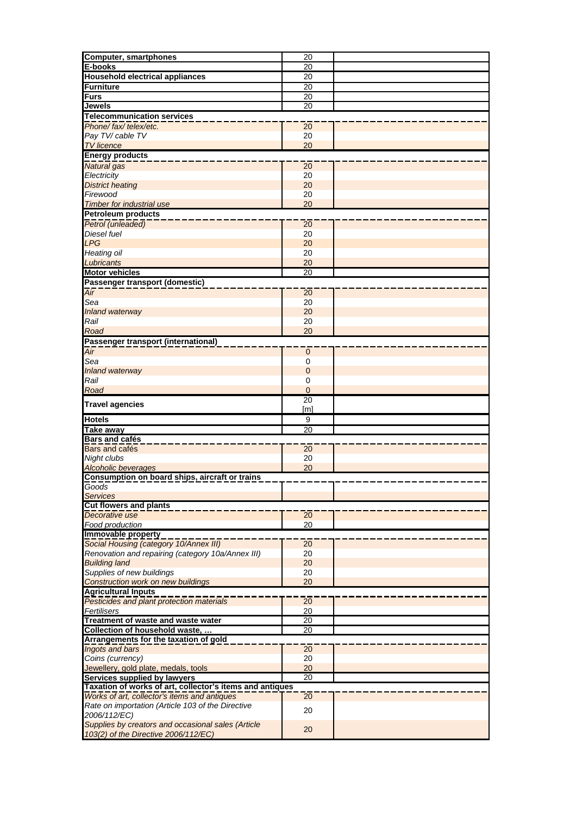| <b>Computer, smartphones</b>                                                                                                                                                                                                                                                                                                                                                    | $\overline{20}$ |  |
|---------------------------------------------------------------------------------------------------------------------------------------------------------------------------------------------------------------------------------------------------------------------------------------------------------------------------------------------------------------------------------|-----------------|--|
| E-books                                                                                                                                                                                                                                                                                                                                                                         | 20              |  |
| <b>Household electrical appliances</b>                                                                                                                                                                                                                                                                                                                                          |                 |  |
|                                                                                                                                                                                                                                                                                                                                                                                 | 20              |  |
| <b>Furniture</b>                                                                                                                                                                                                                                                                                                                                                                | 20              |  |
| Furs                                                                                                                                                                                                                                                                                                                                                                            | 20              |  |
| <b>Jewels</b>                                                                                                                                                                                                                                                                                                                                                                   | 20              |  |
| <b>Telecommunication services</b>                                                                                                                                                                                                                                                                                                                                               |                 |  |
| Phone/fax/telex/etc.                                                                                                                                                                                                                                                                                                                                                            | 20              |  |
| Pay TV/ cable TV                                                                                                                                                                                                                                                                                                                                                                | 20              |  |
| <b>TV</b> licence                                                                                                                                                                                                                                                                                                                                                               | 20              |  |
|                                                                                                                                                                                                                                                                                                                                                                                 |                 |  |
| <b>Energy products</b>                                                                                                                                                                                                                                                                                                                                                          |                 |  |
| <b>Natural</b> gas                                                                                                                                                                                                                                                                                                                                                              | 20              |  |
| Electricity                                                                                                                                                                                                                                                                                                                                                                     | 20              |  |
| <b>District heating</b>                                                                                                                                                                                                                                                                                                                                                         | 20              |  |
| Firewood                                                                                                                                                                                                                                                                                                                                                                        | 20              |  |
| <b>Timber for industrial use</b>                                                                                                                                                                                                                                                                                                                                                | 20              |  |
| <b>Petroleum products</b>                                                                                                                                                                                                                                                                                                                                                       |                 |  |
| Petrol (unleaded)                                                                                                                                                                                                                                                                                                                                                               | 20              |  |
| <b>Diesel fuel</b>                                                                                                                                                                                                                                                                                                                                                              |                 |  |
|                                                                                                                                                                                                                                                                                                                                                                                 | 20              |  |
| <b>LPG</b>                                                                                                                                                                                                                                                                                                                                                                      | 20              |  |
| Heating oil                                                                                                                                                                                                                                                                                                                                                                     | 20              |  |
| Lubricants                                                                                                                                                                                                                                                                                                                                                                      | 20              |  |
| <b>Motor vehicles</b>                                                                                                                                                                                                                                                                                                                                                           | 20              |  |
| Passenger transport (domestic)                                                                                                                                                                                                                                                                                                                                                  |                 |  |
| Air                                                                                                                                                                                                                                                                                                                                                                             | $\overline{20}$ |  |
| Sea                                                                                                                                                                                                                                                                                                                                                                             | 20              |  |
|                                                                                                                                                                                                                                                                                                                                                                                 | 20              |  |
| Inland waterway                                                                                                                                                                                                                                                                                                                                                                 |                 |  |
| Rail                                                                                                                                                                                                                                                                                                                                                                            | 20              |  |
| Road                                                                                                                                                                                                                                                                                                                                                                            | 20              |  |
| Passenger transport (international)                                                                                                                                                                                                                                                                                                                                             |                 |  |
| Air                                                                                                                                                                                                                                                                                                                                                                             | $\mathbf 0$     |  |
| Sea                                                                                                                                                                                                                                                                                                                                                                             | 0               |  |
| Inland waterway                                                                                                                                                                                                                                                                                                                                                                 | $\pmb{0}$       |  |
| Rail                                                                                                                                                                                                                                                                                                                                                                            | 0               |  |
| Road                                                                                                                                                                                                                                                                                                                                                                            | $\mathbf 0$     |  |
|                                                                                                                                                                                                                                                                                                                                                                                 |                 |  |
|                                                                                                                                                                                                                                                                                                                                                                                 |                 |  |
|                                                                                                                                                                                                                                                                                                                                                                                 | $\overline{20}$ |  |
|                                                                                                                                                                                                                                                                                                                                                                                 | [m]             |  |
|                                                                                                                                                                                                                                                                                                                                                                                 | 9               |  |
|                                                                                                                                                                                                                                                                                                                                                                                 | $\overline{20}$ |  |
| <b>Bars and cafés</b>                                                                                                                                                                                                                                                                                                                                                           |                 |  |
|                                                                                                                                                                                                                                                                                                                                                                                 | 20              |  |
|                                                                                                                                                                                                                                                                                                                                                                                 | 20              |  |
| <b>Alcoholic beverages</b>                                                                                                                                                                                                                                                                                                                                                      | 20              |  |
|                                                                                                                                                                                                                                                                                                                                                                                 |                 |  |
| Consumption on board ships, aircraft or trains                                                                                                                                                                                                                                                                                                                                  |                 |  |
| Goods                                                                                                                                                                                                                                                                                                                                                                           |                 |  |
| <b>Services</b>                                                                                                                                                                                                                                                                                                                                                                 |                 |  |
| <b>Cut flowers and plants</b>                                                                                                                                                                                                                                                                                                                                                   |                 |  |
| Decorative use                                                                                                                                                                                                                                                                                                                                                                  | 20              |  |
| Food production                                                                                                                                                                                                                                                                                                                                                                 | 20              |  |
|                                                                                                                                                                                                                                                                                                                                                                                 |                 |  |
| Social Housing (category 10/Annex III)                                                                                                                                                                                                                                                                                                                                          | 20              |  |
| Renovation and repairing (category 10a/Annex III)                                                                                                                                                                                                                                                                                                                               | 20              |  |
| <b>Building land</b>                                                                                                                                                                                                                                                                                                                                                            | 20              |  |
| Supplies of new buildings                                                                                                                                                                                                                                                                                                                                                       | 20              |  |
|                                                                                                                                                                                                                                                                                                                                                                                 | 20              |  |
| <b>Construction work on new buildings</b>                                                                                                                                                                                                                                                                                                                                       |                 |  |
| <b>Agricultural Inputs</b>                                                                                                                                                                                                                                                                                                                                                      |                 |  |
| Pesticides and plant protection materials                                                                                                                                                                                                                                                                                                                                       | 20              |  |
| Fertilisers                                                                                                                                                                                                                                                                                                                                                                     | 20              |  |
|                                                                                                                                                                                                                                                                                                                                                                                 | <u>20</u>       |  |
| Collection of household waste,                                                                                                                                                                                                                                                                                                                                                  | $\overline{20}$ |  |
|                                                                                                                                                                                                                                                                                                                                                                                 |                 |  |
|                                                                                                                                                                                                                                                                                                                                                                                 | 20              |  |
| Coins (currency)                                                                                                                                                                                                                                                                                                                                                                | 20              |  |
|                                                                                                                                                                                                                                                                                                                                                                                 | 20              |  |
|                                                                                                                                                                                                                                                                                                                                                                                 | 20              |  |
|                                                                                                                                                                                                                                                                                                                                                                                 |                 |  |
| Works of art, collector's items and antiques                                                                                                                                                                                                                                                                                                                                    | $\overline{20}$ |  |
| Rate on importation (Article 103 of the Directive                                                                                                                                                                                                                                                                                                                               |                 |  |
| <b>Travel agencies</b><br><b>Hotels</b><br><b>Take away</b><br><b>Bars</b> and cafés<br>Night clubs<br>Immovable property<br>Treatment of waste and waste water<br>Arrangements for the taxation of gold<br>Ingots and bars<br>Jewellery, gold plate, medals, tools<br>Services supplied by lawyers<br>Taxation of works of art, collector's items and antiques<br>2006/112/EC) | 20              |  |
| Supplies by creators and occasional sales (Article                                                                                                                                                                                                                                                                                                                              | 20              |  |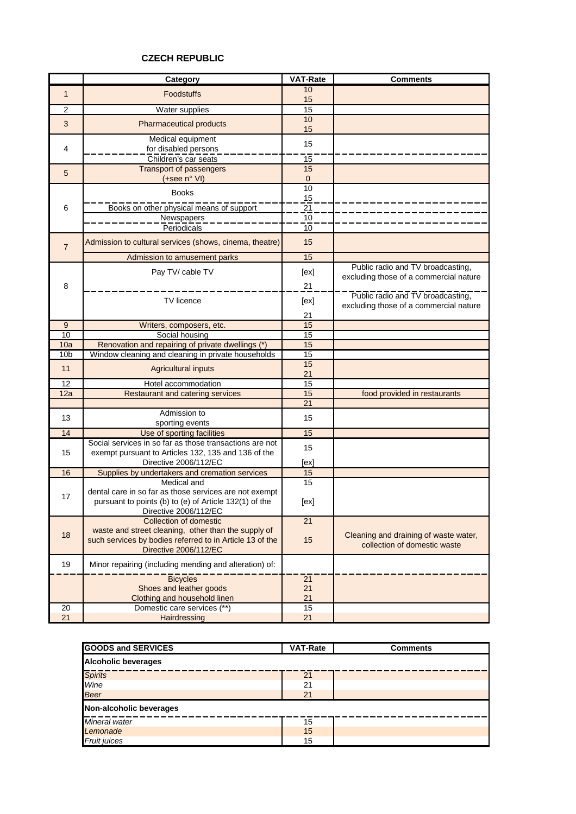#### **CZECH REPUBLIC**

|                 | Category                                                                        | <b>VAT-Rate</b> | <b>Comments</b>                        |
|-----------------|---------------------------------------------------------------------------------|-----------------|----------------------------------------|
| $\mathbf{1}$    | <b>Foodstuffs</b>                                                               | 10              |                                        |
|                 |                                                                                 | 15              |                                        |
| $\overline{c}$  | Water supplies                                                                  | 15              |                                        |
| $\mathbf{3}$    | <b>Pharmaceutical products</b>                                                  | 10              |                                        |
|                 |                                                                                 | 15              |                                        |
|                 | Medical equipment                                                               | 15              |                                        |
| 4               | for disabled persons                                                            |                 |                                        |
|                 | Children's car seats                                                            | 15              |                                        |
| 5               | <b>Transport of passengers</b>                                                  | 15              |                                        |
|                 | (+see n° VI)                                                                    | 0               |                                        |
|                 | <b>Books</b>                                                                    | 10              |                                        |
| 6               |                                                                                 | 15              |                                        |
|                 | Books on other physical means of support                                        | 21              |                                        |
|                 | Newspapers                                                                      | 10              |                                        |
|                 | Periodicals                                                                     | 10              |                                        |
| $\overline{7}$  | Admission to cultural services (shows, cinema, theatre)                         | 15              |                                        |
|                 | Admission to amusement parks                                                    | 15              |                                        |
|                 | Pay TV/ cable TV                                                                | [ex]            | Public radio and TV broadcasting,      |
| 8               |                                                                                 |                 | excluding those of a commercial nature |
|                 |                                                                                 | 21              |                                        |
|                 | TV licence                                                                      | [ex]            | Public radio and TV broadcasting,      |
|                 |                                                                                 | 21              | excluding those of a commercial nature |
| 9               | Writers, composers, etc.                                                        | 15              |                                        |
| 10              | Social housing                                                                  | 15              |                                        |
| 10a             | Renovation and repairing of private dwellings (*)                               | 15              |                                        |
| 10 <sub>b</sub> | Window cleaning and cleaning in private households                              | 15              |                                        |
|                 |                                                                                 | 15              |                                        |
| 11              | <b>Agricultural inputs</b>                                                      | 21              |                                        |
| 12              | Hotel accommodation                                                             | 15              |                                        |
| 12a             | Restaurant and catering services                                                | 15              | food provided in restaurants           |
|                 |                                                                                 | 21              |                                        |
| 13              | Admission to                                                                    | 15              |                                        |
|                 | sporting events                                                                 |                 |                                        |
| 14              | Use of sporting facilities                                                      | 15              |                                        |
|                 | Social services in so far as those transactions are not                         | 15              |                                        |
| 15              | exempt pursuant to Articles 132, 135 and 136 of the                             |                 |                                        |
|                 | Directive 2006/112/EC                                                           | [ex]            |                                        |
| 16              | Supplies by undertakers and cremation services                                  | 15              |                                        |
|                 | Medical and                                                                     | 15              |                                        |
| 17              | dental care in so far as those services are not exempt                          |                 |                                        |
|                 | pursuant to points (b) to (e) of Article 132(1) of the<br>Directive 2006/112/EC | [ex]            |                                        |
|                 | Collection of domestic                                                          | $\overline{21}$ |                                        |
|                 | waste and street cleaning, other than the supply of                             |                 |                                        |
| 18              | such services by bodies referred to in Article 13 of the                        | 15              | Cleaning and draining of waste water,  |
|                 | Directive 2006/112/EC                                                           |                 | collection of domestic waste           |
| 19              | Minor repairing (including mending and alteration) of:                          |                 |                                        |
|                 | <b>Bicycles</b>                                                                 | 21              |                                        |
|                 | Shoes and leather goods                                                         | 21              |                                        |
|                 | Clothing and household linen                                                    | 21              |                                        |
| 20              | Domestic care services (**)                                                     | 15              |                                        |
| 21              | Hairdressing                                                                    | 21              |                                        |

| <b>GOODS and SERVICES</b>  | <b>VAT-Rate</b> | <b>Comments</b> |  |  |
|----------------------------|-----------------|-----------------|--|--|
| <b>Alcoholic beverages</b> |                 |                 |  |  |
| <b>Spirits</b>             | 21              |                 |  |  |
| Wine                       | 21              |                 |  |  |
| <b>Beer</b>                | 21              |                 |  |  |
| Non-alcoholic beverages    |                 |                 |  |  |
| Mineral water              | 15              |                 |  |  |
| Lemonade                   | 15              |                 |  |  |
| <b>Fruit juices</b>        | 15              |                 |  |  |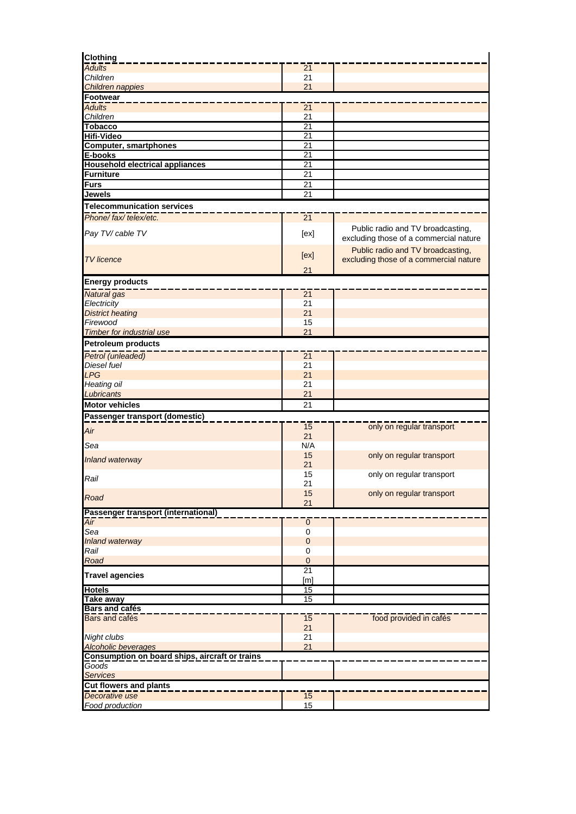| <b>Clothing</b>                                |                       |                                                                             |
|------------------------------------------------|-----------------------|-----------------------------------------------------------------------------|
| <b>Adults</b>                                  | 21                    |                                                                             |
| Children                                       | 21                    |                                                                             |
| Children nappies                               | 21                    |                                                                             |
| <b>Footwear</b>                                |                       |                                                                             |
| <b>Adults</b>                                  | 21                    |                                                                             |
| Children                                       | 21                    |                                                                             |
| <b>Tobacco</b><br><b>Hifi-Video</b>            | $\overline{21}$<br>21 |                                                                             |
|                                                | 21                    |                                                                             |
| <b>Computer, smartphones</b><br>E-books        | 21                    |                                                                             |
| <b>Household electrical appliances</b>         | 21                    |                                                                             |
| <b>Furniture</b>                               | 21                    |                                                                             |
| Furs                                           | 21                    |                                                                             |
| <b>Jewels</b>                                  | 21                    |                                                                             |
| <b>Telecommunication services</b>              |                       |                                                                             |
|                                                |                       |                                                                             |
| Phone/fax/telex/etc.                           | 21                    |                                                                             |
| Pay TV/ cable TV                               | [ex]                  | Public radio and TV broadcasting,<br>excluding those of a commercial nature |
| <b>TV</b> licence                              | [ex]                  | Public radio and TV broadcasting,<br>excluding those of a commercial nature |
|                                                | 21                    |                                                                             |
| <b>Energy products</b>                         |                       |                                                                             |
| Natural gas                                    | 21                    |                                                                             |
| Electricity                                    | 21                    |                                                                             |
| <b>District heating</b>                        | 21                    |                                                                             |
| Firewood                                       | 15                    |                                                                             |
| <b>Timber for industrial use</b>               | 21                    |                                                                             |
| <b>Petroleum products</b>                      |                       |                                                                             |
| Petrol (unleaded)                              | 21                    |                                                                             |
| Diesel fuel                                    | 21                    |                                                                             |
| LPG                                            | 21                    |                                                                             |
| Heating oil                                    | 21                    |                                                                             |
| Lubricants                                     | 21                    |                                                                             |
| <b>Motor vehicles</b>                          | 21                    |                                                                             |
| Passenger transport (domestic)                 |                       |                                                                             |
|                                                | 15                    | only on regular transport                                                   |
| Air                                            | 21                    |                                                                             |
| Sea                                            | N/A                   |                                                                             |
| <b>Inland waterway</b>                         | 15                    | only on regular transport                                                   |
|                                                | 21                    |                                                                             |
| Rail                                           | 15                    | only on regular transport                                                   |
|                                                | 21                    |                                                                             |
| Road                                           | 15                    | only on regular transport                                                   |
|                                                | 21                    |                                                                             |
| Passenger transport (international)            |                       |                                                                             |
| Air<br>Sea                                     | $\pmb{0}$<br>0        |                                                                             |
| Inland waterway                                | $\mathbf 0$           |                                                                             |
| Rail                                           | 0                     |                                                                             |
| Road                                           | $\mathbf 0$           |                                                                             |
|                                                | 21                    |                                                                             |
| <b>Travel agencies</b>                         | [ <sub>m</sub> ]      |                                                                             |
| <b>Hotels</b>                                  | 15                    |                                                                             |
| <b>Take away</b>                               | 15                    |                                                                             |
| <b>Bars and cafés</b>                          |                       |                                                                             |
| <b>Bars and cafés</b>                          | 15<br>21              | food provided in cafés                                                      |
| Night clubs                                    | 21                    |                                                                             |
| <b>Alcoholic beverages</b>                     | 21                    |                                                                             |
| Consumption on board ships, aircraft or trains |                       |                                                                             |
| Goods<br><b>Services</b>                       |                       |                                                                             |
| Cut flowers and plants                         |                       |                                                                             |
| Decorative use                                 | 15                    |                                                                             |
| Food production                                | 15                    |                                                                             |
|                                                |                       |                                                                             |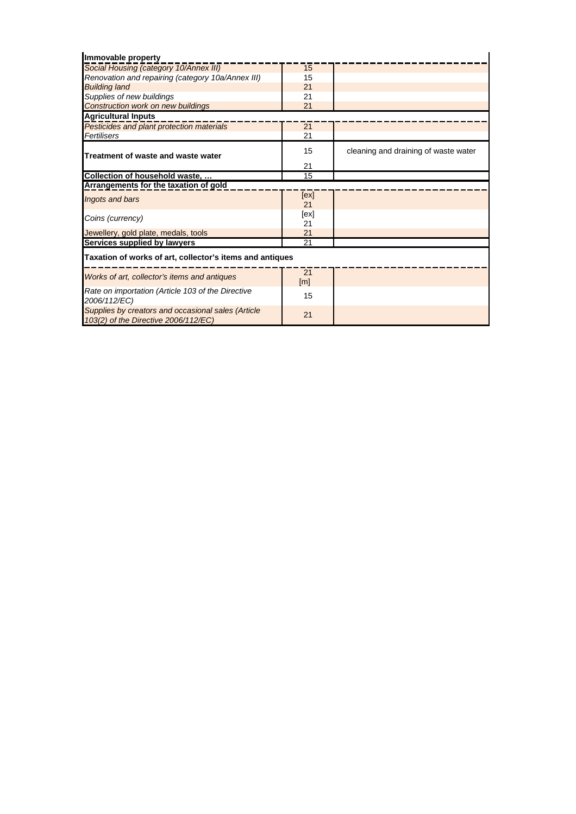| Immovable property                                                                         |            |                                      |
|--------------------------------------------------------------------------------------------|------------|--------------------------------------|
| Social Housing (category 10/Annex III)                                                     | 15         |                                      |
| Renovation and repairing (category 10a/Annex III)                                          | 15         |                                      |
| <b>Building land</b>                                                                       | 21         |                                      |
| Supplies of new buildings                                                                  | 21         |                                      |
| <b>Construction work on new buildings</b>                                                  | 21         |                                      |
| <b>Agricultural Inputs</b>                                                                 |            |                                      |
| Pesticides and plant protection materials                                                  | 21         |                                      |
| Fertilisers                                                                                | 21         |                                      |
| Treatment of waste and waste water                                                         | 15         | cleaning and draining of waste water |
|                                                                                            | 21         |                                      |
| Collection of household waste,                                                             | 15         |                                      |
| Arrangements for the taxation of gold                                                      |            |                                      |
| Ingots and bars                                                                            | [ex]<br>21 |                                      |
| Coins (currency)                                                                           | [ex]<br>21 |                                      |
| Jewellery, gold plate, medals, tools                                                       | 21         |                                      |
| Services supplied by lawyers                                                               | 21         |                                      |
| Taxation of works of art, collector's items and antiques                                   |            |                                      |
| Works of art, collector's items and antiques                                               | 21<br>[m]  |                                      |
| Rate on importation (Article 103 of the Directive<br>2006/112/EC)                          | 15         |                                      |
| Supplies by creators and occasional sales (Article<br>103(2) of the Directive 2006/112/EC) | 21         |                                      |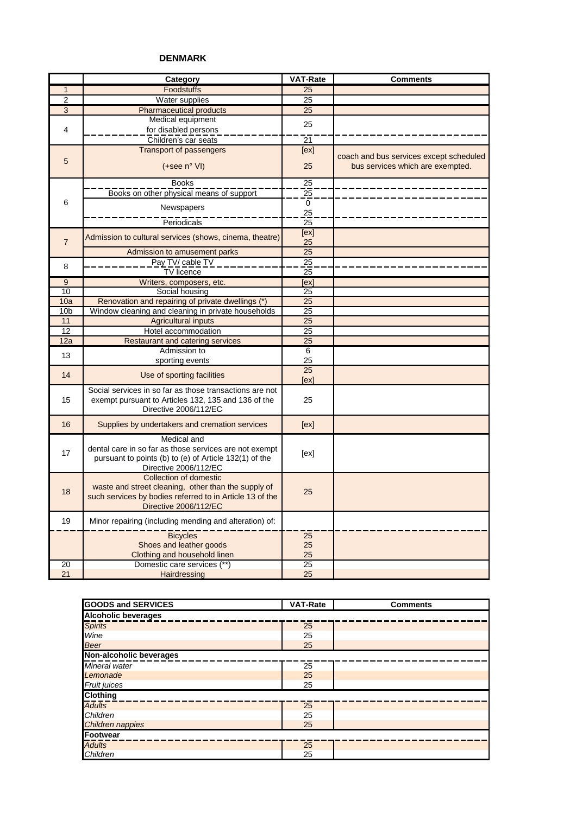#### **DENMARK**

|                 | Category                                                                      | <b>VAT-Rate</b> | <b>Comments</b>                                                             |
|-----------------|-------------------------------------------------------------------------------|-----------------|-----------------------------------------------------------------------------|
| $\mathbf{1}$    | Foodstuffs                                                                    | 25              |                                                                             |
| $\overline{2}$  | Water supplies                                                                | 25              |                                                                             |
| $\overline{3}$  | <b>Pharmaceutical products</b>                                                | 25              |                                                                             |
|                 | Medical equipment                                                             |                 |                                                                             |
| 4               | for disabled persons                                                          | 25              |                                                                             |
|                 | Children's car seats                                                          | 21              |                                                                             |
|                 | <b>Transport of passengers</b>                                                | [ex]            |                                                                             |
| 5               | (+see n° VI)                                                                  | 25              | coach and bus services except scheduled<br>bus services which are exempted. |
|                 |                                                                               |                 |                                                                             |
|                 | <b>Books</b>                                                                  | $\overline{25}$ |                                                                             |
| 6               | Books on other physical means of support                                      | $\frac{25}{1}$  |                                                                             |
|                 | Newspapers                                                                    | 0<br>25         |                                                                             |
|                 | Periodicals                                                                   | $\overline{25}$ |                                                                             |
|                 |                                                                               | [ex]            |                                                                             |
| $\overline{7}$  | Admission to cultural services (shows, cinema, theatre)                       | 25              |                                                                             |
|                 | Admission to amusement parks                                                  | $\overline{25}$ |                                                                             |
|                 | Pay TV/ cable TV                                                              | $\overline{25}$ |                                                                             |
| 8               | TV licence                                                                    | 25              |                                                                             |
| 9               | Writers, composers, etc.                                                      | [ex]            |                                                                             |
| 10              | Social housing                                                                | 25              |                                                                             |
| 10a             | Renovation and repairing of private dwellings (*)                             | 25              |                                                                             |
| 10 <sub>b</sub> | Window cleaning and cleaning in private households                            | $\overline{25}$ |                                                                             |
| 11              | <b>Agricultural inputs</b>                                                    | 25              |                                                                             |
| 12              | Hotel accommodation                                                           | 25              |                                                                             |
| 12a             | <b>Restaurant and catering services</b>                                       | $\overline{25}$ |                                                                             |
| 13              | Admission to                                                                  | 6               |                                                                             |
|                 | sporting events                                                               | 25              |                                                                             |
| 14              | Use of sporting facilities                                                    | 25              |                                                                             |
|                 |                                                                               | [ex]            |                                                                             |
|                 | Social services in so far as those transactions are not                       |                 |                                                                             |
| 15              | exempt pursuant to Articles 132, 135 and 136 of the                           | 25              |                                                                             |
|                 | Directive 2006/112/EC                                                         |                 |                                                                             |
| 16              | Supplies by undertakers and cremation services                                | [ex]            |                                                                             |
|                 | Medical and                                                                   |                 |                                                                             |
| 17              | dental care in so far as those services are not exempt                        | [ex]            |                                                                             |
|                 | pursuant to points (b) to (e) of Article 132(1) of the                        |                 |                                                                             |
|                 | Directive 2006/112/EC                                                         |                 |                                                                             |
|                 | Collection of domestic<br>waste and street cleaning, other than the supply of |                 |                                                                             |
| 18              | such services by bodies referred to in Article 13 of the                      | 25              |                                                                             |
|                 | Directive 2006/112/EC                                                         |                 |                                                                             |
|                 |                                                                               |                 |                                                                             |
| 19              | Minor repairing (including mending and alteration) of:                        |                 |                                                                             |
|                 | <b>Bicycles</b>                                                               | $\overline{25}$ |                                                                             |
|                 | Shoes and leather goods                                                       | 25              |                                                                             |
|                 | Clothing and household linen                                                  | 25              |                                                                             |
| $\overline{20}$ | Domestic care services (**)                                                   | $\overline{25}$ |                                                                             |
| 21              | Hairdressing                                                                  | 25              |                                                                             |

| <b>GOODS and SERVICES</b>  | <b>VAT-Rate</b> | <b>Comments</b> |
|----------------------------|-----------------|-----------------|
| <b>Alcoholic beverages</b> |                 |                 |
| <b>Spirits</b>             | 25              |                 |
| Wine                       | 25              |                 |
| <b>Beer</b>                | 25              |                 |
| Non-alcoholic beverages    |                 |                 |
| Mineral water              | 25              |                 |
| Lemonade                   | 25              |                 |
| <b>Fruit juices</b>        | 25              |                 |
| <b>Clothing</b>            |                 |                 |
| <b>Adults</b>              | 25              |                 |
| Children                   | 25              |                 |
| Children nappies           | 25              |                 |
| Footwear                   |                 |                 |
| <b>Adults</b>              | 25              |                 |
| Children                   | 25              |                 |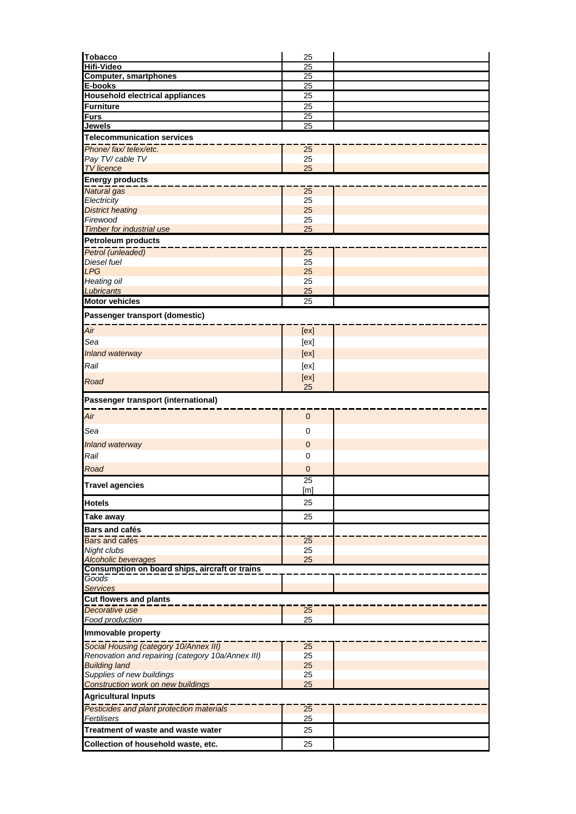| <b>Computer, smartphones</b><br>25<br>25<br>E-books<br><b>Household electrical appliances</b><br>25<br>25<br>25<br>$\overline{25}$<br><b>Jewels</b><br><b>Telecommunication services</b><br>Phone/fax/telex/etc.<br>25<br>Pay TV/ cable TV<br>25<br>25<br><b>TV</b> licence<br><b>Energy products</b><br>Natural gas<br>25<br>25<br>Electricity<br>25<br><b>District heating</b><br>Firewood<br>25<br>25<br><b>Timber for industrial use</b><br><b>Petroleum products</b><br>Petrol (unleaded)<br>25<br>25<br>Diesel fuel<br><b>LPG</b><br>25<br>Heating oil<br>25<br>Lubricants<br>25<br><b>Motor vehicles</b><br>25<br>Passenger transport (domestic)<br>Air<br>[ex]<br>Sea<br>[ex]<br>[ex]<br>Inland waterway<br>Rail<br>[ex]<br>[ex]<br>Road<br>25<br>Passenger transport (international)<br>Air<br>$\mathbf{0}$<br>Sea<br>0<br>$\mathbf{0}$<br>Inland waterway<br>Rail<br>0<br>Road<br>$\overline{0}$<br>$\overline{25}$<br><b>Travel agencies</b><br>[m]<br>25<br><b>Hotels</b><br>25<br>Take away<br><b>Bars and cafés</b><br>Bars and cafés<br>25<br>Night clubs<br>25<br>25<br><b>Alcoholic beverages</b><br>Consumption on board ships, aircraft or trains<br>Goods<br><b>Services</b><br><b>Cut flowers and plants</b><br>Decorative use<br>25<br>Food production<br>25<br>Immovable property<br>Social Housing (category 10/Annex III)<br>25<br>Renovation and repairing (category 10a/Annex III)<br>25<br><b>Building land</b><br>25<br>Supplies of new buildings<br>25<br>25<br>Construction work on new buildings<br><b>Agricultural Inputs</b><br>Pesticides and plant protection materials<br>25<br>25<br>Fertilisers<br>25<br>Treatment of waste and waste water<br>25<br>Collection of household waste, etc. | <b>Tobacco</b>    | 25              |  |
|---------------------------------------------------------------------------------------------------------------------------------------------------------------------------------------------------------------------------------------------------------------------------------------------------------------------------------------------------------------------------------------------------------------------------------------------------------------------------------------------------------------------------------------------------------------------------------------------------------------------------------------------------------------------------------------------------------------------------------------------------------------------------------------------------------------------------------------------------------------------------------------------------------------------------------------------------------------------------------------------------------------------------------------------------------------------------------------------------------------------------------------------------------------------------------------------------------------------------------------------------------------------------------------------------------------------------------------------------------------------------------------------------------------------------------------------------------------------------------------------------------------------------------------------------------------------------------------------------------------------------------------------------------------------------------------------------------------------------------|-------------------|-----------------|--|
|                                                                                                                                                                                                                                                                                                                                                                                                                                                                                                                                                                                                                                                                                                                                                                                                                                                                                                                                                                                                                                                                                                                                                                                                                                                                                                                                                                                                                                                                                                                                                                                                                                                                                                                                 | <b>Hifi-Video</b> | $\overline{25}$ |  |
|                                                                                                                                                                                                                                                                                                                                                                                                                                                                                                                                                                                                                                                                                                                                                                                                                                                                                                                                                                                                                                                                                                                                                                                                                                                                                                                                                                                                                                                                                                                                                                                                                                                                                                                                 |                   |                 |  |
|                                                                                                                                                                                                                                                                                                                                                                                                                                                                                                                                                                                                                                                                                                                                                                                                                                                                                                                                                                                                                                                                                                                                                                                                                                                                                                                                                                                                                                                                                                                                                                                                                                                                                                                                 |                   |                 |  |
|                                                                                                                                                                                                                                                                                                                                                                                                                                                                                                                                                                                                                                                                                                                                                                                                                                                                                                                                                                                                                                                                                                                                                                                                                                                                                                                                                                                                                                                                                                                                                                                                                                                                                                                                 |                   |                 |  |
|                                                                                                                                                                                                                                                                                                                                                                                                                                                                                                                                                                                                                                                                                                                                                                                                                                                                                                                                                                                                                                                                                                                                                                                                                                                                                                                                                                                                                                                                                                                                                                                                                                                                                                                                 | <b>Furniture</b>  |                 |  |
|                                                                                                                                                                                                                                                                                                                                                                                                                                                                                                                                                                                                                                                                                                                                                                                                                                                                                                                                                                                                                                                                                                                                                                                                                                                                                                                                                                                                                                                                                                                                                                                                                                                                                                                                 | <b>Furs</b>       |                 |  |
|                                                                                                                                                                                                                                                                                                                                                                                                                                                                                                                                                                                                                                                                                                                                                                                                                                                                                                                                                                                                                                                                                                                                                                                                                                                                                                                                                                                                                                                                                                                                                                                                                                                                                                                                 |                   |                 |  |
|                                                                                                                                                                                                                                                                                                                                                                                                                                                                                                                                                                                                                                                                                                                                                                                                                                                                                                                                                                                                                                                                                                                                                                                                                                                                                                                                                                                                                                                                                                                                                                                                                                                                                                                                 |                   |                 |  |
|                                                                                                                                                                                                                                                                                                                                                                                                                                                                                                                                                                                                                                                                                                                                                                                                                                                                                                                                                                                                                                                                                                                                                                                                                                                                                                                                                                                                                                                                                                                                                                                                                                                                                                                                 |                   |                 |  |
|                                                                                                                                                                                                                                                                                                                                                                                                                                                                                                                                                                                                                                                                                                                                                                                                                                                                                                                                                                                                                                                                                                                                                                                                                                                                                                                                                                                                                                                                                                                                                                                                                                                                                                                                 |                   |                 |  |
|                                                                                                                                                                                                                                                                                                                                                                                                                                                                                                                                                                                                                                                                                                                                                                                                                                                                                                                                                                                                                                                                                                                                                                                                                                                                                                                                                                                                                                                                                                                                                                                                                                                                                                                                 |                   |                 |  |
|                                                                                                                                                                                                                                                                                                                                                                                                                                                                                                                                                                                                                                                                                                                                                                                                                                                                                                                                                                                                                                                                                                                                                                                                                                                                                                                                                                                                                                                                                                                                                                                                                                                                                                                                 |                   |                 |  |
|                                                                                                                                                                                                                                                                                                                                                                                                                                                                                                                                                                                                                                                                                                                                                                                                                                                                                                                                                                                                                                                                                                                                                                                                                                                                                                                                                                                                                                                                                                                                                                                                                                                                                                                                 |                   |                 |  |
|                                                                                                                                                                                                                                                                                                                                                                                                                                                                                                                                                                                                                                                                                                                                                                                                                                                                                                                                                                                                                                                                                                                                                                                                                                                                                                                                                                                                                                                                                                                                                                                                                                                                                                                                 |                   |                 |  |
|                                                                                                                                                                                                                                                                                                                                                                                                                                                                                                                                                                                                                                                                                                                                                                                                                                                                                                                                                                                                                                                                                                                                                                                                                                                                                                                                                                                                                                                                                                                                                                                                                                                                                                                                 |                   |                 |  |
|                                                                                                                                                                                                                                                                                                                                                                                                                                                                                                                                                                                                                                                                                                                                                                                                                                                                                                                                                                                                                                                                                                                                                                                                                                                                                                                                                                                                                                                                                                                                                                                                                                                                                                                                 |                   |                 |  |
|                                                                                                                                                                                                                                                                                                                                                                                                                                                                                                                                                                                                                                                                                                                                                                                                                                                                                                                                                                                                                                                                                                                                                                                                                                                                                                                                                                                                                                                                                                                                                                                                                                                                                                                                 |                   |                 |  |
|                                                                                                                                                                                                                                                                                                                                                                                                                                                                                                                                                                                                                                                                                                                                                                                                                                                                                                                                                                                                                                                                                                                                                                                                                                                                                                                                                                                                                                                                                                                                                                                                                                                                                                                                 |                   |                 |  |
|                                                                                                                                                                                                                                                                                                                                                                                                                                                                                                                                                                                                                                                                                                                                                                                                                                                                                                                                                                                                                                                                                                                                                                                                                                                                                                                                                                                                                                                                                                                                                                                                                                                                                                                                 |                   |                 |  |
|                                                                                                                                                                                                                                                                                                                                                                                                                                                                                                                                                                                                                                                                                                                                                                                                                                                                                                                                                                                                                                                                                                                                                                                                                                                                                                                                                                                                                                                                                                                                                                                                                                                                                                                                 |                   |                 |  |
|                                                                                                                                                                                                                                                                                                                                                                                                                                                                                                                                                                                                                                                                                                                                                                                                                                                                                                                                                                                                                                                                                                                                                                                                                                                                                                                                                                                                                                                                                                                                                                                                                                                                                                                                 |                   |                 |  |
|                                                                                                                                                                                                                                                                                                                                                                                                                                                                                                                                                                                                                                                                                                                                                                                                                                                                                                                                                                                                                                                                                                                                                                                                                                                                                                                                                                                                                                                                                                                                                                                                                                                                                                                                 |                   |                 |  |
|                                                                                                                                                                                                                                                                                                                                                                                                                                                                                                                                                                                                                                                                                                                                                                                                                                                                                                                                                                                                                                                                                                                                                                                                                                                                                                                                                                                                                                                                                                                                                                                                                                                                                                                                 |                   |                 |  |
|                                                                                                                                                                                                                                                                                                                                                                                                                                                                                                                                                                                                                                                                                                                                                                                                                                                                                                                                                                                                                                                                                                                                                                                                                                                                                                                                                                                                                                                                                                                                                                                                                                                                                                                                 |                   |                 |  |
|                                                                                                                                                                                                                                                                                                                                                                                                                                                                                                                                                                                                                                                                                                                                                                                                                                                                                                                                                                                                                                                                                                                                                                                                                                                                                                                                                                                                                                                                                                                                                                                                                                                                                                                                 |                   |                 |  |
|                                                                                                                                                                                                                                                                                                                                                                                                                                                                                                                                                                                                                                                                                                                                                                                                                                                                                                                                                                                                                                                                                                                                                                                                                                                                                                                                                                                                                                                                                                                                                                                                                                                                                                                                 |                   |                 |  |
|                                                                                                                                                                                                                                                                                                                                                                                                                                                                                                                                                                                                                                                                                                                                                                                                                                                                                                                                                                                                                                                                                                                                                                                                                                                                                                                                                                                                                                                                                                                                                                                                                                                                                                                                 |                   |                 |  |
|                                                                                                                                                                                                                                                                                                                                                                                                                                                                                                                                                                                                                                                                                                                                                                                                                                                                                                                                                                                                                                                                                                                                                                                                                                                                                                                                                                                                                                                                                                                                                                                                                                                                                                                                 |                   |                 |  |
|                                                                                                                                                                                                                                                                                                                                                                                                                                                                                                                                                                                                                                                                                                                                                                                                                                                                                                                                                                                                                                                                                                                                                                                                                                                                                                                                                                                                                                                                                                                                                                                                                                                                                                                                 |                   |                 |  |
|                                                                                                                                                                                                                                                                                                                                                                                                                                                                                                                                                                                                                                                                                                                                                                                                                                                                                                                                                                                                                                                                                                                                                                                                                                                                                                                                                                                                                                                                                                                                                                                                                                                                                                                                 |                   |                 |  |
|                                                                                                                                                                                                                                                                                                                                                                                                                                                                                                                                                                                                                                                                                                                                                                                                                                                                                                                                                                                                                                                                                                                                                                                                                                                                                                                                                                                                                                                                                                                                                                                                                                                                                                                                 |                   |                 |  |
|                                                                                                                                                                                                                                                                                                                                                                                                                                                                                                                                                                                                                                                                                                                                                                                                                                                                                                                                                                                                                                                                                                                                                                                                                                                                                                                                                                                                                                                                                                                                                                                                                                                                                                                                 |                   |                 |  |
|                                                                                                                                                                                                                                                                                                                                                                                                                                                                                                                                                                                                                                                                                                                                                                                                                                                                                                                                                                                                                                                                                                                                                                                                                                                                                                                                                                                                                                                                                                                                                                                                                                                                                                                                 |                   |                 |  |
|                                                                                                                                                                                                                                                                                                                                                                                                                                                                                                                                                                                                                                                                                                                                                                                                                                                                                                                                                                                                                                                                                                                                                                                                                                                                                                                                                                                                                                                                                                                                                                                                                                                                                                                                 |                   |                 |  |
|                                                                                                                                                                                                                                                                                                                                                                                                                                                                                                                                                                                                                                                                                                                                                                                                                                                                                                                                                                                                                                                                                                                                                                                                                                                                                                                                                                                                                                                                                                                                                                                                                                                                                                                                 |                   |                 |  |
|                                                                                                                                                                                                                                                                                                                                                                                                                                                                                                                                                                                                                                                                                                                                                                                                                                                                                                                                                                                                                                                                                                                                                                                                                                                                                                                                                                                                                                                                                                                                                                                                                                                                                                                                 |                   |                 |  |
|                                                                                                                                                                                                                                                                                                                                                                                                                                                                                                                                                                                                                                                                                                                                                                                                                                                                                                                                                                                                                                                                                                                                                                                                                                                                                                                                                                                                                                                                                                                                                                                                                                                                                                                                 |                   |                 |  |
|                                                                                                                                                                                                                                                                                                                                                                                                                                                                                                                                                                                                                                                                                                                                                                                                                                                                                                                                                                                                                                                                                                                                                                                                                                                                                                                                                                                                                                                                                                                                                                                                                                                                                                                                 |                   |                 |  |
|                                                                                                                                                                                                                                                                                                                                                                                                                                                                                                                                                                                                                                                                                                                                                                                                                                                                                                                                                                                                                                                                                                                                                                                                                                                                                                                                                                                                                                                                                                                                                                                                                                                                                                                                 |                   |                 |  |
|                                                                                                                                                                                                                                                                                                                                                                                                                                                                                                                                                                                                                                                                                                                                                                                                                                                                                                                                                                                                                                                                                                                                                                                                                                                                                                                                                                                                                                                                                                                                                                                                                                                                                                                                 |                   |                 |  |
|                                                                                                                                                                                                                                                                                                                                                                                                                                                                                                                                                                                                                                                                                                                                                                                                                                                                                                                                                                                                                                                                                                                                                                                                                                                                                                                                                                                                                                                                                                                                                                                                                                                                                                                                 |                   |                 |  |
|                                                                                                                                                                                                                                                                                                                                                                                                                                                                                                                                                                                                                                                                                                                                                                                                                                                                                                                                                                                                                                                                                                                                                                                                                                                                                                                                                                                                                                                                                                                                                                                                                                                                                                                                 |                   |                 |  |
|                                                                                                                                                                                                                                                                                                                                                                                                                                                                                                                                                                                                                                                                                                                                                                                                                                                                                                                                                                                                                                                                                                                                                                                                                                                                                                                                                                                                                                                                                                                                                                                                                                                                                                                                 |                   |                 |  |
|                                                                                                                                                                                                                                                                                                                                                                                                                                                                                                                                                                                                                                                                                                                                                                                                                                                                                                                                                                                                                                                                                                                                                                                                                                                                                                                                                                                                                                                                                                                                                                                                                                                                                                                                 |                   |                 |  |
|                                                                                                                                                                                                                                                                                                                                                                                                                                                                                                                                                                                                                                                                                                                                                                                                                                                                                                                                                                                                                                                                                                                                                                                                                                                                                                                                                                                                                                                                                                                                                                                                                                                                                                                                 |                   |                 |  |
|                                                                                                                                                                                                                                                                                                                                                                                                                                                                                                                                                                                                                                                                                                                                                                                                                                                                                                                                                                                                                                                                                                                                                                                                                                                                                                                                                                                                                                                                                                                                                                                                                                                                                                                                 |                   |                 |  |
|                                                                                                                                                                                                                                                                                                                                                                                                                                                                                                                                                                                                                                                                                                                                                                                                                                                                                                                                                                                                                                                                                                                                                                                                                                                                                                                                                                                                                                                                                                                                                                                                                                                                                                                                 |                   |                 |  |
|                                                                                                                                                                                                                                                                                                                                                                                                                                                                                                                                                                                                                                                                                                                                                                                                                                                                                                                                                                                                                                                                                                                                                                                                                                                                                                                                                                                                                                                                                                                                                                                                                                                                                                                                 |                   |                 |  |
|                                                                                                                                                                                                                                                                                                                                                                                                                                                                                                                                                                                                                                                                                                                                                                                                                                                                                                                                                                                                                                                                                                                                                                                                                                                                                                                                                                                                                                                                                                                                                                                                                                                                                                                                 |                   |                 |  |
|                                                                                                                                                                                                                                                                                                                                                                                                                                                                                                                                                                                                                                                                                                                                                                                                                                                                                                                                                                                                                                                                                                                                                                                                                                                                                                                                                                                                                                                                                                                                                                                                                                                                                                                                 |                   |                 |  |
|                                                                                                                                                                                                                                                                                                                                                                                                                                                                                                                                                                                                                                                                                                                                                                                                                                                                                                                                                                                                                                                                                                                                                                                                                                                                                                                                                                                                                                                                                                                                                                                                                                                                                                                                 |                   |                 |  |
|                                                                                                                                                                                                                                                                                                                                                                                                                                                                                                                                                                                                                                                                                                                                                                                                                                                                                                                                                                                                                                                                                                                                                                                                                                                                                                                                                                                                                                                                                                                                                                                                                                                                                                                                 |                   |                 |  |
|                                                                                                                                                                                                                                                                                                                                                                                                                                                                                                                                                                                                                                                                                                                                                                                                                                                                                                                                                                                                                                                                                                                                                                                                                                                                                                                                                                                                                                                                                                                                                                                                                                                                                                                                 |                   |                 |  |
|                                                                                                                                                                                                                                                                                                                                                                                                                                                                                                                                                                                                                                                                                                                                                                                                                                                                                                                                                                                                                                                                                                                                                                                                                                                                                                                                                                                                                                                                                                                                                                                                                                                                                                                                 |                   |                 |  |
|                                                                                                                                                                                                                                                                                                                                                                                                                                                                                                                                                                                                                                                                                                                                                                                                                                                                                                                                                                                                                                                                                                                                                                                                                                                                                                                                                                                                                                                                                                                                                                                                                                                                                                                                 |                   |                 |  |
|                                                                                                                                                                                                                                                                                                                                                                                                                                                                                                                                                                                                                                                                                                                                                                                                                                                                                                                                                                                                                                                                                                                                                                                                                                                                                                                                                                                                                                                                                                                                                                                                                                                                                                                                 |                   |                 |  |
|                                                                                                                                                                                                                                                                                                                                                                                                                                                                                                                                                                                                                                                                                                                                                                                                                                                                                                                                                                                                                                                                                                                                                                                                                                                                                                                                                                                                                                                                                                                                                                                                                                                                                                                                 |                   |                 |  |
|                                                                                                                                                                                                                                                                                                                                                                                                                                                                                                                                                                                                                                                                                                                                                                                                                                                                                                                                                                                                                                                                                                                                                                                                                                                                                                                                                                                                                                                                                                                                                                                                                                                                                                                                 |                   |                 |  |
|                                                                                                                                                                                                                                                                                                                                                                                                                                                                                                                                                                                                                                                                                                                                                                                                                                                                                                                                                                                                                                                                                                                                                                                                                                                                                                                                                                                                                                                                                                                                                                                                                                                                                                                                 |                   |                 |  |
|                                                                                                                                                                                                                                                                                                                                                                                                                                                                                                                                                                                                                                                                                                                                                                                                                                                                                                                                                                                                                                                                                                                                                                                                                                                                                                                                                                                                                                                                                                                                                                                                                                                                                                                                 |                   |                 |  |
|                                                                                                                                                                                                                                                                                                                                                                                                                                                                                                                                                                                                                                                                                                                                                                                                                                                                                                                                                                                                                                                                                                                                                                                                                                                                                                                                                                                                                                                                                                                                                                                                                                                                                                                                 |                   |                 |  |
|                                                                                                                                                                                                                                                                                                                                                                                                                                                                                                                                                                                                                                                                                                                                                                                                                                                                                                                                                                                                                                                                                                                                                                                                                                                                                                                                                                                                                                                                                                                                                                                                                                                                                                                                 |                   |                 |  |
|                                                                                                                                                                                                                                                                                                                                                                                                                                                                                                                                                                                                                                                                                                                                                                                                                                                                                                                                                                                                                                                                                                                                                                                                                                                                                                                                                                                                                                                                                                                                                                                                                                                                                                                                 |                   |                 |  |
|                                                                                                                                                                                                                                                                                                                                                                                                                                                                                                                                                                                                                                                                                                                                                                                                                                                                                                                                                                                                                                                                                                                                                                                                                                                                                                                                                                                                                                                                                                                                                                                                                                                                                                                                 |                   |                 |  |
|                                                                                                                                                                                                                                                                                                                                                                                                                                                                                                                                                                                                                                                                                                                                                                                                                                                                                                                                                                                                                                                                                                                                                                                                                                                                                                                                                                                                                                                                                                                                                                                                                                                                                                                                 |                   |                 |  |
|                                                                                                                                                                                                                                                                                                                                                                                                                                                                                                                                                                                                                                                                                                                                                                                                                                                                                                                                                                                                                                                                                                                                                                                                                                                                                                                                                                                                                                                                                                                                                                                                                                                                                                                                 |                   |                 |  |
|                                                                                                                                                                                                                                                                                                                                                                                                                                                                                                                                                                                                                                                                                                                                                                                                                                                                                                                                                                                                                                                                                                                                                                                                                                                                                                                                                                                                                                                                                                                                                                                                                                                                                                                                 |                   |                 |  |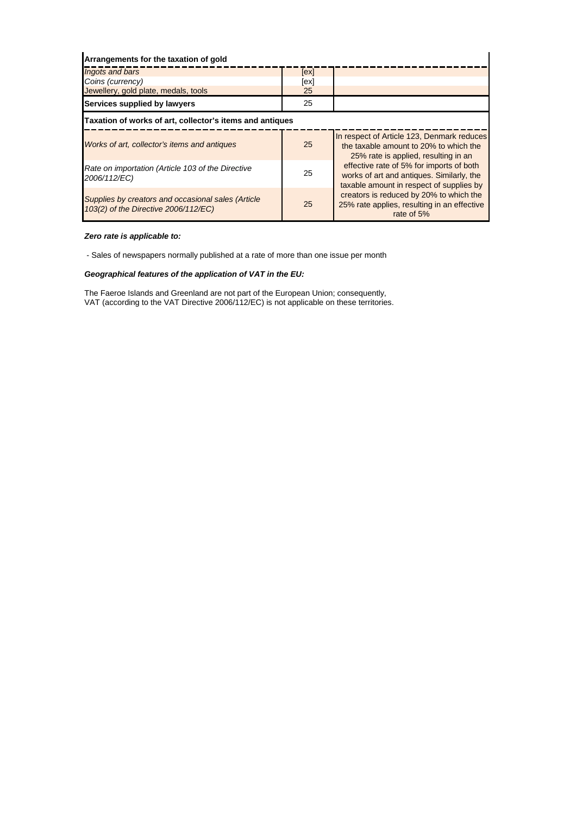| Arrangements for the taxation of gold                                                      |      |                                                                                                                                   |  |
|--------------------------------------------------------------------------------------------|------|-----------------------------------------------------------------------------------------------------------------------------------|--|
| Ingots and bars                                                                            | [ex] |                                                                                                                                   |  |
| Coins (currency)                                                                           | [ex] |                                                                                                                                   |  |
| Jewellery, gold plate, medals, tools                                                       | 25   |                                                                                                                                   |  |
| Services supplied by lawyers                                                               | 25   |                                                                                                                                   |  |
| Taxation of works of art, collector's items and antiques                                   |      |                                                                                                                                   |  |
| Works of art, collector's items and antiques                                               | 25   | In respect of Article 123, Denmark reduces<br>the taxable amount to 20% to which the<br>25% rate is applied, resulting in an      |  |
| Rate on importation (Article 103 of the Directive<br>2006/112/EC)                          | 25   | effective rate of 5% for imports of both<br>works of art and antiques. Similarly, the<br>taxable amount in respect of supplies by |  |
| Supplies by creators and occasional sales (Article<br>103(2) of the Directive 2006/112/EC) | 25   | creators is reduced by 20% to which the<br>25% rate applies, resulting in an effective<br>rate of 5%                              |  |

#### *Zero rate is applicable to:*

- Sales of newspapers normally published at a rate of more than one issue per month

#### *Geographical features of the application of VAT in the EU:*

The Faeroe Islands and Greenland are not part of the European Union; consequently, VAT (according to the VAT Directive 2006/112/EC) is not applicable on these territories.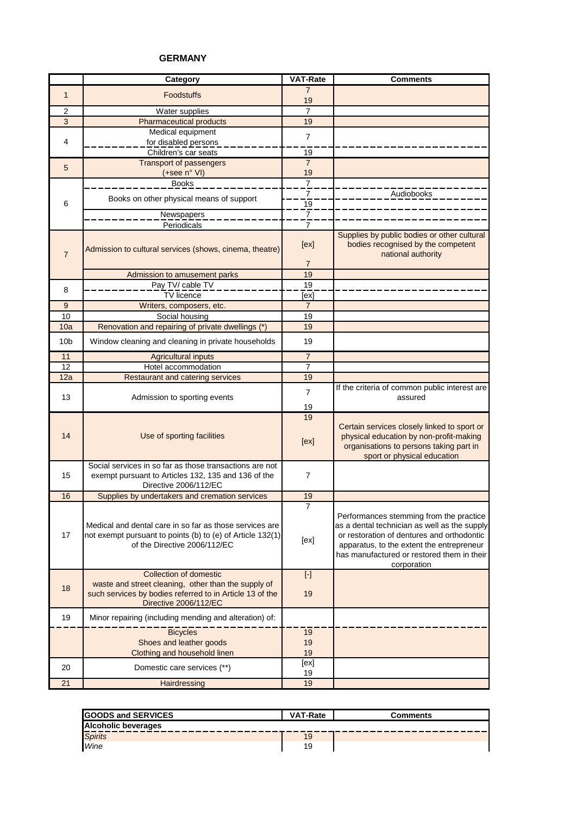#### **GERMANY**

|                 | Category                                                                                                                                              | <b>VAT-Rate</b>  | <b>Comments</b>                                                                                                                                                                                                                                 |
|-----------------|-------------------------------------------------------------------------------------------------------------------------------------------------------|------------------|-------------------------------------------------------------------------------------------------------------------------------------------------------------------------------------------------------------------------------------------------|
| $\mathbf{1}$    | <b>Foodstuffs</b>                                                                                                                                     | 7                |                                                                                                                                                                                                                                                 |
|                 |                                                                                                                                                       | 19               |                                                                                                                                                                                                                                                 |
| $\overline{2}$  | Water supplies                                                                                                                                        | $\overline{7}$   |                                                                                                                                                                                                                                                 |
| $\overline{3}$  | <b>Pharmaceutical products</b>                                                                                                                        | 19               |                                                                                                                                                                                                                                                 |
| 4               | Medical equipment<br>for disabled persons                                                                                                             | $\overline{7}$   |                                                                                                                                                                                                                                                 |
|                 | Children's car seats                                                                                                                                  | 19               |                                                                                                                                                                                                                                                 |
|                 | <b>Transport of passengers</b>                                                                                                                        | $\overline{7}$   |                                                                                                                                                                                                                                                 |
| 5               | $(+see n° VI)$                                                                                                                                        | 19               |                                                                                                                                                                                                                                                 |
|                 | <b>Books</b>                                                                                                                                          | $\overline{1}$   |                                                                                                                                                                                                                                                 |
|                 |                                                                                                                                                       | 7                | Audiobooks                                                                                                                                                                                                                                      |
| 6               | Books on other physical means of support                                                                                                              | $\overline{19}$  |                                                                                                                                                                                                                                                 |
|                 | Newspapers                                                                                                                                            | $\overline{7}$   |                                                                                                                                                                                                                                                 |
|                 | Periodicals                                                                                                                                           | $\overline{7}$   |                                                                                                                                                                                                                                                 |
| $\overline{7}$  | Admission to cultural services (shows, cinema, theatre)                                                                                               | [ex]             | Supplies by public bodies or other cultural<br>bodies recognised by the competent<br>national authority                                                                                                                                         |
|                 |                                                                                                                                                       | $\overline{7}$   |                                                                                                                                                                                                                                                 |
|                 | Admission to amusement parks                                                                                                                          | 19               |                                                                                                                                                                                                                                                 |
| 8               | Pay TV/ cable TV                                                                                                                                      | 19               |                                                                                                                                                                                                                                                 |
|                 | <b>TV</b> licence                                                                                                                                     | [ex]             |                                                                                                                                                                                                                                                 |
| 9               | Writers, composers, etc.                                                                                                                              | $\overline{7}$   |                                                                                                                                                                                                                                                 |
| 10<br>10a       | Social housing<br>Renovation and repairing of private dwellings (*)                                                                                   | 19<br>19         |                                                                                                                                                                                                                                                 |
| 10 <sub>b</sub> | Window cleaning and cleaning in private households                                                                                                    | 19               |                                                                                                                                                                                                                                                 |
| 11              | <b>Agricultural inputs</b>                                                                                                                            | 7                |                                                                                                                                                                                                                                                 |
| 12              | Hotel accommodation                                                                                                                                   | $\overline{7}$   |                                                                                                                                                                                                                                                 |
| 12a             | <b>Restaurant and catering services</b>                                                                                                               | 19               |                                                                                                                                                                                                                                                 |
|                 |                                                                                                                                                       | $\overline{7}$   | If the criteria of common public interest are                                                                                                                                                                                                   |
| 13              | Admission to sporting events                                                                                                                          |                  | assured                                                                                                                                                                                                                                         |
|                 |                                                                                                                                                       | 19               |                                                                                                                                                                                                                                                 |
| 14              | Use of sporting facilities                                                                                                                            | 19<br>[ex]       | Certain services closely linked to sport or<br>physical education by non-profit-making<br>organisations to persons taking part in<br>sport or physical education                                                                                |
| 15              | Social services in so far as those transactions are not<br>exempt pursuant to Articles 132, 135 and 136 of the<br>Directive 2006/112/EC               | $\overline{7}$   |                                                                                                                                                                                                                                                 |
| 16              | Supplies by undertakers and cremation services                                                                                                        | 19               |                                                                                                                                                                                                                                                 |
| 17              | Medical and dental care in so far as those services are<br>not exempt pursuant to points (b) to (e) of Article 132(1)<br>of the Directive 2006/112/EC | $\prime$<br>[ex] | Performances stemming from the practice<br>as a dental technician as well as the supply<br>or restoration of dentures and orthodontic<br>apparatus, to the extent the entrepreneur<br>has manufactured or restored them in their<br>corporation |
|                 | <b>Collection of domestic</b>                                                                                                                         | $[\cdot]$        |                                                                                                                                                                                                                                                 |
| 18              | waste and street cleaning, other than the supply of<br>such services by bodies referred to in Article 13 of the                                       | 19               |                                                                                                                                                                                                                                                 |
|                 | Directive 2006/112/EC                                                                                                                                 |                  |                                                                                                                                                                                                                                                 |
| 19              | Minor repairing (including mending and alteration) of:                                                                                                |                  |                                                                                                                                                                                                                                                 |
|                 | <b>Bicycles</b>                                                                                                                                       | 19               |                                                                                                                                                                                                                                                 |
|                 | Shoes and leather goods                                                                                                                               | 19               |                                                                                                                                                                                                                                                 |
|                 | Clothing and household linen                                                                                                                          | 19               |                                                                                                                                                                                                                                                 |
| 20              | Domestic care services (**)                                                                                                                           | [ex]<br>19       |                                                                                                                                                                                                                                                 |
| 21              | Hairdressing                                                                                                                                          | 19               |                                                                                                                                                                                                                                                 |

| <b>GOODS and SERVICES</b>  | <b>VAT-Rate</b> | Comments |
|----------------------------|-----------------|----------|
| <b>Alcoholic beverages</b> |                 |          |
| <b>Spirits</b>             | 19              |          |
| Wine                       | 19              |          |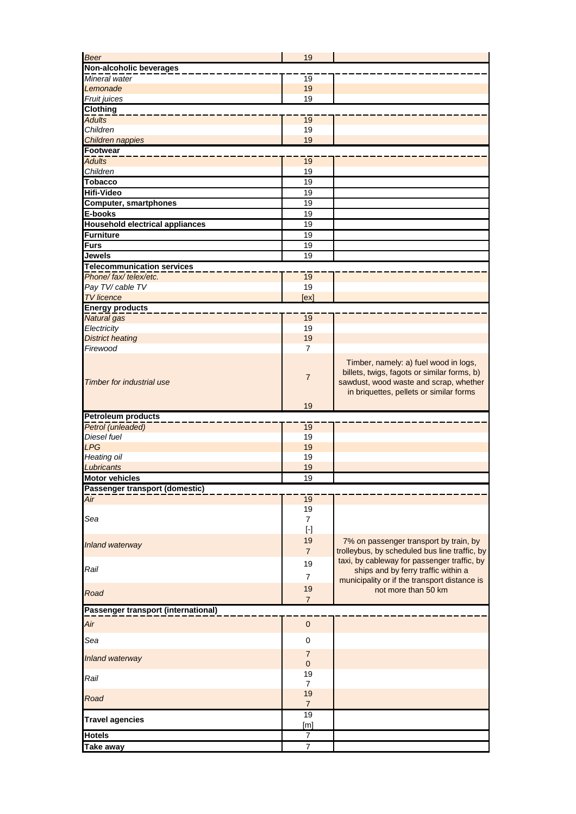| Beer                                   | 19                                                                                                                                                                                                    |                                                                                                                                                                           |
|----------------------------------------|-------------------------------------------------------------------------------------------------------------------------------------------------------------------------------------------------------|---------------------------------------------------------------------------------------------------------------------------------------------------------------------------|
| Non-alcoholic beverages                |                                                                                                                                                                                                       |                                                                                                                                                                           |
| Mineral water                          | 19                                                                                                                                                                                                    |                                                                                                                                                                           |
| Lemonade                               | 19                                                                                                                                                                                                    |                                                                                                                                                                           |
| Fruit juices                           | 19                                                                                                                                                                                                    |                                                                                                                                                                           |
| <b>Clothing</b>                        |                                                                                                                                                                                                       |                                                                                                                                                                           |
| <b>Adults</b>                          | 19                                                                                                                                                                                                    |                                                                                                                                                                           |
| Children                               | 19                                                                                                                                                                                                    |                                                                                                                                                                           |
| Children nappies                       | 19                                                                                                                                                                                                    |                                                                                                                                                                           |
| Footwear                               |                                                                                                                                                                                                       |                                                                                                                                                                           |
| <b>Adults</b>                          | 19                                                                                                                                                                                                    |                                                                                                                                                                           |
| Children                               | 19                                                                                                                                                                                                    |                                                                                                                                                                           |
| <b>Tobacco</b>                         | 19                                                                                                                                                                                                    |                                                                                                                                                                           |
| <b>Hifi-Video</b>                      | 19                                                                                                                                                                                                    |                                                                                                                                                                           |
| <b>Computer, smartphones</b>           | 19                                                                                                                                                                                                    |                                                                                                                                                                           |
| E-books                                | 19                                                                                                                                                                                                    |                                                                                                                                                                           |
| <b>Household electrical appliances</b> | 19                                                                                                                                                                                                    |                                                                                                                                                                           |
| <b>Furniture</b>                       | 19                                                                                                                                                                                                    |                                                                                                                                                                           |
| <b>Furs</b>                            | 19                                                                                                                                                                                                    |                                                                                                                                                                           |
| <b>Jewels</b>                          | 19                                                                                                                                                                                                    |                                                                                                                                                                           |
| <b>Telecommunication services</b>      |                                                                                                                                                                                                       |                                                                                                                                                                           |
| Phone/fax/telex/etc.                   | 19                                                                                                                                                                                                    |                                                                                                                                                                           |
| Pay TV/ cable TV                       | 19                                                                                                                                                                                                    |                                                                                                                                                                           |
| <b>TV</b> licence                      | [ex]                                                                                                                                                                                                  |                                                                                                                                                                           |
| <b>Energy products</b>                 |                                                                                                                                                                                                       |                                                                                                                                                                           |
| <b>Natural</b> gas                     | $\overline{19}$                                                                                                                                                                                       |                                                                                                                                                                           |
| Electricity                            | 19                                                                                                                                                                                                    |                                                                                                                                                                           |
| <b>District heating</b>                | 19                                                                                                                                                                                                    |                                                                                                                                                                           |
| Firewood                               | $\overline{7}$                                                                                                                                                                                        |                                                                                                                                                                           |
| <b>Timber for industrial use</b>       | $\overline{7}$                                                                                                                                                                                        | Timber, namely: a) fuel wood in logs,<br>billets, twigs, fagots or similar forms, b)<br>sawdust, wood waste and scrap, whether<br>in briquettes, pellets or similar forms |
|                                        | 19                                                                                                                                                                                                    |                                                                                                                                                                           |
| <b>Petroleum products</b>              |                                                                                                                                                                                                       |                                                                                                                                                                           |
| Petrol (unleaded)                      | 19                                                                                                                                                                                                    |                                                                                                                                                                           |
| Diesel fuel                            | 19                                                                                                                                                                                                    |                                                                                                                                                                           |
| <b>LPG</b>                             | 19                                                                                                                                                                                                    |                                                                                                                                                                           |
| Heating oil                            | 19                                                                                                                                                                                                    |                                                                                                                                                                           |
| Lubricants                             | 19                                                                                                                                                                                                    |                                                                                                                                                                           |
| <b>Motor vehicles</b>                  | 19                                                                                                                                                                                                    |                                                                                                                                                                           |
| Passenger transport (domestic)         |                                                                                                                                                                                                       |                                                                                                                                                                           |
| Air                                    | 19                                                                                                                                                                                                    |                                                                                                                                                                           |
|                                        | 19                                                                                                                                                                                                    |                                                                                                                                                                           |
| Sea                                    | $\overline{7}$                                                                                                                                                                                        |                                                                                                                                                                           |
|                                        | $[\cdot] % \centering \includegraphics[width=0.9\textwidth]{images/TrDiS/N-Architecture.png} % \caption{The first two different values of $N$ in the left and right.} \label{TrDiS/N-Architecture} %$ |                                                                                                                                                                           |
| Inland waterway                        | 19                                                                                                                                                                                                    | 7% on passenger transport by train, by                                                                                                                                    |
|                                        | $\overline{7}$                                                                                                                                                                                        | trolleybus, by scheduled bus line traffic, by                                                                                                                             |
|                                        | 19                                                                                                                                                                                                    | taxi, by cableway for passenger traffic, by                                                                                                                               |
| Rail                                   | $\overline{7}$                                                                                                                                                                                        | ships and by ferry traffic within a                                                                                                                                       |
|                                        | 19                                                                                                                                                                                                    | municipality or if the transport distance is                                                                                                                              |
| Road                                   |                                                                                                                                                                                                       | not more than 50 km                                                                                                                                                       |
|                                        | $\overline{7}$                                                                                                                                                                                        |                                                                                                                                                                           |
| Passenger transport (international)    |                                                                                                                                                                                                       |                                                                                                                                                                           |
| Air                                    | $\pmb{0}$                                                                                                                                                                                             |                                                                                                                                                                           |
| Sea                                    | $\pmb{0}$                                                                                                                                                                                             |                                                                                                                                                                           |
|                                        |                                                                                                                                                                                                       |                                                                                                                                                                           |
| <b>Inland waterway</b>                 | $\overline{7}$                                                                                                                                                                                        |                                                                                                                                                                           |
|                                        | $\mathbf 0$                                                                                                                                                                                           |                                                                                                                                                                           |
| Rail                                   | 19                                                                                                                                                                                                    |                                                                                                                                                                           |
|                                        | $\overline{7}$<br>19                                                                                                                                                                                  |                                                                                                                                                                           |
| Road                                   | $\overline{7}$                                                                                                                                                                                        |                                                                                                                                                                           |
|                                        | 19                                                                                                                                                                                                    |                                                                                                                                                                           |
| <b>Travel agencies</b>                 | [m]                                                                                                                                                                                                   |                                                                                                                                                                           |
| <b>Hotels</b>                          |                                                                                                                                                                                                       |                                                                                                                                                                           |
|                                        |                                                                                                                                                                                                       |                                                                                                                                                                           |
| <b>Take away</b>                       | 7<br>$\overline{7}$                                                                                                                                                                                   |                                                                                                                                                                           |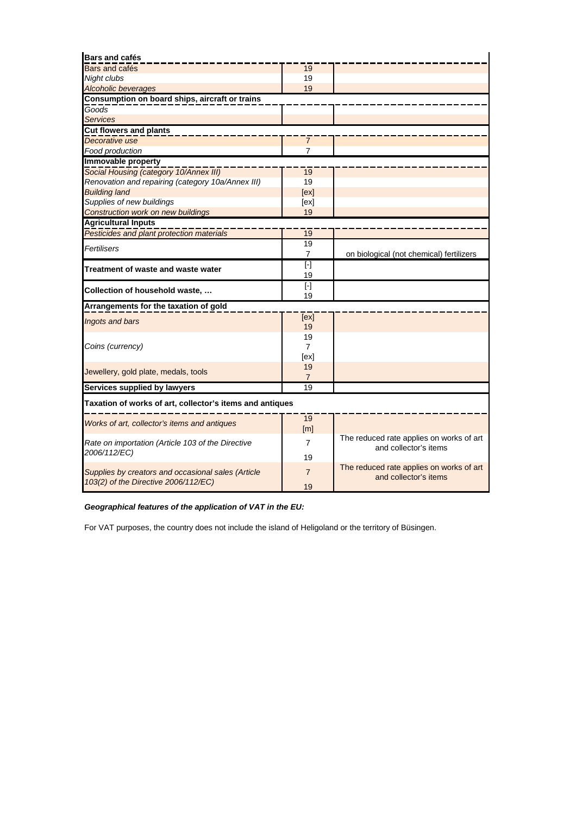| <b>Bars and cafés</b>                                                                      |                      |                                          |
|--------------------------------------------------------------------------------------------|----------------------|------------------------------------------|
| Bars and cafés                                                                             | 19                   |                                          |
| Night clubs                                                                                | 19                   |                                          |
| <b>Alcoholic beverages</b>                                                                 | 19                   |                                          |
| Consumption on board ships, aircraft or trains                                             |                      |                                          |
| Goods                                                                                      |                      |                                          |
| <b>Services</b>                                                                            |                      |                                          |
| <b>Cut flowers and plants</b>                                                              |                      |                                          |
| Decorative use                                                                             | 7                    |                                          |
| Food production                                                                            | 7                    |                                          |
| Immovable property                                                                         |                      |                                          |
| Social Housing (category 10/Annex III)                                                     | 19                   |                                          |
| Renovation and repairing (category 10a/Annex III)                                          | 19                   |                                          |
| <b>Building land</b>                                                                       | [ex]                 |                                          |
| Supplies of new buildings                                                                  | [ex]                 |                                          |
| Construction work on new buildings                                                         | 19                   |                                          |
| <b>Agricultural Inputs</b>                                                                 |                      |                                          |
| Pesticides and plant protection materials                                                  | 19                   |                                          |
| Fertilisers                                                                                | 19                   |                                          |
|                                                                                            | $\overline{7}$       | on biological (not chemical) fertilizers |
| Treatment of waste and waste water                                                         | $[\cdot]$            |                                          |
|                                                                                            | 19                   |                                          |
| Collection of household waste,                                                             | $\overline{[\cdot]}$ |                                          |
|                                                                                            | 19                   |                                          |
| Arrangements for the taxation of gold                                                      |                      |                                          |
| Ingots and bars                                                                            | [ex]                 |                                          |
|                                                                                            | 19                   |                                          |
| Coins (currency)                                                                           | 19<br>$\overline{7}$ |                                          |
|                                                                                            |                      |                                          |
|                                                                                            | [ex]<br>19           |                                          |
| Jewellery, gold plate, medals, tools                                                       | $\overline{7}$       |                                          |
| Services supplied by lawyers                                                               | 19                   |                                          |
| Taxation of works of art, collector's items and antiques                                   |                      |                                          |
|                                                                                            | 19                   |                                          |
| Works of art, collector's items and antiques                                               | [m]                  |                                          |
|                                                                                            |                      | The reduced rate applies on works of art |
| Rate on importation (Article 103 of the Directive                                          | $\overline{7}$       | and collector's items                    |
| 2006/112/EC)                                                                               | 19                   |                                          |
|                                                                                            | $\overline{7}$       | The reduced rate applies on works of art |
| Supplies by creators and occasional sales (Article<br>103(2) of the Directive 2006/112/EC) |                      | and collector's items                    |
|                                                                                            | 19                   |                                          |

# *Geographical features of the application of VAT in the EU:*

For VAT purposes, the country does not include the island of Heligoland or the territory of Büsingen.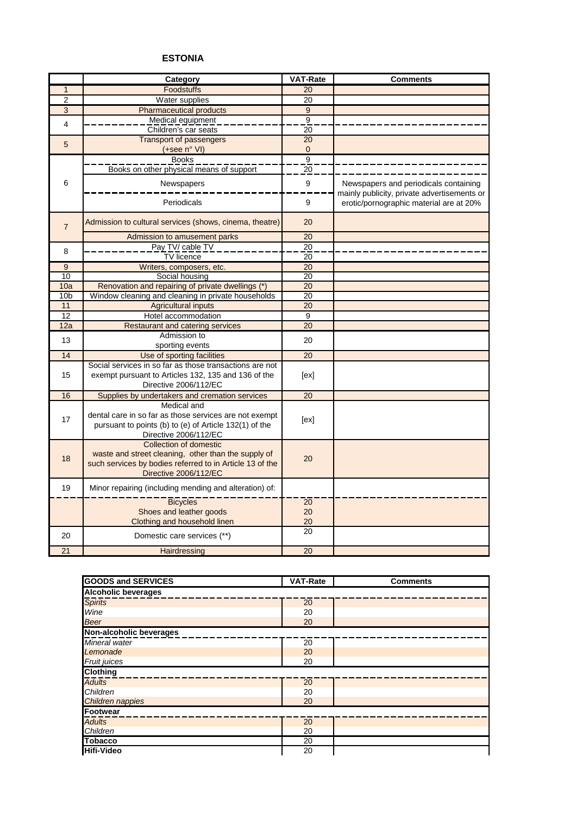## **ESTONIA**

|                         | Category                                                                                                                                                                  | VAT-Rate        | <b>Comments</b>                                                                      |
|-------------------------|---------------------------------------------------------------------------------------------------------------------------------------------------------------------------|-----------------|--------------------------------------------------------------------------------------|
| $\mathbf{1}$            | <b>Foodstuffs</b>                                                                                                                                                         | 20              |                                                                                      |
| $\overline{2}$          | Water supplies                                                                                                                                                            | 20              |                                                                                      |
| $\overline{3}$          | <b>Pharmaceutical products</b>                                                                                                                                            | $\overline{9}$  |                                                                                      |
| $\overline{\mathbf{4}}$ | Medical equipment                                                                                                                                                         | $\overline{9}$  |                                                                                      |
|                         | Children's car seats                                                                                                                                                      | 20              |                                                                                      |
| 5                       | <b>Transport of passengers</b>                                                                                                                                            | 20              |                                                                                      |
|                         | (+see n° VI)                                                                                                                                                              | $\mathbf 0$     |                                                                                      |
|                         | <b>Books</b>                                                                                                                                                              | $\overline{9}$  |                                                                                      |
|                         | Books on other physical means of support                                                                                                                                  | 20              |                                                                                      |
| 6                       | Newspapers                                                                                                                                                                | 9               | Newspapers and periodicals containing<br>mainly publicity, private advertisements or |
|                         | Periodicals                                                                                                                                                               | 9               | erotic/pornographic material are at 20%                                              |
| $\overline{7}$          | Admission to cultural services (shows, cinema, theatre)                                                                                                                   | 20              |                                                                                      |
|                         | Admission to amusement parks                                                                                                                                              | 20              |                                                                                      |
| 8                       | Pay TV/ cable TV                                                                                                                                                          | $\overline{20}$ |                                                                                      |
|                         | <b>TV</b> licence                                                                                                                                                         | 20              |                                                                                      |
| 9                       | Writers, composers, etc.                                                                                                                                                  | 20              |                                                                                      |
| 10                      | Social housing                                                                                                                                                            | 20              |                                                                                      |
| 10a                     | Renovation and repairing of private dwellings (*)                                                                                                                         | 20              |                                                                                      |
| 10 <sub>b</sub>         | Window cleaning and cleaning in private households                                                                                                                        | 20              |                                                                                      |
| 11                      | <b>Agricultural inputs</b>                                                                                                                                                | 20              |                                                                                      |
| 12                      | Hotel accommodation                                                                                                                                                       | 9               |                                                                                      |
| 12a                     | <b>Restaurant and catering services</b>                                                                                                                                   | 20              |                                                                                      |
| 13                      | Admission to                                                                                                                                                              | 20              |                                                                                      |
| 14                      | sporting events<br>Use of sporting facilities                                                                                                                             | 20              |                                                                                      |
|                         | Social services in so far as those transactions are not                                                                                                                   |                 |                                                                                      |
| 15                      | exempt pursuant to Articles 132, 135 and 136 of the<br>Directive 2006/112/EC                                                                                              | [ex]            |                                                                                      |
| 16                      | Supplies by undertakers and cremation services                                                                                                                            | $\overline{20}$ |                                                                                      |
| 17                      | Medical and<br>dental care in so far as those services are not exempt<br>pursuant to points (b) to (e) of Article 132(1) of the<br>Directive 2006/112/EC                  | [ex]            |                                                                                      |
| 18                      | <b>Collection of domestic</b><br>waste and street cleaning, other than the supply of<br>such services by bodies referred to in Article 13 of the<br>Directive 2006/112/EC | 20              |                                                                                      |
| 19                      | Minor repairing (including mending and alteration) of:                                                                                                                    |                 |                                                                                      |
|                         | <b>Bicycles</b>                                                                                                                                                           | $\overline{20}$ |                                                                                      |
|                         | Shoes and leather goods                                                                                                                                                   | 20              |                                                                                      |
|                         | Clothing and household linen                                                                                                                                              | 20              |                                                                                      |
| 20                      | Domestic care services (**)                                                                                                                                               | 20              |                                                                                      |
| 21                      | Hairdressing                                                                                                                                                              | 20              |                                                                                      |

| <b>GOODS and SERVICES</b>  | VAT-Rate | <b>Comments</b> |
|----------------------------|----------|-----------------|
| <b>Alcoholic beverages</b> |          |                 |
| <b>Spirits</b>             | 20       |                 |
| Wine                       | 20       |                 |
| <b>Beer</b>                | 20       |                 |
| Non-alcoholic beverages    |          |                 |
| Mineral water              | 20       |                 |
| Lemonade                   | 20       |                 |
| Fruit juices               | 20       |                 |
| <b>Clothing</b>            |          |                 |
| <b>Adults</b>              | 20       |                 |
| Children                   | 20       |                 |
| Children nappies           | 20       |                 |
| <b>Footwear</b>            |          |                 |
| <b>Adults</b>              | 20       |                 |
| Children                   | 20       |                 |
| <b>Tobacco</b>             | 20       |                 |
| <b>Hifi-Video</b>          | 20       |                 |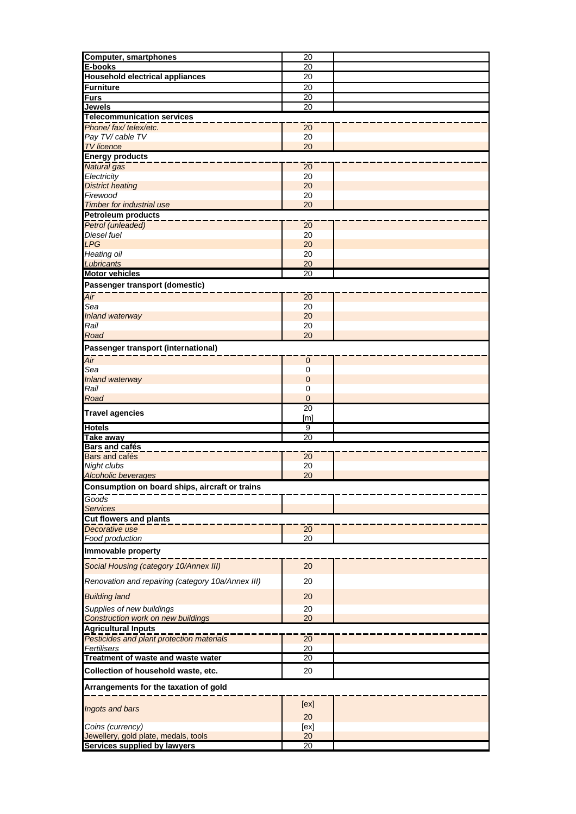| <b>Computer, smartphones</b>                                         | 20                    |  |  |
|----------------------------------------------------------------------|-----------------------|--|--|
| <b>E-books</b>                                                       | 20                    |  |  |
| <b>Household electrical appliances</b>                               | $\overline{20}$       |  |  |
|                                                                      |                       |  |  |
| <b>Furniture</b>                                                     | 20                    |  |  |
| <b>Furs</b>                                                          | 20                    |  |  |
| <b>Jewels</b>                                                        | $\overline{20}$       |  |  |
| <b>Telecommunication services</b>                                    |                       |  |  |
| Phone/fax/telex/etc.                                                 | 20                    |  |  |
| Pay TV/cable TV                                                      | 20                    |  |  |
| <b>TV</b> licence                                                    | 20                    |  |  |
| <b>Energy products</b>                                               |                       |  |  |
| Natural gas                                                          | 20                    |  |  |
| Electricity                                                          | 20                    |  |  |
|                                                                      |                       |  |  |
| <b>District heating</b>                                              | 20                    |  |  |
| Firewood                                                             | 20                    |  |  |
| <b>Timber for industrial use</b>                                     | 20                    |  |  |
| <b>Petroleum products</b>                                            |                       |  |  |
| Petrol (unleaded)                                                    | 20                    |  |  |
| Diesel fuel                                                          | 20                    |  |  |
| <b>LPG</b>                                                           | 20                    |  |  |
| <b>Heating oil</b>                                                   | 20                    |  |  |
| Lubricants                                                           | 20                    |  |  |
| <b>Motor vehicles</b>                                                | 20                    |  |  |
| Passenger transport (domestic)                                       |                       |  |  |
|                                                                      |                       |  |  |
| $\overline{Air}$                                                     | 20                    |  |  |
| Sea                                                                  | 20                    |  |  |
| Inland waterway                                                      | 20                    |  |  |
| Rail                                                                 | 20                    |  |  |
| Road                                                                 | 20                    |  |  |
| Passenger transport (international)                                  |                       |  |  |
|                                                                      |                       |  |  |
| Air                                                                  | 0                     |  |  |
| Sea                                                                  | 0                     |  |  |
| Inland waterway                                                      | $\mathbf 0$           |  |  |
| Rail                                                                 | 0                     |  |  |
| Road                                                                 | $\overline{0}$        |  |  |
|                                                                      | $\overline{20}$       |  |  |
| <b>Travel agencies</b>                                               | [m]                   |  |  |
| <b>Hotels</b>                                                        | $\overline{9}$        |  |  |
| <b>Take away</b>                                                     | $\overline{20}$       |  |  |
| <b>Bars and cafés</b>                                                |                       |  |  |
| Bars and cafés                                                       | 20                    |  |  |
| Night clubs                                                          | 20                    |  |  |
| <b>Alcoholic beverages</b>                                           | 20                    |  |  |
|                                                                      |                       |  |  |
| Consumption on board ships, aircraft or trains                       |                       |  |  |
| Goods                                                                |                       |  |  |
| <b>Services</b>                                                      |                       |  |  |
| <b>Cut flowers and plants</b>                                        |                       |  |  |
| Decorative use                                                       | 20                    |  |  |
| Food production                                                      | 20                    |  |  |
| Immovable property                                                   |                       |  |  |
|                                                                      |                       |  |  |
| Social Housing (category 10/Annex III)                               | 20                    |  |  |
|                                                                      |                       |  |  |
| Renovation and repairing (category 10a/Annex III)                    | 20                    |  |  |
| <b>Building land</b>                                                 | 20                    |  |  |
|                                                                      |                       |  |  |
| Supplies of new buildings                                            | 20                    |  |  |
| Construction work on new buildings                                   | 20                    |  |  |
| <b>Agricultural Inputs</b>                                           |                       |  |  |
| Pesticides and plant protection materials                            | $\overline{20}$       |  |  |
| Fertilisers                                                          | 20                    |  |  |
| Treatment of waste and waste water                                   | 20                    |  |  |
| Collection of household waste, etc.                                  | 20                    |  |  |
|                                                                      |                       |  |  |
| Arrangements for the taxation of gold                                |                       |  |  |
|                                                                      |                       |  |  |
| Ingots and bars                                                      | [ex]                  |  |  |
|                                                                      | 20                    |  |  |
| Coins (currency)                                                     |                       |  |  |
|                                                                      |                       |  |  |
|                                                                      | [ex]                  |  |  |
| Jewellery, gold plate, medals, tools<br>Services supplied by lawyers | 20<br>$\overline{20}$ |  |  |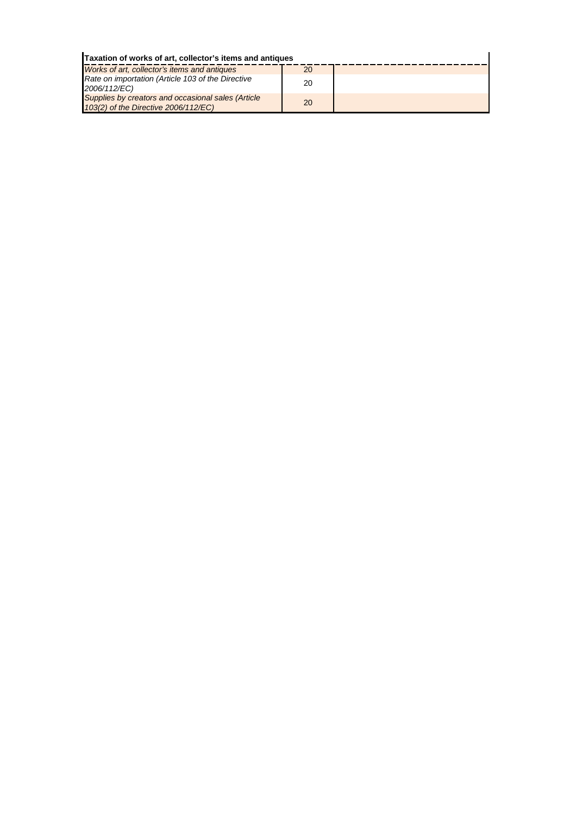| Taxation of works of art, collector's items and antiques                                   |    |  |
|--------------------------------------------------------------------------------------------|----|--|
| Works of art, collector's items and antiques                                               | 20 |  |
| Rate on importation (Article 103 of the Directive<br>2006/112/EC)                          | 20 |  |
| Supplies by creators and occasional sales (Article<br>103(2) of the Directive 2006/112/EC) | 20 |  |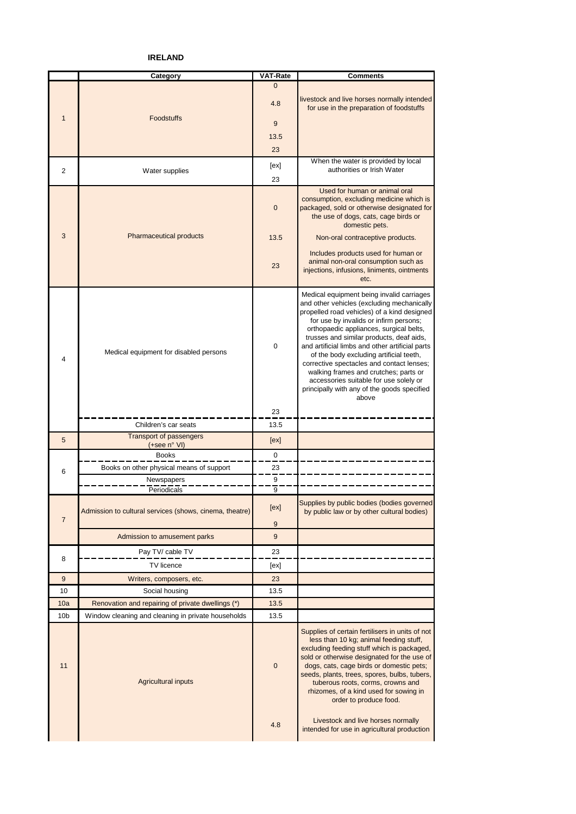**IRELAND**

|                 | Category                                                | <b>VAT-Rate</b> | <b>Comments</b>                                                                                                                                                                                                                                                                                                                                                                                                                                                                                                                                               |
|-----------------|---------------------------------------------------------|-----------------|---------------------------------------------------------------------------------------------------------------------------------------------------------------------------------------------------------------------------------------------------------------------------------------------------------------------------------------------------------------------------------------------------------------------------------------------------------------------------------------------------------------------------------------------------------------|
|                 |                                                         | $\Omega$        |                                                                                                                                                                                                                                                                                                                                                                                                                                                                                                                                                               |
|                 |                                                         | 4.8             | livestock and live horses normally intended<br>for use in the preparation of foodstuffs                                                                                                                                                                                                                                                                                                                                                                                                                                                                       |
| $\mathbf{1}$    | <b>Foodstuffs</b>                                       | 9               |                                                                                                                                                                                                                                                                                                                                                                                                                                                                                                                                                               |
|                 |                                                         | 13.5            |                                                                                                                                                                                                                                                                                                                                                                                                                                                                                                                                                               |
|                 |                                                         | 23              |                                                                                                                                                                                                                                                                                                                                                                                                                                                                                                                                                               |
|                 |                                                         | [ex]            | When the water is provided by local                                                                                                                                                                                                                                                                                                                                                                                                                                                                                                                           |
| $\overline{2}$  | Water supplies                                          | 23              | authorities or Irish Water                                                                                                                                                                                                                                                                                                                                                                                                                                                                                                                                    |
|                 |                                                         | 0               | Used for human or animal oral<br>consumption, excluding medicine which is<br>packaged, sold or otherwise designated for<br>the use of dogs, cats, cage birds or<br>domestic pets.                                                                                                                                                                                                                                                                                                                                                                             |
| 3               | <b>Pharmaceutical products</b>                          | 13.5            | Non-oral contraceptive products.                                                                                                                                                                                                                                                                                                                                                                                                                                                                                                                              |
|                 |                                                         | 23              | Includes products used for human or<br>animal non-oral consumption such as<br>injections, infusions, liniments, ointments<br>etc.                                                                                                                                                                                                                                                                                                                                                                                                                             |
| 4               | Medical equipment for disabled persons                  | $\mathbf 0$     | Medical equipment being invalid carriages<br>and other vehicles (excluding mechanically<br>propelled road vehicles) of a kind designed<br>for use by invalids or infirm persons;<br>orthopaedic appliances, surgical belts,<br>trusses and similar products, deaf aids,<br>and artificial limbs and other artificial parts<br>of the body excluding artificial teeth,<br>corrective spectacles and contact lenses;<br>walking frames and crutches; parts or<br>accessories suitable for use solely or<br>principally with any of the goods specified<br>above |
|                 | Children's car seats                                    | 23<br>13.5      |                                                                                                                                                                                                                                                                                                                                                                                                                                                                                                                                                               |
| 5               | <b>Transport of passengers</b><br>(+see n° VI)          | [ex]            |                                                                                                                                                                                                                                                                                                                                                                                                                                                                                                                                                               |
|                 | <b>Books</b>                                            | 0               |                                                                                                                                                                                                                                                                                                                                                                                                                                                                                                                                                               |
|                 | Books on other physical means of support                | 23              |                                                                                                                                                                                                                                                                                                                                                                                                                                                                                                                                                               |
| 6               | Newspapers                                              | 9               |                                                                                                                                                                                                                                                                                                                                                                                                                                                                                                                                                               |
|                 | Periodicals                                             | 9               |                                                                                                                                                                                                                                                                                                                                                                                                                                                                                                                                                               |
|                 | Admission to cultural services (shows, cinema, theatre) | [ex]            | Supplies by public bodies (bodies governed<br>by public law or by other cultural bodies)                                                                                                                                                                                                                                                                                                                                                                                                                                                                      |
| $\overline{7}$  |                                                         | 9               |                                                                                                                                                                                                                                                                                                                                                                                                                                                                                                                                                               |
|                 | Admission to amusement parks                            | 9               |                                                                                                                                                                                                                                                                                                                                                                                                                                                                                                                                                               |
|                 | Pay TV/ cable TV                                        | 23              |                                                                                                                                                                                                                                                                                                                                                                                                                                                                                                                                                               |
| 8               | TV licence                                              | [ex]            |                                                                                                                                                                                                                                                                                                                                                                                                                                                                                                                                                               |
| 9               | Writers, composers, etc.                                | 23              |                                                                                                                                                                                                                                                                                                                                                                                                                                                                                                                                                               |
| 10              | Social housing                                          | 13.5            |                                                                                                                                                                                                                                                                                                                                                                                                                                                                                                                                                               |
| 10a             | Renovation and repairing of private dwellings (*)       | 13.5            |                                                                                                                                                                                                                                                                                                                                                                                                                                                                                                                                                               |
| 10 <sub>b</sub> | Window cleaning and cleaning in private households      | 13.5            |                                                                                                                                                                                                                                                                                                                                                                                                                                                                                                                                                               |
| 11              | <b>Agricultural inputs</b>                              | $\mathbf 0$     | Supplies of certain fertilisers in units of not<br>less than 10 kg; animal feeding stuff,<br>excluding feeding stuff which is packaged,<br>sold or otherwise designated for the use of<br>dogs, cats, cage birds or domestic pets;<br>seeds, plants, trees, spores, bulbs, tubers,<br>tuberous roots, corms, crowns and<br>rhizomes, of a kind used for sowing in<br>order to produce food.<br>Livestock and live horses normally                                                                                                                             |
|                 |                                                         | 4.8             | intended for use in agricultural production                                                                                                                                                                                                                                                                                                                                                                                                                                                                                                                   |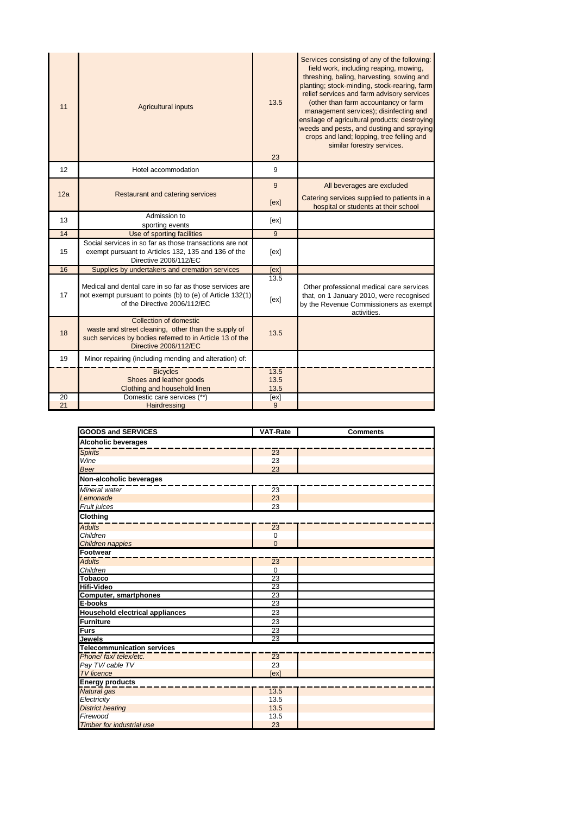| 11  | <b>Agricultural inputs</b>                                                                                                                                         | 13.5<br>23           | Services consisting of any of the following:<br>field work, including reaping, mowing,<br>threshing, baling, harvesting, sowing and<br>planting; stock-minding, stock-rearing, farm<br>relief services and farm advisory services<br>(other than farm accountancy or farm<br>management services); disinfecting and<br>ensilage of agricultural products; destroying<br>weeds and pests, and dusting and spraying<br>crops and land; lopping, tree felling and<br>similar forestry services. |
|-----|--------------------------------------------------------------------------------------------------------------------------------------------------------------------|----------------------|----------------------------------------------------------------------------------------------------------------------------------------------------------------------------------------------------------------------------------------------------------------------------------------------------------------------------------------------------------------------------------------------------------------------------------------------------------------------------------------------|
| 12  | Hotel accommodation                                                                                                                                                | 9                    |                                                                                                                                                                                                                                                                                                                                                                                                                                                                                              |
|     |                                                                                                                                                                    | 9                    | All beverages are excluded                                                                                                                                                                                                                                                                                                                                                                                                                                                                   |
| 12a | Restaurant and catering services                                                                                                                                   | [ex]                 | Catering services supplied to patients in a<br>hospital or students at their school                                                                                                                                                                                                                                                                                                                                                                                                          |
| 13  | Admission to<br>sporting events                                                                                                                                    | [ex]                 |                                                                                                                                                                                                                                                                                                                                                                                                                                                                                              |
| 14  | Use of sporting facilities                                                                                                                                         | 9                    |                                                                                                                                                                                                                                                                                                                                                                                                                                                                                              |
| 15  | Social services in so far as those transactions are not<br>exempt pursuant to Articles 132, 135 and 136 of the<br>Directive 2006/112/EC                            | [ex]                 |                                                                                                                                                                                                                                                                                                                                                                                                                                                                                              |
| 16  | Supplies by undertakers and cremation services                                                                                                                     | [ex]                 |                                                                                                                                                                                                                                                                                                                                                                                                                                                                                              |
| 17  | Medical and dental care in so far as those services are<br>not exempt pursuant to points (b) to (e) of Article 132(1)<br>of the Directive 2006/112/EC              | 13.5<br>[ex]         | Other professional medical care services<br>that, on 1 January 2010, were recognised<br>by the Revenue Commissioners as exempt<br>activities.                                                                                                                                                                                                                                                                                                                                                |
| 18  | Collection of domestic<br>waste and street cleaning, other than the supply of<br>such services by bodies referred to in Article 13 of the<br>Directive 2006/112/EC | 13.5                 |                                                                                                                                                                                                                                                                                                                                                                                                                                                                                              |
| 19  | Minor repairing (including mending and alteration) of:                                                                                                             |                      |                                                                                                                                                                                                                                                                                                                                                                                                                                                                                              |
|     | <b>Bicycles</b><br>Shoes and leather goods<br>Clothing and household linen                                                                                         | 13.5<br>13.5<br>13.5 |                                                                                                                                                                                                                                                                                                                                                                                                                                                                                              |
| 20  | Domestic care services (**)                                                                                                                                        | [ex]                 |                                                                                                                                                                                                                                                                                                                                                                                                                                                                                              |
| 21  | Hairdressing                                                                                                                                                       | 9                    |                                                                                                                                                                                                                                                                                                                                                                                                                                                                                              |

| <b>GOODS and SERVICES</b>              | <b>VAT-Rate</b> | <b>Comments</b> |
|----------------------------------------|-----------------|-----------------|
| <b>Alcoholic beverages</b>             |                 |                 |
| <b>Spirits</b>                         | 23              |                 |
| Wine                                   | 23              |                 |
| <b>Beer</b>                            | 23              |                 |
| Non-alcoholic beverages                |                 |                 |
| Mineral water                          | 23              |                 |
| Lemonade                               | 23              |                 |
| <b>Fruit juices</b>                    | 23              |                 |
| <b>Clothing</b>                        |                 |                 |
| <b>Adults</b>                          | 23              |                 |
| Children                               | $\mathbf 0$     |                 |
| Children nappies                       | $\Omega$        |                 |
| Footwear                               |                 |                 |
| <b>Adults</b>                          | 23              |                 |
| Children                               | $\mathbf 0$     |                 |
| <b>Tobacco</b>                         | 23              |                 |
| <b>Hifi-Video</b>                      | 23              |                 |
| Computer, smartphones                  | 23              |                 |
| E-books                                | 23              |                 |
| <b>Household electrical appliances</b> | 23              |                 |
| <b>Furniture</b>                       | 23              |                 |
| Furs                                   | 23              |                 |
| Jewels                                 | 23              |                 |
| <b>Telecommunication services</b>      |                 |                 |
| Phone/fax/telex/etc.                   | 23              |                 |
| Pay TV/ cable TV                       | 23              |                 |
| <b>TV</b> licence                      | [ex]            |                 |
| <b>Energy products</b>                 |                 |                 |
| Natural gas                            | 13.5            |                 |
| Electricity                            | 13.5            |                 |
| <b>District heating</b>                | 13.5            |                 |
| Firewood                               | 13.5            |                 |
| <b>Timber for industrial use</b>       | 23              |                 |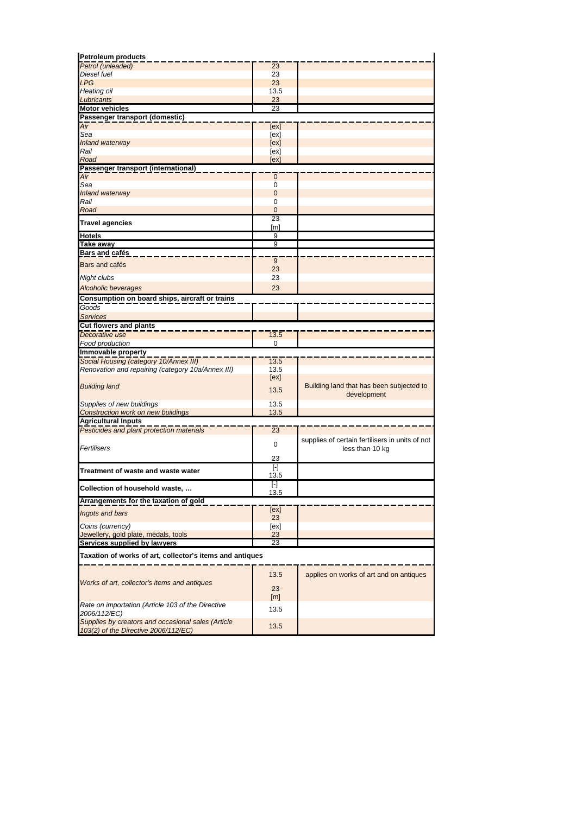| <b>Petroleum products</b>                                          |                      |                                                 |
|--------------------------------------------------------------------|----------------------|-------------------------------------------------|
| Petrol (unleaded)                                                  | 23                   |                                                 |
| Diesel fuel                                                        | 23                   |                                                 |
| <b>LPG</b>                                                         | 23                   |                                                 |
| Heating oil                                                        | 13.5                 |                                                 |
| Lubricants                                                         | 23<br>23             |                                                 |
| <b>Motor vehicles</b><br>Passenger transport (domestic)            |                      |                                                 |
| Air                                                                | [ex]                 |                                                 |
| Sea                                                                | [ex]                 |                                                 |
| Inland waterway                                                    | [ex]                 |                                                 |
| Rail                                                               | [ex]                 |                                                 |
| Road                                                               | [ex]                 |                                                 |
| Passenger transport (international)                                |                      |                                                 |
| Air                                                                | $\mathbf{0}$         |                                                 |
| Sea                                                                | 0                    |                                                 |
| Inland waterway                                                    | $\mathbf{0}$         |                                                 |
| Rail                                                               | 0                    |                                                 |
| Road                                                               | $\overline{0}$<br>23 |                                                 |
| <b>Travel agencies</b>                                             | [m]                  |                                                 |
| <b>Hotels</b>                                                      | 9                    |                                                 |
| <b>Take away</b>                                                   | 9                    |                                                 |
| Bars and cafés                                                     |                      |                                                 |
| Bars and cafés                                                     | 9                    |                                                 |
|                                                                    | 23                   |                                                 |
| Night clubs                                                        | 23                   |                                                 |
| Alcoholic beverages                                                | 23                   |                                                 |
| Consumption on board ships, aircraft or trains                     |                      |                                                 |
| Goods                                                              |                      |                                                 |
| <b>Services</b>                                                    |                      |                                                 |
| <b>Cut flowers and plants</b>                                      |                      |                                                 |
| Decorative use                                                     | 13.5                 |                                                 |
| Food production                                                    | 0                    |                                                 |
| Immovable property                                                 |                      |                                                 |
| Social Housing (category 10/Annex III)                             | 13.5                 |                                                 |
| Renovation and repairing (category 10a/Annex III)                  | 13.5                 |                                                 |
|                                                                    | [ex]                 |                                                 |
| <b>Building land</b>                                               | 13.5                 | Building land that has been subjected to        |
|                                                                    |                      | development                                     |
| Supplies of new buildings                                          | 13.5                 |                                                 |
| <b>Construction work on new buildings</b>                          | 13.5                 |                                                 |
| <b>Agricultural Inputs</b>                                         |                      |                                                 |
| Pesticides and plant protection materials                          | 23                   |                                                 |
|                                                                    | $\mathbf 0$          | supplies of certain fertilisers in units of not |
| Fertilisers                                                        |                      | less than 10 kg                                 |
|                                                                    | 23                   |                                                 |
| Treatment of waste and waste water                                 | $[\cdot]$            |                                                 |
|                                                                    | 13.5                 |                                                 |
| Collection of household waste,                                     | $[\cdot]$<br>13.5    |                                                 |
| Arrangements for the taxation of gold                              |                      |                                                 |
|                                                                    | [ex]                 |                                                 |
| Ingots and bars                                                    | 23                   |                                                 |
| Coins (currency)                                                   | [ex]                 |                                                 |
| Jewellery, gold plate, medals, tools                               | 23                   |                                                 |
| Services supplied by lawyers                                       | 23                   |                                                 |
| Taxation of works of art, collector's items and antiques           |                      |                                                 |
|                                                                    |                      |                                                 |
|                                                                    | 13.5                 | applies on works of art and on antiques         |
| Works of art, collector's items and antiques                       |                      |                                                 |
|                                                                    | 23                   |                                                 |
|                                                                    | [m]                  |                                                 |
| Rate on importation (Article 103 of the Directive                  | 13.5                 |                                                 |
| 2006/112/EC)<br>Supplies by creators and occasional sales (Article |                      |                                                 |
| 103(2) of the Directive 2006/112/EC)                               | 13.5                 |                                                 |
|                                                                    |                      |                                                 |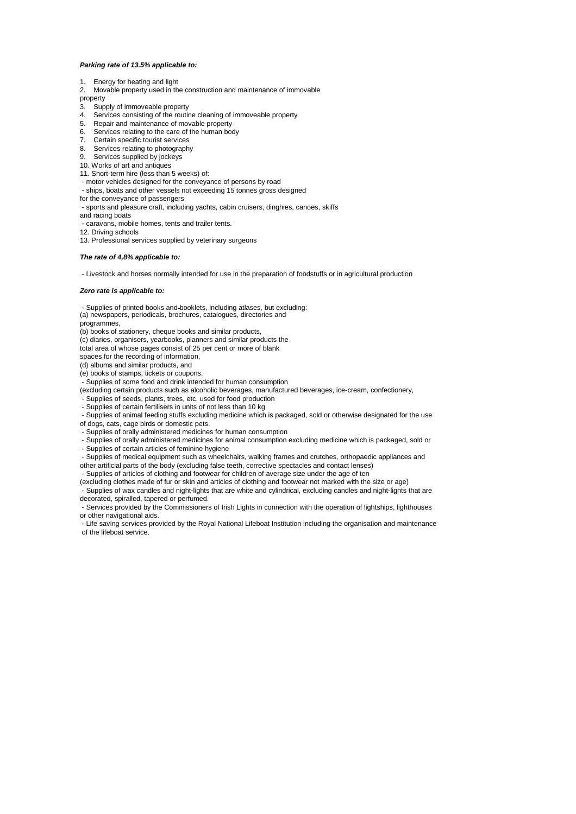#### *Parking rate of 13.5% applicable to:*

#### 1. Energy for heating and light

2. Movable property used in the construction and maintenance of immovable

property

- 
- 3. Supply of immoveable property<br>4. Services consisting of the routing Services consisting of the routine cleaning of immoveable property
- 5. Repair and maintenance of movable property
- 6. Services relating to the care of the human body
- 7. Certain specific tourist services<br>8. Services relating to photograph
- Services relating to photography
- 9. Services supplied by jockeys
- 10. Works of art and antiques
- 11. Short-term hire (less than 5 weeks) of:
- motor vehicles designed for the conveyance of persons by road
- ships, boats and other vessels not exceeding 15 tonnes gross designed
- for the conveyance of passengers
- sports and pleasure craft, including yachts, cabin cruisers, dinghies, canoes, skiffs
- and racing boats
- caravans, mobile homes, tents and trailer tents.

12. Driving schools

13. Professional services supplied by veterinary surgeons

#### *The rate of 4,8% applicable to:*

- Livestock and horses normally intended for use in the preparation of foodstuffs or in agricultural production

#### *Zero rate is applicable to:*

 - Supplies of printed books and booklets, including atlases, but excluding: (a) newspapers, periodicals, brochures, catalogues, directories and programmes,

(b) books of stationery, cheque books and similar products,

(c) diaries, organisers, yearbooks, planners and similar products the

total area of whose pages consist of 25 per cent or more of blank

spaces for the recording of information,

(d) albums and similar products, and

(e) books of stamps, tickets or coupons.

- Supplies of some food and drink intended for human consumption

Supplies of seeds, plants, trees, etc. used for food production (excluding certain products such as alcoholic beverages, manufactured beverages, ice-cream, confectionery,

- Supplies of certain fertilisers in units of not less than 10 kg

 - Supplies of animal feeding stuffs excluding medicine which is packaged, sold or otherwise designated for the use of dogs, cats, cage birds or domestic pets.

- Supplies of orally administered medicines for human consumption

- Supplies of orally administered medicines for animal consumption excluding medicine which is packaged, sold or
- Supplies of certain articles of feminine hygiene

- Supplies of medical equipment such as wheelchairs, walking frames and crutches, orthopaedic appliances and

other artificial parts of the body (excluding false teeth, corrective spectacles and contact lenses)

- Supplies of articles of clothing and footwear for children of average size under the age of ten

(excluding clothes made of fur or skin and articles of clothing and footwear not marked with the size or age) - Supplies of wax candles and night-lights that are white and cylindrical, excluding candles and night-lights that are decorated, spiralled, tapered or perfumed.

Services provided by the Commissioners of Irish Lights in connection with the operation of lightships, lighthouses or other navigational aids.

 - Life saving services provided by the Royal National Lifeboat Institution including the organisation and maintenance of the lifeboat service.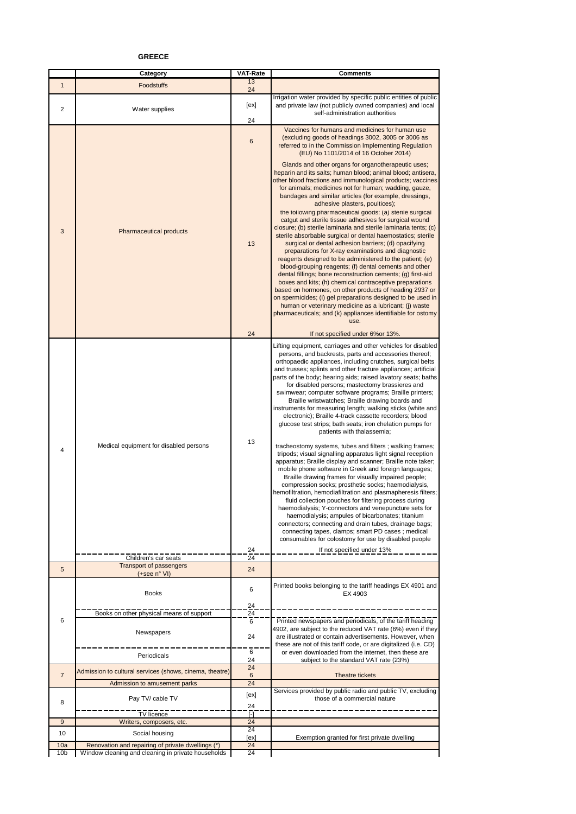### **GREECE**

|                        | Category                                                                                                | <b>VAT-Rate</b>         | <b>Comments</b>                                                                                                                                                                                                                                                                                                                                                                                                                                                                                                                                                                                                                                                                                                                                                                                                                                                                                                                                                                                                                                                                                                                                                                                                                                                                                                                                                                                                                       |
|------------------------|---------------------------------------------------------------------------------------------------------|-------------------------|---------------------------------------------------------------------------------------------------------------------------------------------------------------------------------------------------------------------------------------------------------------------------------------------------------------------------------------------------------------------------------------------------------------------------------------------------------------------------------------------------------------------------------------------------------------------------------------------------------------------------------------------------------------------------------------------------------------------------------------------------------------------------------------------------------------------------------------------------------------------------------------------------------------------------------------------------------------------------------------------------------------------------------------------------------------------------------------------------------------------------------------------------------------------------------------------------------------------------------------------------------------------------------------------------------------------------------------------------------------------------------------------------------------------------------------|
| $\mathbf{1}$           | Foodstuffs                                                                                              | 13<br>24                |                                                                                                                                                                                                                                                                                                                                                                                                                                                                                                                                                                                                                                                                                                                                                                                                                                                                                                                                                                                                                                                                                                                                                                                                                                                                                                                                                                                                                                       |
| 2                      | Water supplies                                                                                          | [ex]                    | Irrigation water provided by specific public entities of public<br>and private law (not publicly owned companies) and local<br>self-administration authorities                                                                                                                                                                                                                                                                                                                                                                                                                                                                                                                                                                                                                                                                                                                                                                                                                                                                                                                                                                                                                                                                                                                                                                                                                                                                        |
|                        |                                                                                                         | 24                      |                                                                                                                                                                                                                                                                                                                                                                                                                                                                                                                                                                                                                                                                                                                                                                                                                                                                                                                                                                                                                                                                                                                                                                                                                                                                                                                                                                                                                                       |
|                        |                                                                                                         | 6                       | Vaccines for humans and medicines for human use<br>(excluding goods of headings 3002, 3005 or 3006 as<br>referred to in the Commission Implementing Regulation<br>(EU) No 1101/2014 of 16 October 2014)                                                                                                                                                                                                                                                                                                                                                                                                                                                                                                                                                                                                                                                                                                                                                                                                                                                                                                                                                                                                                                                                                                                                                                                                                               |
| 3                      | Pharmaceutical products                                                                                 | 13<br>24                | Glands and other organs for organotherapeutic uses;<br>heparin and its salts; human blood; animal blood; antisera,<br>other blood fractions and immunological products; vaccines<br>for animals; medicines not for human; wadding, gauze,<br>bandages and similar articles (for example, dressings,<br>adhesive plasters, poultices);<br>the following pharmaceutical goods: (a) sterile surgical<br>catgut and sterile tissue adhesives for surgical wound<br>closure; (b) sterile laminaria and sterile laminaria tents; (c)<br>sterile absorbable surgical or dental haemostatics; sterile<br>surgical or dental adhesion barriers; (d) opacifying<br>preparations for X-ray examinations and diagnostic<br>reagents designed to be administered to the patient; (e)<br>blood-grouping reagents; (f) dental cements and other<br>dental fillings; bone reconstruction cements; (g) first-aid<br>boxes and kits; (h) chemical contraceptive preparations<br>based on hormones, on other products of heading 2937 or<br>on spermicides; (i) gel preparations designed to be used in<br>human or veterinary medicine as a lubricant; (j) waste<br>pharmaceuticals; and (k) appliances identifiable for ostomy<br><b>IISA</b><br>If not specified under 6% or 13%.                                                                                                                                                                     |
|                        |                                                                                                         |                         |                                                                                                                                                                                                                                                                                                                                                                                                                                                                                                                                                                                                                                                                                                                                                                                                                                                                                                                                                                                                                                                                                                                                                                                                                                                                                                                                                                                                                                       |
| 4                      | Medical equipment for disabled persons                                                                  | 13                      | Lifting equipment, carriages and other vehicles for disabled<br>persons, and backrests, parts and accessories thereof;<br>orthopaedic appliances, including crutches, surgical belts<br>and trusses; splints and other fracture appliances; artificial<br>parts of the body; hearing aids; raised lavatory seats; baths<br>for disabled persons; mastectomy brassieres and<br>swimwear; computer software programs; Braille printers;<br>Braille wristwatches; Braille drawing boards and<br>instruments for measuring length; walking sticks (white and<br>electronic); Braille 4-track cassette recorders; blood<br>glucose test strips; bath seats; iron chelation pumps for<br>patients with thalassemia;<br>tracheostomy systems, tubes and filters; walking frames;<br>tripods; visual signalling apparatus light signal reception<br>apparatus; Braille display and scanner; Braille note taker;<br>mobile phone software in Greek and foreign languages;<br>Braille drawing frames for visually impaired people;<br>compression socks; prosthetic socks; haemodialysis,<br>hemofiltration, hemodiafiltration and plasmapheresis filters;<br>fluid collection pouches for filtering process during<br>haemodialysis; Y-connectors and venepuncture sets for<br>haemodialysis; ampules of bicarbonates; titanium<br>connectors; connecting and drain tubes, drainage bags;<br>connecting tapes, clamps; smart PD cases; medical |
|                        |                                                                                                         |                         | consumables for colostomy for use by disabled people                                                                                                                                                                                                                                                                                                                                                                                                                                                                                                                                                                                                                                                                                                                                                                                                                                                                                                                                                                                                                                                                                                                                                                                                                                                                                                                                                                                  |
|                        |                                                                                                         | 24<br>24                | If not specified under 13%                                                                                                                                                                                                                                                                                                                                                                                                                                                                                                                                                                                                                                                                                                                                                                                                                                                                                                                                                                                                                                                                                                                                                                                                                                                                                                                                                                                                            |
| 5                      | Children's car seats<br><b>Transport of passengers</b>                                                  | 24                      |                                                                                                                                                                                                                                                                                                                                                                                                                                                                                                                                                                                                                                                                                                                                                                                                                                                                                                                                                                                                                                                                                                                                                                                                                                                                                                                                                                                                                                       |
|                        | (+see n° VI)<br><b>Books</b>                                                                            | 6                       | Printed books belonging to the tariff headings EX 4901 and<br>EX 4903                                                                                                                                                                                                                                                                                                                                                                                                                                                                                                                                                                                                                                                                                                                                                                                                                                                                                                                                                                                                                                                                                                                                                                                                                                                                                                                                                                 |
|                        |                                                                                                         | 24                      |                                                                                                                                                                                                                                                                                                                                                                                                                                                                                                                                                                                                                                                                                                                                                                                                                                                                                                                                                                                                                                                                                                                                                                                                                                                                                                                                                                                                                                       |
| 6                      | Books on other physical means of support                                                                | 24<br>6                 | Printed newspapers and periodicals, of the tariff heading                                                                                                                                                                                                                                                                                                                                                                                                                                                                                                                                                                                                                                                                                                                                                                                                                                                                                                                                                                                                                                                                                                                                                                                                                                                                                                                                                                             |
|                        | Newspapers                                                                                              | 24                      | 4902, are subject to the reduced VAT rate (6%) even if they<br>are illustrated or contain advertisements. However, when<br>these are not of this tariff code, or are digitalized (i.e. CD)                                                                                                                                                                                                                                                                                                                                                                                                                                                                                                                                                                                                                                                                                                                                                                                                                                                                                                                                                                                                                                                                                                                                                                                                                                            |
|                        | Periodicals                                                                                             | 6<br>24                 | or even downloaded from the internet, then these are<br>subject to the standard VAT rate (23%)                                                                                                                                                                                                                                                                                                                                                                                                                                                                                                                                                                                                                                                                                                                                                                                                                                                                                                                                                                                                                                                                                                                                                                                                                                                                                                                                        |
| $\overline{7}$         | Admission to cultural services (shows, cinema, theatre)                                                 | 24<br>6                 | Theatre tickets                                                                                                                                                                                                                                                                                                                                                                                                                                                                                                                                                                                                                                                                                                                                                                                                                                                                                                                                                                                                                                                                                                                                                                                                                                                                                                                                                                                                                       |
|                        | Admission to amusement parks                                                                            | 24                      |                                                                                                                                                                                                                                                                                                                                                                                                                                                                                                                                                                                                                                                                                                                                                                                                                                                                                                                                                                                                                                                                                                                                                                                                                                                                                                                                                                                                                                       |
| 8                      | Pay TV/ cable TV                                                                                        | [ex]<br>24              | Services provided by public radio and public TV, excluding<br>those of a commercial nature                                                                                                                                                                                                                                                                                                                                                                                                                                                                                                                                                                                                                                                                                                                                                                                                                                                                                                                                                                                                                                                                                                                                                                                                                                                                                                                                            |
|                        | TV licence                                                                                              | $\lceil - \rceil$<br>24 |                                                                                                                                                                                                                                                                                                                                                                                                                                                                                                                                                                                                                                                                                                                                                                                                                                                                                                                                                                                                                                                                                                                                                                                                                                                                                                                                                                                                                                       |
| 9                      | Writers, composers, etc.                                                                                | 24                      |                                                                                                                                                                                                                                                                                                                                                                                                                                                                                                                                                                                                                                                                                                                                                                                                                                                                                                                                                                                                                                                                                                                                                                                                                                                                                                                                                                                                                                       |
| 10                     | Social housing                                                                                          | [ex]                    | Exemption granted for first private dwelling                                                                                                                                                                                                                                                                                                                                                                                                                                                                                                                                                                                                                                                                                                                                                                                                                                                                                                                                                                                                                                                                                                                                                                                                                                                                                                                                                                                          |
| 10a<br>10 <sub>b</sub> | Renovation and repairing of private dwellings (*)<br>Window cleaning and cleaning in private households | 24<br>24                |                                                                                                                                                                                                                                                                                                                                                                                                                                                                                                                                                                                                                                                                                                                                                                                                                                                                                                                                                                                                                                                                                                                                                                                                                                                                                                                                                                                                                                       |
|                        |                                                                                                         |                         |                                                                                                                                                                                                                                                                                                                                                                                                                                                                                                                                                                                                                                                                                                                                                                                                                                                                                                                                                                                                                                                                                                                                                                                                                                                                                                                                                                                                                                       |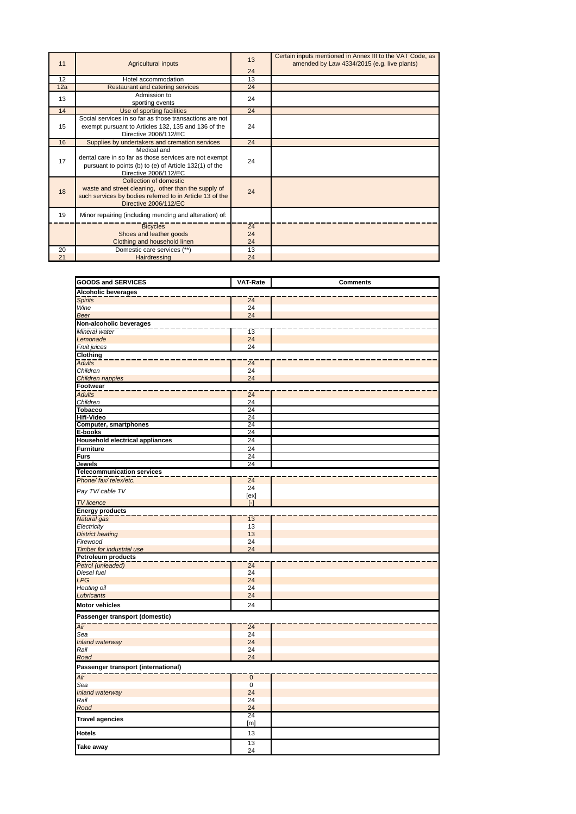| 11  | Agricultural inputs                                                                                                                                                | 13<br>24       | Certain inputs mentioned in Annex III to the VAT Code, as<br>amended by Law 4334/2015 (e.g. live plants) |
|-----|--------------------------------------------------------------------------------------------------------------------------------------------------------------------|----------------|----------------------------------------------------------------------------------------------------------|
| 12  | Hotel accommodation                                                                                                                                                | 13             |                                                                                                          |
| 12a | Restaurant and catering services                                                                                                                                   | 24             |                                                                                                          |
| 13  | Admission to<br>sporting events                                                                                                                                    | 24             |                                                                                                          |
| 14  | Use of sporting facilities                                                                                                                                         | 24             |                                                                                                          |
| 15  | Social services in so far as those transactions are not<br>exempt pursuant to Articles 132, 135 and 136 of the<br>Directive 2006/112/EC                            | 24             |                                                                                                          |
| 16  | Supplies by undertakers and cremation services                                                                                                                     | 24             |                                                                                                          |
| 17  | Medical and<br>dental care in so far as those services are not exempt<br>pursuant to points (b) to (e) of Article 132(1) of the<br>Directive 2006/112/EC           | 24             |                                                                                                          |
| 18  | Collection of domestic<br>waste and street cleaning, other than the supply of<br>such services by bodies referred to in Article 13 of the<br>Directive 2006/112/EC | 24             |                                                                                                          |
| 19  | Minor repairing (including mending and alteration) of:                                                                                                             |                |                                                                                                          |
|     | <b>Bicycles</b><br>Shoes and leather goods<br>Clothing and household linen                                                                                         | 24<br>24<br>24 |                                                                                                          |
| 20  | Domestic care services (**)                                                                                                                                        | 13             |                                                                                                          |
| 21  | Hairdressing                                                                                                                                                       | 24             |                                                                                                          |

| <b>GOODS and SERVICES</b>              | <b>VAT-Rate</b>   | <b>Comments</b> |
|----------------------------------------|-------------------|-----------------|
| <b>Alcoholic beverages</b>             |                   |                 |
| <b>Spirits</b>                         | $\overline{24}$   |                 |
| Wine                                   | 24                |                 |
| <b>Beer</b>                            | 24                |                 |
| Non-alcoholic beverages                |                   |                 |
| Mineral water                          | 13                |                 |
| Lemonade                               | 24                |                 |
| Fruit juices                           | 24                |                 |
| <b>Clothing</b>                        |                   |                 |
| <b>Adults</b>                          | $\overline{24}$   |                 |
| Children                               | 24                |                 |
| Children nappies                       | 24                |                 |
| <b>Footwear</b>                        |                   |                 |
| <b>Adults</b>                          | 24                |                 |
| Children                               | 24                |                 |
| <b>Tobacco</b>                         | 24                |                 |
| Hifi-Video                             | 24                |                 |
| Computer, smartphones                  | 24<br>24          |                 |
| E-books                                |                   |                 |
| <b>Household electrical appliances</b> | 24                |                 |
| <b>Furniture</b>                       | 24                |                 |
| <b>Furs</b>                            | 24                |                 |
| Jewels                                 | 24                |                 |
| <b>Telecommunication services</b>      |                   |                 |
| Phone/ fax/ telex/etc.                 | 24<br>24          |                 |
| Pay TV/ cable TV                       | [ex]              |                 |
| <b>TV</b> licence                      | $\lceil - \rceil$ |                 |
| <b>Energy products</b>                 |                   |                 |
| Natural gas                            | 13                |                 |
| Electricity                            | 13                |                 |
| <b>District heating</b>                | 13                |                 |
| Firewood                               | 24                |                 |
| <b>Timber for industrial use</b>       | 24                |                 |
| <b>Petroleum products</b>              |                   |                 |
| Petrol (unleaded)                      | $\overline{24}$   |                 |
| Diesel fuel                            | 24                |                 |
| <b>LPG</b>                             | 24                |                 |
| Heating oil                            | 24                |                 |
| Lubricants                             | 24                |                 |
| <b>Motor vehicles</b>                  | 24                |                 |
| Passenger transport (domestic)         |                   |                 |
| $\overline{Air}$                       | 24                |                 |
| Sea                                    | 24                |                 |
| Inland waterway                        | 24                |                 |
| Rail                                   | 24                |                 |
| Road                                   | 24                |                 |
| Passenger transport (international)    |                   |                 |
| Air                                    | $\overline{0}$    |                 |
| Sea                                    | $\mathbf 0$       |                 |
| Inland waterway                        | 24                |                 |
| Rail                                   | 24                |                 |
| Road                                   | 24                |                 |
|                                        | 24                |                 |
| <b>Travel agencies</b>                 | [m]               |                 |
| <b>Hotels</b>                          | 13                |                 |
| Take away                              | 13                |                 |
|                                        | 24                |                 |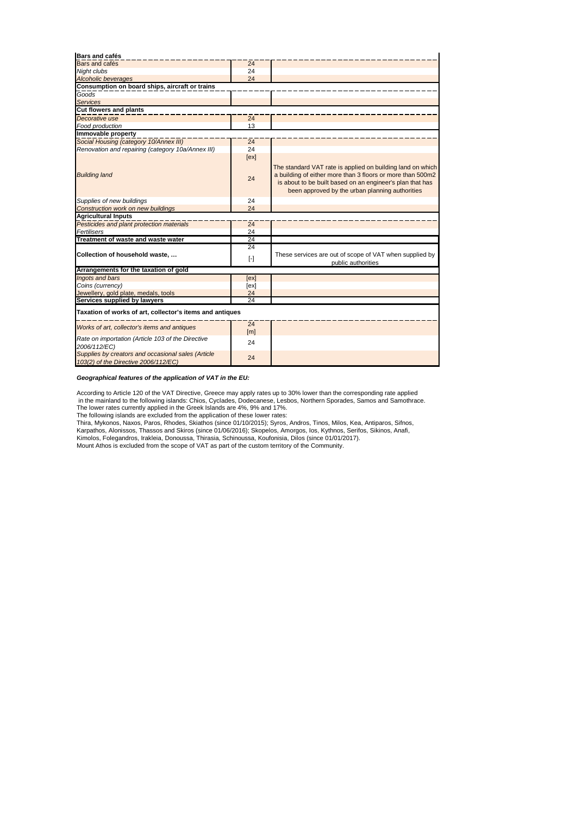| Bars and cafés                                                                             |                        |                                                                                                                                                                                                                                          |
|--------------------------------------------------------------------------------------------|------------------------|------------------------------------------------------------------------------------------------------------------------------------------------------------------------------------------------------------------------------------------|
| <b>Bars</b> and cafés                                                                      | 24                     |                                                                                                                                                                                                                                          |
| Night clubs                                                                                | 24                     |                                                                                                                                                                                                                                          |
| <b>Alcoholic beverages</b>                                                                 | 24                     |                                                                                                                                                                                                                                          |
| Consumption on board ships, aircraft or trains                                             |                        |                                                                                                                                                                                                                                          |
| Goods                                                                                      |                        |                                                                                                                                                                                                                                          |
| <b>Services</b>                                                                            |                        |                                                                                                                                                                                                                                          |
| <b>Cut flowers and plants</b>                                                              |                        |                                                                                                                                                                                                                                          |
| Decorative use                                                                             | 24                     |                                                                                                                                                                                                                                          |
| Food production                                                                            | 13                     |                                                                                                                                                                                                                                          |
| Immovable property                                                                         |                        |                                                                                                                                                                                                                                          |
| Social Housing (category 10/Annex III)                                                     | 24                     |                                                                                                                                                                                                                                          |
| Renovation and repairing (category 10a/Annex III)                                          | 24                     |                                                                                                                                                                                                                                          |
|                                                                                            | [ex]                   |                                                                                                                                                                                                                                          |
| <b>Building land</b>                                                                       | 24                     | The standard VAT rate is applied on building land on which<br>a building of either more than 3 floors or more than 500m2<br>is about to be built based on an engineer's plan that has<br>been approved by the urban planning authorities |
| Supplies of new buildings                                                                  | 24                     |                                                                                                                                                                                                                                          |
| Construction work on new buildings                                                         | 24                     |                                                                                                                                                                                                                                          |
| <b>Agricultural Inputs</b>                                                                 |                        |                                                                                                                                                                                                                                          |
| Pesticides and plant protection materials                                                  | 24                     |                                                                                                                                                                                                                                          |
| Fertilisers                                                                                | 24                     |                                                                                                                                                                                                                                          |
| Treatment of waste and waste water                                                         | 24                     |                                                                                                                                                                                                                                          |
|                                                                                            | 24                     |                                                                                                                                                                                                                                          |
| Collection of household waste,                                                             | $[\cdot]$              | These services are out of scope of VAT when supplied by<br>public authorities                                                                                                                                                            |
| Arrangements for the taxation of gold                                                      |                        |                                                                                                                                                                                                                                          |
| Ingots and bars                                                                            | [ex]                   |                                                                                                                                                                                                                                          |
| Coins (currency)                                                                           | [ex]                   |                                                                                                                                                                                                                                          |
| Jewellery, gold plate, medals, tools                                                       | 24                     |                                                                                                                                                                                                                                          |
| Services supplied by lawyers                                                               | 24                     |                                                                                                                                                                                                                                          |
| Taxation of works of art, collector's items and antiques                                   |                        |                                                                                                                                                                                                                                          |
| Works of art, collector's items and antiques                                               | 24<br>[ <sub>m</sub> ] |                                                                                                                                                                                                                                          |
| Rate on importation (Article 103 of the Directive<br>2006/112/EC)                          | 24                     |                                                                                                                                                                                                                                          |
| Supplies by creators and occasional sales (Article<br>103(2) of the Directive 2006/112/EC) | 24                     |                                                                                                                                                                                                                                          |

*Geographical features of the application of VAT in the EU:*

According to Article 120 of the VAT Directive, Greece may apply rates up to 30% lower than the corresponding rate applied in the mainland to the following islands: Chios, Cyclades, Dodecanese, Lesbos, Northern Sporades, Samos and Samothrace.<br>The lower rates currently applied in the Greek Islands are 4%, 9% and 17%.<br>The following islands are e

Kimolos, Folegandros, Irakleia, Donoussa, Thirasia, Schinoussa, Koufonisia, Dilos (since 01/01/2017). Mount Athos is excluded from the scope of VAT as part of the custom territory of the Community. Karpathos, Alonissos, Thassos and Skiros (since 01/06/2016); Skopelos, Amorgos, Ios, Kythnos, Serifos, Sikinos, Anafi,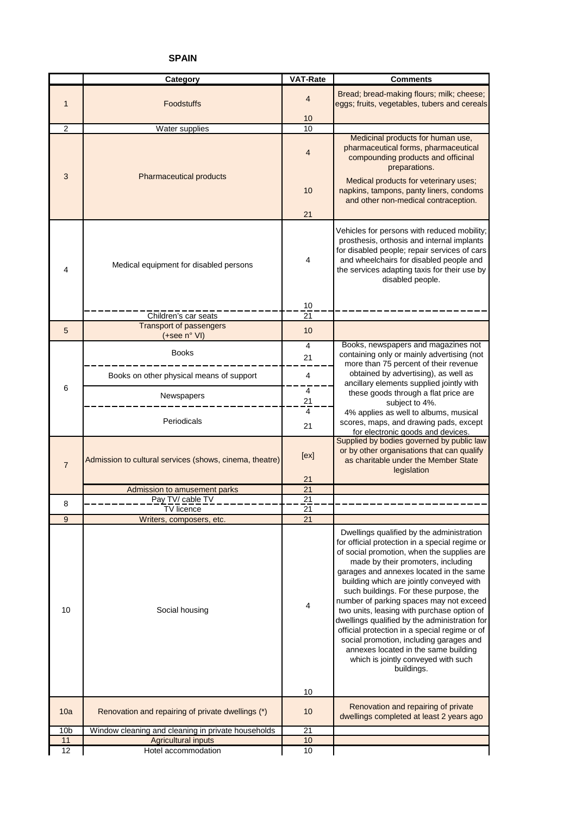## **SPAIN**

|                                             | Category                                                | <b>VAT-Rate</b> | <b>Comments</b>                                                                                                                                                                                                                                                                                                                                                                                                                                                                                                                                                                                                                                     |
|---------------------------------------------|---------------------------------------------------------|-----------------|-----------------------------------------------------------------------------------------------------------------------------------------------------------------------------------------------------------------------------------------------------------------------------------------------------------------------------------------------------------------------------------------------------------------------------------------------------------------------------------------------------------------------------------------------------------------------------------------------------------------------------------------------------|
| 1                                           | Foodstuffs                                              | 4               | Bread; bread-making flours; milk; cheese;<br>eggs; fruits, vegetables, tubers and cereals                                                                                                                                                                                                                                                                                                                                                                                                                                                                                                                                                           |
| 2                                           |                                                         | 10<br>10        |                                                                                                                                                                                                                                                                                                                                                                                                                                                                                                                                                                                                                                                     |
|                                             | <b>Water supplies</b>                                   | 4               | Medicinal products for human use,<br>pharmaceutical forms, pharmaceutical<br>compounding products and officinal<br>preparations.                                                                                                                                                                                                                                                                                                                                                                                                                                                                                                                    |
| 3                                           | <b>Pharmaceutical products</b>                          | 10<br>21        | Medical products for veterinary uses;<br>napkins, tampons, panty liners, condoms<br>and other non-medical contraception.                                                                                                                                                                                                                                                                                                                                                                                                                                                                                                                            |
| Medical equipment for disabled persons<br>4 |                                                         | 4               | Vehicles for persons with reduced mobility;<br>prosthesis, orthosis and internal implants<br>for disabled people; repair services of cars<br>and wheelchairs for disabled people and<br>the services adapting taxis for their use by<br>disabled people.                                                                                                                                                                                                                                                                                                                                                                                            |
|                                             |                                                         | 10              |                                                                                                                                                                                                                                                                                                                                                                                                                                                                                                                                                                                                                                                     |
|                                             | Children's car seats<br><b>Transport of passengers</b>  | 21              |                                                                                                                                                                                                                                                                                                                                                                                                                                                                                                                                                                                                                                                     |
| 5                                           | (+see n° VI)                                            | 10              | Books, newspapers and magazines not                                                                                                                                                                                                                                                                                                                                                                                                                                                                                                                                                                                                                 |
|                                             | <b>Books</b>                                            | 4<br>21         | containing only or mainly advertising (not<br>more than 75 percent of their revenue                                                                                                                                                                                                                                                                                                                                                                                                                                                                                                                                                                 |
|                                             | Books on other physical means of support                | 4               | obtained by advertising), as well as<br>ancillary elements supplied jointly with                                                                                                                                                                                                                                                                                                                                                                                                                                                                                                                                                                    |
| 6                                           | Newspapers                                              | 4<br>21<br>4    | these goods through a flat price are<br>subject to 4%.                                                                                                                                                                                                                                                                                                                                                                                                                                                                                                                                                                                              |
|                                             | Periodicals                                             | 21              | 4% applies as well to albums, musical<br>scores, maps, and drawing pads, except<br>for electronic goods and devices.                                                                                                                                                                                                                                                                                                                                                                                                                                                                                                                                |
| $\overline{7}$                              | Admission to cultural services (shows, cinema, theatre) |                 | Supplied by bodies governed by public law<br>or by other organisations that can qualify<br>as charitable under the Member State<br>legislation                                                                                                                                                                                                                                                                                                                                                                                                                                                                                                      |
|                                             | Admission to amusement parks                            | 21<br>21        |                                                                                                                                                                                                                                                                                                                                                                                                                                                                                                                                                                                                                                                     |
| 8                                           | Pay TV/ cable TV                                        | 21              |                                                                                                                                                                                                                                                                                                                                                                                                                                                                                                                                                                                                                                                     |
|                                             | <b>TV</b> licence                                       | $\overline{21}$ |                                                                                                                                                                                                                                                                                                                                                                                                                                                                                                                                                                                                                                                     |
| 9                                           | Writers, composers, etc.                                | 21              |                                                                                                                                                                                                                                                                                                                                                                                                                                                                                                                                                                                                                                                     |
| 10                                          | Social housing                                          | 4<br>10         | Dwellings qualified by the administration<br>for official protection in a special regime or<br>of social promotion, when the supplies are<br>made by their promoters, including<br>garages and annexes located in the same<br>building which are jointly conveyed with<br>such buildings. For these purpose, the<br>number of parking spaces may not exceed<br>two units, leasing with purchase option of<br>dwellings qualified by the administration for<br>official protection in a special regime or of<br>social promotion, including garages and<br>annexes located in the same building<br>which is jointly conveyed with such<br>buildings. |
| 10a                                         | Renovation and repairing of private dwellings (*)       | 10              | Renovation and repairing of private                                                                                                                                                                                                                                                                                                                                                                                                                                                                                                                                                                                                                 |
|                                             |                                                         |                 | dwellings completed at least 2 years ago                                                                                                                                                                                                                                                                                                                                                                                                                                                                                                                                                                                                            |
| 10 <sub>b</sub>                             | Window cleaning and cleaning in private households      | 21              |                                                                                                                                                                                                                                                                                                                                                                                                                                                                                                                                                                                                                                                     |
| 11<br>12                                    | <b>Agricultural inputs</b><br>Hotel accommodation       | 10<br>10        |                                                                                                                                                                                                                                                                                                                                                                                                                                                                                                                                                                                                                                                     |
|                                             |                                                         |                 |                                                                                                                                                                                                                                                                                                                                                                                                                                                                                                                                                                                                                                                     |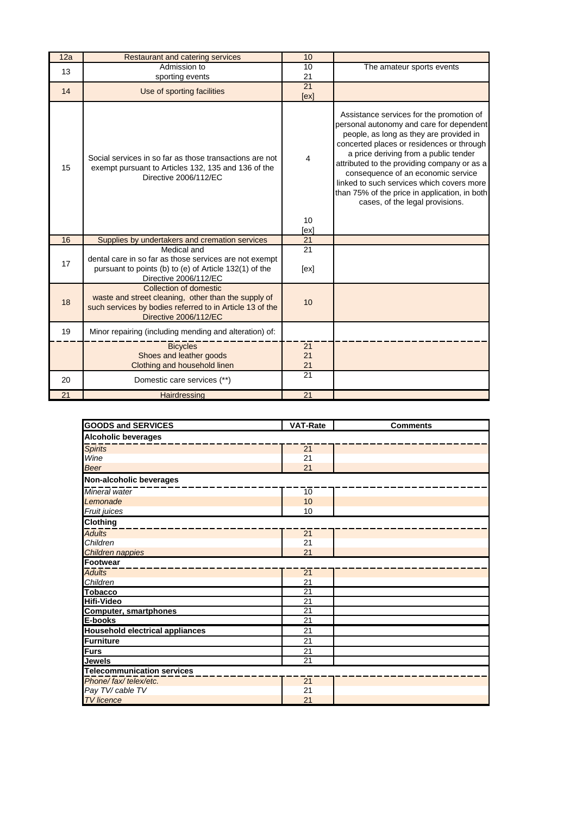| 12a | Restaurant and catering services                                                                                                                                   | 10             |                                                                                                                                                                                                                                                                                                                                                                                                                                             |
|-----|--------------------------------------------------------------------------------------------------------------------------------------------------------------------|----------------|---------------------------------------------------------------------------------------------------------------------------------------------------------------------------------------------------------------------------------------------------------------------------------------------------------------------------------------------------------------------------------------------------------------------------------------------|
| 13  | Admission to                                                                                                                                                       | 10             | The amateur sports events                                                                                                                                                                                                                                                                                                                                                                                                                   |
|     | sporting events                                                                                                                                                    | 21             |                                                                                                                                                                                                                                                                                                                                                                                                                                             |
| 14  | Use of sporting facilities                                                                                                                                         | 21<br>[ex]     |                                                                                                                                                                                                                                                                                                                                                                                                                                             |
| 15  | Social services in so far as those transactions are not<br>exempt pursuant to Articles 132, 135 and 136 of the<br>Directive 2006/112/EC                            |                | Assistance services for the promotion of<br>personal autonomy and care for dependent<br>people, as long as they are provided in<br>concerted places or residences or through<br>a price deriving from a public tender<br>attributed to the providing company or as a<br>consequence of an economic service<br>linked to such services which covers more<br>than 75% of the price in application, in both<br>cases, of the legal provisions. |
|     |                                                                                                                                                                    | 10<br>[ex]     |                                                                                                                                                                                                                                                                                                                                                                                                                                             |
| 16  | Supplies by undertakers and cremation services                                                                                                                     | 21             |                                                                                                                                                                                                                                                                                                                                                                                                                                             |
| 17  | Medical and<br>dental care in so far as those services are not exempt<br>pursuant to points (b) to (e) of Article 132(1) of the<br>Directive 2006/112/EC           | 21<br>[ex]     |                                                                                                                                                                                                                                                                                                                                                                                                                                             |
| 18  | Collection of domestic<br>waste and street cleaning, other than the supply of<br>such services by bodies referred to in Article 13 of the<br>Directive 2006/112/EC |                |                                                                                                                                                                                                                                                                                                                                                                                                                                             |
| 19  | Minor repairing (including mending and alteration) of:                                                                                                             |                |                                                                                                                                                                                                                                                                                                                                                                                                                                             |
|     | <b>Bicycles</b><br>Shoes and leather goods<br>Clothing and household linen                                                                                         | 21<br>21<br>21 |                                                                                                                                                                                                                                                                                                                                                                                                                                             |
| 20  | Domestic care services (**)                                                                                                                                        | 21             |                                                                                                                                                                                                                                                                                                                                                                                                                                             |
| 21  | Hairdressing                                                                                                                                                       | 21             |                                                                                                                                                                                                                                                                                                                                                                                                                                             |

| <b>GOODS and SERVICES</b>              | <b>VAT-Rate</b> | <b>Comments</b> |  |  |
|----------------------------------------|-----------------|-----------------|--|--|
| <b>Alcoholic beverages</b>             |                 |                 |  |  |
| <b>Spirits</b>                         | $\overline{21}$ |                 |  |  |
| Wine                                   | 21              |                 |  |  |
| <b>Beer</b>                            | 21              |                 |  |  |
| Non-alcoholic beverages                |                 |                 |  |  |
| Mineral water                          | 10              |                 |  |  |
| Lemonade                               | 10              |                 |  |  |
| Fruit juices                           | 10              |                 |  |  |
| <b>Clothing</b>                        |                 |                 |  |  |
| <b>Adults</b>                          | 21              |                 |  |  |
| Children                               | 21              |                 |  |  |
| Children nappies                       | 21              |                 |  |  |
| <b>Footwear</b>                        |                 |                 |  |  |
| <b>Adults</b>                          | 21              |                 |  |  |
| Children                               | 21              |                 |  |  |
| <b>Tobacco</b>                         | $\overline{21}$ |                 |  |  |
| <b>Hifi-Video</b>                      | $\overline{21}$ |                 |  |  |
| <b>Computer, smartphones</b>           | $\overline{21}$ |                 |  |  |
| E-books                                | 21              |                 |  |  |
| <b>Household electrical appliances</b> | 21              |                 |  |  |
| <b>Furniture</b>                       | 21              |                 |  |  |
| <b>Furs</b>                            | $\overline{21}$ |                 |  |  |
| Jewels                                 | $\overline{21}$ |                 |  |  |
| <b>Telecommunication services</b>      |                 |                 |  |  |
| Phone/fax/telex/etc.                   | 21              |                 |  |  |
| Pay TV/ cable TV                       | 21              |                 |  |  |
| <b>TV</b> licence                      | 21              |                 |  |  |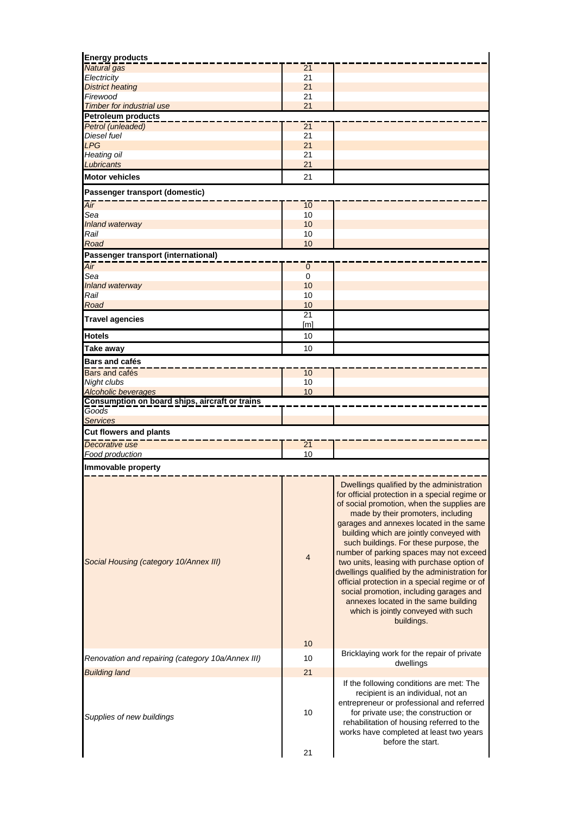| <b>Energy products</b>                            |                  |                                                                                                                                                                                                                                                                                                                                                                                                                                                                                                                                                                                                                                                     |
|---------------------------------------------------|------------------|-----------------------------------------------------------------------------------------------------------------------------------------------------------------------------------------------------------------------------------------------------------------------------------------------------------------------------------------------------------------------------------------------------------------------------------------------------------------------------------------------------------------------------------------------------------------------------------------------------------------------------------------------------|
| Natural gas                                       | 21               |                                                                                                                                                                                                                                                                                                                                                                                                                                                                                                                                                                                                                                                     |
| Electricity<br><b>District heating</b>            | 21<br>21         |                                                                                                                                                                                                                                                                                                                                                                                                                                                                                                                                                                                                                                                     |
| Firewood                                          | 21               |                                                                                                                                                                                                                                                                                                                                                                                                                                                                                                                                                                                                                                                     |
| <b>Timber for industrial use</b>                  | 21               |                                                                                                                                                                                                                                                                                                                                                                                                                                                                                                                                                                                                                                                     |
| <b>Petroleum products</b>                         |                  |                                                                                                                                                                                                                                                                                                                                                                                                                                                                                                                                                                                                                                                     |
| Petrol (unleaded)                                 | $\overline{21}$  |                                                                                                                                                                                                                                                                                                                                                                                                                                                                                                                                                                                                                                                     |
| <b>Diesel fuel</b><br><b>LPG</b>                  | 21<br>21         |                                                                                                                                                                                                                                                                                                                                                                                                                                                                                                                                                                                                                                                     |
| Heating oil                                       | 21               |                                                                                                                                                                                                                                                                                                                                                                                                                                                                                                                                                                                                                                                     |
| Lubricants                                        | 21               |                                                                                                                                                                                                                                                                                                                                                                                                                                                                                                                                                                                                                                                     |
| <b>Motor vehicles</b>                             | 21               |                                                                                                                                                                                                                                                                                                                                                                                                                                                                                                                                                                                                                                                     |
| Passenger transport (domestic)                    |                  |                                                                                                                                                                                                                                                                                                                                                                                                                                                                                                                                                                                                                                                     |
| Air                                               | 10               |                                                                                                                                                                                                                                                                                                                                                                                                                                                                                                                                                                                                                                                     |
| Sea                                               | 10               |                                                                                                                                                                                                                                                                                                                                                                                                                                                                                                                                                                                                                                                     |
| <b>Inland waterway</b>                            | 10               |                                                                                                                                                                                                                                                                                                                                                                                                                                                                                                                                                                                                                                                     |
| Rail                                              | 10               |                                                                                                                                                                                                                                                                                                                                                                                                                                                                                                                                                                                                                                                     |
| Road                                              | 10               |                                                                                                                                                                                                                                                                                                                                                                                                                                                                                                                                                                                                                                                     |
| Passenger transport (international)               |                  |                                                                                                                                                                                                                                                                                                                                                                                                                                                                                                                                                                                                                                                     |
| Air<br>Sea                                        | $\mathbf 0$<br>0 |                                                                                                                                                                                                                                                                                                                                                                                                                                                                                                                                                                                                                                                     |
| <b>Inland waterway</b>                            | 10               |                                                                                                                                                                                                                                                                                                                                                                                                                                                                                                                                                                                                                                                     |
| Rail                                              | 10               |                                                                                                                                                                                                                                                                                                                                                                                                                                                                                                                                                                                                                                                     |
| Road                                              | 10               |                                                                                                                                                                                                                                                                                                                                                                                                                                                                                                                                                                                                                                                     |
| <b>Travel agencies</b>                            | 21               |                                                                                                                                                                                                                                                                                                                                                                                                                                                                                                                                                                                                                                                     |
|                                                   | [m]              |                                                                                                                                                                                                                                                                                                                                                                                                                                                                                                                                                                                                                                                     |
| <b>Hotels</b>                                     | 10               |                                                                                                                                                                                                                                                                                                                                                                                                                                                                                                                                                                                                                                                     |
| Take away                                         | 10               |                                                                                                                                                                                                                                                                                                                                                                                                                                                                                                                                                                                                                                                     |
| <b>Bars and cafés</b>                             |                  |                                                                                                                                                                                                                                                                                                                                                                                                                                                                                                                                                                                                                                                     |
| Bars and cafés                                    | 10               |                                                                                                                                                                                                                                                                                                                                                                                                                                                                                                                                                                                                                                                     |
| Night clubs<br>Alcoholic beverages                | 10<br>10         |                                                                                                                                                                                                                                                                                                                                                                                                                                                                                                                                                                                                                                                     |
| Consumption on board ships, aircraft or trains    |                  |                                                                                                                                                                                                                                                                                                                                                                                                                                                                                                                                                                                                                                                     |
| Goods                                             |                  |                                                                                                                                                                                                                                                                                                                                                                                                                                                                                                                                                                                                                                                     |
| <b>Services</b>                                   |                  |                                                                                                                                                                                                                                                                                                                                                                                                                                                                                                                                                                                                                                                     |
| <b>Cut flowers and plants</b>                     |                  |                                                                                                                                                                                                                                                                                                                                                                                                                                                                                                                                                                                                                                                     |
| Decorative use                                    | 21               |                                                                                                                                                                                                                                                                                                                                                                                                                                                                                                                                                                                                                                                     |
| Food production                                   | 10               |                                                                                                                                                                                                                                                                                                                                                                                                                                                                                                                                                                                                                                                     |
| Immovable property                                |                  |                                                                                                                                                                                                                                                                                                                                                                                                                                                                                                                                                                                                                                                     |
| Social Housing (category 10/Annex III)            | 4                | Dwellings qualified by the administration<br>for official protection in a special regime or<br>of social promotion, when the supplies are<br>made by their promoters, including<br>garages and annexes located in the same<br>building which are jointly conveyed with<br>such buildings. For these purpose, the<br>number of parking spaces may not exceed<br>two units, leasing with purchase option of<br>dwellings qualified by the administration for<br>official protection in a special regime or of<br>social promotion, including garages and<br>annexes located in the same building<br>which is jointly conveyed with such<br>buildings. |
|                                                   | 10               | Bricklaying work for the repair of private                                                                                                                                                                                                                                                                                                                                                                                                                                                                                                                                                                                                          |
| Renovation and repairing (category 10a/Annex III) | 10               | dwellings                                                                                                                                                                                                                                                                                                                                                                                                                                                                                                                                                                                                                                           |
| <b>Building land</b>                              | 21               |                                                                                                                                                                                                                                                                                                                                                                                                                                                                                                                                                                                                                                                     |
| Supplies of new buildings                         | 10               | If the following conditions are met: The<br>recipient is an individual, not an<br>entrepreneur or professional and referred<br>for private use; the construction or<br>rehabilitation of housing referred to the<br>works have completed at least two years<br>before the start.                                                                                                                                                                                                                                                                                                                                                                    |
|                                                   | 21               |                                                                                                                                                                                                                                                                                                                                                                                                                                                                                                                                                                                                                                                     |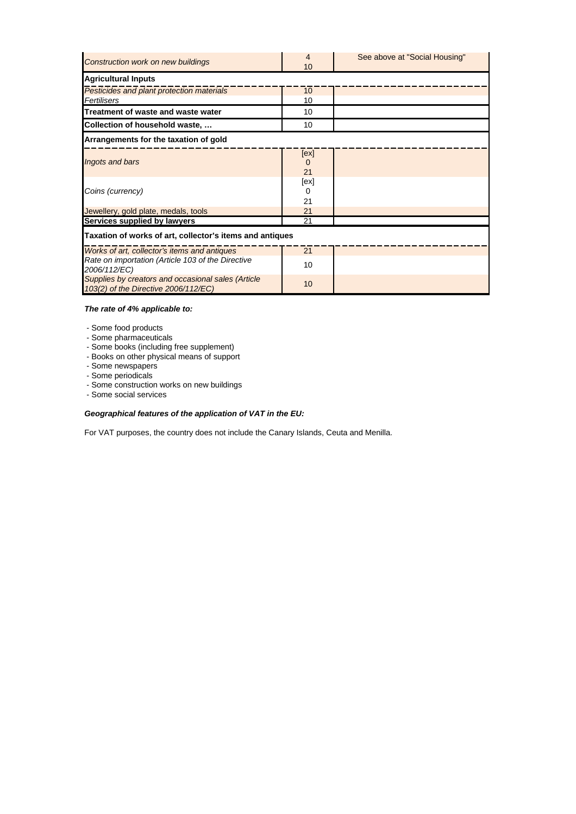| Construction work on new buildings                                                         | 4<br>10    | See above at "Social Housing" |  |
|--------------------------------------------------------------------------------------------|------------|-------------------------------|--|
| <b>Agricultural Inputs</b>                                                                 |            |                               |  |
| Pesticides and plant protection materials                                                  | 10         |                               |  |
| Fertilisers                                                                                | 10         |                               |  |
| Treatment of waste and waste water                                                         | 10         |                               |  |
| Collection of household waste,                                                             | 10         |                               |  |
| Arrangements for the taxation of gold                                                      |            |                               |  |
| Ingots and bars                                                                            | [ex]<br>21 |                               |  |
| Coins (currency)                                                                           | [ex]<br>21 |                               |  |
| Jewellery, gold plate, medals, tools                                                       | 21         |                               |  |
| Services supplied by lawyers                                                               | 21         |                               |  |
| Taxation of works of art, collector's items and antiques                                   |            |                               |  |
| Works of art, collector's items and antiques                                               | 21         |                               |  |
| Rate on importation (Article 103 of the Directive<br>2006/112/EC)                          | 10         |                               |  |
| Supplies by creators and occasional sales (Article<br>103(2) of the Directive 2006/112/EC) | 10         |                               |  |

### *The rate of 4% applicable to:*

- Some food products

- Some pharmaceuticals
- Some books (including free supplement)
- Books on other physical means of support
- Some newspapers
- Some periodicals
- Some construction works on new buildings
- Some social services

## *Geographical features of the application of VAT in the EU:*

For VAT purposes, the country does not include the Canary Islands, Ceuta and Menilla.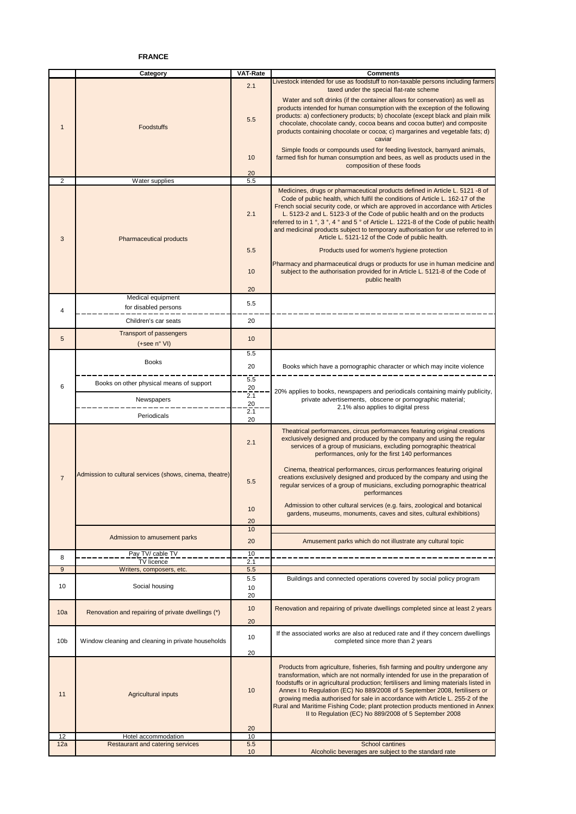### **FRANCE**

|                 | Category                                                | <b>VAT-Rate</b> | <b>Comments</b>                                                                                                                                                                                                                                                                                                                                                                                                                                                                                                                                               |
|-----------------|---------------------------------------------------------|-----------------|---------------------------------------------------------------------------------------------------------------------------------------------------------------------------------------------------------------------------------------------------------------------------------------------------------------------------------------------------------------------------------------------------------------------------------------------------------------------------------------------------------------------------------------------------------------|
|                 |                                                         |                 | Livestock intended for use as foodstuff to non-taxable persons including farmers                                                                                                                                                                                                                                                                                                                                                                                                                                                                              |
| $\mathbf 1$     | <b>Foodstuffs</b>                                       | 2.1<br>5.5      | taxed under the special flat-rate scheme<br>Water and soft drinks (if the container allows for conservation) as well as<br>products intended for human consumption with the exception of the following<br>products: a) confectionery products; b) chocolate (except black and plain milk<br>chocolate, chocolate candy, cocoa beans and cocoa butter) and composite<br>products containing chocolate or cocoa; c) margarines and vegetable fats; d)<br>caviar                                                                                                 |
|                 |                                                         | 10<br>20        | Simple foods or compounds used for feeding livestock, barnyard animals,<br>farmed fish for human consumption and bees, as well as products used in the<br>composition of these foods                                                                                                                                                                                                                                                                                                                                                                          |
| 2               | Water supplies                                          | 5.5             |                                                                                                                                                                                                                                                                                                                                                                                                                                                                                                                                                               |
|                 |                                                         |                 | Medicines, drugs or pharmaceutical products defined in Article L. 5121 -8 of                                                                                                                                                                                                                                                                                                                                                                                                                                                                                  |
| 3               | Pharmaceutical products                                 | 2.1             | Code of public health, which fulfil the conditions of Article L. 162-17 of the<br>French social security code, or which are approved in accordance with Articles<br>L. 5123-2 and L. 5123-3 of the Code of public health and on the products<br>referred to in 1 °, 3 °, 4 ° and 5 ° of Article L. 1221-8 of the Code of public health<br>and medicinal products subject to temporary authorisation for use referred to in<br>Article L. 5121-12 of the Code of public health.                                                                                |
|                 |                                                         | 5.5             | Products used for women's hygiene protection                                                                                                                                                                                                                                                                                                                                                                                                                                                                                                                  |
|                 |                                                         | 10              | Pharmacy and pharmaceutical drugs or products for use in human medicine and<br>subject to the authorisation provided for in Article L. 5121-8 of the Code of<br>public health                                                                                                                                                                                                                                                                                                                                                                                 |
|                 |                                                         | 20              |                                                                                                                                                                                                                                                                                                                                                                                                                                                                                                                                                               |
|                 | Medical equipment                                       | 5.5             |                                                                                                                                                                                                                                                                                                                                                                                                                                                                                                                                                               |
| 4               | for disabled persons                                    |                 |                                                                                                                                                                                                                                                                                                                                                                                                                                                                                                                                                               |
|                 | Children's car seats                                    | 20              |                                                                                                                                                                                                                                                                                                                                                                                                                                                                                                                                                               |
| 5               | <b>Transport of passengers</b><br>$(+see n° VI)$        | 10              |                                                                                                                                                                                                                                                                                                                                                                                                                                                                                                                                                               |
|                 |                                                         | 5.5             |                                                                                                                                                                                                                                                                                                                                                                                                                                                                                                                                                               |
|                 | <b>Books</b>                                            | 20              | Books which have a pornographic character or which may incite violence                                                                                                                                                                                                                                                                                                                                                                                                                                                                                        |
|                 |                                                         | 5.5             |                                                                                                                                                                                                                                                                                                                                                                                                                                                                                                                                                               |
| 6               | Books on other physical means of support                | 20              |                                                                                                                                                                                                                                                                                                                                                                                                                                                                                                                                                               |
|                 | Newspapers                                              | 2.1             | 20% applies to books, newspapers and periodicals containing mainly publicity,<br>private advertisements, obscene or pornographic material;                                                                                                                                                                                                                                                                                                                                                                                                                    |
|                 |                                                         | 20<br>2.1       | 2.1% also applies to digital press                                                                                                                                                                                                                                                                                                                                                                                                                                                                                                                            |
|                 | Periodicals                                             | 20              |                                                                                                                                                                                                                                                                                                                                                                                                                                                                                                                                                               |
|                 |                                                         | 2.1             | Theatrical performances, circus performances featuring original creations<br>exclusively designed and produced by the company and using the regular<br>services of a group of musicians, excluding pornographic theatrical<br>performances, only for the first 140 performances                                                                                                                                                                                                                                                                               |
| $\overline{7}$  | Admission to cultural services (shows, cinema, theatre) | 5.5             | Cinema, theatrical performances, circus performances featuring original<br>creations exclusively designed and produced by the company and using the<br>regular services of a group of musicians, excluding pornographic theatrical<br>performances                                                                                                                                                                                                                                                                                                            |
|                 |                                                         | 10<br>20        | Admission to other cultural services (e.g. fairs, zoological and botanical<br>gardens, museums, monuments, caves and sites, cultural exhibitions)                                                                                                                                                                                                                                                                                                                                                                                                             |
|                 |                                                         | 10              |                                                                                                                                                                                                                                                                                                                                                                                                                                                                                                                                                               |
|                 | Admission to amusement parks<br>Pay TV/ cable TV        | 20<br>10        | Amusement parks which do not illustrate any cultural topic                                                                                                                                                                                                                                                                                                                                                                                                                                                                                                    |
| 8               | <b>TV</b> licence                                       | 2.1             |                                                                                                                                                                                                                                                                                                                                                                                                                                                                                                                                                               |
| 9               | Writers, composers, etc.                                | 5.5             |                                                                                                                                                                                                                                                                                                                                                                                                                                                                                                                                                               |
| 10              | Social housing                                          | 5.5<br>10<br>20 | Buildings and connected operations covered by social policy program                                                                                                                                                                                                                                                                                                                                                                                                                                                                                           |
| 10a             | Renovation and repairing of private dwellings (*)       | 10<br>20        | Renovation and repairing of private dwellings completed since at least 2 years                                                                                                                                                                                                                                                                                                                                                                                                                                                                                |
| 10 <sub>b</sub> | Window cleaning and cleaning in private households      | 10              | If the associated works are also at reduced rate and if they concern dwellings<br>completed since more than 2 years                                                                                                                                                                                                                                                                                                                                                                                                                                           |
| 11              | Agricultural inputs                                     | 20<br>10<br>20  | Products from agriculture, fisheries, fish farming and poultry undergone any<br>transformation, which are not normally intended for use in the preparation of<br>foodstuffs or in agricultural production; fertilisers and liming materials listed in<br>Annex I to Regulation (EC) No 889/2008 of 5 September 2008, fertilisers or<br>growing media authorised for sale in accordance with Article L. 255-2 of the<br>Rural and Maritime Fishing Code; plant protection products mentioned in Annex<br>Il to Regulation (EC) No 889/2008 of 5 September 2008 |
| 12              | Hotel accommodation                                     | 10              |                                                                                                                                                                                                                                                                                                                                                                                                                                                                                                                                                               |
| 12a             | <b>Restaurant and catering services</b>                 | 5.5<br>10       | School cantines<br>Alcoholic beverages are subject to the standard rate                                                                                                                                                                                                                                                                                                                                                                                                                                                                                       |
|                 |                                                         |                 |                                                                                                                                                                                                                                                                                                                                                                                                                                                                                                                                                               |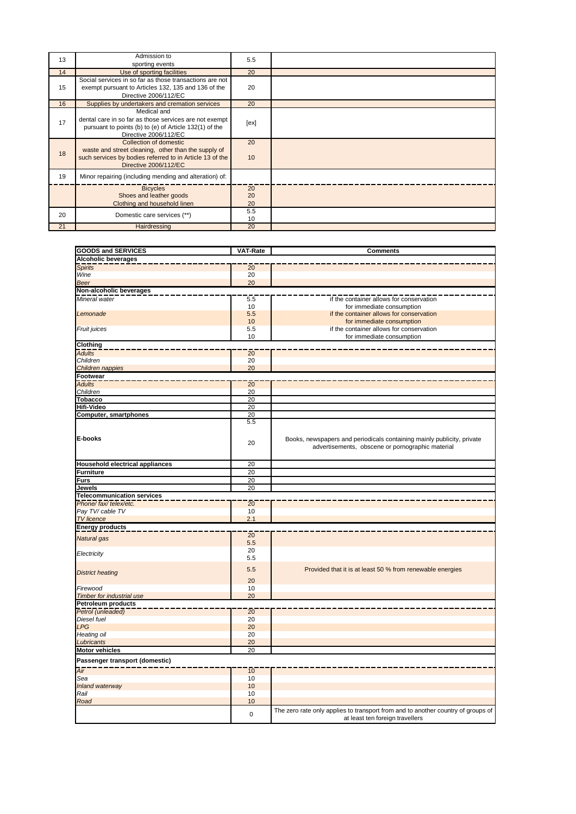| 13 | Admission to<br>sporting events                                                                                                                                    | 5.5            |  |
|----|--------------------------------------------------------------------------------------------------------------------------------------------------------------------|----------------|--|
| 14 | Use of sporting facilities                                                                                                                                         | 20             |  |
| 15 | Social services in so far as those transactions are not<br>exempt pursuant to Articles 132, 135 and 136 of the<br>Directive 2006/112/EC                            | 20             |  |
| 16 | Supplies by undertakers and cremation services                                                                                                                     | 20             |  |
| 17 | Medical and<br>dental care in so far as those services are not exempt<br>pursuant to points (b) to (e) of Article 132(1) of the<br>Directive 2006/112/EC           | [ex]           |  |
| 18 | Collection of domestic<br>waste and street cleaning, other than the supply of<br>such services by bodies referred to in Article 13 of the<br>Directive 2006/112/EC | 20<br>10       |  |
| 19 | Minor repairing (including mending and alteration) of:                                                                                                             |                |  |
|    | <b>Bicycles</b><br>Shoes and leather goods<br>Clothing and household linen                                                                                         | 20<br>20<br>20 |  |
| 20 | Domestic care services (**)                                                                                                                                        | 5.5<br>10      |  |
| 21 | Hairdressing                                                                                                                                                       | 20             |  |

| <b>GOODS and SERVICES</b>              | VAT-Rate        | <b>Comments</b>                                                                                                     |
|----------------------------------------|-----------------|---------------------------------------------------------------------------------------------------------------------|
| <b>Alcoholic beverages</b>             |                 |                                                                                                                     |
| <b>Spirits</b>                         | $\overline{20}$ |                                                                                                                     |
| Wine                                   | 20              |                                                                                                                     |
| <b>Beer</b>                            | 20              |                                                                                                                     |
| Non-alcoholic beverages                |                 |                                                                                                                     |
| Mineral water                          | 5.5             | if the container allows for conservation                                                                            |
|                                        | 10              | for immediate consumption                                                                                           |
| Lemonade                               | 5.5             | if the container allows for conservation                                                                            |
|                                        | 10              | for immediate consumption                                                                                           |
| Fruit juices                           | 5.5             | if the container allows for conservation                                                                            |
|                                        | 10              | for immediate consumption                                                                                           |
| Clothing                               |                 |                                                                                                                     |
| <b>Adults</b>                          | 20              |                                                                                                                     |
| Children                               | 20              |                                                                                                                     |
| Children nappies                       | 20              |                                                                                                                     |
| Footwear                               |                 |                                                                                                                     |
| <b>Adults</b>                          | 20              |                                                                                                                     |
| Children                               | 20              |                                                                                                                     |
| <b>Tobacco</b>                         | 20              |                                                                                                                     |
| <b>Hifi-Video</b>                      | 20              |                                                                                                                     |
| Computer, smartphones                  | 20              |                                                                                                                     |
|                                        | 5.5             |                                                                                                                     |
|                                        |                 |                                                                                                                     |
| E-books                                |                 |                                                                                                                     |
|                                        | 20              | Books, newspapers and periodicals containing mainly publicity, private                                              |
|                                        |                 | advertisements, obscene or pornographic material                                                                    |
|                                        |                 |                                                                                                                     |
| <b>Household electrical appliances</b> | 20              |                                                                                                                     |
| <b>Furniture</b>                       | 20              |                                                                                                                     |
| <b>Furs</b>                            | 20              |                                                                                                                     |
| <b>Jewels</b>                          | 20              |                                                                                                                     |
| <b>Telecommunication services</b>      |                 |                                                                                                                     |
| Phone/ fax/ telex/etc.                 | 20              |                                                                                                                     |
| Pay TV/ cable TV                       | 10              |                                                                                                                     |
| <b>TV</b> licence                      | 2.1             |                                                                                                                     |
| <b>Energy products</b>                 |                 |                                                                                                                     |
| <b>Natural</b> gas                     | $\overline{20}$ |                                                                                                                     |
|                                        | 5.5             |                                                                                                                     |
| Electricity                            | 20              |                                                                                                                     |
|                                        | 5.5             |                                                                                                                     |
|                                        | 5.5             | Provided that it is at least 50 % from renewable energies                                                           |
| <b>District heating</b>                |                 |                                                                                                                     |
|                                        | 20              |                                                                                                                     |
| Firewood                               | 10              |                                                                                                                     |
| Timber for industrial use              | 20              |                                                                                                                     |
| <b>Petroleum products</b>              |                 |                                                                                                                     |
| Petrol (unleaded)                      | $\overline{20}$ |                                                                                                                     |
| Diesel fuel                            | 20              |                                                                                                                     |
| LPG                                    | 20              |                                                                                                                     |
| <b>Heating oil</b>                     | 20              |                                                                                                                     |
| Lubricants                             | 20              |                                                                                                                     |
| <b>Motor vehicles</b>                  | 20              |                                                                                                                     |
| Passenger transport (domestic)         |                 |                                                                                                                     |
|                                        |                 |                                                                                                                     |
| Air                                    | 10              |                                                                                                                     |
| Sea                                    | 10              |                                                                                                                     |
| Inland waterway                        | 10              |                                                                                                                     |
| Rail                                   | 10              |                                                                                                                     |
| Road                                   | 10              |                                                                                                                     |
|                                        | $\pmb{0}$       | The zero rate only applies to transport from and to another country of groups of<br>at least ten foreign travellers |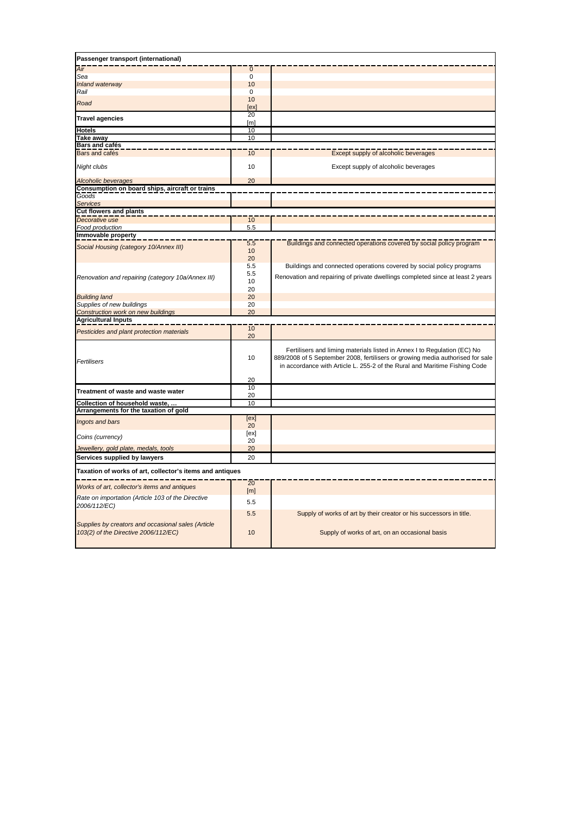| Passenger transport (international)                               |                        |                                                                                                                                                                                                                                          |
|-------------------------------------------------------------------|------------------------|------------------------------------------------------------------------------------------------------------------------------------------------------------------------------------------------------------------------------------------|
| Air                                                               | $\mathbf 0$            |                                                                                                                                                                                                                                          |
| Sea                                                               | 0                      |                                                                                                                                                                                                                                          |
| Inland waterway                                                   | 10                     |                                                                                                                                                                                                                                          |
| Rail                                                              | 0                      |                                                                                                                                                                                                                                          |
| Road                                                              | 10                     |                                                                                                                                                                                                                                          |
| <b>Travel agencies</b>                                            | [ex]<br>20             |                                                                                                                                                                                                                                          |
| <b>Hotels</b>                                                     | [ <sub>m</sub> ]<br>10 |                                                                                                                                                                                                                                          |
| Take away                                                         | 10                     |                                                                                                                                                                                                                                          |
| Bars and cafés                                                    |                        |                                                                                                                                                                                                                                          |
| <b>Bars</b> and cafés                                             | $\overline{10}$        | Except supply of alcoholic beverages                                                                                                                                                                                                     |
| Night clubs                                                       | 10                     | Except supply of alcoholic beverages                                                                                                                                                                                                     |
| Alcoholic beverages                                               | 20                     |                                                                                                                                                                                                                                          |
| Consumption on board ships, aircraft or trains                    |                        |                                                                                                                                                                                                                                          |
| Goods                                                             |                        |                                                                                                                                                                                                                                          |
| Services                                                          |                        |                                                                                                                                                                                                                                          |
| <b>Cut flowers and plants</b>                                     |                        |                                                                                                                                                                                                                                          |
| Decorative use                                                    | 10                     |                                                                                                                                                                                                                                          |
| Food production                                                   | 5.5                    |                                                                                                                                                                                                                                          |
| Immovable property                                                |                        |                                                                                                                                                                                                                                          |
|                                                                   | 5.5                    | Buildings and connected operations covered by social policy program                                                                                                                                                                      |
| Social Housing (category 10/Annex III)                            | 10                     |                                                                                                                                                                                                                                          |
|                                                                   | 20                     |                                                                                                                                                                                                                                          |
|                                                                   | 5.5                    | Buildings and connected operations covered by social policy programs                                                                                                                                                                     |
|                                                                   | 5.5                    |                                                                                                                                                                                                                                          |
| Renovation and repairing (category 10a/Annex III)                 | 10                     | Renovation and repairing of private dwellings completed since at least 2 years                                                                                                                                                           |
|                                                                   | 20                     |                                                                                                                                                                                                                                          |
| <b>Building land</b>                                              | 20                     |                                                                                                                                                                                                                                          |
| Supplies of new buildings                                         | 20                     |                                                                                                                                                                                                                                          |
| Construction work on new buildings                                | 20                     |                                                                                                                                                                                                                                          |
| <b>Agricultural Inputs</b>                                        |                        |                                                                                                                                                                                                                                          |
|                                                                   | $\overline{10}$        |                                                                                                                                                                                                                                          |
| Pesticides and plant protection materials                         | 20                     |                                                                                                                                                                                                                                          |
| Fertilisers                                                       | 10                     | Fertilisers and liming materials listed in Annex I to Regulation (EC) No<br>889/2008 of 5 September 2008, fertilisers or growing media authorised for sale<br>in accordance with Article L. 255-2 of the Rural and Maritime Fishing Code |
|                                                                   | 20                     |                                                                                                                                                                                                                                          |
| Treatment of waste and waste water                                | 10<br>20               |                                                                                                                                                                                                                                          |
| <b>Collection of household waste.</b>                             | 10                     |                                                                                                                                                                                                                                          |
| Arrangements for the taxation of gold                             |                        |                                                                                                                                                                                                                                          |
| Ingots and bars                                                   | [ex]<br>20             |                                                                                                                                                                                                                                          |
| Coins (currency)                                                  | [ex]<br>20             |                                                                                                                                                                                                                                          |
| Jewellery, gold plate, medals, tools                              | 20                     |                                                                                                                                                                                                                                          |
| Services supplied by lawyers                                      | 20                     |                                                                                                                                                                                                                                          |
| Taxation of works of art, collector's items and antiques          |                        |                                                                                                                                                                                                                                          |
|                                                                   | $\overline{20}$        |                                                                                                                                                                                                                                          |
| Works of art, collector's items and antiques                      | [m]                    |                                                                                                                                                                                                                                          |
| Rate on importation (Article 103 of the Directive<br>2006/112/EC) | 5.5                    |                                                                                                                                                                                                                                          |
| Supplies by creators and occasional sales (Article                | 5.5                    | Supply of works of art by their creator or his successors in title.                                                                                                                                                                      |
| 103(2) of the Directive 2006/112/EC)                              | 10                     | Supply of works of art, on an occasional basis                                                                                                                                                                                           |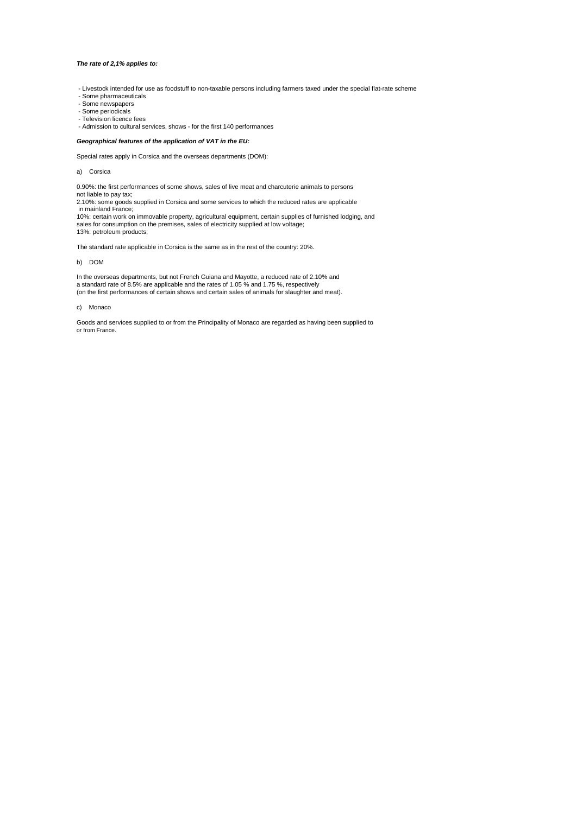#### *The rate of 2,1% applies to:*

- Livestock intended for use as foodstuff to non-taxable persons including farmers taxed under the special flat-rate scheme
- Some pharmaceuticals Some newspapers
- 
- Some periodicals
- Television licence fees Admission to cultural services, shows for the first 140 performances
- 

#### *Geographical features of the application of VAT in the EU:*

Special rates apply in Corsica and the overseas departments (DOM):

a) Corsica

0.90%: the first performances of some shows, sales of live meat and charcuterie animals to persons not liable to pay tax;

2.10%: some goods supplied in Corsica and some services to which the reduced rates are applicable in mainland France;

10%: certain work on immovable property, agricultural equipment, certain supplies of furnished lodging, and sales for consumption on the premises, sales of electricity supplied at low voltage; 13%: petroleum products;

The standard rate applicable in Corsica is the same as in the rest of the country: 20%.

b) DOM

In the overseas departments, but not French Guiana and Mayotte, a reduced rate of 2.10% and a standard rate of 8.5% are applicable and the rates of 1.05 % and 1.75 %, respectively (on the first performances of certain shows and certain sales of animals for slaughter and meat).

#### c) Monaco

Goods and services supplied to or from the Principality of Monaco are regarded as having been supplied to or from France.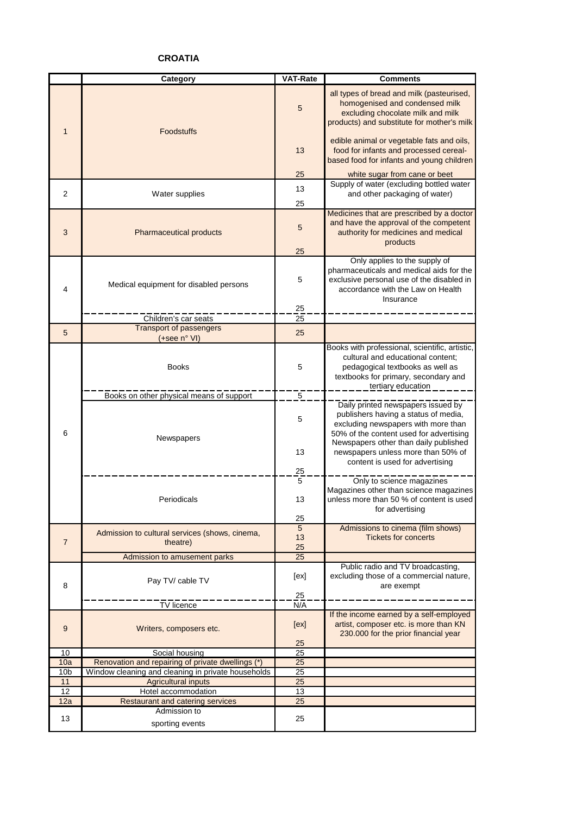## **CROATIA**

|                 | <b>Category</b>                                            | <b>VAT-Rate</b> | <b>Comments</b>                                                                                                                                                                                                                                                                |
|-----------------|------------------------------------------------------------|-----------------|--------------------------------------------------------------------------------------------------------------------------------------------------------------------------------------------------------------------------------------------------------------------------------|
| $\mathbf{1}$    | <b>Foodstuffs</b>                                          | 5               | all types of bread and milk (pasteurised,<br>homogenised and condensed milk<br>excluding chocolate milk and milk<br>products) and substitute for mother's milk                                                                                                                 |
|                 |                                                            | 13              | edible animal or vegetable fats and oils,<br>food for infants and processed cereal-<br>based food for infants and young children                                                                                                                                               |
|                 |                                                            | 25              | white sugar from cane or beet                                                                                                                                                                                                                                                  |
| $\overline{2}$  | Water supplies                                             | 13<br>25        | Supply of water (excluding bottled water<br>and other packaging of water)                                                                                                                                                                                                      |
| 3               | Pharmaceutical products                                    |                 | Medicines that are prescribed by a doctor<br>and have the approval of the competent<br>authority for medicines and medical<br>products                                                                                                                                         |
| 4               | Medical equipment for disabled persons                     | 5<br>25         | Only applies to the supply of<br>pharmaceuticals and medical aids for the<br>exclusive personal use of the disabled in<br>accordance with the Law on Health<br>Insurance                                                                                                       |
|                 | Children's car seats                                       | 25              |                                                                                                                                                                                                                                                                                |
| 5               | <b>Transport of passengers</b><br>(+see n° VI)             | 25              |                                                                                                                                                                                                                                                                                |
|                 | <b>Books</b>                                               | 5               | Books with professional, scientific, artistic,<br>cultural and educational content;<br>pedagogical textbooks as well as<br>textbooks for primary, secondary and<br>tertiary education                                                                                          |
|                 | Books on other physical means of support                   | $\overline{5}$  |                                                                                                                                                                                                                                                                                |
| 6               | Newspapers                                                 | 5<br>13<br>25   | Daily printed newspapers issued by<br>publishers having a status of media,<br>excluding newspapers with more than<br>50% of the content used for advertising<br>Newspapers other than daily published<br>newspapers unless more than 50% of<br>content is used for advertising |
|                 | Periodicals                                                | 5<br>13<br>25   | Only to science magazines<br>Magazines other than science magazines<br>unless more than 50 % of content is used<br>for advertising                                                                                                                                             |
| $\overline{7}$  | Admission to cultural services (shows, cinema,<br>theatre) | 5<br>13<br>25   | Admissions to cinema (film shows)<br><b>Tickets for concerts</b>                                                                                                                                                                                                               |
|                 | Admission to amusement parks                               | 25              |                                                                                                                                                                                                                                                                                |
| 8               | Pay TV/ cable TV                                           | [ex]            | Public radio and TV broadcasting,<br>excluding those of a commercial nature,<br>are exempt                                                                                                                                                                                     |
|                 | <b>TV</b> licence                                          | 25<br>N/A       |                                                                                                                                                                                                                                                                                |
| 9               | Writers, composers etc.                                    | [ex]            | If the income earned by a self-employed<br>artist, composer etc. is more than KN<br>230.000 for the prior financial year                                                                                                                                                       |
| 10              | Social housing                                             | 25<br>25        |                                                                                                                                                                                                                                                                                |
| 10a             | Renovation and repairing of private dwellings (*)          | 25              |                                                                                                                                                                                                                                                                                |
| 10 <sub>b</sub> | Window cleaning and cleaning in private households         | 25              |                                                                                                                                                                                                                                                                                |
| 11              | <b>Agricultural inputs</b>                                 | 25              |                                                                                                                                                                                                                                                                                |
| 12              | Hotel accommodation                                        | 13              |                                                                                                                                                                                                                                                                                |
| 12a             | <b>Restaurant and catering services</b>                    | 25              |                                                                                                                                                                                                                                                                                |
| 13              | Admission to<br>sporting events                            | 25              |                                                                                                                                                                                                                                                                                |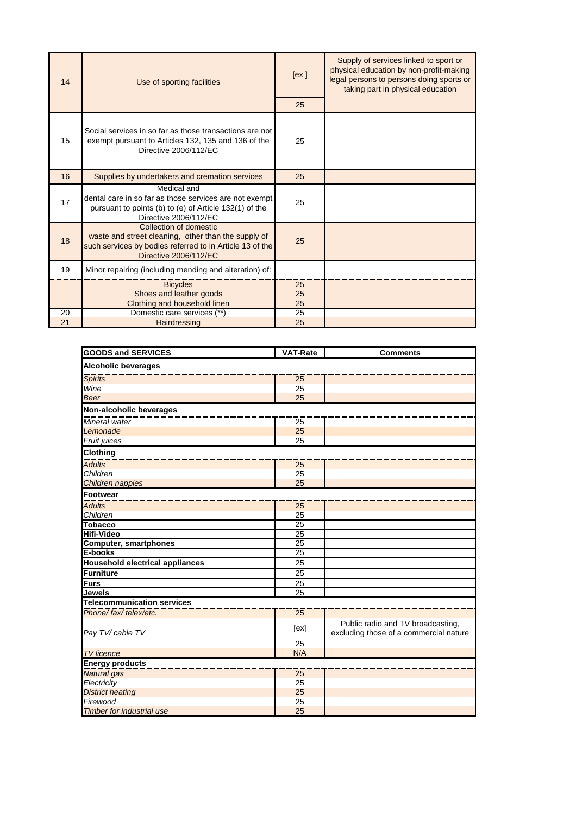| 14 | Use of sporting facilities                                                                                                                                         | [ex]           | Supply of services linked to sport or<br>physical education by non-profit-making<br>legal persons to persons doing sports or<br>taking part in physical education |
|----|--------------------------------------------------------------------------------------------------------------------------------------------------------------------|----------------|-------------------------------------------------------------------------------------------------------------------------------------------------------------------|
|    |                                                                                                                                                                    | 25             |                                                                                                                                                                   |
| 15 | Social services in so far as those transactions are not<br>exempt pursuant to Articles 132, 135 and 136 of the<br>Directive 2006/112/EC                            | 25             |                                                                                                                                                                   |
| 16 | Supplies by undertakers and cremation services                                                                                                                     | 25             |                                                                                                                                                                   |
| 17 | Medical and<br>dental care in so far as those services are not exempt<br>pursuant to points (b) to (e) of Article 132(1) of the<br>Directive 2006/112/EC           | 25             |                                                                                                                                                                   |
| 18 | Collection of domestic<br>waste and street cleaning, other than the supply of<br>such services by bodies referred to in Article 13 of the<br>Directive 2006/112/EC | 25             |                                                                                                                                                                   |
| 19 | Minor repairing (including mending and alteration) of:                                                                                                             |                |                                                                                                                                                                   |
|    | <b>Bicycles</b><br>Shoes and leather goods<br>Clothing and household linen                                                                                         | 25<br>25<br>25 |                                                                                                                                                                   |
| 20 | Domestic care services (**)                                                                                                                                        | 25             |                                                                                                                                                                   |
| 21 | Hairdressing                                                                                                                                                       | 25             |                                                                                                                                                                   |

| <b>GOODS and SERVICES</b>              | <b>VAT-Rate</b> | <b>Comments</b>                                                             |  |  |
|----------------------------------------|-----------------|-----------------------------------------------------------------------------|--|--|
| <b>Alcoholic beverages</b>             |                 |                                                                             |  |  |
| <b>Spirits</b>                         | $\overline{25}$ |                                                                             |  |  |
| Wine                                   | 25              |                                                                             |  |  |
| <b>Beer</b>                            | 25              |                                                                             |  |  |
| Non-alcoholic beverages                |                 |                                                                             |  |  |
| Mineral water                          | $\overline{25}$ |                                                                             |  |  |
| Lemonade                               | 25              |                                                                             |  |  |
| Fruit juices                           | 25              |                                                                             |  |  |
| <b>Clothing</b>                        |                 |                                                                             |  |  |
|                                        |                 |                                                                             |  |  |
| <b>Adults</b><br>Children              | 25<br>25        |                                                                             |  |  |
|                                        |                 |                                                                             |  |  |
| Children nappies                       | 25              |                                                                             |  |  |
| <b>Footwear</b>                        |                 |                                                                             |  |  |
| <b>Adults</b>                          | $\overline{25}$ |                                                                             |  |  |
| Children                               | 25              |                                                                             |  |  |
| <b>Tobacco</b>                         | $\overline{25}$ |                                                                             |  |  |
| <b>Hifi-Video</b>                      | 25              |                                                                             |  |  |
| <b>Computer, smartphones</b>           | $\overline{25}$ |                                                                             |  |  |
| E-books                                | 25              |                                                                             |  |  |
| <b>Household electrical appliances</b> | 25              |                                                                             |  |  |
| <b>Furniture</b>                       | 25              |                                                                             |  |  |
| <b>Furs</b>                            | 25              |                                                                             |  |  |
| <b>Jewels</b>                          | $\overline{25}$ |                                                                             |  |  |
| <b>Telecommunication services</b>      |                 |                                                                             |  |  |
| Phone/fax/telex/etc.                   | 25              |                                                                             |  |  |
| Pay TV/ cable TV                       | [ex]            | Public radio and TV broadcasting,<br>excluding those of a commercial nature |  |  |
|                                        | 25              |                                                                             |  |  |
| <b>TV</b> licence                      | N/A             |                                                                             |  |  |
| <b>Energy products</b>                 |                 |                                                                             |  |  |
| Natural gas                            | $\overline{25}$ |                                                                             |  |  |
| Electricity                            | 25              |                                                                             |  |  |
| <b>District heating</b>                | 25              |                                                                             |  |  |
| Firewood                               | 25              |                                                                             |  |  |
| <b>Timber for industrial use</b>       | 25              |                                                                             |  |  |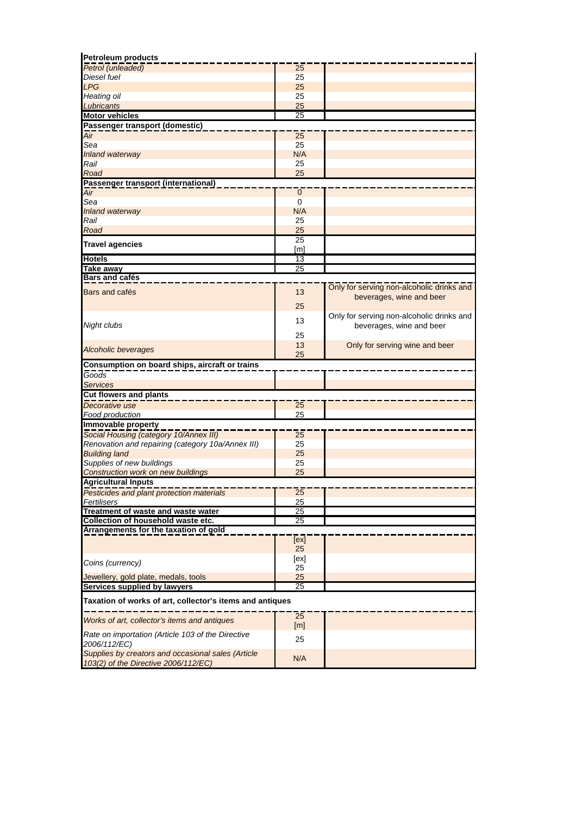| <b>Petroleum products</b>                                                                                                                                                                 |                 |                                           |
|-------------------------------------------------------------------------------------------------------------------------------------------------------------------------------------------|-----------------|-------------------------------------------|
| Petrol (unleaded)                                                                                                                                                                         | 25              |                                           |
| Diesel fuel                                                                                                                                                                               | 25              |                                           |
| <b>LPG</b>                                                                                                                                                                                | 25              |                                           |
| Heating oil                                                                                                                                                                               | 25              |                                           |
| Lubricants                                                                                                                                                                                | 25              |                                           |
| <b>Motor vehicles</b>                                                                                                                                                                     | $\overline{25}$ |                                           |
| Passenger transport (domestic)                                                                                                                                                            |                 |                                           |
| Air                                                                                                                                                                                       | 25              |                                           |
| Sea                                                                                                                                                                                       | 25              |                                           |
| Inland waterway                                                                                                                                                                           | N/A             |                                           |
| Rail                                                                                                                                                                                      | 25              |                                           |
| Road                                                                                                                                                                                      | 25              |                                           |
| Passenger transport (international)                                                                                                                                                       |                 |                                           |
|                                                                                                                                                                                           |                 |                                           |
| Air                                                                                                                                                                                       | $\mathbf 0$     |                                           |
| Sea                                                                                                                                                                                       | 0               |                                           |
| <b>Inland waterway</b>                                                                                                                                                                    | N/A             |                                           |
| Rail                                                                                                                                                                                      | 25              |                                           |
| Road                                                                                                                                                                                      | 25              |                                           |
| <b>Travel agencies</b>                                                                                                                                                                    | $\overline{25}$ |                                           |
|                                                                                                                                                                                           | [m]             |                                           |
| <b>Hotels</b>                                                                                                                                                                             | 13              |                                           |
| Take away                                                                                                                                                                                 | 25              |                                           |
| Bars and cafés                                                                                                                                                                            |                 |                                           |
| Bars and cafés                                                                                                                                                                            | 13              | Only for serving non-alcoholic drinks and |
|                                                                                                                                                                                           |                 | beverages, wine and beer                  |
|                                                                                                                                                                                           | 25              |                                           |
|                                                                                                                                                                                           |                 | Only for serving non-alcoholic drinks and |
| Night clubs                                                                                                                                                                               | 13              | beverages, wine and beer                  |
|                                                                                                                                                                                           | 25              |                                           |
|                                                                                                                                                                                           | 13              | Only for serving wine and beer            |
| <b>Alcoholic beverages</b>                                                                                                                                                                | 25              |                                           |
| Consumption on board ships, aircraft or trains                                                                                                                                            |                 |                                           |
| $\overline{Goods}$                                                                                                                                                                        |                 |                                           |
|                                                                                                                                                                                           |                 |                                           |
| <b>Services</b>                                                                                                                                                                           |                 |                                           |
| <b>Cut flowers and plants</b>                                                                                                                                                             |                 |                                           |
| Decorative use                                                                                                                                                                            | 25              |                                           |
| Food production                                                                                                                                                                           | 25              |                                           |
| Immovable property                                                                                                                                                                        |                 |                                           |
| Social Housing (category 10/Annex III)                                                                                                                                                    | $\overline{25}$ |                                           |
| Renovation and repairing (category 10a/Annex III)                                                                                                                                         | 25              |                                           |
| <b>Building land</b>                                                                                                                                                                      | 25              |                                           |
|                                                                                                                                                                                           |                 |                                           |
| Supplies of new buildings                                                                                                                                                                 | 25              |                                           |
|                                                                                                                                                                                           | 25              |                                           |
|                                                                                                                                                                                           |                 |                                           |
|                                                                                                                                                                                           |                 |                                           |
|                                                                                                                                                                                           | 25              |                                           |
|                                                                                                                                                                                           | 25              |                                           |
| Fertilisers                                                                                                                                                                               | 25              |                                           |
| Construction work on new buildings<br>Pesticides and plant protection materials                                                                                                           | 25              |                                           |
|                                                                                                                                                                                           |                 |                                           |
|                                                                                                                                                                                           | [ex]            |                                           |
|                                                                                                                                                                                           | 25              |                                           |
|                                                                                                                                                                                           | [ex]            |                                           |
|                                                                                                                                                                                           | 25              |                                           |
| Coins (currency)<br>Jewellery, gold plate, medals, tools                                                                                                                                  | 25              |                                           |
|                                                                                                                                                                                           | 25              |                                           |
|                                                                                                                                                                                           |                 |                                           |
|                                                                                                                                                                                           |                 |                                           |
| Collection of household waste etc.<br>Taxation of works of art, collector's items and antiques                                                                                            | 25              |                                           |
| <b>Agricultural Inputs</b><br>Treatment of waste and waste water<br>Arrangements for the taxation of gold<br>Services supplied by lawyers<br>Works of art, collector's items and antiques | [m]             |                                           |
| Rate on importation (Article 103 of the Directive                                                                                                                                         |                 |                                           |
| 2006/112/EC)                                                                                                                                                                              | 25              |                                           |
| Supplies by creators and occasional sales (Article<br>103(2) of the Directive 2006/112/EC)                                                                                                | N/A             |                                           |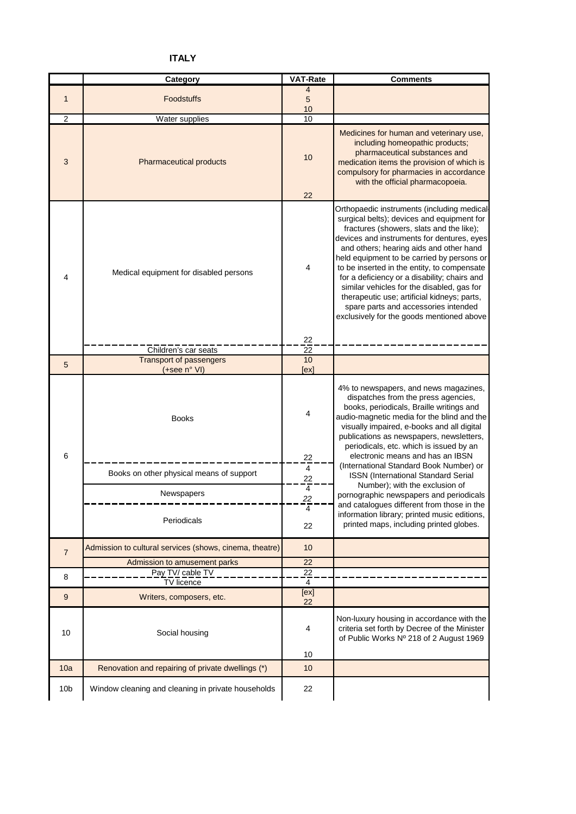# **ITALY**

|                 | Category                                                | <b>VAT-Rate</b>          | <b>Comments</b>                                                                                                                                                                                                                                                                                                                                                                                                                                                                                                                                              |
|-----------------|---------------------------------------------------------|--------------------------|--------------------------------------------------------------------------------------------------------------------------------------------------------------------------------------------------------------------------------------------------------------------------------------------------------------------------------------------------------------------------------------------------------------------------------------------------------------------------------------------------------------------------------------------------------------|
| $\mathbf{1}$    | <b>Foodstuffs</b>                                       | 4<br>5<br>10             |                                                                                                                                                                                                                                                                                                                                                                                                                                                                                                                                                              |
| $\overline{c}$  | Water supplies                                          | 10                       |                                                                                                                                                                                                                                                                                                                                                                                                                                                                                                                                                              |
| 3               | <b>Pharmaceutical products</b>                          | 10<br>22                 | Medicines for human and veterinary use,<br>including homeopathic products;<br>pharmaceutical substances and<br>medication items the provision of which is<br>compulsory for pharmacies in accordance<br>with the official pharmacopoeia.                                                                                                                                                                                                                                                                                                                     |
|                 |                                                         |                          |                                                                                                                                                                                                                                                                                                                                                                                                                                                                                                                                                              |
| 4               | Medical equipment for disabled persons                  | 4                        | Orthopaedic instruments (including medical<br>surgical belts); devices and equipment for<br>fractures (showers, slats and the like);<br>devices and instruments for dentures, eyes<br>and others; hearing aids and other hand<br>held equipment to be carried by persons or<br>to be inserted in the entity, to compensate<br>for a deficiency or a disability; chairs and<br>similar vehicles for the disabled, gas for<br>therapeutic use; artificial kidneys; parts,<br>spare parts and accessories intended<br>exclusively for the goods mentioned above |
|                 |                                                         | 22                       |                                                                                                                                                                                                                                                                                                                                                                                                                                                                                                                                                              |
|                 | Children's car seats<br><b>Transport of passengers</b>  | 22<br>10                 |                                                                                                                                                                                                                                                                                                                                                                                                                                                                                                                                                              |
| 5               | (+see n° VI)                                            | [ex]                     |                                                                                                                                                                                                                                                                                                                                                                                                                                                                                                                                                              |
| 6               | <b>Books</b>                                            | 4<br>22                  | 4% to newspapers, and news magazines,<br>dispatches from the press agencies,<br>books, periodicals, Braille writings and<br>audio-magnetic media for the blind and the<br>visually impaired, e-books and all digital<br>publications as newspapers, newsletters,<br>periodicals, etc. which is issued by an<br>electronic means and has an IBSN                                                                                                                                                                                                              |
|                 | Books on other physical means of support                | 4                        | (International Standard Book Number) or<br><b>ISSN</b> (International Standard Serial                                                                                                                                                                                                                                                                                                                                                                                                                                                                        |
|                 | Newspapers<br>Periodicals                               | 22<br>4<br>22<br>4<br>22 | Number); with the exclusion of<br>pornographic newspapers and periodicals<br>and catalogues different from those in the<br>information library; printed music editions,<br>printed maps, including printed globes.                                                                                                                                                                                                                                                                                                                                           |
| $\overline{7}$  | Admission to cultural services (shows, cinema, theatre) | 10                       |                                                                                                                                                                                                                                                                                                                                                                                                                                                                                                                                                              |
|                 | Admission to amusement parks                            | 22                       |                                                                                                                                                                                                                                                                                                                                                                                                                                                                                                                                                              |
| 8               | Pay TV/ cable TV                                        | $\overline{22}$          |                                                                                                                                                                                                                                                                                                                                                                                                                                                                                                                                                              |
|                 | <b>TV</b> licence                                       | 4                        |                                                                                                                                                                                                                                                                                                                                                                                                                                                                                                                                                              |
| 9               | Writers, composers, etc.                                | [ex]<br>22               |                                                                                                                                                                                                                                                                                                                                                                                                                                                                                                                                                              |
| 10              | Social housing                                          | 4<br>10                  | Non-luxury housing in accordance with the<br>criteria set forth by Decree of the Minister<br>of Public Works Nº 218 of 2 August 1969                                                                                                                                                                                                                                                                                                                                                                                                                         |
| 10a             | Renovation and repairing of private dwellings (*)       | 10                       |                                                                                                                                                                                                                                                                                                                                                                                                                                                                                                                                                              |
| 10 <sub>b</sub> | Window cleaning and cleaning in private households      | 22                       |                                                                                                                                                                                                                                                                                                                                                                                                                                                                                                                                                              |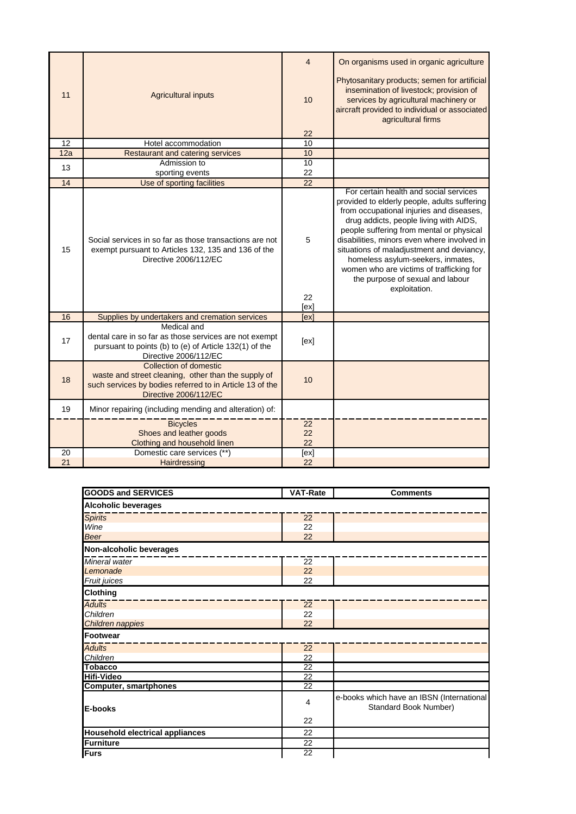| 11  | <b>Agricultural inputs</b>                                                                                                                                            | 4<br>10               | On organisms used in organic agriculture<br>Phytosanitary products; semen for artificial<br>insemination of livestock; provision of<br>services by agricultural machinery or<br>aircraft provided to individual or associated<br>agricultural firms                                                                                                                                                                                                        |
|-----|-----------------------------------------------------------------------------------------------------------------------------------------------------------------------|-----------------------|------------------------------------------------------------------------------------------------------------------------------------------------------------------------------------------------------------------------------------------------------------------------------------------------------------------------------------------------------------------------------------------------------------------------------------------------------------|
| 12  |                                                                                                                                                                       | 22                    |                                                                                                                                                                                                                                                                                                                                                                                                                                                            |
|     | Hotel accommodation                                                                                                                                                   | 10                    |                                                                                                                                                                                                                                                                                                                                                                                                                                                            |
| 12a | <b>Restaurant and catering services</b><br>Admission to                                                                                                               | 10                    |                                                                                                                                                                                                                                                                                                                                                                                                                                                            |
| 13  |                                                                                                                                                                       | 10                    |                                                                                                                                                                                                                                                                                                                                                                                                                                                            |
| 14  | sporting events                                                                                                                                                       | 22<br>$\overline{22}$ |                                                                                                                                                                                                                                                                                                                                                                                                                                                            |
| 15  | Use of sporting facilities<br>Social services in so far as those transactions are not<br>exempt pursuant to Articles 132, 135 and 136 of the<br>Directive 2006/112/EC | 5<br>22<br>[ex]       | For certain health and social services<br>provided to elderly people, adults suffering<br>from occupational injuries and diseases,<br>drug addicts, people living with AIDS,<br>people suffering from mental or physical<br>disabilities, minors even where involved in<br>situations of maladjustment and deviancy,<br>homeless asylum-seekers, inmates,<br>women who are victims of trafficking for<br>the purpose of sexual and labour<br>exploitation. |
| 16  | Supplies by undertakers and cremation services                                                                                                                        | [ex]                  |                                                                                                                                                                                                                                                                                                                                                                                                                                                            |
| 17  | Medical and<br>dental care in so far as those services are not exempt<br>pursuant to points (b) to (e) of Article 132(1) of the<br>Directive 2006/112/EC              | [ex]                  |                                                                                                                                                                                                                                                                                                                                                                                                                                                            |
| 18  | Collection of domestic<br>waste and street cleaning, other than the supply of<br>such services by bodies referred to in Article 13 of the<br>Directive 2006/112/EC    | 10                    |                                                                                                                                                                                                                                                                                                                                                                                                                                                            |
| 19  | Minor repairing (including mending and alteration) of:                                                                                                                |                       |                                                                                                                                                                                                                                                                                                                                                                                                                                                            |
|     | <b>Bicycles</b><br>Shoes and leather goods<br>Clothing and household linen                                                                                            | 22<br>22<br>22        |                                                                                                                                                                                                                                                                                                                                                                                                                                                            |
| 20  | Domestic care services (**)                                                                                                                                           | [ex]                  |                                                                                                                                                                                                                                                                                                                                                                                                                                                            |
| 21  | Hairdressing                                                                                                                                                          | 22                    |                                                                                                                                                                                                                                                                                                                                                                                                                                                            |

| <b>GOODS and SERVICES</b>              | <b>VAT-Rate</b> | <b>Comments</b>                                                    |
|----------------------------------------|-----------------|--------------------------------------------------------------------|
| <b>Alcoholic beverages</b>             |                 |                                                                    |
| <b>Spirits</b>                         | 22              |                                                                    |
| Wine                                   | 22              |                                                                    |
| <b>Beer</b>                            | 22              |                                                                    |
| Non-alcoholic beverages                |                 |                                                                    |
| Mineral water                          | $\overline{22}$ |                                                                    |
| Lemonade                               | 22              |                                                                    |
| Fruit juices                           | 22              |                                                                    |
| <b>Clothing</b>                        |                 |                                                                    |
| <b>Adults</b>                          | $\overline{22}$ |                                                                    |
| Children                               | 22              |                                                                    |
| Children nappies                       | 22              |                                                                    |
| Footwear                               |                 |                                                                    |
| <b>Adults</b>                          | $\overline{22}$ |                                                                    |
| Children                               | 22              |                                                                    |
| <b>Tobacco</b>                         | 22              |                                                                    |
| <b>Hifi-Video</b>                      | 22              |                                                                    |
| <b>Computer, smartphones</b>           | $\overline{22}$ |                                                                    |
| E-books                                | 4               | e-books which have an IBSN (International<br>Standard Book Number) |
|                                        | 22              |                                                                    |
| <b>Household electrical appliances</b> | 22              |                                                                    |
| <b>Furniture</b>                       | 22              |                                                                    |
| Furs                                   | 22              |                                                                    |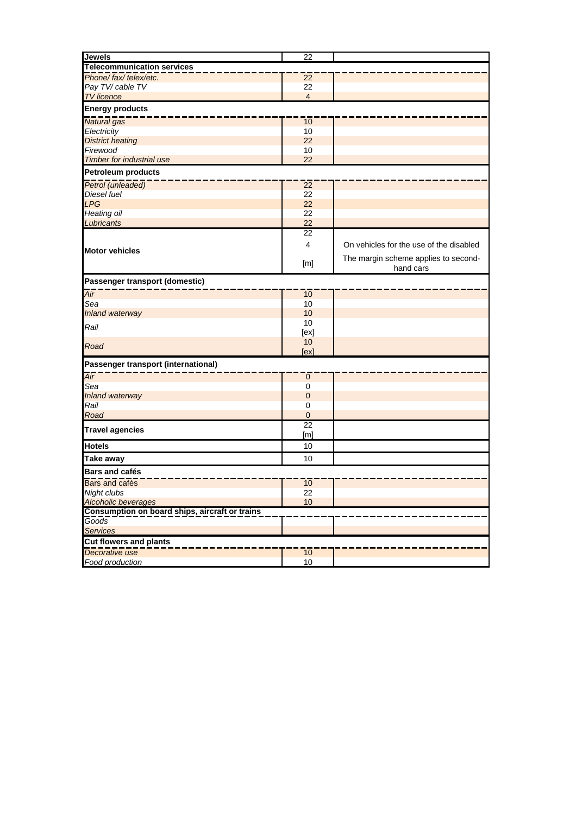| <b>Jewels</b>                                           | 22              |                                         |  |  |
|---------------------------------------------------------|-----------------|-----------------------------------------|--|--|
| <b>Telecommunication services</b>                       |                 |                                         |  |  |
| Phone/fax/telex/etc.                                    | 22              |                                         |  |  |
| Pay TV/ cable TV                                        | 22              |                                         |  |  |
| <b>TV</b> licence                                       | $\overline{4}$  |                                         |  |  |
| <b>Energy products</b>                                  |                 |                                         |  |  |
| <b>Natural</b> gas                                      | 10              |                                         |  |  |
| Electricity                                             | 10              |                                         |  |  |
| <b>District heating</b>                                 | 22              |                                         |  |  |
| Firewood                                                | 10              |                                         |  |  |
| <b>Timber for industrial use</b>                        | 22              |                                         |  |  |
| <b>Petroleum products</b>                               |                 |                                         |  |  |
| Petrol (unleaded)                                       | 22              |                                         |  |  |
| Diesel fuel                                             | 22              |                                         |  |  |
| <b>LPG</b>                                              | 22              |                                         |  |  |
| Heating oil                                             | 22              |                                         |  |  |
| Lubricants                                              | 22              |                                         |  |  |
|                                                         | 22              |                                         |  |  |
| <b>Motor vehicles</b>                                   | 4               | On vehicles for the use of the disabled |  |  |
|                                                         |                 | The margin scheme applies to second-    |  |  |
|                                                         | [m]             | hand cars                               |  |  |
| Passenger transport (domestic)                          |                 |                                         |  |  |
| Air                                                     | 10              |                                         |  |  |
| Sea                                                     | 10              |                                         |  |  |
| Inland waterway                                         | 10              |                                         |  |  |
| Rail                                                    | 10              |                                         |  |  |
|                                                         | [ex]            |                                         |  |  |
| Road                                                    | 10              |                                         |  |  |
|                                                         | [ex]            |                                         |  |  |
| Passenger transport (international)                     |                 |                                         |  |  |
| Air                                                     | $\pmb{0}$       |                                         |  |  |
| Sea                                                     | 0               |                                         |  |  |
| Inland waterway                                         | $\mathbf 0$     |                                         |  |  |
| Rail                                                    | 0               |                                         |  |  |
| Road                                                    | $\mathbf 0$     |                                         |  |  |
| <b>Travel agencies</b>                                  | $\overline{22}$ |                                         |  |  |
|                                                         | [m]             |                                         |  |  |
| <b>Hotels</b>                                           | 10              |                                         |  |  |
| <b>Take away</b>                                        | 10              |                                         |  |  |
| <b>Bars and cafés</b>                                   |                 |                                         |  |  |
| Bars and cafés                                          | 10              |                                         |  |  |
| Night clubs                                             | 22              |                                         |  |  |
| <b>Alcoholic beverages</b>                              | 10              |                                         |  |  |
| Consumption on board ships, aircraft or trains<br>Goods |                 |                                         |  |  |
| <b>Services</b>                                         |                 |                                         |  |  |
| <b>Cut flowers and plants</b>                           |                 |                                         |  |  |
| Decorative use                                          | 10              |                                         |  |  |
| Food production                                         | $10$            |                                         |  |  |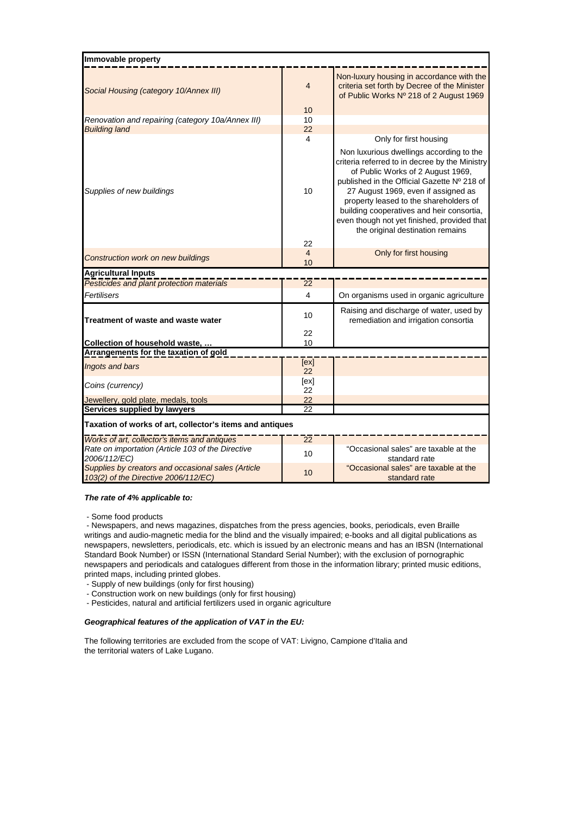| Immovable property                                                                         |                 |                                                                                                                                                                                                                                                                                                                                                                                                 |
|--------------------------------------------------------------------------------------------|-----------------|-------------------------------------------------------------------------------------------------------------------------------------------------------------------------------------------------------------------------------------------------------------------------------------------------------------------------------------------------------------------------------------------------|
| Social Housing (category 10/Annex III)                                                     | $\overline{4}$  | Non-luxury housing in accordance with the<br>criteria set forth by Decree of the Minister<br>of Public Works Nº 218 of 2 August 1969                                                                                                                                                                                                                                                            |
|                                                                                            | 10              |                                                                                                                                                                                                                                                                                                                                                                                                 |
| Renovation and repairing (category 10a/Annex III)                                          | 10              |                                                                                                                                                                                                                                                                                                                                                                                                 |
| <b>Building land</b>                                                                       | 22              |                                                                                                                                                                                                                                                                                                                                                                                                 |
|                                                                                            | 4               | Only for first housing                                                                                                                                                                                                                                                                                                                                                                          |
| Supplies of new buildings                                                                  | 10<br>22        | Non luxurious dwellings according to the<br>criteria referred to in decree by the Ministry<br>of Public Works of 2 August 1969,<br>published in the Official Gazette Nº 218 of<br>27 August 1969, even if assigned as<br>property leased to the shareholders of<br>building cooperatives and heir consortia,<br>even though not yet finished, provided that<br>the original destination remains |
|                                                                                            | $\overline{4}$  | Only for first housing                                                                                                                                                                                                                                                                                                                                                                          |
| <b>Construction work on new buildings</b>                                                  | 10              |                                                                                                                                                                                                                                                                                                                                                                                                 |
| <b>Agricultural Inputs</b>                                                                 |                 |                                                                                                                                                                                                                                                                                                                                                                                                 |
| Pesticides and plant protection materials                                                  | 22              |                                                                                                                                                                                                                                                                                                                                                                                                 |
| Fertilisers                                                                                | 4               | On organisms used in organic agriculture                                                                                                                                                                                                                                                                                                                                                        |
| Treatment of waste and waste water                                                         | 10              | Raising and discharge of water, used by<br>remediation and irrigation consortia                                                                                                                                                                                                                                                                                                                 |
|                                                                                            | 22              |                                                                                                                                                                                                                                                                                                                                                                                                 |
| Collection of household waste,                                                             | 10              |                                                                                                                                                                                                                                                                                                                                                                                                 |
| Arrangements for the taxation of gold                                                      |                 |                                                                                                                                                                                                                                                                                                                                                                                                 |
| Ingots and bars                                                                            | [ex]<br>22      |                                                                                                                                                                                                                                                                                                                                                                                                 |
|                                                                                            | [ex]            |                                                                                                                                                                                                                                                                                                                                                                                                 |
| Coins (currency)                                                                           | 22              |                                                                                                                                                                                                                                                                                                                                                                                                 |
| Jewellery, gold plate, medals, tools                                                       | 22              |                                                                                                                                                                                                                                                                                                                                                                                                 |
| Services supplied by lawyers                                                               | 22              |                                                                                                                                                                                                                                                                                                                                                                                                 |
| Taxation of works of art, collector's items and antiques                                   |                 |                                                                                                                                                                                                                                                                                                                                                                                                 |
| Works of art, collector's items and antiques                                               | $\overline{22}$ |                                                                                                                                                                                                                                                                                                                                                                                                 |
| Rate on importation (Article 103 of the Directive<br>2006/112/EC)                          | 10              | "Occasional sales" are taxable at the<br>standard rate                                                                                                                                                                                                                                                                                                                                          |
| Supplies by creators and occasional sales (Article<br>103(2) of the Directive 2006/112/EC) | 10              | "Occasional sales" are taxable at the<br>standard rate                                                                                                                                                                                                                                                                                                                                          |

### *The rate of 4% applicable to:*

- Some food products

 - Newspapers, and news magazines, dispatches from the press agencies, books, periodicals, even Braille writings and audio-magnetic media for the blind and the visually impaired; e-books and all digital publications as newspapers, newsletters, periodicals, etc. which is issued by an electronic means and has an IBSN (International Standard Book Number) or ISSN (International Standard Serial Number); with the exclusion of pornographic newspapers and periodicals and catalogues different from those in the information library; printed music editions, printed maps, including printed globes.

- Supply of new buildings (only for first housing)

- Construction work on new buildings (only for first housing)
- Pesticides, natural and artificial fertilizers used in organic agriculture

### *Geographical features of the application of VAT in the EU:*

The following territories are excluded from the scope of VAT: Livigno, Campione d'Italia and the territorial waters of Lake Lugano.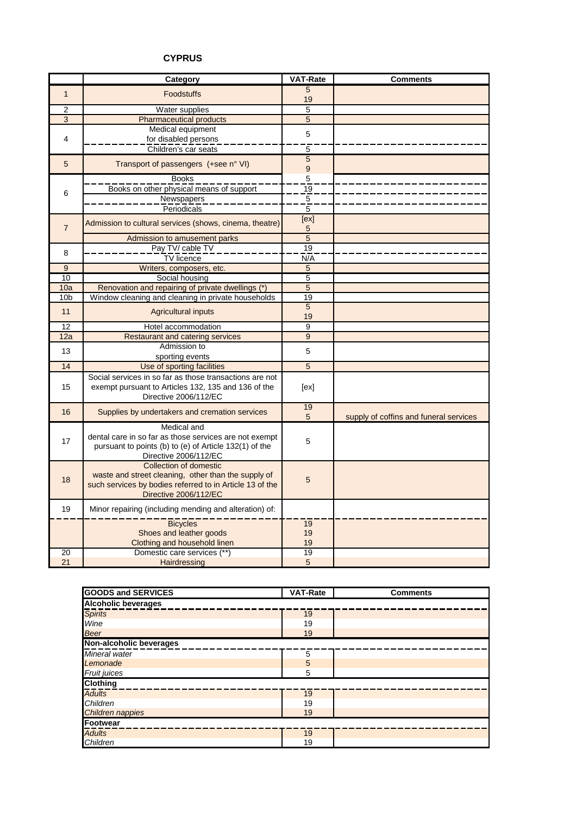## **CYPRUS**

|                 | <b>Category</b>                                                                                                                                                    | <b>VAT-Rate</b>                  | <b>Comments</b>                        |
|-----------------|--------------------------------------------------------------------------------------------------------------------------------------------------------------------|----------------------------------|----------------------------------------|
| $\mathbf{1}$    | <b>Foodstuffs</b>                                                                                                                                                  | 5                                |                                        |
|                 |                                                                                                                                                                    | 19                               |                                        |
| $\overline{2}$  | Water supplies                                                                                                                                                     | 5                                |                                        |
| 3               | <b>Pharmaceutical products</b><br>Medical equipment                                                                                                                | 5                                |                                        |
| 4               | for disabled persons                                                                                                                                               | 5                                |                                        |
|                 | Children's car seats                                                                                                                                               | 5                                |                                        |
| 5               | Transport of passengers (+see n° VI)                                                                                                                               | $\overline{5}$<br>$\overline{9}$ |                                        |
|                 | <b>Books</b>                                                                                                                                                       | $\overline{5}$                   |                                        |
| 6               | Books on other physical means of support                                                                                                                           | $\overline{19}$                  |                                        |
|                 | Newspapers                                                                                                                                                         | $\overline{5}$                   |                                        |
|                 | Periodicals                                                                                                                                                        | 5                                |                                        |
| $\overline{7}$  | Admission to cultural services (shows, cinema, theatre)                                                                                                            | [ex]<br>5                        |                                        |
|                 | Admission to amusement parks                                                                                                                                       | $\overline{5}$                   |                                        |
| 8               | Pay TV/ cable TV                                                                                                                                                   | 19                               |                                        |
|                 | TV licence                                                                                                                                                         | N/A                              |                                        |
| 9               | Writers, composers, etc.                                                                                                                                           | 5                                |                                        |
| 10              | Social housing                                                                                                                                                     | 5                                |                                        |
| 10a             | Renovation and repairing of private dwellings (*)                                                                                                                  | $\overline{5}$                   |                                        |
| 10 <sub>b</sub> | Window cleaning and cleaning in private households                                                                                                                 | 19                               |                                        |
| 11              | <b>Agricultural inputs</b>                                                                                                                                         | 5<br>19                          |                                        |
| $\overline{12}$ | Hotel accommodation                                                                                                                                                | $\overline{9}$                   |                                        |
| 12a             | <b>Restaurant and catering services</b>                                                                                                                            | 9                                |                                        |
| 13              | Admission to                                                                                                                                                       | 5                                |                                        |
|                 | sporting events                                                                                                                                                    | $\overline{5}$                   |                                        |
| 14              | Use of sporting facilities                                                                                                                                         |                                  |                                        |
| 15              | Social services in so far as those transactions are not<br>exempt pursuant to Articles 132, 135 and 136 of the<br>Directive 2006/112/EC                            | [ex]                             |                                        |
| 16              | Supplies by undertakers and cremation services                                                                                                                     | 19                               |                                        |
|                 |                                                                                                                                                                    | 5                                | supply of coffins and funeral services |
| 17              | Medical and<br>dental care in so far as those services are not exempt<br>pursuant to points (b) to (e) of Article 132(1) of the<br>Directive 2006/112/EC           | 5                                |                                        |
| 18              | Collection of domestic<br>waste and street cleaning, other than the supply of<br>such services by bodies referred to in Article 13 of the<br>Directive 2006/112/EC | 5                                |                                        |
| 19              | Minor repairing (including mending and alteration) of:                                                                                                             |                                  |                                        |
|                 | <b>Bicycles</b>                                                                                                                                                    | $\overline{19}$                  |                                        |
|                 | Shoes and leather goods                                                                                                                                            | 19                               |                                        |
|                 | Clothing and household linen                                                                                                                                       | 19                               |                                        |
| 20              | Domestic care services (**)                                                                                                                                        | 19                               |                                        |
| 21              | Hairdressing                                                                                                                                                       | 5                                |                                        |

| <b>GOODS and SERVICES</b>  | <b>VAT-Rate</b> | <b>Comments</b> |  |  |
|----------------------------|-----------------|-----------------|--|--|
| <b>Alcoholic beverages</b> |                 |                 |  |  |
| <b>Spirits</b>             | 19              |                 |  |  |
| Wine                       | 19              |                 |  |  |
| <b>Beer</b>                | 19              |                 |  |  |
| Non-alcoholic beverages    |                 |                 |  |  |
| Mineral water              | 5               |                 |  |  |
| Lemonade                   | 5               |                 |  |  |
| Fruit juices               | 5               |                 |  |  |
| <b>Clothing</b>            |                 |                 |  |  |
| <b>Adults</b>              | 19              |                 |  |  |
| Children                   | 19              |                 |  |  |
| <b>Children nappies</b>    | 19              |                 |  |  |
| <b>Footwear</b>            |                 |                 |  |  |
| <b>Adults</b>              | 19              |                 |  |  |
| Children                   | 19              |                 |  |  |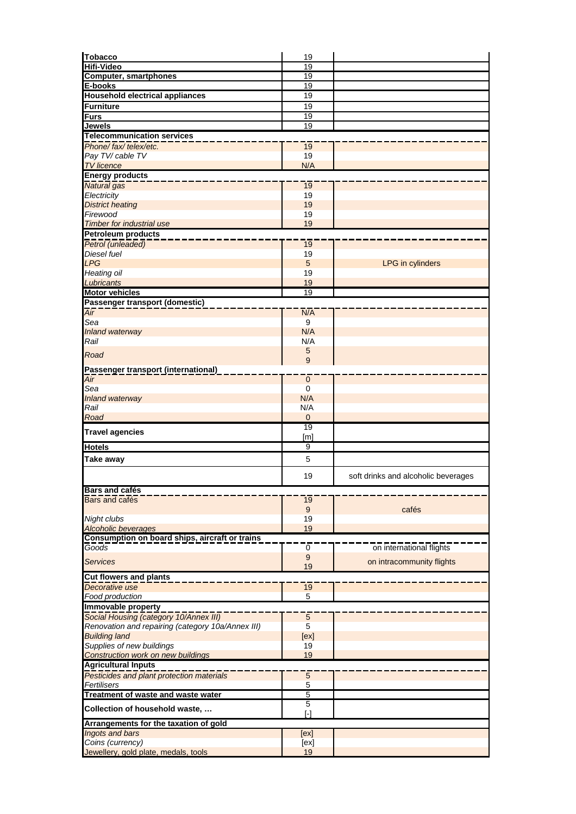| <b>Tobacco</b>                                                            | 19                 |                                     |
|---------------------------------------------------------------------------|--------------------|-------------------------------------|
| <b>Hifi-Video</b>                                                         | 19                 |                                     |
| <b>Computer, smartphones</b>                                              | 19                 |                                     |
| E-books                                                                   | 19                 |                                     |
| <b>Household electrical appliances</b>                                    | 19                 |                                     |
| <b>Furniture</b>                                                          | 19                 |                                     |
| Furs                                                                      | 19                 |                                     |
| Jewels                                                                    | 19                 |                                     |
| <b>Telecommunication services</b>                                         |                    |                                     |
| Phone/fax/telex/etc.                                                      | 19                 |                                     |
| Pay TV/ cable TV                                                          | 19<br>N/A          |                                     |
| <b>TV</b> licence                                                         |                    |                                     |
| <b>Energy products</b>                                                    |                    |                                     |
| Natural gas<br>Electricity                                                | 19<br>19           |                                     |
| <b>District heating</b>                                                   | 19                 |                                     |
| Firewood                                                                  | 19                 |                                     |
| <b>Timber for industrial use</b>                                          | 19                 |                                     |
| <b>Petroleum products</b>                                                 |                    |                                     |
| Petrol (unleaded)                                                         | 19                 |                                     |
| Diesel fuel                                                               | 19                 |                                     |
| <b>LPG</b>                                                                | 5                  | LPG in cylinders                    |
| Heating oil                                                               | 19                 |                                     |
| Lubricants                                                                | 19                 |                                     |
| <b>Motor vehicles</b>                                                     | 19                 |                                     |
| Passenger transport (domestic)                                            |                    |                                     |
| Air                                                                       | N/A                |                                     |
| Sea                                                                       | 9                  |                                     |
| Inland waterway                                                           | N/A                |                                     |
| Rail                                                                      | N/A                |                                     |
| Road                                                                      | 5                  |                                     |
|                                                                           | 9                  |                                     |
| Passenger transport (international)                                       |                    |                                     |
| $\overline{Air}$                                                          | $\mathbf 0$        |                                     |
| Sea<br>Inland waterway                                                    | $\mathbf 0$<br>N/A |                                     |
| Rail                                                                      | N/A                |                                     |
| Road                                                                      | $\mathbf 0$        |                                     |
|                                                                           | 19                 |                                     |
| <b>Travel agencies</b>                                                    | [m]                |                                     |
| <b>Hotels</b>                                                             | 9                  |                                     |
| Take away                                                                 | 5                  |                                     |
|                                                                           |                    |                                     |
|                                                                           | 19                 | soft drinks and alcoholic beverages |
| <b>Bars and cafés</b>                                                     |                    |                                     |
| Bars and cafés                                                            | 19                 |                                     |
|                                                                           | 9                  | cafés                               |
| Night clubs                                                               | 19                 |                                     |
| <b>Alcoholic beverages</b>                                                | 19                 |                                     |
| Consumption on board ships, aircraft or trains                            |                    |                                     |
| Goods                                                                     | 0                  | on international flights            |
| <b>Services</b>                                                           | $\boldsymbol{9}$   | on intracommunity flights           |
|                                                                           | 19                 |                                     |
| <b>Cut flowers and plants</b>                                             |                    |                                     |
| Decorative use                                                            | 19                 |                                     |
| Food production                                                           | 5                  |                                     |
| Immovable property                                                        |                    |                                     |
| Social Housing (category 10/Annex III)                                    | $\sqrt{5}$<br>5    |                                     |
| Renovation and repairing (category 10a/Annex III)<br><b>Building land</b> | [ex]               |                                     |
| Supplies of new buildings                                                 | 19                 |                                     |
| <b>Construction work on new buildings</b>                                 | 19                 |                                     |
| <b>Agricultural Inputs</b>                                                |                    |                                     |
| Pesticides and plant protection materials                                 | $\overline{5}$     |                                     |
| Fertilisers                                                               | 5                  |                                     |
| Treatment of waste and waste water                                        | 5                  |                                     |
|                                                                           | 5                  |                                     |
| Collection of household waste,                                            | ſ-1                |                                     |
| Arrangements for the taxation of gold                                     |                    |                                     |
|                                                                           |                    |                                     |
| Ingots and bars                                                           | [ex]               |                                     |
| Coins (currency)<br>Jewellery, gold plate, medals, tools                  | [ex]<br>19         |                                     |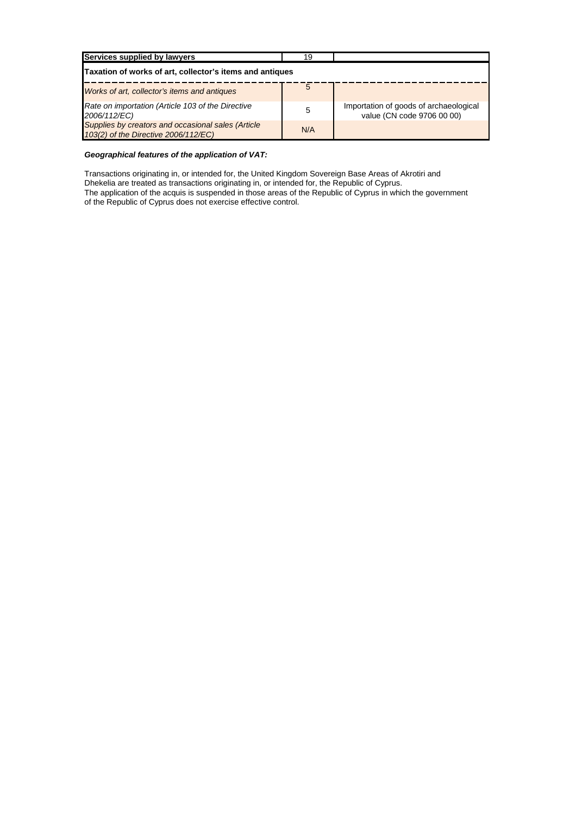| Services supplied by lawyers                                                               | 19  |                                                                      |  |  |
|--------------------------------------------------------------------------------------------|-----|----------------------------------------------------------------------|--|--|
| Taxation of works of art, collector's items and antiques                                   |     |                                                                      |  |  |
| Works of art, collector's items and antiques                                               | 5   |                                                                      |  |  |
| Rate on importation (Article 103 of the Directive<br>2006/112/EC)                          | 5   | Importation of goods of archaeological<br>value (CN code 9706 00 00) |  |  |
| Supplies by creators and occasional sales (Article<br>103(2) of the Directive 2006/112/EC) | N/A |                                                                      |  |  |

### *Geographical features of the application of VAT:*

Transactions originating in, or intended for, the United Kingdom Sovereign Base Areas of Akrotiri and Dhekelia are treated as transactions originating in, or intended for, the Republic of Cyprus.

The application of the acquis is suspended in those areas of the Republic of Cyprus in which the government of the Republic of Cyprus does not exercise effective control.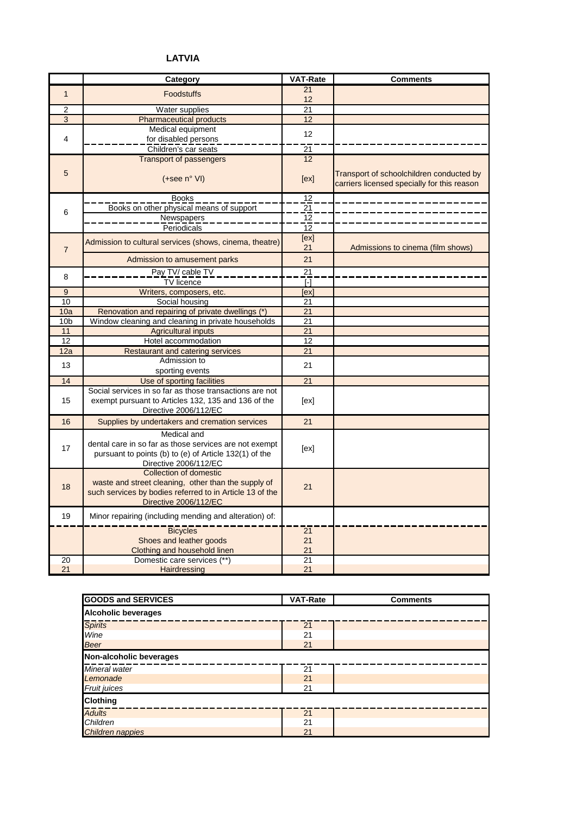# **LATVIA**

|                 | Category                                                                                                                                                           | <b>VAT-Rate</b> | <b>Comments</b>                                                                         |
|-----------------|--------------------------------------------------------------------------------------------------------------------------------------------------------------------|-----------------|-----------------------------------------------------------------------------------------|
| $\mathbf{1}$    | <b>Foodstuffs</b>                                                                                                                                                  | 21              |                                                                                         |
|                 |                                                                                                                                                                    | 12              |                                                                                         |
| $\overline{2}$  | Water supplies                                                                                                                                                     | 21              |                                                                                         |
| 3               | <b>Pharmaceutical products</b>                                                                                                                                     | 12              |                                                                                         |
|                 | Medical equipment                                                                                                                                                  | 12              |                                                                                         |
| 4               | for disabled persons                                                                                                                                               |                 |                                                                                         |
|                 | Children's car seats                                                                                                                                               | 21              |                                                                                         |
|                 | <b>Transport of passengers</b>                                                                                                                                     | 12              |                                                                                         |
| 5               | $(+see n° VI)$                                                                                                                                                     | [ex]            | Transport of schoolchildren conducted by<br>carriers licensed specially for this reason |
|                 |                                                                                                                                                                    |                 |                                                                                         |
|                 | <b>Books</b>                                                                                                                                                       | 12              |                                                                                         |
| 6               | Books on other physical means of support                                                                                                                           | $\frac{21}{2}$  |                                                                                         |
|                 | Newspapers                                                                                                                                                         | $\overline{12}$ |                                                                                         |
|                 | Periodicals                                                                                                                                                        | 12              |                                                                                         |
| $\overline{7}$  | Admission to cultural services (shows, cinema, theatre)                                                                                                            | [ex]<br>21      | Admissions to cinema (film shows)                                                       |
|                 | Admission to amusement parks                                                                                                                                       | 21              |                                                                                         |
| 8               | Pay TV/ cable TV                                                                                                                                                   | $\overline{21}$ |                                                                                         |
|                 | <b>TV</b> licence                                                                                                                                                  | $[\cdot]$       |                                                                                         |
| 9               | Writers, composers, etc.                                                                                                                                           | <b>Tex</b>      |                                                                                         |
| 10              | Social housing                                                                                                                                                     | 21              |                                                                                         |
| 10a             | Renovation and repairing of private dwellings (*)                                                                                                                  | 21              |                                                                                         |
| 10 <sub>b</sub> | Window cleaning and cleaning in private households                                                                                                                 | 21              |                                                                                         |
| 11              | <b>Agricultural inputs</b>                                                                                                                                         | 21              |                                                                                         |
| 12              | Hotel accommodation                                                                                                                                                | 12              |                                                                                         |
| 12a             | <b>Restaurant and catering services</b>                                                                                                                            | $\overline{21}$ |                                                                                         |
| 13              | Admission to                                                                                                                                                       | 21              |                                                                                         |
|                 | sporting events                                                                                                                                                    |                 |                                                                                         |
| 14              | Use of sporting facilities                                                                                                                                         | 21              |                                                                                         |
| 15              | Social services in so far as those transactions are not<br>exempt pursuant to Articles 132, 135 and 136 of the<br>Directive 2006/112/EC                            | [ex]            |                                                                                         |
| 16              | Supplies by undertakers and cremation services                                                                                                                     | 21              |                                                                                         |
| 17              | Medical and<br>dental care in so far as those services are not exempt<br>pursuant to points (b) to (e) of Article 132(1) of the<br>Directive 2006/112/EC           | [ex]            |                                                                                         |
| 18              | Collection of domestic<br>waste and street cleaning, other than the supply of<br>such services by bodies referred to in Article 13 of the<br>Directive 2006/112/EC | 21              |                                                                                         |
| 19              | Minor repairing (including mending and alteration) of:                                                                                                             |                 |                                                                                         |
|                 | <b>Bicycles</b>                                                                                                                                                    | 21              |                                                                                         |
|                 | Shoes and leather goods                                                                                                                                            | 21              |                                                                                         |
|                 | Clothing and household linen                                                                                                                                       | 21              |                                                                                         |
| 20              | Domestic care services (**)                                                                                                                                        | 21              |                                                                                         |
| 21              | Hairdressing                                                                                                                                                       | 21              |                                                                                         |

| <b>GOODS and SERVICES</b>  | <b>VAT-Rate</b> | <b>Comments</b> |  |
|----------------------------|-----------------|-----------------|--|
| <b>Alcoholic beverages</b> |                 |                 |  |
| <b>Spirits</b>             | 21              |                 |  |
| Wine                       | 21              |                 |  |
| Beer                       | 21              |                 |  |
| Non-alcoholic beverages    |                 |                 |  |
| Mineral water              | 21              |                 |  |
| Lemonade                   | 21              |                 |  |
| Fruit juices               | 21              |                 |  |
| <b>Clothing</b>            |                 |                 |  |
| <b>Adults</b>              | 21              |                 |  |
| Children                   | 21              |                 |  |
| Children nappies           | 21              |                 |  |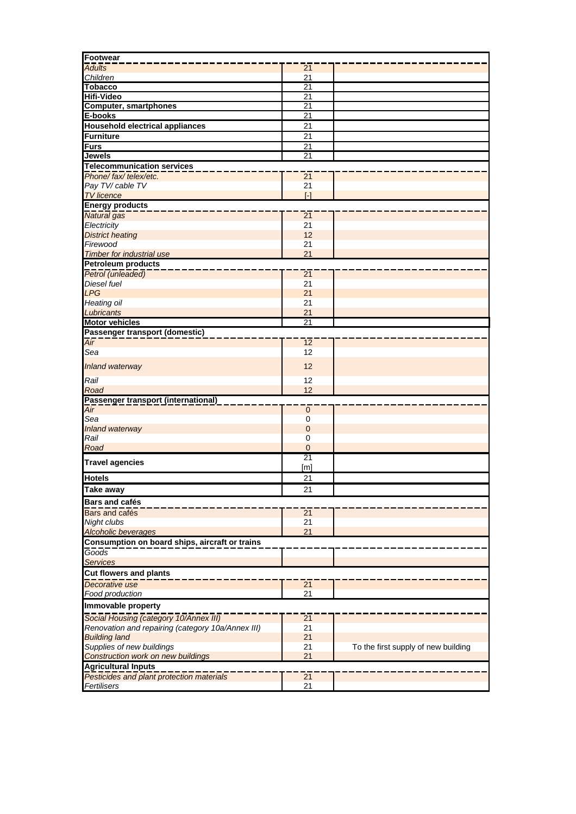| <b>Footwear</b>                                   |                   |                                     |  |
|---------------------------------------------------|-------------------|-------------------------------------|--|
| <b>Adults</b>                                     | 21                |                                     |  |
| Children                                          | 21                |                                     |  |
| <b>Tobacco</b>                                    | $\overline{21}$   |                                     |  |
| Hifi-Video                                        | 21                |                                     |  |
| <b>Computer, smartphones</b>                      | 21                |                                     |  |
| E-books                                           | 21                |                                     |  |
| <b>Household electrical appliances</b>            | 21                |                                     |  |
| <b>Furniture</b>                                  | 21                |                                     |  |
| <b>Furs</b>                                       | 21                |                                     |  |
| Jewels                                            | 21                |                                     |  |
| <b>Telecommunication services</b>                 |                   |                                     |  |
| Phone/fax/telex/etc.                              | 21                |                                     |  |
| Pay TV/ cable TV                                  | 21                |                                     |  |
| <b>TV</b> licence                                 | $\lceil - \rceil$ |                                     |  |
| <b>Energy products</b>                            |                   |                                     |  |
| <b>Natural</b> gas                                | 21                |                                     |  |
| Electricity                                       | 21                |                                     |  |
| <b>District heating</b>                           | 12                |                                     |  |
| Firewood                                          | 21                |                                     |  |
| <b>Timber for industrial use</b>                  | 21                |                                     |  |
| Petroleum products                                |                   |                                     |  |
|                                                   |                   |                                     |  |
| Petrol (unleaded)                                 | $\overline{21}$   |                                     |  |
| Diesel fuel<br><b>LPG</b>                         | 21                |                                     |  |
|                                                   | 21<br>21          |                                     |  |
| <b>Heating oil</b>                                |                   |                                     |  |
| Lubricants                                        | 21                |                                     |  |
| <b>Motor vehicles</b>                             | 21                |                                     |  |
| Passenger transport (domestic)                    |                   |                                     |  |
| Air                                               | 12                |                                     |  |
| Sea                                               | 12                |                                     |  |
| <b>Inland waterway</b>                            | 12                |                                     |  |
|                                                   |                   |                                     |  |
| Rail                                              | 12                |                                     |  |
| Road                                              | 12                |                                     |  |
| Passenger transport (international)               |                   |                                     |  |
|                                                   | $\mathbf 0$       |                                     |  |
| Sea                                               | $\mathbf 0$       |                                     |  |
| <b>Inland waterway</b>                            | $\mathbf 0$       |                                     |  |
| Rail                                              | $\mathbf 0$       |                                     |  |
| Road                                              | $\mathbf 0$       |                                     |  |
| <b>Travel agencies</b>                            | 21                |                                     |  |
|                                                   | [ <sub>m</sub> ]  |                                     |  |
| <b>Hotels</b>                                     | 21                |                                     |  |
| <b>Take away</b>                                  | 21                |                                     |  |
| <b>Bars and cafés</b>                             |                   |                                     |  |
| Bars and cafés                                    | 21                |                                     |  |
| Night clubs                                       | 21                |                                     |  |
| <b>Alcoholic beverages</b>                        | 21                |                                     |  |
| Consumption on board ships, aircraft or trains    |                   |                                     |  |
| Goods                                             |                   |                                     |  |
| <b>Services</b>                                   |                   |                                     |  |
|                                                   |                   |                                     |  |
| Cut flowers and plants                            |                   |                                     |  |
| Decorative use                                    | 21                |                                     |  |
| Food production                                   | 21                |                                     |  |
| Immovable property                                |                   |                                     |  |
| Social Housing (category 10/Annex III)            | 21                |                                     |  |
| Renovation and repairing (category 10a/Annex III) | 21                |                                     |  |
| <b>Building land</b>                              | 21                |                                     |  |
| Supplies of new buildings                         | 21                | To the first supply of new building |  |
| <b>Construction work on new buildings</b>         | 21                |                                     |  |
| <b>Agricultural Inputs</b>                        |                   |                                     |  |
| Pesticides and plant protection materials         | 21                |                                     |  |
| Fertilisers                                       | 21                |                                     |  |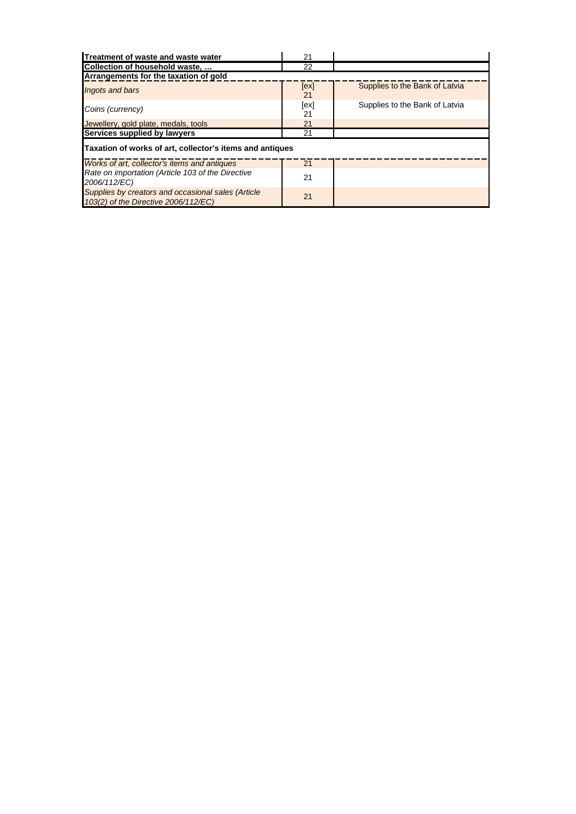| Treatment of waste and waste water                                                         | 21         |                                |  |
|--------------------------------------------------------------------------------------------|------------|--------------------------------|--|
| Collection of household waste,                                                             | 22         |                                |  |
| Arrangements for the taxation of gold                                                      |            |                                |  |
| Ingots and bars                                                                            | [ex]<br>21 | Supplies to the Bank of Latvia |  |
| Coins (currency)                                                                           | [ex]<br>21 | Supplies to the Bank of Latvia |  |
| Jewellery, gold plate, medals, tools                                                       | 21         |                                |  |
| Services supplied by lawyers                                                               | 21         |                                |  |
| Taxation of works of art, collector's items and antiques                                   |            |                                |  |
| Works of art, collector's items and antiques                                               | 21         |                                |  |
| Rate on importation (Article 103 of the Directive<br>2006/112/EC)                          | 21         |                                |  |
| Supplies by creators and occasional sales (Article<br>103(2) of the Directive 2006/112/EC) | 21         |                                |  |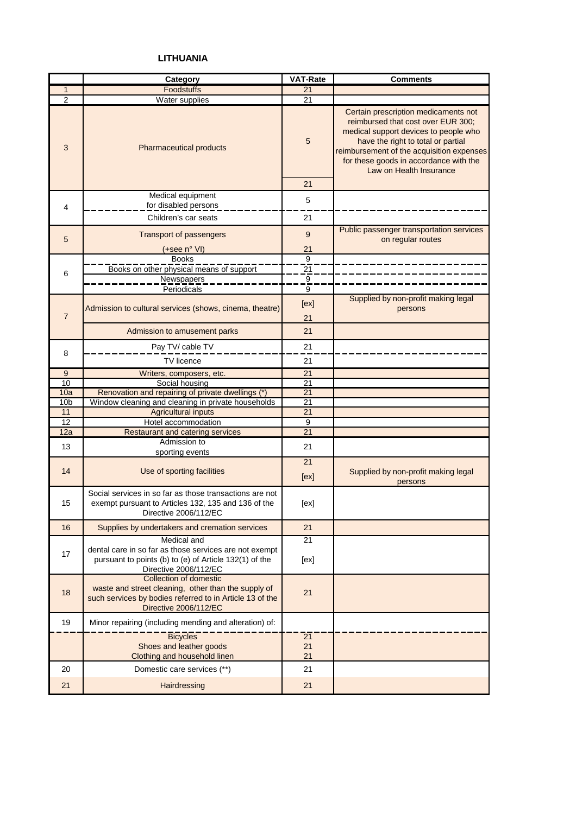## **LITHUANIA**

|                 | Category                                                                                                                                 | <b>VAT-Rate</b>       | <b>Comments</b>                                                                                                                                                                                                                                                             |
|-----------------|------------------------------------------------------------------------------------------------------------------------------------------|-----------------------|-----------------------------------------------------------------------------------------------------------------------------------------------------------------------------------------------------------------------------------------------------------------------------|
| 1               | Foodstuffs                                                                                                                               | 21                    |                                                                                                                                                                                                                                                                             |
| $\overline{2}$  | Water supplies                                                                                                                           | 21                    |                                                                                                                                                                                                                                                                             |
| 3               | Pharmaceutical products                                                                                                                  | 5<br>21               | Certain prescription medicaments not<br>reimbursed that cost over EUR 300;<br>medical support devices to people who<br>have the right to total or partial<br>reimbursement of the acquisition expenses<br>for these goods in accordance with the<br>Law on Health Insurance |
|                 | Medical equipment                                                                                                                        |                       |                                                                                                                                                                                                                                                                             |
| 4               | for disabled persons                                                                                                                     | 5                     |                                                                                                                                                                                                                                                                             |
|                 | Children's car seats                                                                                                                     | 21                    |                                                                                                                                                                                                                                                                             |
|                 |                                                                                                                                          |                       | Public passenger transportation services                                                                                                                                                                                                                                    |
| 5               | <b>Transport of passengers</b>                                                                                                           | 9                     | on regular routes                                                                                                                                                                                                                                                           |
|                 | (+see n° VI)                                                                                                                             | 21                    |                                                                                                                                                                                                                                                                             |
|                 | <b>Books</b>                                                                                                                             | $\overline{9}$        |                                                                                                                                                                                                                                                                             |
| 6               | Books on other physical means of support                                                                                                 | $\overline{21}$       |                                                                                                                                                                                                                                                                             |
|                 | Newspapers                                                                                                                               | $\overline{9}$        |                                                                                                                                                                                                                                                                             |
|                 | Periodicals                                                                                                                              | 9                     |                                                                                                                                                                                                                                                                             |
|                 | Admission to cultural services (shows, cinema, theatre)                                                                                  | [ex]                  | Supplied by non-profit making legal<br>persons                                                                                                                                                                                                                              |
| $\overline{7}$  |                                                                                                                                          | 21                    |                                                                                                                                                                                                                                                                             |
|                 | Admission to amusement parks                                                                                                             | 21                    |                                                                                                                                                                                                                                                                             |
|                 | Pay TV/ cable TV                                                                                                                         | 21                    |                                                                                                                                                                                                                                                                             |
| 8               | TV licence                                                                                                                               | 21                    |                                                                                                                                                                                                                                                                             |
|                 |                                                                                                                                          |                       |                                                                                                                                                                                                                                                                             |
| 9<br>10         | Writers, composers, etc.<br>Social housing                                                                                               | 21<br>$\overline{21}$ |                                                                                                                                                                                                                                                                             |
| 10a             | Renovation and repairing of private dwellings (*)                                                                                        | 21                    |                                                                                                                                                                                                                                                                             |
| 10 <sub>b</sub> | Window cleaning and cleaning in private households                                                                                       | 21                    |                                                                                                                                                                                                                                                                             |
| 11              | <b>Agricultural inputs</b>                                                                                                               | 21                    |                                                                                                                                                                                                                                                                             |
| 12              | Hotel accommodation                                                                                                                      | 9                     |                                                                                                                                                                                                                                                                             |
| 12a             | <b>Restaurant and catering services</b>                                                                                                  | 21                    |                                                                                                                                                                                                                                                                             |
|                 | Admission to                                                                                                                             |                       |                                                                                                                                                                                                                                                                             |
| 13              | sporting events                                                                                                                          | 21                    |                                                                                                                                                                                                                                                                             |
|                 |                                                                                                                                          | 21                    |                                                                                                                                                                                                                                                                             |
| 14              | Use of sporting facilities                                                                                                               | [ex]                  | Supplied by non-profit making legal<br>persons                                                                                                                                                                                                                              |
| 15              | Social services in so far as those transactions are not<br>exempt pursuant to Articles 132, 135 and 136 of the<br>Directive 2006/112/EC  | [ex]                  |                                                                                                                                                                                                                                                                             |
| 16              | Supplies by undertakers and cremation services                                                                                           | 21                    |                                                                                                                                                                                                                                                                             |
|                 | Medical and                                                                                                                              | 21                    |                                                                                                                                                                                                                                                                             |
| 17              | dental care in so far as those services are not exempt                                                                                   |                       |                                                                                                                                                                                                                                                                             |
|                 | pursuant to points (b) to (e) of Article 132(1) of the                                                                                   | [ex]                  |                                                                                                                                                                                                                                                                             |
|                 | Directive 2006/112/EC<br>Collection of domestic                                                                                          |                       |                                                                                                                                                                                                                                                                             |
| 18              | waste and street cleaning, other than the supply of<br>such services by bodies referred to in Article 13 of the<br>Directive 2006/112/EC | 21                    |                                                                                                                                                                                                                                                                             |
|                 |                                                                                                                                          |                       |                                                                                                                                                                                                                                                                             |
| 19              | Minor repairing (including mending and alteration) of:                                                                                   |                       |                                                                                                                                                                                                                                                                             |
|                 | <b>Bicycles</b>                                                                                                                          | 21                    |                                                                                                                                                                                                                                                                             |
|                 | Shoes and leather goods                                                                                                                  | 21                    |                                                                                                                                                                                                                                                                             |
|                 | Clothing and household linen                                                                                                             | 21                    |                                                                                                                                                                                                                                                                             |
| 20              | Domestic care services (**)                                                                                                              | 21                    |                                                                                                                                                                                                                                                                             |
| 21              | Hairdressing                                                                                                                             | 21                    |                                                                                                                                                                                                                                                                             |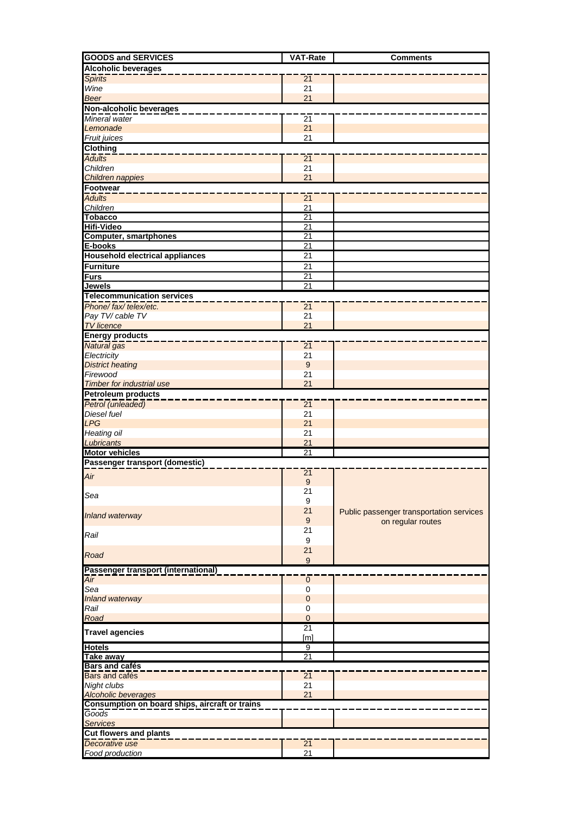| <b>GOODS and SERVICES</b>                      | <b>VAT-Rate</b>  | <b>Comments</b>                          |  |
|------------------------------------------------|------------------|------------------------------------------|--|
| <b>Alcoholic beverages</b>                     |                  |                                          |  |
| <b>Spirits</b>                                 | $\overline{21}$  |                                          |  |
| Wine                                           | 21               |                                          |  |
| <b>Beer</b>                                    | 21               |                                          |  |
| Non-alcoholic beverages                        |                  |                                          |  |
| Mineral water                                  | $\overline{21}$  |                                          |  |
| Lemonade                                       | 21               |                                          |  |
| Fruit juices                                   | 21               |                                          |  |
| <b>Clothing</b>                                |                  |                                          |  |
| <b>Adults</b>                                  | $\overline{21}$  |                                          |  |
| Children                                       | 21<br>21         |                                          |  |
| Children nappies<br><b>Footwear</b>            |                  |                                          |  |
| <b>Adults</b>                                  |                  |                                          |  |
| Children                                       | 21<br>21         |                                          |  |
| <b>Tobacco</b>                                 | 21               |                                          |  |
| <b>Hifi-Video</b>                              | $\overline{21}$  |                                          |  |
| <b>Computer, smartphones</b>                   | $\overline{21}$  |                                          |  |
| E-books                                        | $\overline{21}$  |                                          |  |
| <b>Household electrical appliances</b>         | $\overline{21}$  |                                          |  |
| <b>Furniture</b>                               | 21               |                                          |  |
| <b>Furs</b>                                    | $\overline{21}$  |                                          |  |
| <b>Jewels</b>                                  | $\overline{21}$  |                                          |  |
| <b>Telecommunication services</b>              |                  |                                          |  |
| Phone/fax/telex/etc.                           | $\overline{21}$  |                                          |  |
| Pay TV/ cable TV                               | 21               |                                          |  |
| <b>TV</b> licence                              | 21               |                                          |  |
| <b>Energy products</b>                         |                  |                                          |  |
| Natural gas                                    | 21               |                                          |  |
| Electricity                                    | 21               |                                          |  |
| <b>District heating</b>                        | $\boldsymbol{9}$ |                                          |  |
| Firewood                                       | 21               |                                          |  |
| <b>Timber for industrial use</b>               | 21               |                                          |  |
| <b>Petroleum products</b>                      |                  |                                          |  |
| Petrol (unleaded)<br>Diesel fuel               | 21<br>21         |                                          |  |
| <b>LPG</b>                                     | 21               |                                          |  |
| Heating oil                                    | 21               |                                          |  |
| Lubricants                                     | 21               |                                          |  |
| <b>Motor vehicles</b>                          | 21               |                                          |  |
| Passenger transport (domestic)                 |                  |                                          |  |
|                                                | 21               |                                          |  |
| Air                                            | 9                |                                          |  |
| Sea                                            | 21               |                                          |  |
|                                                | $\boldsymbol{9}$ |                                          |  |
| Inland waterway                                | 21               | Public passenger transportation services |  |
|                                                | 9                | on regular routes                        |  |
| Rail                                           | 21               |                                          |  |
|                                                | 9                |                                          |  |
| Road                                           | 21               |                                          |  |
|                                                | 9                |                                          |  |
| Passenger transport (international)            |                  |                                          |  |
| Air<br>Sea                                     | $\mathbf 0$<br>0 |                                          |  |
| Inland waterway                                | $\mathbf 0$      |                                          |  |
| Rail                                           | 0                |                                          |  |
| Road                                           | $\mathbf 0$      |                                          |  |
|                                                | 21               |                                          |  |
| <b>Travel agencies</b>                         | [ <sub>m</sub> ] |                                          |  |
| <b>Hotels</b>                                  | 9                |                                          |  |
| <b>Take away</b>                               | $\overline{21}$  |                                          |  |
| <b>Bars and cafés</b>                          |                  |                                          |  |
| Bars and cafés                                 | 21               |                                          |  |
| Night clubs                                    | 21               |                                          |  |
| <b>Alcoholic beverages</b>                     | 21               |                                          |  |
| Consumption on board ships, aircraft or trains |                  |                                          |  |
| Goods                                          |                  |                                          |  |
| <b>Services</b>                                |                  |                                          |  |
| <b>Cut flowers and plants</b>                  |                  |                                          |  |
| Decorative use                                 | 21               |                                          |  |
| Food production                                | 21               |                                          |  |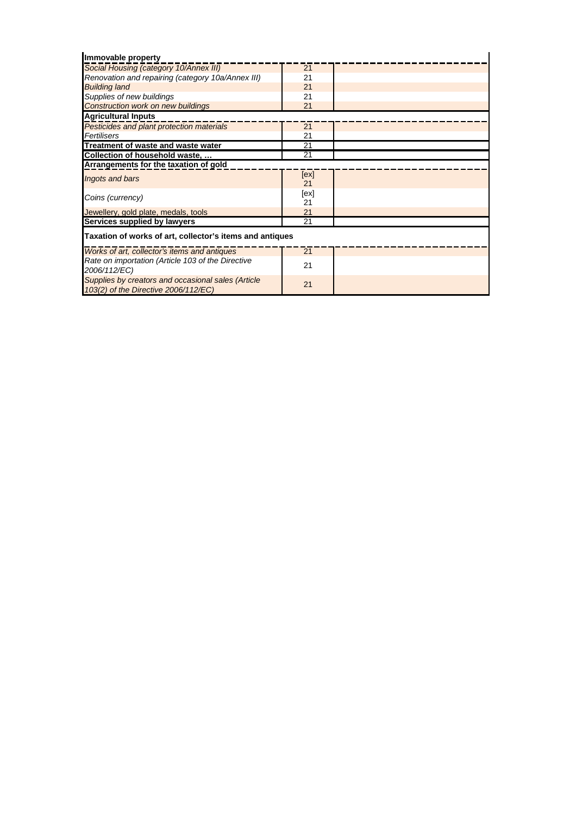| Immovable property                                                                         |                 |  |  |
|--------------------------------------------------------------------------------------------|-----------------|--|--|
| Social Housing (category 10/Annex III)                                                     | 21              |  |  |
| Renovation and repairing (category 10a/Annex III)                                          | 21              |  |  |
| <b>Building land</b>                                                                       | 21              |  |  |
| Supplies of new buildings                                                                  | 21              |  |  |
| <b>Construction work on new buildings</b>                                                  | 21              |  |  |
| <b>Agricultural Inputs</b>                                                                 |                 |  |  |
| Pesticides and plant protection materials                                                  | 21              |  |  |
| Fertilisers                                                                                | 21              |  |  |
| Treatment of waste and waste water                                                         | $\overline{21}$ |  |  |
| Collection of household waste,                                                             | 21              |  |  |
| Arrangements for the taxation of gold                                                      |                 |  |  |
| Ingots and bars                                                                            | [ex]            |  |  |
|                                                                                            | 21              |  |  |
| Coins (currency)                                                                           | [ex]            |  |  |
|                                                                                            | 21              |  |  |
| Jewellery, gold plate, medals, tools                                                       | 21              |  |  |
| Services supplied by lawyers                                                               | 21              |  |  |
| Taxation of works of art, collector's items and antiques                                   |                 |  |  |
| Works of art, collector's items and antiques                                               | 21              |  |  |
| Rate on importation (Article 103 of the Directive                                          | 21              |  |  |
| 2006/112/EC)                                                                               |                 |  |  |
| Supplies by creators and occasional sales (Article<br>103(2) of the Directive 2006/112/EC) | 21              |  |  |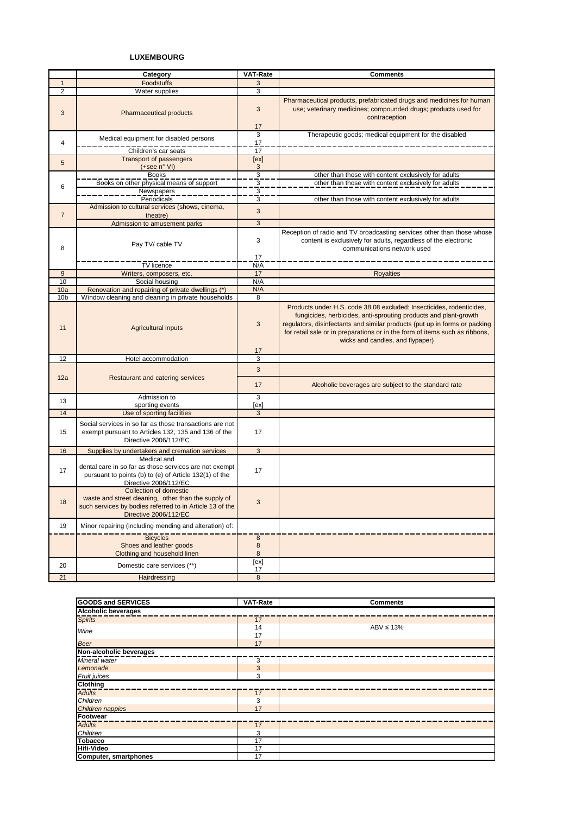## **LUXEMBOURG**

|                        | Category                                                                                                                                                           | <b>VAT-Rate</b>             | <b>Comments</b>                                                                                                                                                                                                                                                                                                                           |
|------------------------|--------------------------------------------------------------------------------------------------------------------------------------------------------------------|-----------------------------|-------------------------------------------------------------------------------------------------------------------------------------------------------------------------------------------------------------------------------------------------------------------------------------------------------------------------------------------|
| $\mathbf{1}$           | <b>Foodstuffs</b>                                                                                                                                                  | 3                           |                                                                                                                                                                                                                                                                                                                                           |
| $\overline{2}$         | Water supplies                                                                                                                                                     | 3                           |                                                                                                                                                                                                                                                                                                                                           |
| 3                      | <b>Pharmaceutical products</b>                                                                                                                                     | 3<br>17                     | Pharmaceutical products, prefabricated drugs and medicines for human<br>use; veterinary medicines; compounded drugs; products used for<br>contraception                                                                                                                                                                                   |
| 4                      | Medical equipment for disabled persons                                                                                                                             | 3<br>17                     | Therapeutic goods; medical equipment for the disabled                                                                                                                                                                                                                                                                                     |
|                        | Children's car seats                                                                                                                                               | 17                          |                                                                                                                                                                                                                                                                                                                                           |
| 5                      | <b>Transport of passengers</b><br>$(+see n° VI)$                                                                                                                   | [ex]<br>3                   |                                                                                                                                                                                                                                                                                                                                           |
|                        | <b>Books</b>                                                                                                                                                       | $\overline{3}$              | other than those with content exclusively for adults                                                                                                                                                                                                                                                                                      |
| 6                      | Books on other physical means of support                                                                                                                           | $\overline{3}$              | other than those with content exclusively for adults                                                                                                                                                                                                                                                                                      |
|                        | Newspapers                                                                                                                                                         | $\frac{3}{3}$               |                                                                                                                                                                                                                                                                                                                                           |
|                        | Periodicals                                                                                                                                                        |                             | other than those with content exclusively for adults                                                                                                                                                                                                                                                                                      |
| $\overline{7}$         | Admission to cultural services (shows, cinema,<br>theatre)                                                                                                         | 3                           |                                                                                                                                                                                                                                                                                                                                           |
|                        | Admission to amusement parks                                                                                                                                       | 3                           |                                                                                                                                                                                                                                                                                                                                           |
| 8                      | Pay TV/ cable TV                                                                                                                                                   | 3<br>17                     | Reception of radio and TV broadcasting services other than those whose<br>content is exclusively for adults, regardless of the electronic<br>communications network used                                                                                                                                                                  |
|                        | TV licence                                                                                                                                                         | N/A                         |                                                                                                                                                                                                                                                                                                                                           |
| 9                      | Writers, composers, etc.                                                                                                                                           | 17                          | <b>Royalties</b>                                                                                                                                                                                                                                                                                                                          |
| 10                     | Social housing                                                                                                                                                     | N/A                         |                                                                                                                                                                                                                                                                                                                                           |
| 10a<br>10 <sub>b</sub> | Renovation and repairing of private dwellings (*)<br>Window cleaning and cleaning in private households                                                            | N/A<br>8                    |                                                                                                                                                                                                                                                                                                                                           |
| 11                     | <b>Agricultural inputs</b>                                                                                                                                         | 3<br>17                     | Products under H.S. code 38.08 excluded: Insecticides, rodenticides,<br>fungicides, herbicides, anti-sprouting products and plant-growth<br>regulators, disinfectants and similar products (put up in forms or packing<br>for retail sale or in preparations or in the form of items such as ribbons,<br>wicks and candles, and flypaper) |
| 12                     | Hotel accommodation                                                                                                                                                | 3                           |                                                                                                                                                                                                                                                                                                                                           |
|                        |                                                                                                                                                                    | 3                           |                                                                                                                                                                                                                                                                                                                                           |
| 12a                    | Restaurant and catering services                                                                                                                                   | 17                          | Alcoholic beverages are subject to the standard rate                                                                                                                                                                                                                                                                                      |
| 13                     | Admission to                                                                                                                                                       | 3                           |                                                                                                                                                                                                                                                                                                                                           |
| 14                     | sporting events<br>Use of sporting facilities                                                                                                                      | [ex]<br>3                   |                                                                                                                                                                                                                                                                                                                                           |
| 15                     | Social services in so far as those transactions are not<br>exempt pursuant to Articles 132, 135 and 136 of the<br>Directive 2006/112/EC                            | 17                          |                                                                                                                                                                                                                                                                                                                                           |
| 16                     | Supplies by undertakers and cremation services                                                                                                                     | 3                           |                                                                                                                                                                                                                                                                                                                                           |
| 17                     | Medical and<br>dental care in so far as those services are not exempt<br>pursuant to points (b) to (e) of Article 132(1) of the<br>Directive 2006/112/EC           | 17                          |                                                                                                                                                                                                                                                                                                                                           |
| 18                     | Collection of domestic<br>waste and street cleaning, other than the supply of<br>such services by bodies referred to in Article 13 of the<br>Directive 2006/112/EC | 3                           |                                                                                                                                                                                                                                                                                                                                           |
| 19                     | Minor repairing (including mending and alteration) of:                                                                                                             |                             |                                                                                                                                                                                                                                                                                                                                           |
|                        | <b>Bicycles</b><br>Shoes and leather goods<br>Clothing and household linen                                                                                         | $\bf8$<br>$\bf8$<br>$\bf 8$ |                                                                                                                                                                                                                                                                                                                                           |
| 20                     | Domestic care services (**)                                                                                                                                        | [ex]<br>17                  |                                                                                                                                                                                                                                                                                                                                           |
| 21                     | Hairdressing                                                                                                                                                       | 8                           |                                                                                                                                                                                                                                                                                                                                           |

| <b>GOODS and SERVICES</b> | <b>VAT-Rate</b> | <b>Comments</b> |  |  |  |  |
|---------------------------|-----------------|-----------------|--|--|--|--|
| Alcoholic beverages       |                 |                 |  |  |  |  |
| <b>Spirits</b>            | $\overline{17}$ |                 |  |  |  |  |
|                           | 14              | $ABV \leq 13\%$ |  |  |  |  |
| Wine                      | 17              |                 |  |  |  |  |
| <b>Beer</b>               | 17              |                 |  |  |  |  |
| Non-alcoholic beverages   |                 |                 |  |  |  |  |
| Mineral water             | 3               |                 |  |  |  |  |
| Lemonade                  | 3               |                 |  |  |  |  |
| Fruit juices              | 3               |                 |  |  |  |  |
| <b>Clothing</b>           |                 |                 |  |  |  |  |
| <b>Adults</b>             | 17              |                 |  |  |  |  |
| Children                  | 3               |                 |  |  |  |  |
| Children nappies          | 17              |                 |  |  |  |  |
| Footwear                  |                 |                 |  |  |  |  |
| <b>Adults</b>             | 17              |                 |  |  |  |  |
| Children                  | 3               |                 |  |  |  |  |
| <b>Tobacco</b>            | 17              |                 |  |  |  |  |
| <b>Hifi-Video</b>         | 17              |                 |  |  |  |  |
| Computer, smartphones     | 17              |                 |  |  |  |  |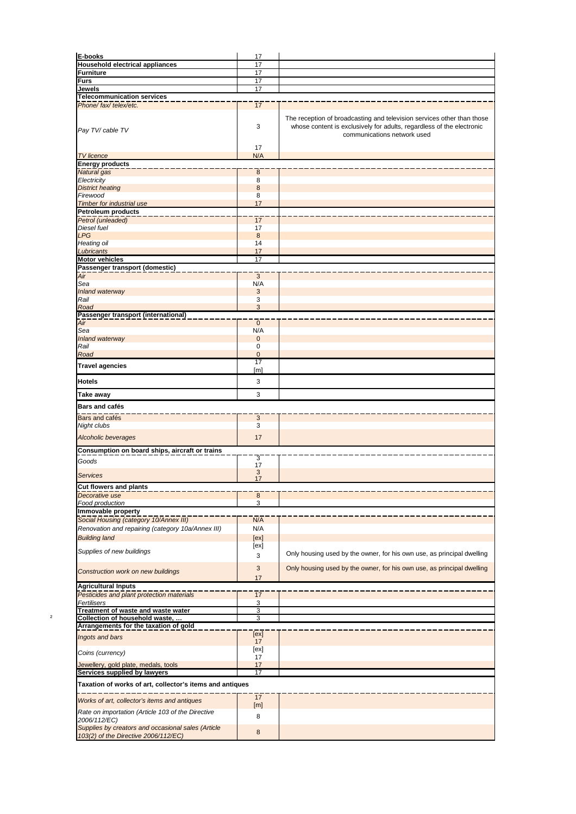| E-books                                                                                                                             | 17                 |                                                                                                                                                                                |
|-------------------------------------------------------------------------------------------------------------------------------------|--------------------|--------------------------------------------------------------------------------------------------------------------------------------------------------------------------------|
| <b>Household electrical appliances</b>                                                                                              | 17                 |                                                                                                                                                                                |
| Furniture                                                                                                                           | 17                 |                                                                                                                                                                                |
| <b>Furs</b>                                                                                                                         | 17                 |                                                                                                                                                                                |
| Jewels                                                                                                                              | 17                 |                                                                                                                                                                                |
| <b>Telecommunication services</b>                                                                                                   |                    |                                                                                                                                                                                |
| Phone/fax/telex/etc.                                                                                                                | 17                 |                                                                                                                                                                                |
| Pay TV/ cable TV                                                                                                                    | 3                  | The reception of broadcasting and television services other than those<br>whose content is exclusively for adults, regardless of the electronic<br>communications network used |
|                                                                                                                                     | 17                 |                                                                                                                                                                                |
| <b>TV</b> licence<br><b>Energy products</b>                                                                                         | N/A                |                                                                                                                                                                                |
| Natural gas                                                                                                                         | $\boldsymbol{8}$   |                                                                                                                                                                                |
| Electricity                                                                                                                         | 8                  |                                                                                                                                                                                |
| <b>District heating</b>                                                                                                             | 8                  |                                                                                                                                                                                |
| Firewood                                                                                                                            | 8                  |                                                                                                                                                                                |
| <b>Timber for industrial use</b>                                                                                                    | 17                 |                                                                                                                                                                                |
| <b>Petroleum products</b>                                                                                                           |                    |                                                                                                                                                                                |
| Petrol (unleaded)                                                                                                                   | 17                 |                                                                                                                                                                                |
| Diesel fuel                                                                                                                         | 17                 |                                                                                                                                                                                |
| <b>LPG</b>                                                                                                                          | 8                  |                                                                                                                                                                                |
| Heating oil<br>Lubricants                                                                                                           | 14<br>17           |                                                                                                                                                                                |
| <b>Motor vehicles</b>                                                                                                               | 17                 |                                                                                                                                                                                |
| Passenger transport (domestic)                                                                                                      |                    |                                                                                                                                                                                |
| Air                                                                                                                                 | 3                  |                                                                                                                                                                                |
| Sea                                                                                                                                 | N/A                |                                                                                                                                                                                |
| Inland waterway                                                                                                                     | 3                  |                                                                                                                                                                                |
| Rail                                                                                                                                | 3                  |                                                                                                                                                                                |
| Road                                                                                                                                | 3                  |                                                                                                                                                                                |
| Passenger transport (international)                                                                                                 |                    |                                                                                                                                                                                |
| Air<br>Sea                                                                                                                          | $\mathbf{0}$       |                                                                                                                                                                                |
| Inland waterway                                                                                                                     | N/A<br>$\mathbf 0$ |                                                                                                                                                                                |
| Rail                                                                                                                                | 0                  |                                                                                                                                                                                |
| Road                                                                                                                                | $\mathbf 0$        |                                                                                                                                                                                |
|                                                                                                                                     | 17                 |                                                                                                                                                                                |
| <b>Travel agencies</b>                                                                                                              | [m]                |                                                                                                                                                                                |
| <b>Hotels</b>                                                                                                                       | 3                  |                                                                                                                                                                                |
|                                                                                                                                     |                    |                                                                                                                                                                                |
| Take away                                                                                                                           | 3                  |                                                                                                                                                                                |
|                                                                                                                                     |                    |                                                                                                                                                                                |
| Bars and cafés                                                                                                                      |                    |                                                                                                                                                                                |
| Bars and cafés                                                                                                                      | 3                  |                                                                                                                                                                                |
| Night clubs                                                                                                                         | 3                  |                                                                                                                                                                                |
| <b>Alcoholic beverages</b>                                                                                                          | 17                 |                                                                                                                                                                                |
| Consumption on board ships, aircraft or trains                                                                                      |                    |                                                                                                                                                                                |
|                                                                                                                                     | 3                  |                                                                                                                                                                                |
| Goods                                                                                                                               | 17                 |                                                                                                                                                                                |
| Services                                                                                                                            | 3                  |                                                                                                                                                                                |
|                                                                                                                                     | 17                 |                                                                                                                                                                                |
| Cut flowers and plants<br>Decorative use                                                                                            | $\bf 8$            |                                                                                                                                                                                |
| Food production                                                                                                                     | 3                  |                                                                                                                                                                                |
| Immovable property                                                                                                                  |                    |                                                                                                                                                                                |
| Social Housing (category 10/Annex III)                                                                                              | N/A                |                                                                                                                                                                                |
| Renovation and repairing (category 10a/Annex III)                                                                                   | N/A                |                                                                                                                                                                                |
| <b>Building land</b>                                                                                                                | [ex]               |                                                                                                                                                                                |
|                                                                                                                                     | [ex]               |                                                                                                                                                                                |
| Supplies of new buildings                                                                                                           | 3                  | Only housing used by the owner, for his own use, as principal dwelling                                                                                                         |
|                                                                                                                                     |                    |                                                                                                                                                                                |
| Construction work on new buildings                                                                                                  | $\mathbf{3}$       | Only housing used by the owner, for his own use, as principal dwelling                                                                                                         |
|                                                                                                                                     | 17                 |                                                                                                                                                                                |
| <b>Agricultural Inputs</b>                                                                                                          |                    |                                                                                                                                                                                |
| Pesticides and plant protection materials                                                                                           |                    |                                                                                                                                                                                |
| Fertilisers                                                                                                                         | 17                 |                                                                                                                                                                                |
|                                                                                                                                     | 3                  |                                                                                                                                                                                |
| Treatment of waste and waste water                                                                                                  | 3                  |                                                                                                                                                                                |
| Collection of household waste,                                                                                                      | 3                  |                                                                                                                                                                                |
|                                                                                                                                     |                    |                                                                                                                                                                                |
| Ingots and bars                                                                                                                     | [ex]<br>17         |                                                                                                                                                                                |
|                                                                                                                                     | [ex]               |                                                                                                                                                                                |
| Coins (currency)                                                                                                                    | 17                 |                                                                                                                                                                                |
| Jewellery, gold plate, medals, tools                                                                                                | 17                 |                                                                                                                                                                                |
| Services supplied by lawyers                                                                                                        | 17                 |                                                                                                                                                                                |
| Taxation of works of art, collector's items and antiques                                                                            |                    |                                                                                                                                                                                |
|                                                                                                                                     |                    |                                                                                                                                                                                |
| Works of art, collector's items and antiques                                                                                        | 17                 |                                                                                                                                                                                |
|                                                                                                                                     | [m]                |                                                                                                                                                                                |
| Rate on importation (Article 103 of the Directive<br>2006/112/EC)                                                                   | 8                  |                                                                                                                                                                                |
| Arrangements for the taxation of gold<br>Supplies by creators and occasional sales (Article<br>103(2) of the Directive 2006/112/EC) | 8                  |                                                                                                                                                                                |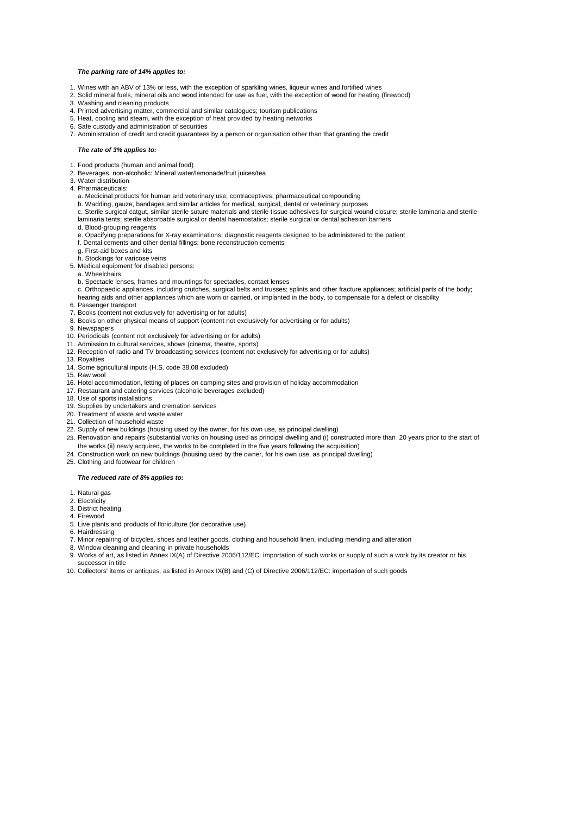#### *The parking rate of 14% applies to:*

- 1. Wines with an ABV of 13% or less, with the exception of sparkling wines, liqueur wines and fortified wines
- 2. Solid mineral fuels, mineral oils and wood intended for use as fuel, with the exception of wood for heating (firewood)
- 3. Washing and cleaning products
- 4. Printed advertising matter, commercial and similar catalogues; tourism publications
- 5. Heat, cooling and steam, with the exception of heat provided by heating networks
- 6. Safe custody and administration of securities
- 7. Administration of credit and credit guarantees by a person or organisation other than that granting the credit

#### *The rate of 3% applies to:*

- 1. Food products (human and animal food)
- 2. Beverages, non-alcoholic: Mineral water/lemonade/fruit juices/tea
- 3. Water distribution
- 4. Pharmaceuticals:
	- a. Medicinal products for human and veterinary use, contraceptives, pharmaceutical compounding
	- b. Wadding, gauze, bandages and similar articles for medical, surgical, dental or veterinary purposes
	- c. Sterile surgical catgut, similar sterile suture materials and sterile tissue adhesives for surgical wound closure; sterile laminaria and sterile laminaria tents; sterile absorbable surgical or dental haemostatics; sterile surgical or dental adhesion barriers
	- d. Blood-grouping reagents
	- e. Opacifying preparations for X-ray examinations; diagnostic reagents designed to be administered to the patient

f. Dental cements and other dental fillings; bone reconstruction cements

- g. First-aid boxes and kits
- h. Stockings for varicose veins
- 5. Medical equipment for disabled persons:
- a. Wheelchairs
- b. Spectacle lenses, frames and mountings for spectacles, contact lenses

c. Orthopaedic appliances, including crutches, surgical belts and trusses; splints and other fracture appliances; artificial parts of the body; hearing aids and other appliances which are worn or carried, or implanted in the body, to compensate for a defect or disability

- 6. Passenger transport
- 7. Books (content not exclusively for advertising or for adults)
- 8. Books on other physical means of support (content not exclusively for advertising or for adults)
- 9. Newspapers
- 10. Periodicals (content not exclusively for advertising or for adults)
- 11. Admission to cultural services, shows (cinema, theatre, sports)
- 12. Reception of radio and TV broadcasting services (content not exclusively for advertising or for adults)
- 13. Royalties
- 14. Some agricultural inputs (H.S. code 38.08 excluded)
- 15. Raw wool
- 16. Hotel accommodation, letting of places on camping sites and provision of holiday accommodation
- 17. Restaurant and catering services (alcoholic beverages excluded)
- 18. Use of sports installations
- 19. Supplies by undertakers and cremation services
- 20. Treatment of waste and waste water
- 21. Collection of household waste
- 22. Supply of new buildings (housing used by the owner, for his own use, as principal dwelling)
- 23. Renovation and repairs (substantial works on housing used as principal dwelling and (i) constructed more than 20 years prior to the start of the works (ii) newly acquired, the works to be completed in the five years following the acquisition)
- 24. Construction work on new buildings (housing used by the owner, for his own use, as principal dwelling)
- 25. Clothing and footwear for children

### *The reduced rate of 8% applies to:*

- 1. Natural gas
- 2. Electricity
- 3. District heating
- 4. Firewood
- 5. Live plants and products of floriculture (for decorative use)
- 6. Hairdressing
- 7. Minor repairing of bicycles, shoes and leather goods, clothing and household linen, including mending and alteration
- 8. Window cleaning and cleaning in private households
- 9. Works of art, as listed in Annex IX(A) of Directive 2006/112/EC: importation of such works or supply of such a work by its creator or his successor in title
- 10. Collectors' items or antiques, as listed in Annex IX(B) and (C) of Directive 2006/112/EC: importation of such goods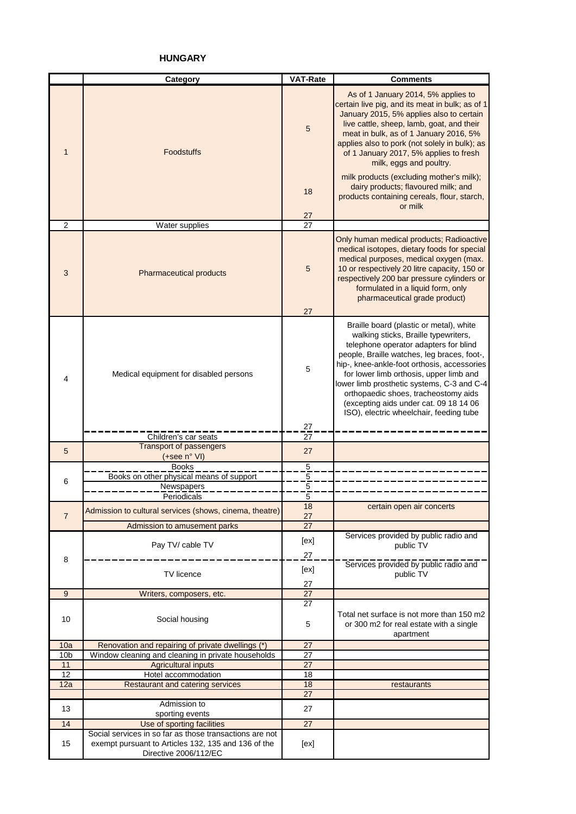**HUNGARY**

|                 | Category                                                                     | <b>VAT-Rate</b> | <b>Comments</b>                                                                                                                                                                                                                                                                                                                                                                                                                              |
|-----------------|------------------------------------------------------------------------------|-----------------|----------------------------------------------------------------------------------------------------------------------------------------------------------------------------------------------------------------------------------------------------------------------------------------------------------------------------------------------------------------------------------------------------------------------------------------------|
| $\mathbf{1}$    | <b>Foodstuffs</b>                                                            | 5               | As of 1 January 2014, 5% applies to<br>certain live pig, and its meat in bulk; as of 1<br>January 2015, 5% applies also to certain<br>live cattle, sheep, lamb, goat, and their<br>meat in bulk, as of 1 January 2016, 5%<br>applies also to pork (not solely in bulk); as<br>of 1 January 2017, 5% applies to fresh<br>milk, eggs and poultry.                                                                                              |
|                 |                                                                              | 18<br>27        | milk products (excluding mother's milk);<br>dairy products; flavoured milk; and<br>products containing cereals, flour, starch,<br>or milk                                                                                                                                                                                                                                                                                                    |
| $\overline{2}$  | Water supplies                                                               | $\overline{27}$ |                                                                                                                                                                                                                                                                                                                                                                                                                                              |
| 3               | Pharmaceutical products                                                      | 5<br>27         | Only human medical products; Radioactive<br>medical isotopes, dietary foods for special<br>medical purposes, medical oxygen (max.<br>10 or respectively 20 litre capacity, 150 or<br>respectively 200 bar pressure cylinders or<br>formulated in a liquid form, only<br>pharmaceutical grade product)                                                                                                                                        |
| 4               | Medical equipment for disabled persons                                       | 5               | Braille board (plastic or metal), white<br>walking sticks, Braille typewriters,<br>telephone operator adapters for blind<br>people, Braille watches, leg braces, foot-,<br>hip-, knee-ankle-foot orthosis, accessories<br>for lower limb orthosis, upper limb and<br>lower limb prosthetic systems, C-3 and C-4<br>orthopaedic shoes, tracheostomy aids<br>(excepting aids under cat. 09 18 14 06<br>ISO), electric wheelchair, feeding tube |
|                 |                                                                              | 27              |                                                                                                                                                                                                                                                                                                                                                                                                                                              |
|                 | Children's car seats                                                         | 27              |                                                                                                                                                                                                                                                                                                                                                                                                                                              |
| 5               | <b>Transport of passengers</b><br>(+see n° VI)                               | 27              |                                                                                                                                                                                                                                                                                                                                                                                                                                              |
|                 | <b>Books</b>                                                                 | $\overline{5}$  |                                                                                                                                                                                                                                                                                                                                                                                                                                              |
| 6               | Books on other physical means of support                                     | $\overline{5}$  |                                                                                                                                                                                                                                                                                                                                                                                                                                              |
|                 | Newspapers                                                                   | $\overline{5}$  |                                                                                                                                                                                                                                                                                                                                                                                                                                              |
|                 | Periodicals                                                                  | 5               |                                                                                                                                                                                                                                                                                                                                                                                                                                              |
| $\overline{7}$  | Admission to cultural services (shows, cinema, theatre)                      | 18<br>27        | certain open air concerts                                                                                                                                                                                                                                                                                                                                                                                                                    |
|                 | Admission to amusement parks                                                 | $\overline{27}$ |                                                                                                                                                                                                                                                                                                                                                                                                                                              |
|                 | Pay TV/ cable TV                                                             | [ex]            | Services provided by public radio and<br>public TV                                                                                                                                                                                                                                                                                                                                                                                           |
| 8               | TV licence                                                                   | 27<br>[ex]      | Services provided by public radio and<br>public TV                                                                                                                                                                                                                                                                                                                                                                                           |
|                 |                                                                              | 27              |                                                                                                                                                                                                                                                                                                                                                                                                                                              |
| 9               | Writers, composers, etc.                                                     | 27              |                                                                                                                                                                                                                                                                                                                                                                                                                                              |
| 10              | Social housing                                                               | 27<br>5         | Total net surface is not more than 150 m2<br>or 300 m2 for real estate with a single<br>apartment                                                                                                                                                                                                                                                                                                                                            |
| 10a             | Renovation and repairing of private dwellings (*)                            | 27              |                                                                                                                                                                                                                                                                                                                                                                                                                                              |
| 10 <sub>b</sub> | Window cleaning and cleaning in private households                           | 27              |                                                                                                                                                                                                                                                                                                                                                                                                                                              |
| 11              | <b>Agricultural inputs</b>                                                   | 27              |                                                                                                                                                                                                                                                                                                                                                                                                                                              |
| 12              | Hotel accommodation                                                          | 18              |                                                                                                                                                                                                                                                                                                                                                                                                                                              |
| 12a             | Restaurant and catering services                                             | 18              | restaurants                                                                                                                                                                                                                                                                                                                                                                                                                                  |
|                 |                                                                              | 27              |                                                                                                                                                                                                                                                                                                                                                                                                                                              |
| 13              | Admission to                                                                 | 27              |                                                                                                                                                                                                                                                                                                                                                                                                                                              |
| 14              | sporting events<br>Use of sporting facilities                                | 27              |                                                                                                                                                                                                                                                                                                                                                                                                                                              |
|                 | Social services in so far as those transactions are not                      |                 |                                                                                                                                                                                                                                                                                                                                                                                                                                              |
| 15              | exempt pursuant to Articles 132, 135 and 136 of the<br>Directive 2006/112/EC | [ex]            |                                                                                                                                                                                                                                                                                                                                                                                                                                              |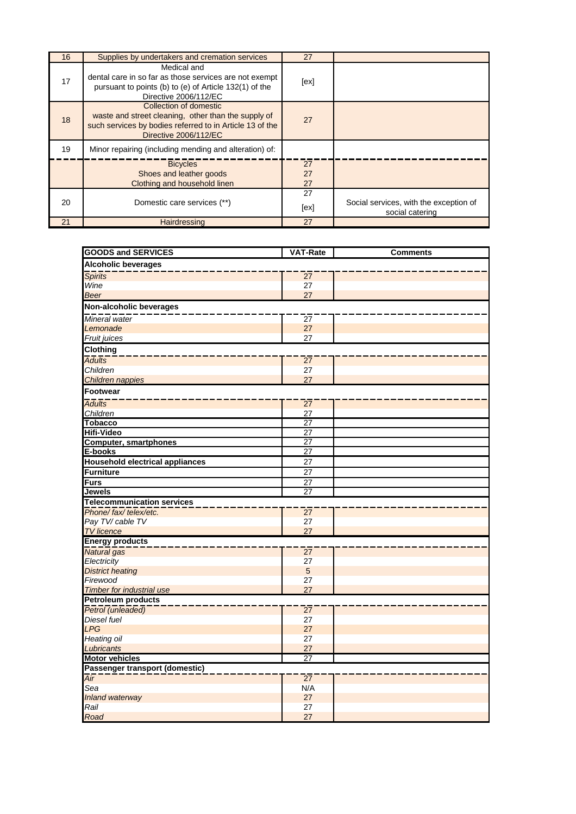| 16 | Supplies by undertakers and cremation services                                                                                                                     | 27             |                                                           |
|----|--------------------------------------------------------------------------------------------------------------------------------------------------------------------|----------------|-----------------------------------------------------------|
| 17 | Medical and<br>dental care in so far as those services are not exempt<br>pursuant to points (b) to (e) of Article 132(1) of the<br>Directive 2006/112/EC           | [ex]           |                                                           |
| 18 | Collection of domestic<br>waste and street cleaning, other than the supply of<br>such services by bodies referred to in Article 13 of the<br>Directive 2006/112/EC | 27             |                                                           |
| 19 | Minor repairing (including mending and alteration) of:                                                                                                             |                |                                                           |
|    | <b>Bicycles</b><br>Shoes and leather goods<br>Clothing and household linen                                                                                         | 27<br>27<br>27 |                                                           |
| 20 | Domestic care services (**)                                                                                                                                        | 27<br>[ex]     | Social services, with the exception of<br>social catering |
| 21 | Hairdressing                                                                                                                                                       | 27             |                                                           |

| <b>GOODS and SERVICES</b>              | <b>VAT-Rate</b>       | <b>Comments</b> |  |  |  |
|----------------------------------------|-----------------------|-----------------|--|--|--|
| <b>Alcoholic beverages</b>             |                       |                 |  |  |  |
| <b>Spirits</b>                         | $\overline{27}$       |                 |  |  |  |
| Wine                                   | 27                    |                 |  |  |  |
| <b>Beer</b>                            | 27                    |                 |  |  |  |
| Non-alcoholic beverages                |                       |                 |  |  |  |
| Mineral water                          | 27                    |                 |  |  |  |
| Lemonade                               | 27                    |                 |  |  |  |
| Fruit juices                           | 27                    |                 |  |  |  |
| Clothing                               |                       |                 |  |  |  |
| <b>Adults</b>                          | $\overline{27}$       |                 |  |  |  |
| <b>Children</b>                        | 27                    |                 |  |  |  |
| Children nappies                       | 27                    |                 |  |  |  |
| <b>Footwear</b>                        |                       |                 |  |  |  |
| <b>Adults</b>                          | $\overline{27}$       |                 |  |  |  |
| Children                               | 27                    |                 |  |  |  |
| <b>Tobacco</b>                         | 27                    |                 |  |  |  |
| <b>Hifi-Video</b>                      | $\overline{27}$       |                 |  |  |  |
| <b>Computer, smartphones</b>           | 27                    |                 |  |  |  |
| E-books                                | $\overline{27}$       |                 |  |  |  |
| <b>Household electrical appliances</b> | $\overline{27}$       |                 |  |  |  |
| Furniture                              | $\overline{27}$       |                 |  |  |  |
| <b>Furs</b>                            | $\overline{27}$       |                 |  |  |  |
| $\overline{27}$<br><b>Jewels</b>       |                       |                 |  |  |  |
| <b>Telecommunication services</b>      |                       |                 |  |  |  |
| Phone/fax/telex/etc.                   | $\overline{27}$<br>27 |                 |  |  |  |
| Pay TV/ cable TV<br><b>TV</b> licence  | 27                    |                 |  |  |  |
| <b>Energy products</b>                 |                       |                 |  |  |  |
| Natural gas                            | $\overline{27}$       |                 |  |  |  |
| Electricity                            | 27                    |                 |  |  |  |
| <b>District heating</b>                | 5                     |                 |  |  |  |
| Firewood                               | 27                    |                 |  |  |  |
| <b>Timber for industrial use</b>       | 27                    |                 |  |  |  |
| <b>Petroleum products</b>              |                       |                 |  |  |  |
| Petrol (unleaded)                      | $\overline{27}$       |                 |  |  |  |
| Diesel fuel                            | 27                    |                 |  |  |  |
| <b>LPG</b>                             | 27                    |                 |  |  |  |
| <b>Heating oil</b>                     | 27                    |                 |  |  |  |
| Lubricants                             | 27                    |                 |  |  |  |
| <b>Motor vehicles</b>                  | $\overline{27}$       |                 |  |  |  |
| Passenger transport (domestic)         |                       |                 |  |  |  |
| $\overline{Air}$                       | $\overline{27}$       |                 |  |  |  |
| Sea                                    | N/A                   |                 |  |  |  |
| Inland waterway                        | 27                    |                 |  |  |  |
| Rail                                   | 27                    |                 |  |  |  |
| Road                                   | 27                    |                 |  |  |  |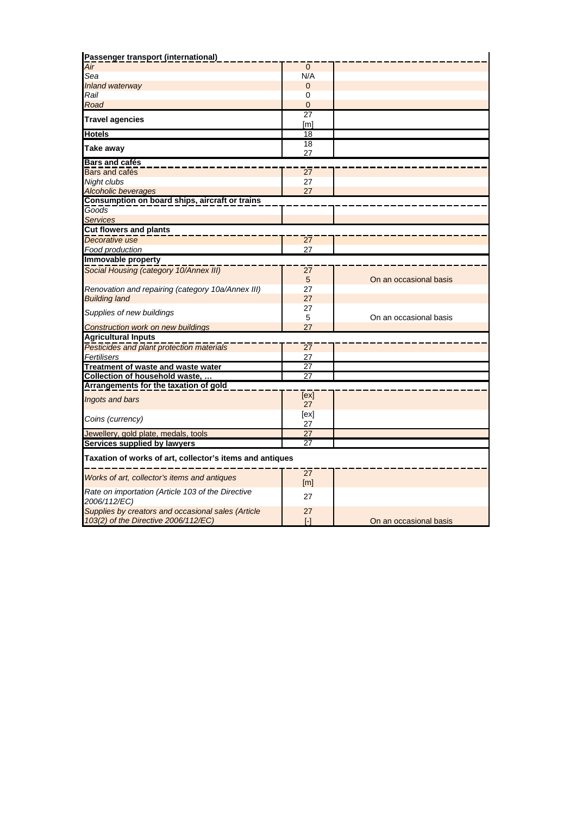| Passenger transport (international)                               |                        |                        |
|-------------------------------------------------------------------|------------------------|------------------------|
| Air                                                               | $\mathbf{0}$           |                        |
| Sea                                                               | N/A                    |                        |
| Inland waterway                                                   | $\mathbf{0}$           |                        |
| Rail                                                              | 0                      |                        |
| Road                                                              | $\overline{0}$         |                        |
| <b>Travel agencies</b>                                            | $\overline{27}$        |                        |
| <b>Hotels</b>                                                     | [m]<br>18              |                        |
|                                                                   | 18                     |                        |
| Take away                                                         | 27                     |                        |
| <b>Bars and cafés</b>                                             |                        |                        |
| Bars and cafés                                                    | $\overline{27}$        |                        |
| Night clubs                                                       | 27                     |                        |
| <b>Alcoholic beverages</b>                                        | 27                     |                        |
| Consumption on board ships, aircraft or trains                    |                        |                        |
| Goods                                                             |                        |                        |
| <b>Services</b>                                                   |                        |                        |
| <b>Cut flowers and plants</b>                                     |                        |                        |
| Decorative use                                                    | 27                     |                        |
| Food production                                                   | 27                     |                        |
| Immovable property                                                |                        |                        |
| Social Housing (category 10/Annex III)                            | 27                     |                        |
|                                                                   | 5                      | On an occasional basis |
| Renovation and repairing (category 10a/Annex III)                 | 27                     |                        |
| <b>Building land</b>                                              | 27                     |                        |
| Supplies of new buildings                                         | 27                     |                        |
|                                                                   | 5                      | On an occasional basis |
| <b>Construction work on new buildings</b>                         | 27                     |                        |
| <b>Agricultural Inputs</b>                                        |                        |                        |
| Pesticides and plant protection materials                         | 27                     |                        |
| Fertilisers                                                       | 27                     |                        |
| Treatment of waste and waste water                                | 27                     |                        |
| Collection of household waste,                                    | 27                     |                        |
| Arrangements for the taxation of gold                             |                        |                        |
| Ingots and bars                                                   | [ex]<br>27             |                        |
|                                                                   | [ex]                   |                        |
| Coins (currency)                                                  | 27                     |                        |
| Jewellery, gold plate, medals, tools                              | 27                     |                        |
| Services supplied by lawyers                                      | 27                     |                        |
| Taxation of works of art, collector's items and antiques          |                        |                        |
| Works of art, collector's items and antiques                      | $\overline{27}$<br>[m] |                        |
| Rate on importation (Article 103 of the Directive<br>2006/112/EC) | 27                     |                        |
| Supplies by creators and occasional sales (Article                | 27                     |                        |
| 103(2) of the Directive 2006/112/EC)                              | [-]                    | On an occasional basis |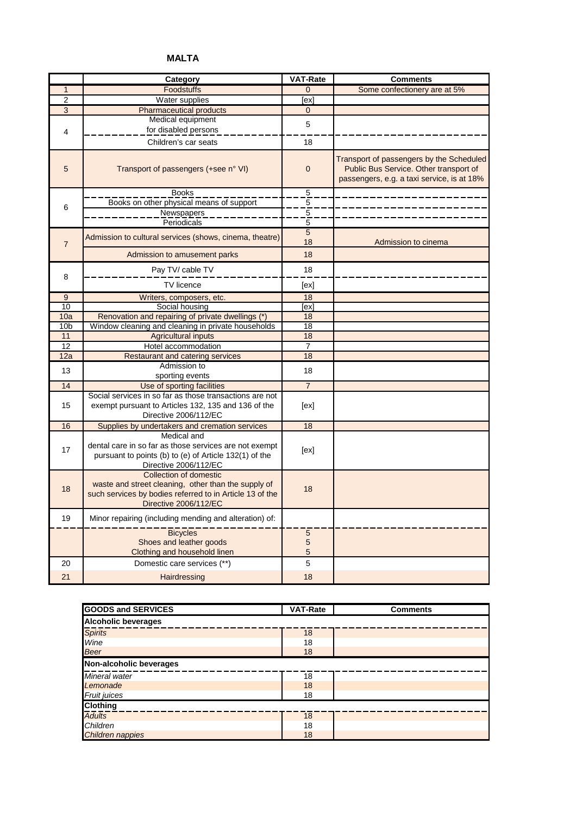# **MALTA**

|                 | Category                                                                                                                                                           | <b>VAT-Rate</b>             | <b>Comments</b>                                                                                                                  |
|-----------------|--------------------------------------------------------------------------------------------------------------------------------------------------------------------|-----------------------------|----------------------------------------------------------------------------------------------------------------------------------|
| $\mathbf{1}$    | Foodstuffs                                                                                                                                                         | $\Omega$                    | Some confectionery are at 5%                                                                                                     |
| $\overline{2}$  | Water supplies                                                                                                                                                     | ex]                         |                                                                                                                                  |
| $\overline{3}$  | <b>Pharmaceutical products</b>                                                                                                                                     | $\mathbf{0}$                |                                                                                                                                  |
| $\overline{4}$  | Medical equipment<br>for disabled persons                                                                                                                          | 5                           |                                                                                                                                  |
|                 | Children's car seats                                                                                                                                               | 18                          |                                                                                                                                  |
| 5               | Transport of passengers (+see n° VI)                                                                                                                               | $\mathbf 0$                 | Transport of passengers by the Scheduled<br>Public Bus Service. Other transport of<br>passengers, e.g. a taxi service, is at 18% |
|                 | <b>Books</b>                                                                                                                                                       | $\frac{5}{5}$ $\frac{5}{5}$ |                                                                                                                                  |
| 6               | Books on other physical means of support                                                                                                                           |                             |                                                                                                                                  |
|                 | Newspapers                                                                                                                                                         |                             |                                                                                                                                  |
|                 | Periodicals                                                                                                                                                        |                             |                                                                                                                                  |
| $\overline{7}$  | Admission to cultural services (shows, cinema, theatre)                                                                                                            | $\sqrt{5}$<br>18            | Admission to cinema                                                                                                              |
|                 | Admission to amusement parks                                                                                                                                       | 18                          |                                                                                                                                  |
| 8               | Pay TV/ cable TV                                                                                                                                                   | 18                          |                                                                                                                                  |
|                 | <b>TV</b> licence                                                                                                                                                  | [ex]                        |                                                                                                                                  |
| 9               | Writers, composers, etc.                                                                                                                                           | 18                          |                                                                                                                                  |
| $\overline{10}$ | Social housing                                                                                                                                                     | [ex]                        |                                                                                                                                  |
| 10a             | Renovation and repairing of private dwellings (*)                                                                                                                  | 18                          |                                                                                                                                  |
| 10 <sub>b</sub> | Window cleaning and cleaning in private households                                                                                                                 | 18                          |                                                                                                                                  |
| 11              | <b>Agricultural inputs</b>                                                                                                                                         | 18                          |                                                                                                                                  |
| 12              | Hotel accommodation                                                                                                                                                | $\overline{7}$              |                                                                                                                                  |
| 12a             | <b>Restaurant and catering services</b>                                                                                                                            | 18                          |                                                                                                                                  |
| 13              | Admission to<br>sporting events                                                                                                                                    | 18                          |                                                                                                                                  |
| 14              | Use of sporting facilities                                                                                                                                         | $\overline{7}$              |                                                                                                                                  |
| 15              | Social services in so far as those transactions are not<br>exempt pursuant to Articles 132, 135 and 136 of the<br>Directive 2006/112/EC                            | [ex]                        |                                                                                                                                  |
| 16              |                                                                                                                                                                    | 18                          |                                                                                                                                  |
|                 | Supplies by undertakers and cremation services<br>Medical and                                                                                                      |                             |                                                                                                                                  |
| 17              | dental care in so far as those services are not exempt<br>pursuant to points (b) to (e) of Article 132(1) of the<br>Directive 2006/112/EC                          | [ex]                        |                                                                                                                                  |
| 18              | Collection of domestic<br>waste and street cleaning, other than the supply of<br>such services by bodies referred to in Article 13 of the<br>Directive 2006/112/EC | 18                          |                                                                                                                                  |
| 19              | Minor repairing (including mending and alteration) of:                                                                                                             |                             |                                                                                                                                  |
|                 | <b>Bicycles</b><br>Shoes and leather goods<br>Clothing and household linen                                                                                         | $\overline{5}$<br>5<br>5    |                                                                                                                                  |
| 20              | Domestic care services (**)                                                                                                                                        | 5                           |                                                                                                                                  |
| 21              | Hairdressing                                                                                                                                                       | 18                          |                                                                                                                                  |

| <b>GOODS and SERVICES</b>       | <b>VAT-Rate</b> | <b>Comments</b> |  |  |  |
|---------------------------------|-----------------|-----------------|--|--|--|
| <b>Alcoholic beverages</b>      |                 |                 |  |  |  |
| <b>Spirits</b>                  | 18              |                 |  |  |  |
| Wine                            | 18              |                 |  |  |  |
| <b>Beer</b>                     | 18              |                 |  |  |  |
| Non-alcoholic beverages         |                 |                 |  |  |  |
| Mineral water                   | 18              |                 |  |  |  |
| Lemonade                        | 18              |                 |  |  |  |
|                                 | 18              |                 |  |  |  |
| <b>Fruit juices</b><br>Clothing |                 |                 |  |  |  |
| <b>Adults</b>                   | 18              |                 |  |  |  |
| Children                        | 18              |                 |  |  |  |
| Children nappies                | 18              |                 |  |  |  |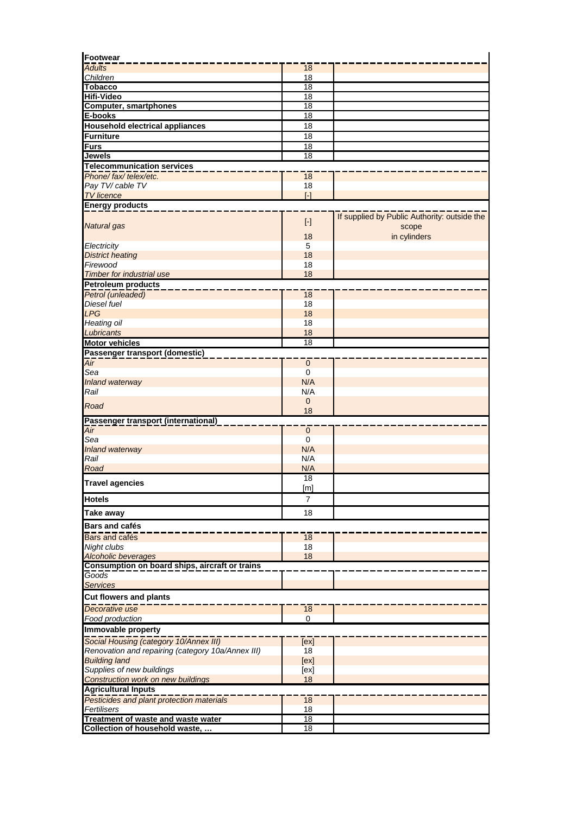| Footwear                                                |                                                                                                                                                                                                    |                                              |
|---------------------------------------------------------|----------------------------------------------------------------------------------------------------------------------------------------------------------------------------------------------------|----------------------------------------------|
| <b>Adults</b>                                           | 18                                                                                                                                                                                                 |                                              |
| Children                                                | 18                                                                                                                                                                                                 |                                              |
| <b>Tobacco</b>                                          | 18                                                                                                                                                                                                 |                                              |
| <b>Hifi-Video</b><br><b>Computer, smartphones</b>       | 18<br>$\overline{18}$                                                                                                                                                                              |                                              |
| E-books                                                 | $\overline{18}$                                                                                                                                                                                    |                                              |
| <b>Household electrical appliances</b>                  | 18                                                                                                                                                                                                 |                                              |
| <b>Furniture</b>                                        | $\overline{18}$                                                                                                                                                                                    |                                              |
| <b>Furs</b>                                             | $\overline{18}$                                                                                                                                                                                    |                                              |
| <b>Jewels</b>                                           | 18                                                                                                                                                                                                 |                                              |
| <b>Telecommunication services</b>                       |                                                                                                                                                                                                    |                                              |
| Phone/fax/telex/etc.                                    | 18                                                                                                                                                                                                 |                                              |
| Pay TV/ cable TV                                        | 18                                                                                                                                                                                                 |                                              |
| <b>TV</b> licence                                       | $\overline{[} \cdot \overline{]}$                                                                                                                                                                  |                                              |
| <b>Energy products</b>                                  |                                                                                                                                                                                                    |                                              |
|                                                         | $[\cdot] % \centering \includegraphics[width=0.9\columnwidth]{figures/fig_10.pdf} \caption{The graph $\mathcal{N}_1$ is a function of the input and the number of input regions.} \label{fig:1} %$ | If supplied by Public Authority: outside the |
| <b>Natural</b> gas                                      |                                                                                                                                                                                                    | scope                                        |
|                                                         | 18                                                                                                                                                                                                 | in cylinders                                 |
| Electricity                                             | 5<br>18                                                                                                                                                                                            |                                              |
| <b>District heating</b><br>Firewood                     | 18                                                                                                                                                                                                 |                                              |
| Timber for industrial use                               | 18                                                                                                                                                                                                 |                                              |
| <b>Petroleum products</b>                               |                                                                                                                                                                                                    |                                              |
| Petrol (unleaded)                                       | 18                                                                                                                                                                                                 |                                              |
| <b>Diesel fuel</b>                                      | 18                                                                                                                                                                                                 |                                              |
| <b>LPG</b>                                              | 18                                                                                                                                                                                                 |                                              |
| Heating oil                                             | 18                                                                                                                                                                                                 |                                              |
| Lubricants                                              | 18                                                                                                                                                                                                 |                                              |
| <b>Motor vehicles</b>                                   | $\overline{18}$                                                                                                                                                                                    |                                              |
| Passenger transport (domestic)                          |                                                                                                                                                                                                    |                                              |
| Air                                                     | $\pmb{0}$                                                                                                                                                                                          |                                              |
| Sea<br>Inland waterway                                  | 0<br>N/A                                                                                                                                                                                           |                                              |
| Rail                                                    | N/A                                                                                                                                                                                                |                                              |
|                                                         | $\mathbf 0$                                                                                                                                                                                        |                                              |
| Road                                                    | 18                                                                                                                                                                                                 |                                              |
| Passenger transport (international)                     |                                                                                                                                                                                                    |                                              |
| Air                                                     | $\mathbf{0}$                                                                                                                                                                                       |                                              |
| Sea                                                     | $\mathbf 0$                                                                                                                                                                                        |                                              |
| Inland waterway<br>Rail                                 | N/A<br>N/A                                                                                                                                                                                         |                                              |
| Road                                                    | N/A                                                                                                                                                                                                |                                              |
|                                                         | $\overline{18}$                                                                                                                                                                                    |                                              |
| <b>Travel agencies</b>                                  | [m]                                                                                                                                                                                                |                                              |
| <b>Hotels</b>                                           | 7                                                                                                                                                                                                  |                                              |
|                                                         |                                                                                                                                                                                                    |                                              |
| Take away                                               | 18                                                                                                                                                                                                 |                                              |
| <b>Bars and cafés</b>                                   |                                                                                                                                                                                                    |                                              |
| Bars and cafés                                          | 18                                                                                                                                                                                                 |                                              |
| Night clubs                                             | 18                                                                                                                                                                                                 |                                              |
| <b>Alcoholic beverages</b>                              | 18                                                                                                                                                                                                 |                                              |
| Consumption on board ships, aircraft or trains<br>Goods |                                                                                                                                                                                                    |                                              |
| <b>Services</b>                                         |                                                                                                                                                                                                    |                                              |
| <b>Cut flowers and plants</b>                           |                                                                                                                                                                                                    |                                              |
| Decorative use                                          |                                                                                                                                                                                                    |                                              |
| Food production                                         | 18<br>0                                                                                                                                                                                            |                                              |
| Immovable property                                      |                                                                                                                                                                                                    |                                              |
| Social Housing (category 10/Annex III)                  | [ex]                                                                                                                                                                                               |                                              |
| Renovation and repairing (category 10a/Annex III)       | 18                                                                                                                                                                                                 |                                              |
| <b>Building land</b>                                    | [ex]                                                                                                                                                                                               |                                              |
| Supplies of new buildings                               | [ex]                                                                                                                                                                                               |                                              |
| <b>Construction work on new buildings</b>               | 18                                                                                                                                                                                                 |                                              |
| <b>Agricultural Inputs</b>                              |                                                                                                                                                                                                    |                                              |
| Pesticides and plant protection materials               | 18                                                                                                                                                                                                 |                                              |
| Fertilisers                                             | 18                                                                                                                                                                                                 |                                              |
| Treatment of waste and waste water                      | $\overline{18}$                                                                                                                                                                                    |                                              |
| Collection of household waste,                          | 18                                                                                                                                                                                                 |                                              |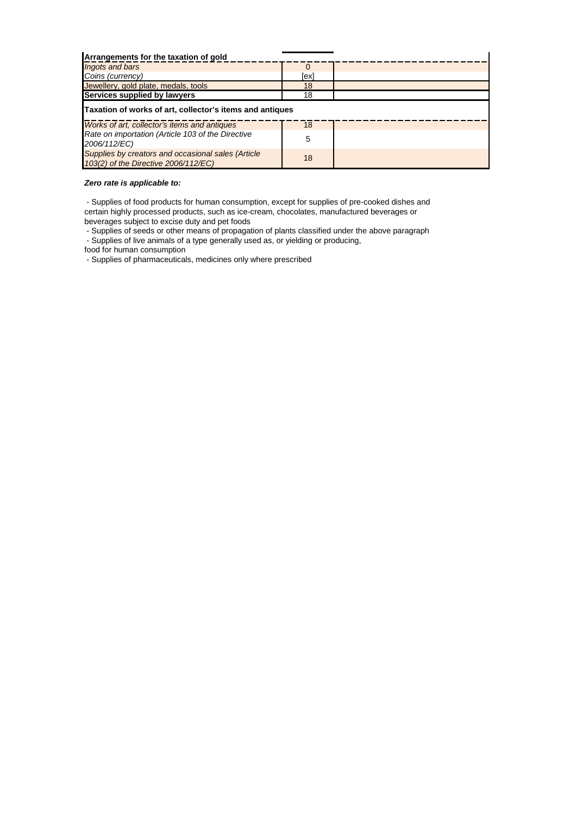| Arrangements for the taxation of gold                                                      |      |  |  |  |
|--------------------------------------------------------------------------------------------|------|--|--|--|
| Ingots and bars                                                                            |      |  |  |  |
| Coins (currency)                                                                           | [ex] |  |  |  |
| Jewellery, gold plate, medals, tools                                                       | 18   |  |  |  |
| Services supplied by lawyers                                                               | 18   |  |  |  |
| Taxation of works of art, collector's items and antiques                                   |      |  |  |  |
| Works of art, collector's items and antiques                                               | 18   |  |  |  |
| Rate on importation (Article 103 of the Directive<br>2006/112/EC)                          | 5    |  |  |  |
| Supplies by creators and occasional sales (Article<br>103(2) of the Directive 2006/112/EC) | 18   |  |  |  |

## *Zero rate is applicable to:*

 - Supplies of food products for human consumption, except for supplies of pre-cooked dishes and certain highly processed products, such as ice-cream, chocolates, manufactured beverages or beverages subject to excise duty and pet foods

 - Supplies of seeds or other means of propagation of plants classified under the above paragraph - Supplies of live animals of a type generally used as, or yielding or producing,

food for human consumption

- Supplies of pharmaceuticals, medicines only where prescribed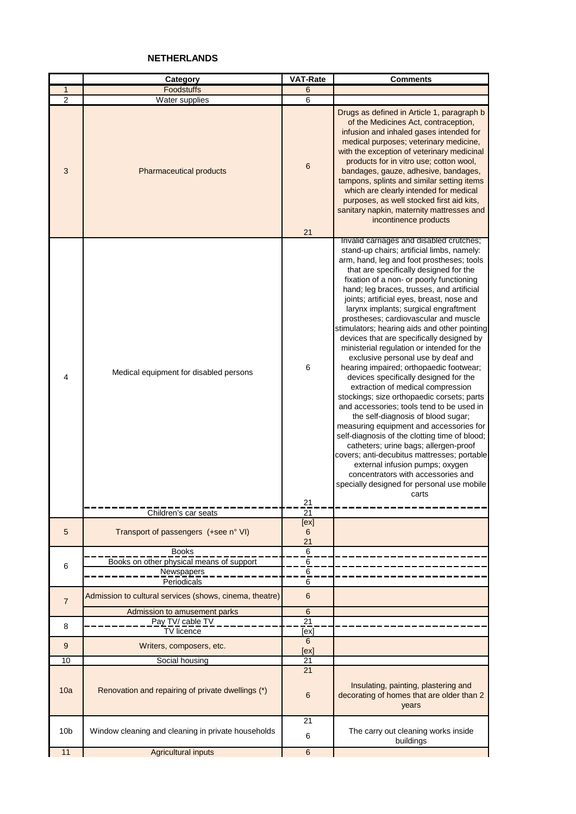# **NETHERLANDS**

|                 | Category                                                               | <b>VAT-Rate</b>                   | <b>Comments</b>                                                                                                                                                                                                                                                                                                                                                                                                                                                                                                                                                                                                                                                                                                                                                                                                                                                                                                                                                                                                                                                                                                          |
|-----------------|------------------------------------------------------------------------|-----------------------------------|--------------------------------------------------------------------------------------------------------------------------------------------------------------------------------------------------------------------------------------------------------------------------------------------------------------------------------------------------------------------------------------------------------------------------------------------------------------------------------------------------------------------------------------------------------------------------------------------------------------------------------------------------------------------------------------------------------------------------------------------------------------------------------------------------------------------------------------------------------------------------------------------------------------------------------------------------------------------------------------------------------------------------------------------------------------------------------------------------------------------------|
| $\mathbf{1}$    | Foodstuffs                                                             | 6                                 |                                                                                                                                                                                                                                                                                                                                                                                                                                                                                                                                                                                                                                                                                                                                                                                                                                                                                                                                                                                                                                                                                                                          |
| $\overline{2}$  | Water supplies                                                         | 6                                 |                                                                                                                                                                                                                                                                                                                                                                                                                                                                                                                                                                                                                                                                                                                                                                                                                                                                                                                                                                                                                                                                                                                          |
| 3               | Pharmaceutical products                                                | 6<br>21                           | Drugs as defined in Article 1, paragraph b<br>of the Medicines Act, contraception,<br>infusion and inhaled gases intended for<br>medical purposes; veterinary medicine,<br>with the exception of veterinary medicinal<br>products for in vitro use; cotton wool,<br>bandages, gauze, adhesive, bandages,<br>tampons, splints and similar setting items<br>which are clearly intended for medical<br>purposes, as well stocked first aid kits,<br>sanitary napkin, maternity mattresses and<br>incontinence products                                                                                                                                                                                                                                                                                                                                                                                                                                                                                                                                                                                                      |
|                 |                                                                        |                                   | Invalid carriages and disabled crutches;                                                                                                                                                                                                                                                                                                                                                                                                                                                                                                                                                                                                                                                                                                                                                                                                                                                                                                                                                                                                                                                                                 |
| 4               | Medical equipment for disabled persons                                 | 6                                 | stand-up chairs; artificial limbs, namely:<br>arm, hand, leg and foot prostheses; tools<br>that are specifically designed for the<br>fixation of a non- or poorly functioning<br>hand; leg braces, trusses, and artificial<br>joints; artificial eyes, breast, nose and<br>larynx implants; surgical engraftment<br>prostheses; cardiovascular and muscle<br>stimulators; hearing aids and other pointing<br>devices that are specifically designed by<br>ministerial regulation or intended for the<br>exclusive personal use by deaf and<br>hearing impaired; orthopaedic footwear;<br>devices specifically designed for the<br>extraction of medical compression<br>stockings; size orthopaedic corsets; parts<br>and accessories; tools tend to be used in<br>the self-diagnosis of blood sugar;<br>measuring equipment and accessories for<br>self-diagnosis of the clotting time of blood;<br>catheters; urine bags; allergen-proof<br>covers; anti-decubitus mattresses; portable<br>external infusion pumps; oxygen<br>concentrators with accessories and<br>specially designed for personal use mobile<br>carts |
|                 |                                                                        | 21                                |                                                                                                                                                                                                                                                                                                                                                                                                                                                                                                                                                                                                                                                                                                                                                                                                                                                                                                                                                                                                                                                                                                                          |
|                 | Children's car seats                                                   | 21                                |                                                                                                                                                                                                                                                                                                                                                                                                                                                                                                                                                                                                                                                                                                                                                                                                                                                                                                                                                                                                                                                                                                                          |
| 5               | Transport of passengers (+see n° VI)                                   | [ex]<br>6<br>21                   |                                                                                                                                                                                                                                                                                                                                                                                                                                                                                                                                                                                                                                                                                                                                                                                                                                                                                                                                                                                                                                                                                                                          |
|                 | <b>Books</b>                                                           | $\,6\,$                           |                                                                                                                                                                                                                                                                                                                                                                                                                                                                                                                                                                                                                                                                                                                                                                                                                                                                                                                                                                                                                                                                                                                          |
| 6               | Books on other physical means of support                               | 6                                 |                                                                                                                                                                                                                                                                                                                                                                                                                                                                                                                                                                                                                                                                                                                                                                                                                                                                                                                                                                                                                                                                                                                          |
|                 | <b>Newspapers</b>                                                      | 6                                 |                                                                                                                                                                                                                                                                                                                                                                                                                                                                                                                                                                                                                                                                                                                                                                                                                                                                                                                                                                                                                                                                                                                          |
| $\overline{7}$  | Periodicals<br>Admission to cultural services (shows, cinema, theatre) | 6<br>$6\phantom{1}$               |                                                                                                                                                                                                                                                                                                                                                                                                                                                                                                                                                                                                                                                                                                                                                                                                                                                                                                                                                                                                                                                                                                                          |
|                 | Admission to amusement parks<br>Pay TV/ cable TV                       | $6\phantom{1}$<br>$\overline{21}$ |                                                                                                                                                                                                                                                                                                                                                                                                                                                                                                                                                                                                                                                                                                                                                                                                                                                                                                                                                                                                                                                                                                                          |
| 8               | TV licence                                                             | [ex]<br>6                         |                                                                                                                                                                                                                                                                                                                                                                                                                                                                                                                                                                                                                                                                                                                                                                                                                                                                                                                                                                                                                                                                                                                          |
| 9               | Writers, composers, etc.                                               | [ex]                              |                                                                                                                                                                                                                                                                                                                                                                                                                                                                                                                                                                                                                                                                                                                                                                                                                                                                                                                                                                                                                                                                                                                          |
| 10              | Social housing                                                         | $\overline{21}$                   |                                                                                                                                                                                                                                                                                                                                                                                                                                                                                                                                                                                                                                                                                                                                                                                                                                                                                                                                                                                                                                                                                                                          |
| 10a             | Renovation and repairing of private dwellings (*)                      | 21<br>$6\,$                       | Insulating, painting, plastering and<br>decorating of homes that are older than 2<br>years                                                                                                                                                                                                                                                                                                                                                                                                                                                                                                                                                                                                                                                                                                                                                                                                                                                                                                                                                                                                                               |
| 10 <sub>b</sub> | Window cleaning and cleaning in private households                     | 21<br>6                           | The carry out cleaning works inside<br>buildings                                                                                                                                                                                                                                                                                                                                                                                                                                                                                                                                                                                                                                                                                                                                                                                                                                                                                                                                                                                                                                                                         |
| 11              | <b>Agricultural inputs</b>                                             | $\,6\,$                           |                                                                                                                                                                                                                                                                                                                                                                                                                                                                                                                                                                                                                                                                                                                                                                                                                                                                                                                                                                                                                                                                                                                          |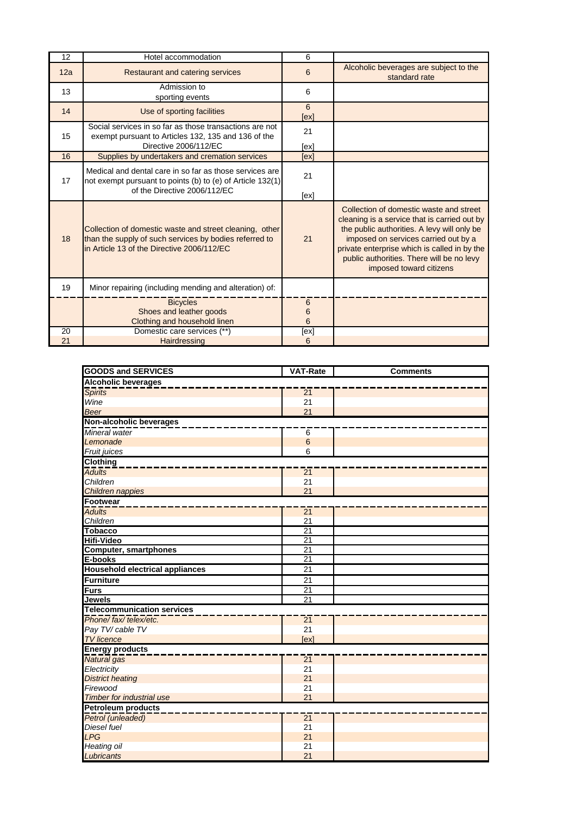| 12  | Hotel accommodation                                                                                                                                             | 6           |                                                                                                                                                                                                                                                                                                        |
|-----|-----------------------------------------------------------------------------------------------------------------------------------------------------------------|-------------|--------------------------------------------------------------------------------------------------------------------------------------------------------------------------------------------------------------------------------------------------------------------------------------------------------|
| 12a | Restaurant and catering services                                                                                                                                | 6           | Alcoholic beverages are subject to the<br>standard rate                                                                                                                                                                                                                                                |
| 13  | Admission to<br>sporting events                                                                                                                                 | 6           |                                                                                                                                                                                                                                                                                                        |
| 14  | Use of sporting facilities                                                                                                                                      | 6<br>[ex]   |                                                                                                                                                                                                                                                                                                        |
| 15  | Social services in so far as those transactions are not<br>exempt pursuant to Articles 132, 135 and 136 of the<br>Directive 2006/112/EC                         | 21<br>[ex]  |                                                                                                                                                                                                                                                                                                        |
| 16  | Supplies by undertakers and cremation services                                                                                                                  | [ex]        |                                                                                                                                                                                                                                                                                                        |
| 17  | Medical and dental care in so far as those services are<br>not exempt pursuant to points (b) to (e) of Article 132(1)<br>of the Directive 2006/112/EC           | 21<br>[ex]  |                                                                                                                                                                                                                                                                                                        |
| 18  | Collection of domestic waste and street cleaning, other<br>than the supply of such services by bodies referred to<br>in Article 13 of the Directive 2006/112/EC | 21          | Collection of domestic waste and street<br>cleaning is a service that is carried out by<br>the public authorities. A levy will only be<br>imposed on services carried out by a<br>private enterprise which is called in by the<br>public authorities. There will be no levy<br>imposed toward citizens |
| 19  | Minor repairing (including mending and alteration) of:                                                                                                          |             |                                                                                                                                                                                                                                                                                                        |
|     | <b>Bicycles</b><br>Shoes and leather goods<br>Clothing and household linen                                                                                      | 6<br>6<br>6 |                                                                                                                                                                                                                                                                                                        |
| 20  | Domestic care services (**)                                                                                                                                     | [ex]        |                                                                                                                                                                                                                                                                                                        |
| 21  | Hairdressing                                                                                                                                                    | 6           |                                                                                                                                                                                                                                                                                                        |

| <b>GOODS and SERVICES</b>              | <b>VAT-Rate</b> | <b>Comments</b> |  |  |  |
|----------------------------------------|-----------------|-----------------|--|--|--|
| <b>Alcoholic beverages</b>             |                 |                 |  |  |  |
| <b>Spirits</b>                         | $\overline{21}$ |                 |  |  |  |
| Wine                                   | 21              |                 |  |  |  |
| <b>Beer</b>                            | 21              |                 |  |  |  |
| Non-alcoholic beverages                |                 |                 |  |  |  |
| Mineral water                          | 6               |                 |  |  |  |
| Lemonade                               | $6\phantom{a}$  |                 |  |  |  |
| Fruit juices                           | 6               |                 |  |  |  |
| <b>Clothing</b>                        |                 |                 |  |  |  |
| <b>Adults</b>                          | $\overline{21}$ |                 |  |  |  |
| <b>Children</b>                        | 21              |                 |  |  |  |
| Children nappies                       | 21              |                 |  |  |  |
| Footwear                               |                 |                 |  |  |  |
| <b>Adults</b>                          | $\overline{21}$ |                 |  |  |  |
| Children                               | 21              |                 |  |  |  |
| <b>Tobacco</b>                         | $\overline{21}$ |                 |  |  |  |
| <b>Hifi-Video</b>                      | 21              |                 |  |  |  |
| <b>Computer, smartphones</b>           | $\overline{21}$ |                 |  |  |  |
| E-books                                | $\overline{21}$ |                 |  |  |  |
| <b>Household electrical appliances</b> | 21              |                 |  |  |  |
| <b>Furniture</b>                       | 21              |                 |  |  |  |
| <b>Furs</b>                            | 21              |                 |  |  |  |
| Jewels                                 | $\overline{21}$ |                 |  |  |  |
| <b>Telecommunication services</b>      |                 |                 |  |  |  |
| Phone/fax/telex/etc.                   | $\overline{21}$ |                 |  |  |  |
| Pay TV/ cable TV                       | 21              |                 |  |  |  |
| <b>TV</b> licence                      | [ex]            |                 |  |  |  |
| <b>Energy products</b>                 |                 |                 |  |  |  |
| Natural gas                            | $\overline{21}$ |                 |  |  |  |
| Electricity                            | 21              |                 |  |  |  |
| <b>District heating</b>                | 21              |                 |  |  |  |
| Firewood                               | 21              |                 |  |  |  |
| Timber for industrial use              | 21              |                 |  |  |  |
| <b>Petroleum products</b>              |                 |                 |  |  |  |
| Petrol (unleaded)                      | $\overline{21}$ |                 |  |  |  |
| <b>Diesel fuel</b>                     | 21              |                 |  |  |  |
| <b>LPG</b>                             | 21              |                 |  |  |  |
| <b>Heating oil</b>                     | 21              |                 |  |  |  |
| Lubricants                             | 21              |                 |  |  |  |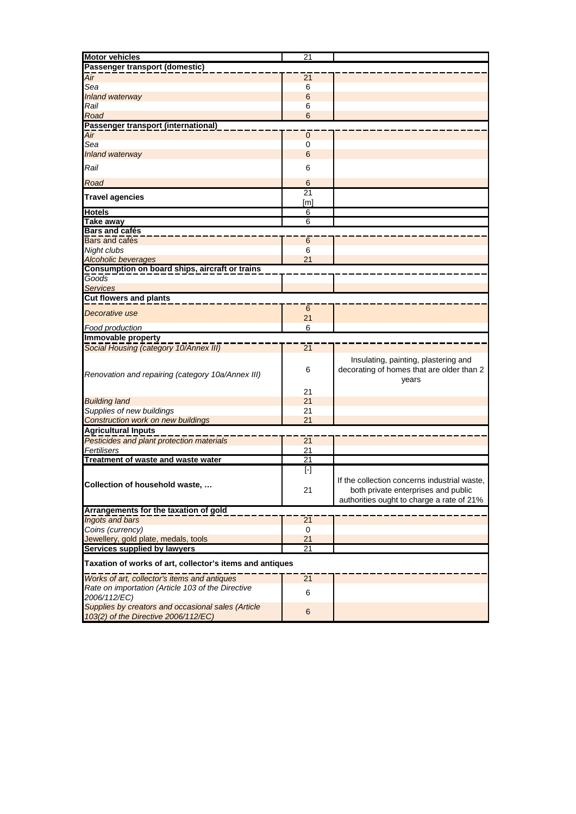| <b>Motor vehicles</b>                                              | 21              |                                                                                            |
|--------------------------------------------------------------------|-----------------|--------------------------------------------------------------------------------------------|
| Passenger transport (domestic)                                     |                 |                                                                                            |
|                                                                    |                 |                                                                                            |
| $\overline{Air}$                                                   | 21              |                                                                                            |
| Sea                                                                | 6               |                                                                                            |
| Inland waterway                                                    | $6\phantom{1}6$ |                                                                                            |
|                                                                    |                 |                                                                                            |
| Rail                                                               | 6               |                                                                                            |
| Road                                                               | 6               |                                                                                            |
| Passenger transport (international)                                |                 |                                                                                            |
| Air                                                                | 0               |                                                                                            |
|                                                                    |                 |                                                                                            |
| Sea                                                                | 0               |                                                                                            |
| <b>Inland waterway</b>                                             | $6\phantom{1}6$ |                                                                                            |
|                                                                    |                 |                                                                                            |
| Rail                                                               | 6               |                                                                                            |
|                                                                    |                 |                                                                                            |
| Road                                                               | 6               |                                                                                            |
|                                                                    | $\overline{21}$ |                                                                                            |
| <b>Travel agencies</b>                                             | [m]             |                                                                                            |
|                                                                    |                 |                                                                                            |
| <b>Hotels</b>                                                      | 6               |                                                                                            |
| <b>Take away</b>                                                   | 6               |                                                                                            |
| <b>Bars and cafés</b>                                              |                 |                                                                                            |
| Bars and cafés                                                     |                 |                                                                                            |
|                                                                    | $6\phantom{1}6$ |                                                                                            |
| Night clubs                                                        | 6               |                                                                                            |
| <b>Alcoholic beverages</b>                                         | 21              |                                                                                            |
| Consumption on board ships, aircraft or trains                     |                 |                                                                                            |
|                                                                    |                 |                                                                                            |
| Goods                                                              |                 |                                                                                            |
| <b>Services</b>                                                    |                 |                                                                                            |
| <b>Cut flowers and plants</b>                                      |                 |                                                                                            |
|                                                                    |                 |                                                                                            |
| Decorative use                                                     | $6\phantom{1}6$ |                                                                                            |
|                                                                    | 21              |                                                                                            |
| Food production                                                    | 6               |                                                                                            |
| Immovable property                                                 |                 |                                                                                            |
|                                                                    |                 |                                                                                            |
| Social Housing (category 10/Annex III)                             | 21              |                                                                                            |
|                                                                    |                 |                                                                                            |
| Renovation and repairing (category 10a/Annex III)                  | 6               | Insulating, painting, plastering and<br>decorating of homes that are older than 2<br>years |
|                                                                    | 21              |                                                                                            |
| <b>Building land</b>                                               | 21              |                                                                                            |
|                                                                    |                 |                                                                                            |
| Supplies of new buildings                                          | 21              |                                                                                            |
| <b>Construction work on new buildings</b>                          | 21              |                                                                                            |
| <b>Agricultural Inputs</b>                                         |                 |                                                                                            |
| Pesticides and plant protection materials                          | $\overline{21}$ |                                                                                            |
|                                                                    |                 |                                                                                            |
| Fertilisers                                                        | 21              |                                                                                            |
| Treatment of waste and waste water                                 | $\overline{21}$ |                                                                                            |
|                                                                    | $[\cdot]$       |                                                                                            |
|                                                                    |                 |                                                                                            |
| Collection of household waste,                                     |                 | If the collection concerns industrial waste,                                               |
|                                                                    | 21              | both private enterprises and public                                                        |
|                                                                    |                 | authorities ought to charge a rate of 21%                                                  |
|                                                                    |                 |                                                                                            |
| Arrangements for the taxation of gold                              |                 |                                                                                            |
| <b>Ingots and bars</b>                                             | 21              |                                                                                            |
| Coins (currency)                                                   | 0               |                                                                                            |
| Jewellery, gold plate, medals, tools                               | 21              |                                                                                            |
|                                                                    |                 |                                                                                            |
| Services supplied by lawyers                                       | 21              |                                                                                            |
|                                                                    |                 |                                                                                            |
| Taxation of works of art, collector's items and antiques           |                 |                                                                                            |
|                                                                    |                 |                                                                                            |
| Works of art, collector's items and antiques                       | $\overline{21}$ |                                                                                            |
|                                                                    |                 |                                                                                            |
| Rate on importation (Article 103 of the Directive                  | 6               |                                                                                            |
| 2006/112/EC)<br>Supplies by creators and occasional sales (Article |                 |                                                                                            |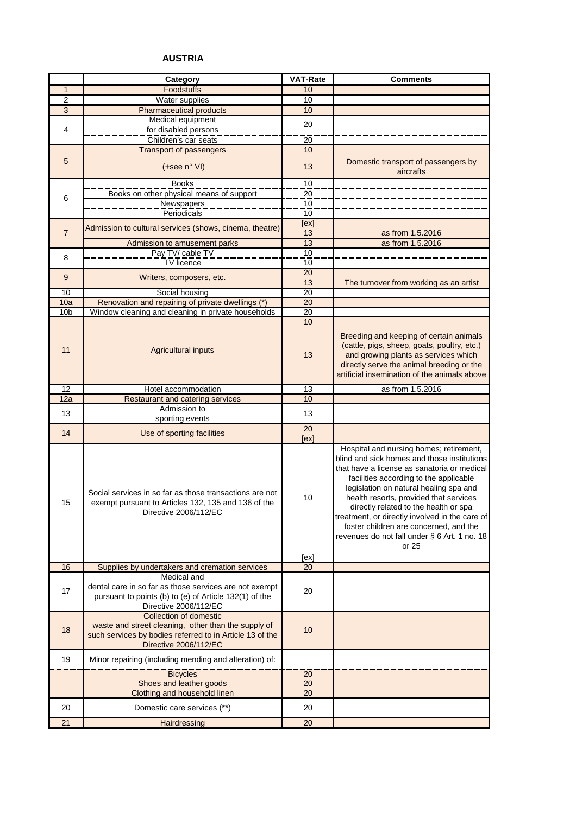# **AUSTRIA**

|                 | Category                                                                                                                                                           | <b>VAT-Rate</b>       | <b>Comments</b>                                                                                                                                                                                                                                                                                                                                                                                                                                                   |
|-----------------|--------------------------------------------------------------------------------------------------------------------------------------------------------------------|-----------------------|-------------------------------------------------------------------------------------------------------------------------------------------------------------------------------------------------------------------------------------------------------------------------------------------------------------------------------------------------------------------------------------------------------------------------------------------------------------------|
| $\mathbf{1}$    | Foodstuffs                                                                                                                                                         | 10                    |                                                                                                                                                                                                                                                                                                                                                                                                                                                                   |
| $\overline{c}$  | Water supplies                                                                                                                                                     | 10                    |                                                                                                                                                                                                                                                                                                                                                                                                                                                                   |
| $\overline{3}$  | <b>Pharmaceutical products</b>                                                                                                                                     | 10                    |                                                                                                                                                                                                                                                                                                                                                                                                                                                                   |
|                 | Medical equipment                                                                                                                                                  | 20                    |                                                                                                                                                                                                                                                                                                                                                                                                                                                                   |
| 4               | for disabled persons                                                                                                                                               |                       |                                                                                                                                                                                                                                                                                                                                                                                                                                                                   |
|                 | Children's car seats                                                                                                                                               | 20                    |                                                                                                                                                                                                                                                                                                                                                                                                                                                                   |
|                 | <b>Transport of passengers</b>                                                                                                                                     | 10                    |                                                                                                                                                                                                                                                                                                                                                                                                                                                                   |
| 5               | $(+see n° VI)$                                                                                                                                                     | 13                    | Domestic transport of passengers by<br>aircrafts                                                                                                                                                                                                                                                                                                                                                                                                                  |
|                 | <b>Books</b>                                                                                                                                                       | 10                    |                                                                                                                                                                                                                                                                                                                                                                                                                                                                   |
| 6               | Books on other physical means of support                                                                                                                           | 20                    |                                                                                                                                                                                                                                                                                                                                                                                                                                                                   |
|                 | Newspapers                                                                                                                                                         | 10                    |                                                                                                                                                                                                                                                                                                                                                                                                                                                                   |
|                 | Periodicals                                                                                                                                                        | 10                    |                                                                                                                                                                                                                                                                                                                                                                                                                                                                   |
|                 | Admission to cultural services (shows, cinema, theatre)                                                                                                            | [ex]                  |                                                                                                                                                                                                                                                                                                                                                                                                                                                                   |
| $\overline{7}$  |                                                                                                                                                                    | 13                    | as from 1.5.2016                                                                                                                                                                                                                                                                                                                                                                                                                                                  |
|                 | Admission to amusement parks                                                                                                                                       | 13                    | as from 1.5.2016                                                                                                                                                                                                                                                                                                                                                                                                                                                  |
| 8               | Pay TV/ cable TV                                                                                                                                                   | 10                    |                                                                                                                                                                                                                                                                                                                                                                                                                                                                   |
|                 | <b>TV</b> licence                                                                                                                                                  | 10                    |                                                                                                                                                                                                                                                                                                                                                                                                                                                                   |
| 9               | Writers, composers, etc.                                                                                                                                           | 20                    |                                                                                                                                                                                                                                                                                                                                                                                                                                                                   |
|                 |                                                                                                                                                                    | 13                    | The turnover from working as an artist                                                                                                                                                                                                                                                                                                                                                                                                                            |
| 10              | Social housing                                                                                                                                                     | 20                    |                                                                                                                                                                                                                                                                                                                                                                                                                                                                   |
| 10a             | Renovation and repairing of private dwellings (*)                                                                                                                  | 20                    |                                                                                                                                                                                                                                                                                                                                                                                                                                                                   |
| 10 <sub>b</sub> | Window cleaning and cleaning in private households                                                                                                                 | $\overline{20}$<br>10 |                                                                                                                                                                                                                                                                                                                                                                                                                                                                   |
| 11              | <b>Agricultural inputs</b>                                                                                                                                         | 13                    | Breeding and keeping of certain animals<br>(cattle, pigs, sheep, goats, poultry, etc.)<br>and growing plants as services which<br>directly serve the animal breeding or the<br>artificial insemination of the animals above                                                                                                                                                                                                                                       |
| $\overline{12}$ | Hotel accommodation                                                                                                                                                | 13                    | as from 1.5.2016                                                                                                                                                                                                                                                                                                                                                                                                                                                  |
| 12a             | Restaurant and catering services                                                                                                                                   | 10                    |                                                                                                                                                                                                                                                                                                                                                                                                                                                                   |
| 13              | Admission to                                                                                                                                                       | 13                    |                                                                                                                                                                                                                                                                                                                                                                                                                                                                   |
|                 | sporting events                                                                                                                                                    |                       |                                                                                                                                                                                                                                                                                                                                                                                                                                                                   |
| 14              | Use of sporting facilities                                                                                                                                         | 20<br>[ex]            |                                                                                                                                                                                                                                                                                                                                                                                                                                                                   |
| 15              | Social services in so far as those transactions are not<br>exempt pursuant to Articles 132, 135 and 136 of the<br>Directive 2006/112/EC                            | 10<br>[ex]            | Hospital and nursing homes; retirement,<br>blind and sick homes and those institutions<br>that have a license as sanatoria or medical<br>facilities according to the applicable<br>legislation on natural healing spa and<br>health resorts, provided that services<br>directly related to the health or spa<br>treatment, or directly involved in the care of<br>foster children are concerned, and the<br>revenues do not fall under § 6 Art. 1 no. 18<br>or 25 |
| 16              | Supplies by undertakers and cremation services                                                                                                                     | 20                    |                                                                                                                                                                                                                                                                                                                                                                                                                                                                   |
| 17              | Medical and<br>dental care in so far as those services are not exempt<br>pursuant to points (b) to (e) of Article 132(1) of the<br>Directive 2006/112/EC           | 20                    |                                                                                                                                                                                                                                                                                                                                                                                                                                                                   |
| 18              | Collection of domestic<br>waste and street cleaning, other than the supply of<br>such services by bodies referred to in Article 13 of the<br>Directive 2006/112/EC | 10                    |                                                                                                                                                                                                                                                                                                                                                                                                                                                                   |
| 19              | Minor repairing (including mending and alteration) of:                                                                                                             |                       |                                                                                                                                                                                                                                                                                                                                                                                                                                                                   |
|                 | <b>Bicycles</b>                                                                                                                                                    | 20                    |                                                                                                                                                                                                                                                                                                                                                                                                                                                                   |
|                 | Shoes and leather goods                                                                                                                                            | 20                    |                                                                                                                                                                                                                                                                                                                                                                                                                                                                   |
|                 | Clothing and household linen                                                                                                                                       | 20                    |                                                                                                                                                                                                                                                                                                                                                                                                                                                                   |
| 20              | Domestic care services (**)                                                                                                                                        | 20                    |                                                                                                                                                                                                                                                                                                                                                                                                                                                                   |
| 21              | Hairdressing                                                                                                                                                       | 20                    |                                                                                                                                                                                                                                                                                                                                                                                                                                                                   |
|                 |                                                                                                                                                                    |                       |                                                                                                                                                                                                                                                                                                                                                                                                                                                                   |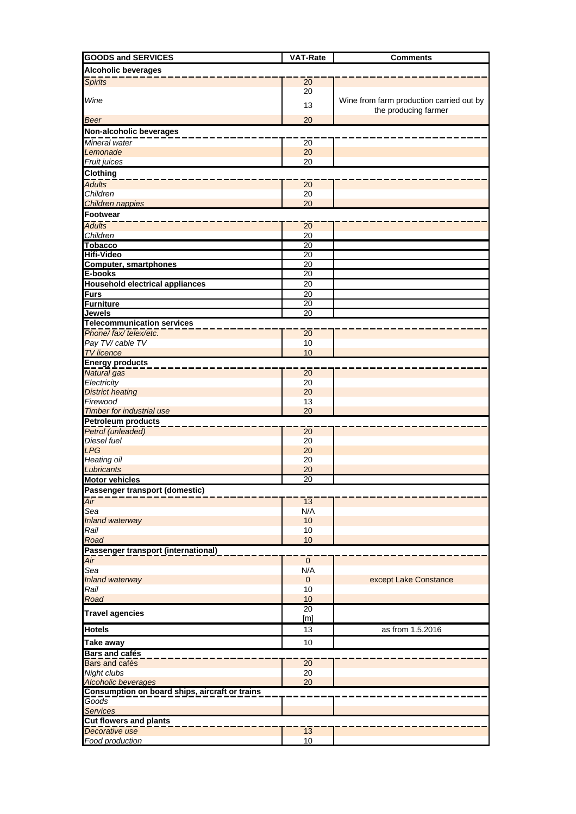| <b>GOODS and SERVICES</b>                                     | <b>VAT-Rate</b>        | <b>Comments</b>                          |
|---------------------------------------------------------------|------------------------|------------------------------------------|
| <b>Alcoholic beverages</b>                                    |                        |                                          |
| <b>Spirits</b>                                                | 20                     |                                          |
|                                                               | 20                     |                                          |
| Wine                                                          | 13                     | Wine from farm production carried out by |
|                                                               |                        | the producing farmer                     |
| <b>Beer</b>                                                   | 20                     |                                          |
| Non-alcoholic beverages                                       |                        |                                          |
| Mineral water                                                 | $\overline{20}$        |                                          |
| Lemonade<br>Fruit juices                                      | 20<br>20               |                                          |
|                                                               |                        |                                          |
| Clothing<br><b>Adults</b>                                     |                        |                                          |
| Children                                                      | $\overline{20}$<br>20  |                                          |
| Children nappies                                              | 20                     |                                          |
| <b>Footwear</b>                                               |                        |                                          |
| <b>Adults</b>                                                 | 20                     |                                          |
| Children                                                      | 20                     |                                          |
| <b>Tobacco</b>                                                | 20                     |                                          |
| <b>Hifi-Video</b>                                             | 20                     |                                          |
| <b>Computer, smartphones</b>                                  | 20                     |                                          |
| E-books                                                       | $\overline{20}$        |                                          |
| <b>Household electrical appliances</b>                        | 20                     |                                          |
| <b>Furs</b>                                                   | 20                     |                                          |
| <b>Furniture</b>                                              | 20                     |                                          |
| Jewels<br><b>Telecommunication services</b>                   | 20                     |                                          |
| Phone/ fax/ telex/etc.                                        | $\overline{20}$        |                                          |
| Pay TV/ cable TV                                              | 10                     |                                          |
| <b>TV</b> licence                                             | 10                     |                                          |
| <b>Energy products</b>                                        |                        |                                          |
| <b>Natural</b> gas                                            | $\overline{20}$        |                                          |
| Electricity                                                   | 20                     |                                          |
| <b>District heating</b>                                       | 20                     |                                          |
| Firewood                                                      | 13                     |                                          |
| <b>Timber for industrial use</b><br><b>Petroleum products</b> | 20                     |                                          |
| Petrol (unleaded)                                             | $\overline{20}$        |                                          |
| Diesel fuel                                                   | 20                     |                                          |
| <b>LPG</b>                                                    | 20                     |                                          |
| <b>Heating oil</b>                                            | 20                     |                                          |
| Lubricants                                                    | 20                     |                                          |
| <b>Motor vehicles</b>                                         | $\overline{20}$        |                                          |
| Passenger transport (domestic)                                |                        |                                          |
| $\overline{Air}$                                              | $\overline{13}$        |                                          |
| Sea                                                           | N/A                    |                                          |
| Inland waterway<br>Rail                                       | 10<br>10               |                                          |
| Road                                                          | 10                     |                                          |
| Passenger transport (international)                           |                        |                                          |
| Air                                                           | $\mathbf{0}$           |                                          |
| Sea                                                           | N/A                    |                                          |
| Inland waterway                                               | $\mathbf{0}$           | except Lake Constance                    |
| Rail                                                          | 10                     |                                          |
| Road                                                          | 10                     |                                          |
| <b>Travel agencies</b>                                        | $\overline{20}$<br>[m] |                                          |
| <b>Hotels</b>                                                 | 13                     | as from 1.5.2016                         |
| <b>Take away</b>                                              | 10                     |                                          |
| <b>Bars and cafés</b><br>Bars and cafés                       | $\overline{20}$        |                                          |
| Night clubs                                                   | 20                     |                                          |
| Alcoholic beverages                                           | 20                     |                                          |
| Consumption on board ships, aircraft or trains                |                        |                                          |
| <b>Goods</b>                                                  |                        |                                          |
| <b>Services</b>                                               |                        |                                          |
| <b>Cut flowers and plants</b>                                 |                        |                                          |
| Decorative use                                                | $\overline{13}$        |                                          |
| Food production                                               | 10                     |                                          |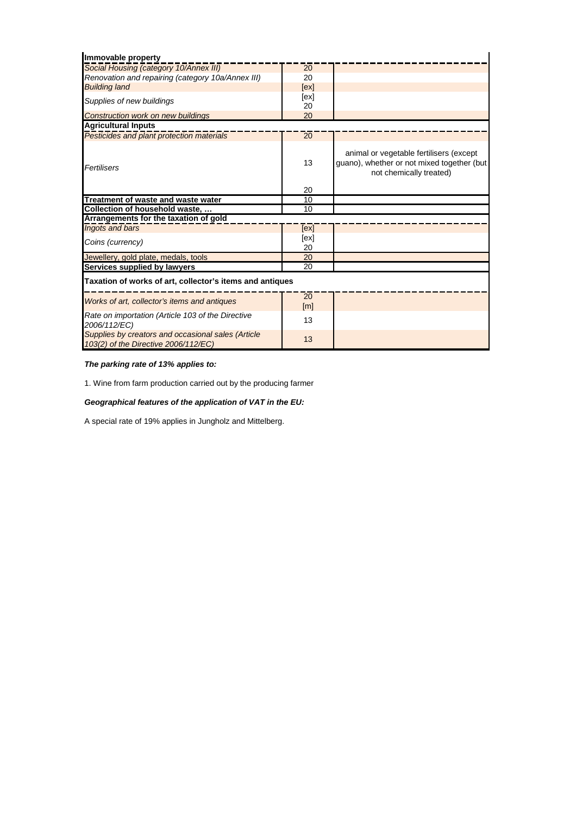| Immovable property                                                                         |              |                                                                                                                  |  |  |
|--------------------------------------------------------------------------------------------|--------------|------------------------------------------------------------------------------------------------------------------|--|--|
| Social Housing (category 10/Annex III)                                                     | 20           |                                                                                                                  |  |  |
| Renovation and repairing (category 10a/Annex III)                                          | 20           |                                                                                                                  |  |  |
| <b>Building land</b>                                                                       | [ex]         |                                                                                                                  |  |  |
| Supplies of new buildings                                                                  | [ex]         |                                                                                                                  |  |  |
|                                                                                            | 20           |                                                                                                                  |  |  |
| <b>Construction work on new buildings</b>                                                  | 20           |                                                                                                                  |  |  |
| <b>Agricultural Inputs</b>                                                                 |              |                                                                                                                  |  |  |
| Pesticides and plant protection materials                                                  | 20           |                                                                                                                  |  |  |
| Fertilisers                                                                                | 13           | animal or vegetable fertilisers (except<br>guano), whether or not mixed together (but<br>not chemically treated) |  |  |
|                                                                                            | 20           |                                                                                                                  |  |  |
| Treatment of waste and waste water                                                         | 10           |                                                                                                                  |  |  |
| Collection of household waste,<br>Arrangements for the taxation of gold                    | 10           |                                                                                                                  |  |  |
| Ingots and bars                                                                            |              |                                                                                                                  |  |  |
|                                                                                            | [ex]<br>[ex] |                                                                                                                  |  |  |
| Coins (currency)                                                                           | 20           |                                                                                                                  |  |  |
| Jewellery, gold plate, medals, tools                                                       | 20           |                                                                                                                  |  |  |
| Services supplied by lawyers                                                               | 20           |                                                                                                                  |  |  |
| Taxation of works of art, collector's items and antiques                                   |              |                                                                                                                  |  |  |
| Works of art, collector's items and antiques                                               | 20<br>[m]    |                                                                                                                  |  |  |
| Rate on importation (Article 103 of the Directive<br>2006/112/EC)                          | 13           |                                                                                                                  |  |  |
| Supplies by creators and occasional sales (Article<br>103(2) of the Directive 2006/112/EC) | 13           |                                                                                                                  |  |  |

# *The parking rate of 13% applies to:*

1. Wine from farm production carried out by the producing farmer

# *Geographical features of the application of VAT in the EU:*

A special rate of 19% applies in Jungholz and Mittelberg.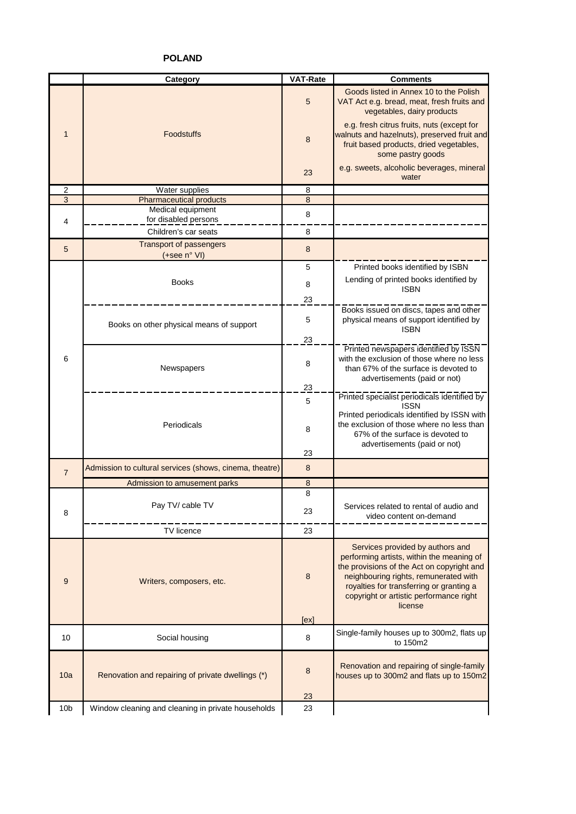**POLAND**

|                 | Category                                                | <b>VAT-Rate</b> | <b>Comments</b>                                                                                                                                                                                                                                                        |
|-----------------|---------------------------------------------------------|-----------------|------------------------------------------------------------------------------------------------------------------------------------------------------------------------------------------------------------------------------------------------------------------------|
|                 |                                                         | 5               | Goods listed in Annex 10 to the Polish<br>VAT Act e.g. bread, meat, fresh fruits and<br>vegetables, dairy products                                                                                                                                                     |
| $\mathbf 1$     | <b>Foodstuffs</b>                                       | 8               | e.g. fresh citrus fruits, nuts (except for<br>walnuts and hazelnuts), preserved fruit and<br>fruit based products, dried vegetables,<br>some pastry goods                                                                                                              |
|                 |                                                         | 23              | e.g. sweets, alcoholic beverages, mineral<br>water                                                                                                                                                                                                                     |
| $\overline{2}$  | <b>Water supplies</b>                                   | 8               |                                                                                                                                                                                                                                                                        |
| $\overline{3}$  | <b>Pharmaceutical products</b>                          | 8               |                                                                                                                                                                                                                                                                        |
|                 | Medical equipment                                       | 8               |                                                                                                                                                                                                                                                                        |
| 4               | for disabled persons<br>Children's car seats            | 8               |                                                                                                                                                                                                                                                                        |
| 5               | <b>Transport of passengers</b><br>(+see n° VI)          | 8               |                                                                                                                                                                                                                                                                        |
|                 |                                                         | 5               | Printed books identified by ISBN                                                                                                                                                                                                                                       |
|                 | <b>Books</b>                                            | 8               | Lending of printed books identified by<br><b>ISBN</b>                                                                                                                                                                                                                  |
|                 |                                                         | 23              |                                                                                                                                                                                                                                                                        |
|                 | Books on other physical means of support                | 5               | Books issued on discs, tapes and other<br>physical means of support identified by<br><b>ISBN</b>                                                                                                                                                                       |
|                 |                                                         | 23              |                                                                                                                                                                                                                                                                        |
| 6               | Newspapers                                              | 8               | Printed newspapers identified by ISSN<br>with the exclusion of those where no less<br>than 67% of the surface is devoted to                                                                                                                                            |
|                 |                                                         | 23              | advertisements (paid or not)                                                                                                                                                                                                                                           |
|                 |                                                         | 5               | Printed specialist periodicals identified by<br><b>ISSN</b>                                                                                                                                                                                                            |
|                 | Periodicals                                             | 8               | Printed periodicals identified by ISSN with<br>the exclusion of those where no less than<br>67% of the surface is devoted to<br>advertisements (paid or not)                                                                                                           |
|                 |                                                         | 23              |                                                                                                                                                                                                                                                                        |
| $\overline{7}$  | Admission to cultural services (shows, cinema, theatre) | 8               |                                                                                                                                                                                                                                                                        |
|                 | Admission to amusement parks                            | 8               |                                                                                                                                                                                                                                                                        |
|                 |                                                         | 8               |                                                                                                                                                                                                                                                                        |
| 8               | Pay TV/ cable TV                                        | 23              | Services related to rental of audio and<br>video content on-demand                                                                                                                                                                                                     |
|                 | TV licence                                              | 23              |                                                                                                                                                                                                                                                                        |
| 9               | Writers, composers, etc.                                | 8               | Services provided by authors and<br>performing artists, within the meaning of<br>the provisions of the Act on copyright and<br>neighbouring rights, remunerated with<br>royalties for transferring or granting a<br>copyright or artistic performance right<br>license |
|                 |                                                         | [ex]            |                                                                                                                                                                                                                                                                        |
| 10              | Social housing                                          | 8               | Single-family houses up to 300m2, flats up<br>to 150m2                                                                                                                                                                                                                 |
| 10a             | Renovation and repairing of private dwellings (*)       | 8<br>23         | Renovation and repairing of single-family<br>houses up to 300m2 and flats up to 150m2                                                                                                                                                                                  |
| 10 <sub>b</sub> | Window cleaning and cleaning in private households      | 23              |                                                                                                                                                                                                                                                                        |
|                 |                                                         |                 |                                                                                                                                                                                                                                                                        |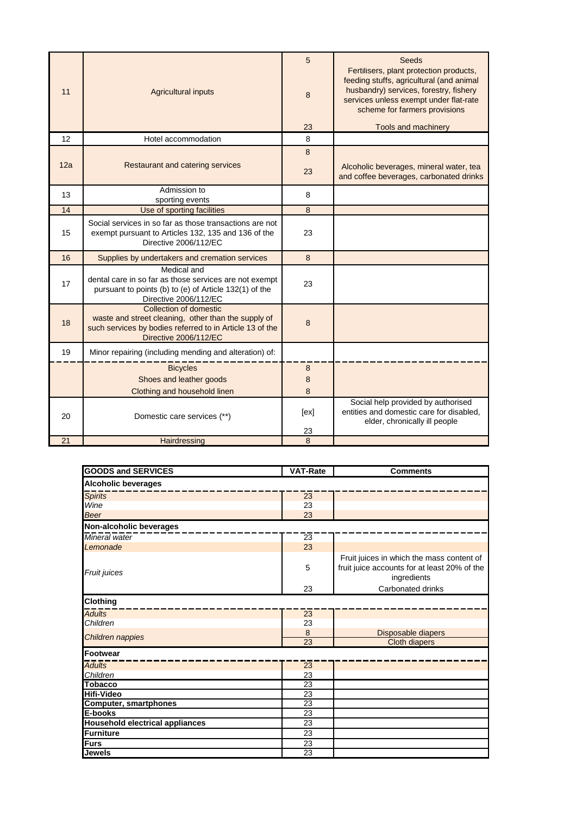| 11  | <b>Agricultural inputs</b>                                                                                                                                         | 5<br>8<br>23 | Seeds<br>Fertilisers, plant protection products,<br>feeding stuffs, agricultural (and animal<br>husbandry) services, forestry, fishery<br>services unless exempt under flat-rate<br>scheme for farmers provisions<br>Tools and machinery |
|-----|--------------------------------------------------------------------------------------------------------------------------------------------------------------------|--------------|------------------------------------------------------------------------------------------------------------------------------------------------------------------------------------------------------------------------------------------|
| 12  | Hotel accommodation                                                                                                                                                | 8            |                                                                                                                                                                                                                                          |
| 12a | Restaurant and catering services                                                                                                                                   | 8<br>23      | Alcoholic beverages, mineral water, tea<br>and coffee beverages, carbonated drinks                                                                                                                                                       |
| 13  | Admission to<br>sporting events                                                                                                                                    | 8            |                                                                                                                                                                                                                                          |
| 14  | Use of sporting facilities                                                                                                                                         | 8            |                                                                                                                                                                                                                                          |
| 15  | Social services in so far as those transactions are not<br>exempt pursuant to Articles 132, 135 and 136 of the<br>Directive 2006/112/EC                            | 23           |                                                                                                                                                                                                                                          |
| 16  | Supplies by undertakers and cremation services                                                                                                                     | 8            |                                                                                                                                                                                                                                          |
| 17  | Medical and<br>dental care in so far as those services are not exempt<br>pursuant to points (b) to (e) of Article 132(1) of the<br>Directive 2006/112/EC           | 23           |                                                                                                                                                                                                                                          |
| 18  | Collection of domestic<br>waste and street cleaning, other than the supply of<br>such services by bodies referred to in Article 13 of the<br>Directive 2006/112/EC | 8            |                                                                                                                                                                                                                                          |
| 19  | Minor repairing (including mending and alteration) of:                                                                                                             |              |                                                                                                                                                                                                                                          |
|     | <b>Bicycles</b><br>Shoes and leather goods                                                                                                                         | 8<br>8       |                                                                                                                                                                                                                                          |
|     | Clothing and household linen                                                                                                                                       | 8            |                                                                                                                                                                                                                                          |
| 20  | Domestic care services (**)                                                                                                                                        | [ex]<br>23   | Social help provided by authorised<br>entities and domestic care for disabled,<br>elder, chronically ill people                                                                                                                          |
| 21  | Hairdressing                                                                                                                                                       | 8            |                                                                                                                                                                                                                                          |

| <b>GOODS and SERVICES</b>              | <b>VAT-Rate</b> | <b>Comments</b>                                                                                          |
|----------------------------------------|-----------------|----------------------------------------------------------------------------------------------------------|
| <b>Alcoholic beverages</b>             |                 |                                                                                                          |
| <b>Spirits</b>                         | 23              |                                                                                                          |
| Wine                                   | 23              |                                                                                                          |
| <b>Beer</b>                            | 23              |                                                                                                          |
| Non-alcoholic beverages                |                 |                                                                                                          |
| Mineral water                          | $\overline{23}$ |                                                                                                          |
| Lemonade                               | 23              |                                                                                                          |
| Fruit juices                           | 5               | Fruit juices in which the mass content of<br>fruit juice accounts for at least 20% of the<br>ingredients |
|                                        | 23              | Carbonated drinks                                                                                        |
| Clothing                               |                 |                                                                                                          |
| <b>Adults</b>                          | $\overline{23}$ |                                                                                                          |
| Children                               | 23              |                                                                                                          |
| Children nappies                       | 8               | Disposable diapers                                                                                       |
|                                        | 23              | <b>Cloth diapers</b>                                                                                     |
| <b>Footwear</b>                        |                 |                                                                                                          |
| <b>Adults</b>                          | 23              |                                                                                                          |
| Children                               | 23              |                                                                                                          |
| <b>Tobacco</b>                         | 23              |                                                                                                          |
| <b>Hifi-Video</b>                      | 23              |                                                                                                          |
| <b>Computer, smartphones</b>           | $\overline{23}$ |                                                                                                          |
| E-books                                | 23              |                                                                                                          |
| <b>Household electrical appliances</b> | 23              |                                                                                                          |
| <b>Furniture</b>                       | 23              |                                                                                                          |
| <b>Furs</b>                            | 23              |                                                                                                          |
| <b>Jewels</b>                          | 23              |                                                                                                          |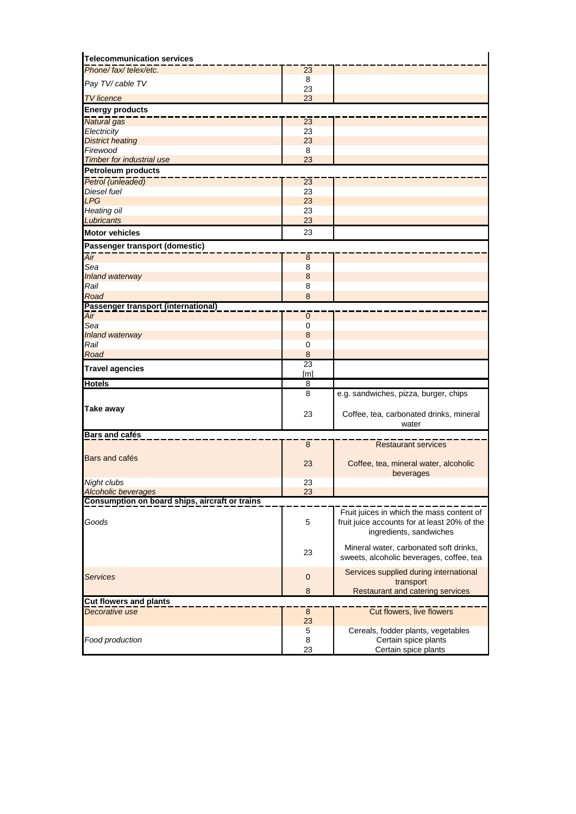| <b>Telecommunication services</b>              |                            |                                              |
|------------------------------------------------|----------------------------|----------------------------------------------|
| Phone/fax/telex/etc.                           | 23                         |                                              |
| Pay TV/cable TV                                | 8                          |                                              |
|                                                | 23                         |                                              |
| <b>TV</b> licence                              | 23                         |                                              |
| <b>Energy products</b>                         |                            |                                              |
| Natural gas                                    | 23                         |                                              |
| Electricity                                    | 23<br>23                   |                                              |
| <b>District heating</b><br>Firewood            | 8                          |                                              |
| <b>Timber for industrial use</b>               | 23                         |                                              |
| <b>Petroleum products</b>                      |                            |                                              |
| Petrol (unleaded)                              | $\overline{23}$            |                                              |
| Diesel fuel                                    | 23                         |                                              |
| <b>LPG</b>                                     | 23                         |                                              |
| Heating oil                                    | 23                         |                                              |
| Lubricants                                     | 23                         |                                              |
| <b>Motor vehicles</b>                          | 23                         |                                              |
| Passenger transport (domestic)                 |                            |                                              |
| Air                                            | 8                          |                                              |
| Sea                                            | 8                          |                                              |
| Inland waterway                                | 8                          |                                              |
| Rail                                           | 8                          |                                              |
| Road                                           | 8                          |                                              |
| Passenger transport (international)<br>Air     |                            |                                              |
| Sea                                            | $\mathbf 0$<br>$\mathbf 0$ |                                              |
| Inland waterway                                | 8                          |                                              |
| Rail                                           | 0                          |                                              |
| Road                                           | $\bf 8$                    |                                              |
| <b>Travel agencies</b>                         | 23                         |                                              |
|                                                | [m]                        |                                              |
| <b>Hotels</b>                                  | 8<br>8                     | e.g. sandwiches, pizza, burger, chips        |
|                                                |                            |                                              |
| Take away                                      | 23                         | Coffee, tea, carbonated drinks, mineral      |
|                                                |                            | water                                        |
| <b>Bars and cafés</b>                          |                            |                                              |
|                                                | 8                          | <b>Restaurant services</b>                   |
| Bars and cafés                                 |                            |                                              |
|                                                | 23                         | Coffee, tea, mineral water, alcoholic        |
|                                                |                            | beverages                                    |
| Night clubs<br><b>Alcoholic beverages</b>      | 23<br>23                   |                                              |
| Consumption on board ships, aircraft or trains |                            |                                              |
|                                                |                            | Fruit juices in which the mass content of    |
| Goods                                          | 5                          | fruit juice accounts for at least 20% of the |
|                                                |                            | ingredients, sandwiches                      |
|                                                |                            |                                              |
|                                                |                            |                                              |
|                                                | 23                         | Mineral water, carbonated soft drinks,       |
|                                                |                            | sweets, alcoholic beverages, coffee, tea     |
| <b>Services</b>                                | $\mathbf 0$                | Services supplied during international       |
|                                                |                            | transport                                    |
|                                                | 8                          | <b>Restaurant and catering services</b>      |
| <b>Cut flowers and plants</b>                  |                            |                                              |
| Decorative use                                 | 8<br>23                    | Cut flowers, live flowers                    |
|                                                | 5                          | Cereals, fodder plants, vegetables           |
| Food production                                | 8<br>23                    | Certain spice plants<br>Certain spice plants |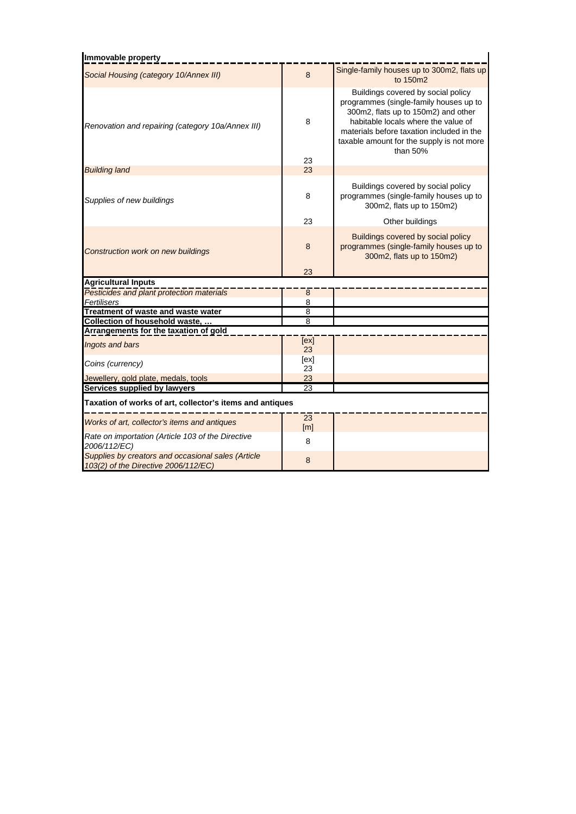| Immovable property                                                |                         |                                                                                                                                                                                                                                                                    |  |  |  |
|-------------------------------------------------------------------|-------------------------|--------------------------------------------------------------------------------------------------------------------------------------------------------------------------------------------------------------------------------------------------------------------|--|--|--|
| Social Housing (category 10/Annex III)                            | 8                       | Single-family houses up to 300m2, flats up<br>to 150m2                                                                                                                                                                                                             |  |  |  |
| Renovation and repairing (category 10a/Annex III)                 | 8<br>23                 | Buildings covered by social policy<br>programmes (single-family houses up to<br>300m2, flats up to 150m2) and other<br>habitable locals where the value of<br>materials before taxation included in the<br>taxable amount for the supply is not more<br>than $50%$ |  |  |  |
| <b>Building land</b>                                              | 23                      |                                                                                                                                                                                                                                                                    |  |  |  |
| Supplies of new buildings                                         | 8                       | Buildings covered by social policy<br>programmes (single-family houses up to<br>300m2, flats up to 150m2)                                                                                                                                                          |  |  |  |
|                                                                   | 23                      | Other buildings                                                                                                                                                                                                                                                    |  |  |  |
| Construction work on new buildings                                | 8                       | Buildings covered by social policy<br>programmes (single-family houses up to<br>300m2, flats up to 150m2)                                                                                                                                                          |  |  |  |
|                                                                   | 23                      |                                                                                                                                                                                                                                                                    |  |  |  |
| <b>Agricultural Inputs</b>                                        |                         |                                                                                                                                                                                                                                                                    |  |  |  |
| Pesticides and plant protection materials                         | 8                       |                                                                                                                                                                                                                                                                    |  |  |  |
| Fertilisers                                                       | $\overline{8}$          |                                                                                                                                                                                                                                                                    |  |  |  |
|                                                                   |                         |                                                                                                                                                                                                                                                                    |  |  |  |
| Treatment of waste and waste water                                | 8                       |                                                                                                                                                                                                                                                                    |  |  |  |
| <b>Collection of household waste,</b>                             | 8                       |                                                                                                                                                                                                                                                                    |  |  |  |
| Arrangements for the taxation of gold                             |                         |                                                                                                                                                                                                                                                                    |  |  |  |
| Ingots and bars                                                   | [ex]<br>23              |                                                                                                                                                                                                                                                                    |  |  |  |
|                                                                   | [ex]                    |                                                                                                                                                                                                                                                                    |  |  |  |
| Coins (currency)                                                  | 23                      |                                                                                                                                                                                                                                                                    |  |  |  |
| Jewellery, gold plate, medals, tools                              | 23                      |                                                                                                                                                                                                                                                                    |  |  |  |
| Services supplied by lawyers                                      | $\overline{23}$         |                                                                                                                                                                                                                                                                    |  |  |  |
| Taxation of works of art, collector's items and antiques          |                         |                                                                                                                                                                                                                                                                    |  |  |  |
| Works of art, collector's items and antiques                      | 23<br>$\lceil m \rceil$ |                                                                                                                                                                                                                                                                    |  |  |  |
| Rate on importation (Article 103 of the Directive<br>2006/112/EC) | 8                       |                                                                                                                                                                                                                                                                    |  |  |  |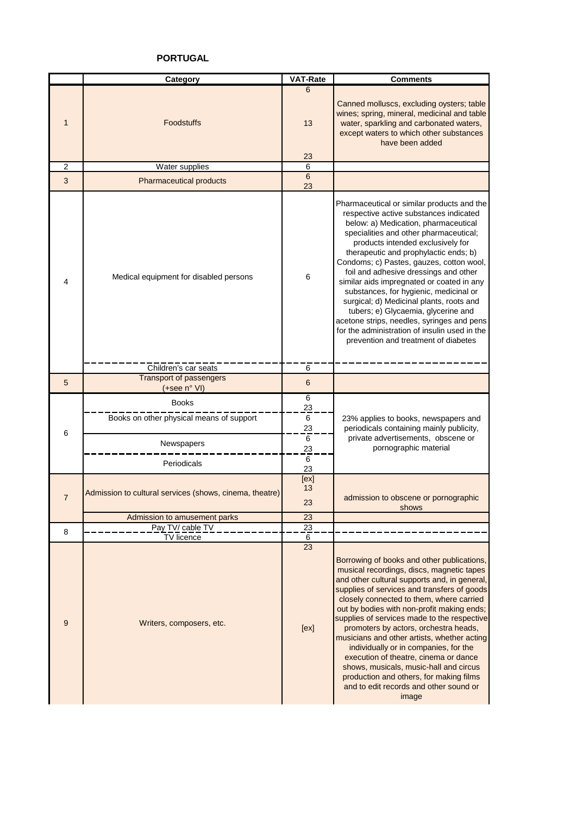# **PORTUGAL**

|                | Category                                                               | VAT-Rate                           | <b>Comments</b>                                                                                                                                                                                                                                                                                                                                                                                                                                                                                                                                                                                                                                            |
|----------------|------------------------------------------------------------------------|------------------------------------|------------------------------------------------------------------------------------------------------------------------------------------------------------------------------------------------------------------------------------------------------------------------------------------------------------------------------------------------------------------------------------------------------------------------------------------------------------------------------------------------------------------------------------------------------------------------------------------------------------------------------------------------------------|
| $\mathbf{1}$   | <b>Foodstuffs</b>                                                      | 6<br>13<br>23                      | Canned molluscs, excluding oysters; table<br>wines; spring, mineral, medicinal and table<br>water, sparkling and carbonated waters,<br>except waters to which other substances<br>have been added                                                                                                                                                                                                                                                                                                                                                                                                                                                          |
| $\overline{2}$ | <b>Water supplies</b>                                                  | 6                                  |                                                                                                                                                                                                                                                                                                                                                                                                                                                                                                                                                                                                                                                            |
| 3              | <b>Pharmaceutical products</b>                                         | $6\phantom{1}$<br>23               |                                                                                                                                                                                                                                                                                                                                                                                                                                                                                                                                                                                                                                                            |
| 4              | Medical equipment for disabled persons                                 | 6                                  | Pharmaceutical or similar products and the<br>respective active substances indicated<br>below: a) Medication, pharmaceutical<br>specialities and other pharmaceutical;<br>products intended exclusively for<br>therapeutic and prophylactic ends; b)<br>Condoms; c) Pastes, gauzes, cotton wool,<br>foil and adhesive dressings and other<br>similar aids impregnated or coated in any<br>substances, for hygienic, medicinal or<br>surgical; d) Medicinal plants, roots and<br>tubers; e) Glycaemia, glycerine and<br>acetone strips, needles, syringes and pens<br>for the administration of insulin used in the<br>prevention and treatment of diabetes |
|                | Children's car seats                                                   | 6                                  |                                                                                                                                                                                                                                                                                                                                                                                                                                                                                                                                                                                                                                                            |
| 5              | <b>Transport of passengers</b><br>(+see n° VI)                         | 6                                  |                                                                                                                                                                                                                                                                                                                                                                                                                                                                                                                                                                                                                                                            |
| 6              | <b>Books</b><br>Books on other physical means of support<br>Newspapers | 6<br>23<br>6<br>23<br>6<br>23<br>6 | 23% applies to books, newspapers and<br>periodicals containing mainly publicity,<br>private advertisements, obscene or<br>pornographic material                                                                                                                                                                                                                                                                                                                                                                                                                                                                                                            |
| $\overline{7}$ | Periodicals<br>Admission to cultural services (shows, cinema, theatre) | 23<br>[ex]<br>13<br>23             | admission to obscene or pornographic                                                                                                                                                                                                                                                                                                                                                                                                                                                                                                                                                                                                                       |
|                | Admission to amusement parks                                           | <u>23</u>                          | shows                                                                                                                                                                                                                                                                                                                                                                                                                                                                                                                                                                                                                                                      |
|                | Pay TV/ cable TV                                                       | $\overline{23}$                    |                                                                                                                                                                                                                                                                                                                                                                                                                                                                                                                                                                                                                                                            |
| 8              | TV licence                                                             | 6                                  |                                                                                                                                                                                                                                                                                                                                                                                                                                                                                                                                                                                                                                                            |
| 9              | Writers, composers, etc.                                               | 23<br>[ex]                         | Borrowing of books and other publications,<br>musical recordings, discs, magnetic tapes<br>and other cultural supports and, in general,<br>supplies of services and transfers of goods<br>closely connected to them, where carried<br>out by bodies with non-profit making ends;<br>supplies of services made to the respective<br>promoters by actors, orchestra heads,<br>musicians and other artists, whether acting<br>individually or in companies, for the<br>execution of theatre, cinema or dance<br>shows, musicals, music-hall and circus<br>production and others, for making films<br>and to edit records and other sound or<br>image          |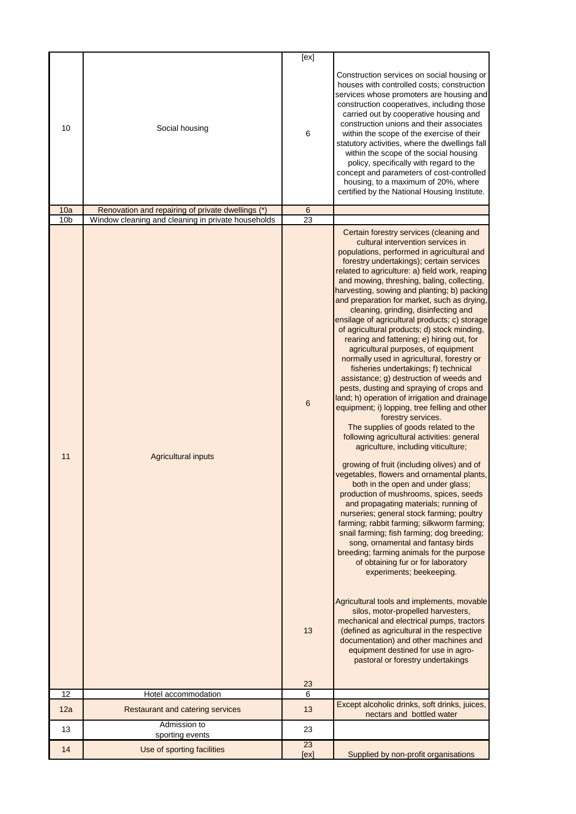|                 |                                                                     | [ex]                  |                                                                                                                                                                                                                                                                                                                                                                                                                                                                                                                                                                                                                                                                                                                                                                                                                                                                                                                                                                                                                                                                                                                                                                                                                                                                                                                                                                                                                                                                                                                                                                                                                                                                                                                                                                                                                                                          |
|-----------------|---------------------------------------------------------------------|-----------------------|----------------------------------------------------------------------------------------------------------------------------------------------------------------------------------------------------------------------------------------------------------------------------------------------------------------------------------------------------------------------------------------------------------------------------------------------------------------------------------------------------------------------------------------------------------------------------------------------------------------------------------------------------------------------------------------------------------------------------------------------------------------------------------------------------------------------------------------------------------------------------------------------------------------------------------------------------------------------------------------------------------------------------------------------------------------------------------------------------------------------------------------------------------------------------------------------------------------------------------------------------------------------------------------------------------------------------------------------------------------------------------------------------------------------------------------------------------------------------------------------------------------------------------------------------------------------------------------------------------------------------------------------------------------------------------------------------------------------------------------------------------------------------------------------------------------------------------------------------------|
| 10<br>10a       | Social housing<br>Renovation and repairing of private dwellings (*) | 6<br>$6\phantom{1}6$  | Construction services on social housing or<br>houses with controlled costs; construction<br>services whose promoters are housing and<br>construction cooperatives, including those<br>carried out by cooperative housing and<br>construction unions and their associates<br>within the scope of the exercise of their<br>statutory activities, where the dwellings fall<br>within the scope of the social housing<br>policy, specifically with regard to the<br>concept and parameters of cost-controlled<br>housing, to a maximum of 20%, where<br>certified by the National Housing Institute.                                                                                                                                                                                                                                                                                                                                                                                                                                                                                                                                                                                                                                                                                                                                                                                                                                                                                                                                                                                                                                                                                                                                                                                                                                                         |
| 10 <sub>b</sub> | Window cleaning and cleaning in private households                  | 23                    |                                                                                                                                                                                                                                                                                                                                                                                                                                                                                                                                                                                                                                                                                                                                                                                                                                                                                                                                                                                                                                                                                                                                                                                                                                                                                                                                                                                                                                                                                                                                                                                                                                                                                                                                                                                                                                                          |
| 11              | <b>Agricultural inputs</b>                                          | $6\phantom{1}6$<br>13 | Certain forestry services (cleaning and<br>cultural intervention services in<br>populations, performed in agricultural and<br>forestry undertakings); certain services<br>related to agriculture: a) field work, reaping<br>and mowing, threshing, baling, collecting,<br>harvesting, sowing and planting; b) packing<br>and preparation for market, such as drying,<br>cleaning, grinding, disinfecting and<br>ensilage of agricultural products; c) storage<br>of agricultural products; d) stock minding,<br>rearing and fattening; e) hiring out, for<br>agricultural purposes, of equipment<br>normally used in agricultural, forestry or<br>fisheries undertakings; f) technical<br>assistance; g) destruction of weeds and<br>pests, dusting and spraying of crops and<br>land; h) operation of irrigation and drainage<br>equipment; i) lopping, tree felling and other<br>forestry services.<br>The supplies of goods related to the<br>following agricultural activities: general<br>agriculture, including viticulture;<br>growing of fruit (including olives) and of<br>vegetables, flowers and ornamental plants,<br>both in the open and under glass;<br>production of mushrooms, spices, seeds<br>and propagating materials; running of<br>nurseries; general stock farming; poultry<br>farming; rabbit farming; silkworm farming;<br>snail farming; fish farming; dog breeding;<br>song, ornamental and fantasy birds<br>breeding; farming animals for the purpose<br>of obtaining fur or for laboratory<br>experiments; beekeeping.<br>Agricultural tools and implements, movable<br>silos, motor-propelled harvesters,<br>mechanical and electrical pumps, tractors<br>(defined as agricultural in the respective<br>documentation) and other machines and<br>equipment destined for use in agro-<br>pastoral or forestry undertakings |
|                 |                                                                     | <u>23</u>             |                                                                                                                                                                                                                                                                                                                                                                                                                                                                                                                                                                                                                                                                                                                                                                                                                                                                                                                                                                                                                                                                                                                                                                                                                                                                                                                                                                                                                                                                                                                                                                                                                                                                                                                                                                                                                                                          |
| 12<br>12a       | Hotel accommodation<br>Restaurant and catering services             | 6<br>13               | Except alcoholic drinks, soft drinks, juices,<br>nectars and bottled water                                                                                                                                                                                                                                                                                                                                                                                                                                                                                                                                                                                                                                                                                                                                                                                                                                                                                                                                                                                                                                                                                                                                                                                                                                                                                                                                                                                                                                                                                                                                                                                                                                                                                                                                                                               |
| 13              | Admission to<br>sporting events                                     | 23                    |                                                                                                                                                                                                                                                                                                                                                                                                                                                                                                                                                                                                                                                                                                                                                                                                                                                                                                                                                                                                                                                                                                                                                                                                                                                                                                                                                                                                                                                                                                                                                                                                                                                                                                                                                                                                                                                          |
| 14              | Use of sporting facilities                                          | 23<br>[ex]            | Supplied by non-profit organisations                                                                                                                                                                                                                                                                                                                                                                                                                                                                                                                                                                                                                                                                                                                                                                                                                                                                                                                                                                                                                                                                                                                                                                                                                                                                                                                                                                                                                                                                                                                                                                                                                                                                                                                                                                                                                     |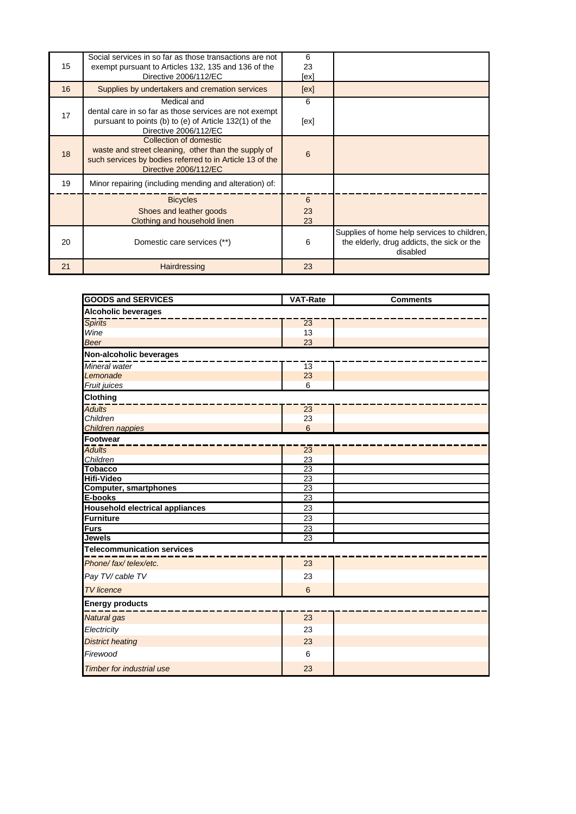| 15 | Social services in so far as those transactions are not<br>exempt pursuant to Articles 132, 135 and 136 of the<br>Directive 2006/112/EC                            | 6<br>23<br>[ex] |                                                                                                       |
|----|--------------------------------------------------------------------------------------------------------------------------------------------------------------------|-----------------|-------------------------------------------------------------------------------------------------------|
| 16 | Supplies by undertakers and cremation services                                                                                                                     | [ex]            |                                                                                                       |
| 17 | Medical and<br>dental care in so far as those services are not exempt<br>pursuant to points (b) to (e) of Article 132(1) of the<br>Directive 2006/112/EC           | 6<br>[ex]       |                                                                                                       |
| 18 | Collection of domestic<br>waste and street cleaning, other than the supply of<br>such services by bodies referred to in Article 13 of the<br>Directive 2006/112/EC | 6               |                                                                                                       |
| 19 | Minor repairing (including mending and alteration) of:                                                                                                             |                 |                                                                                                       |
|    | <b>Bicycles</b><br>Shoes and leather goods<br>Clothing and household linen                                                                                         | 6<br>23<br>23   |                                                                                                       |
| 20 | Domestic care services (**)                                                                                                                                        | 6               | Supplies of home help services to children,<br>the elderly, drug addicts, the sick or the<br>disabled |
| 21 | Hairdressing                                                                                                                                                       | 23              |                                                                                                       |

| <b>GOODS and SERVICES</b>              | <b>VAT-Rate</b> | <b>Comments</b> |  |  |
|----------------------------------------|-----------------|-----------------|--|--|
| <b>Alcoholic beverages</b>             |                 |                 |  |  |
| <b>Spirits</b>                         | $\overline{23}$ |                 |  |  |
| Wine                                   | 13              |                 |  |  |
| <b>Beer</b>                            | 23              |                 |  |  |
| Non-alcoholic beverages                |                 |                 |  |  |
| Mineral water                          | $\overline{13}$ |                 |  |  |
| Lemonade                               | 23              |                 |  |  |
| Fruit juices                           | 6               |                 |  |  |
| <b>Clothing</b>                        |                 |                 |  |  |
| <b>Adults</b>                          | $\overline{23}$ |                 |  |  |
| Children                               | 23              |                 |  |  |
| Children nappies                       | $6\phantom{1}6$ |                 |  |  |
| Footwear                               |                 |                 |  |  |
| <b>Adults</b>                          | $\overline{23}$ |                 |  |  |
| Children                               | 23              |                 |  |  |
| <b>Tobacco</b>                         | 23              |                 |  |  |
| <b>Hifi-Video</b>                      | 23              |                 |  |  |
| <b>Computer, smartphones</b>           | 23              |                 |  |  |
| E-books                                | 23              |                 |  |  |
| <b>Household electrical appliances</b> | $\overline{23}$ |                 |  |  |
| Furniture                              | 23              |                 |  |  |
| <b>Furs</b>                            | 23              |                 |  |  |
| <b>Jewels</b>                          | $\overline{23}$ |                 |  |  |
| <b>Telecommunication services</b>      |                 |                 |  |  |
| Phone/ fax/ telex/etc.                 | 23              |                 |  |  |
| Pay TV/ cable TV                       | 23              |                 |  |  |
| <b>TV</b> licence                      | $6\phantom{1}6$ |                 |  |  |
| <b>Energy products</b>                 |                 |                 |  |  |
| <b>Natural</b> gas                     | 23              |                 |  |  |
| Electricity                            | 23              |                 |  |  |
| <b>District heating</b>                | 23              |                 |  |  |
| Firewood                               | 6               |                 |  |  |
| <b>Timber for industrial use</b>       | 23              |                 |  |  |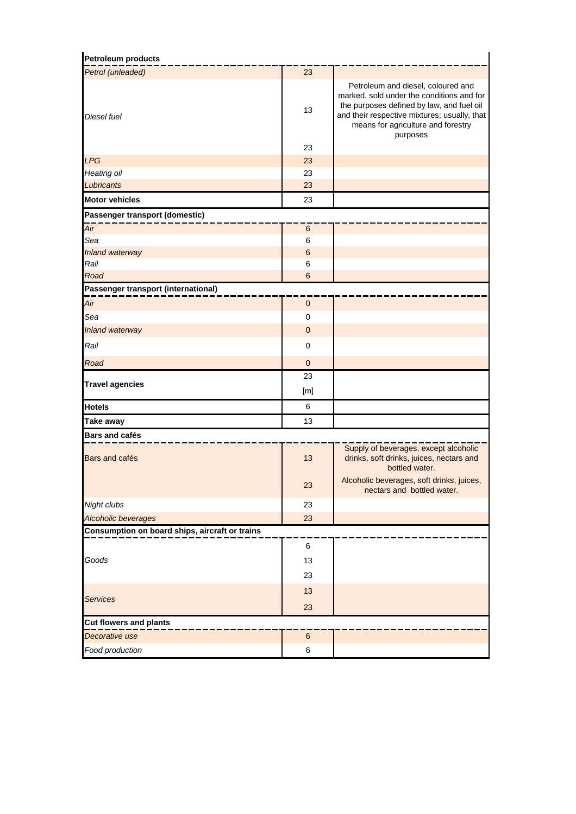| <b>Petroleum products</b>                      |                 |                                                                                                                                                                                                                                |
|------------------------------------------------|-----------------|--------------------------------------------------------------------------------------------------------------------------------------------------------------------------------------------------------------------------------|
| Petrol (unleaded)                              | 23              |                                                                                                                                                                                                                                |
| Diesel fuel                                    | 13              | Petroleum and diesel, coloured and<br>marked, sold under the conditions and for<br>the purposes defined by law, and fuel oil<br>and their respective mixtures; usually, that<br>means for agriculture and forestry<br>purposes |
|                                                | 23              |                                                                                                                                                                                                                                |
| <b>LPG</b>                                     | 23              |                                                                                                                                                                                                                                |
| Heating oil                                    | 23              |                                                                                                                                                                                                                                |
| Lubricants                                     | 23              |                                                                                                                                                                                                                                |
| <b>Motor vehicles</b>                          | 23              |                                                                                                                                                                                                                                |
| Passenger transport (domestic)                 |                 |                                                                                                                                                                                                                                |
| Air                                            | $\,6$           |                                                                                                                                                                                                                                |
| Sea                                            | 6               |                                                                                                                                                                                                                                |
| Inland waterway                                | $6\phantom{1}6$ |                                                                                                                                                                                                                                |
| Rail                                           | 6               |                                                                                                                                                                                                                                |
| Road                                           | $6\phantom{1}6$ |                                                                                                                                                                                                                                |
| Passenger transport (international)            |                 |                                                                                                                                                                                                                                |
| Air                                            | 0               |                                                                                                                                                                                                                                |
| Sea                                            | $\mathbf 0$     |                                                                                                                                                                                                                                |
| Inland waterway                                | $\overline{0}$  |                                                                                                                                                                                                                                |
| Rail                                           | $\mathbf 0$     |                                                                                                                                                                                                                                |
| Road                                           | $\pmb{0}$       |                                                                                                                                                                                                                                |
|                                                | 23              |                                                                                                                                                                                                                                |
| <b>Travel agencies</b>                         | [m]             |                                                                                                                                                                                                                                |
| <b>Hotels</b>                                  | 6               |                                                                                                                                                                                                                                |
| <b>Take away</b>                               | 13              |                                                                                                                                                                                                                                |
| <b>Bars and cafés</b>                          |                 |                                                                                                                                                                                                                                |
| Bars and cafés                                 | 13              | Supply of beverages, except alcoholic<br>drinks, soft drinks, juices, nectars and<br>bottled water.                                                                                                                            |
|                                                | 23              | Alcoholic beverages, soft drinks, juices,<br>nectars and bottled water.                                                                                                                                                        |
| Night clubs                                    | 23              |                                                                                                                                                                                                                                |
| <b>Alcoholic beverages</b>                     | 23              |                                                                                                                                                                                                                                |
| Consumption on board ships, aircraft or trains |                 |                                                                                                                                                                                                                                |
|                                                | 6               |                                                                                                                                                                                                                                |
| Goods                                          | 13              |                                                                                                                                                                                                                                |
|                                                | 23              |                                                                                                                                                                                                                                |
|                                                | 13              |                                                                                                                                                                                                                                |
| <b>Services</b>                                | 23              |                                                                                                                                                                                                                                |
|                                                |                 |                                                                                                                                                                                                                                |
| <b>Cut flowers and plants</b>                  |                 |                                                                                                                                                                                                                                |
| Decorative use                                 | 6               |                                                                                                                                                                                                                                |
| Food production                                | 6               |                                                                                                                                                                                                                                |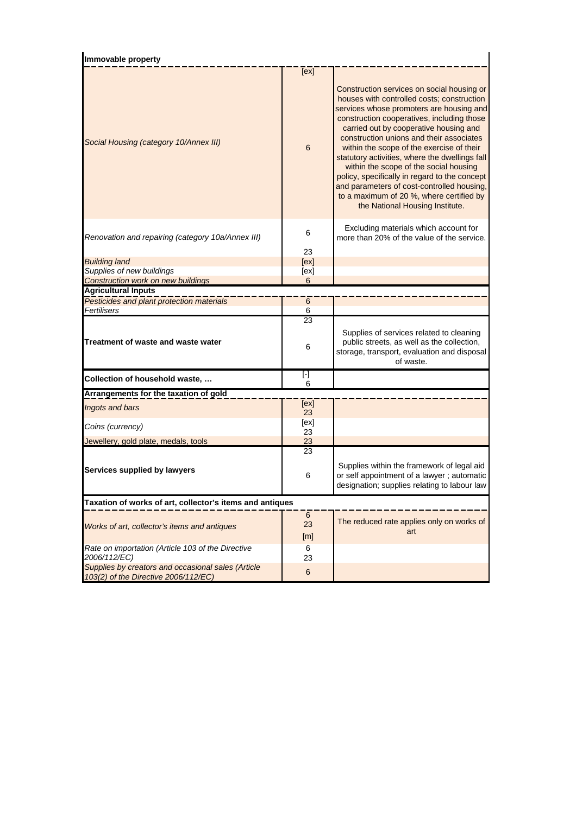| Immovable property                                                                         |                              |                                                                                                                                                                                                                                                                                                                                                                                                                                                                                                                                                                                                 |  |  |  |
|--------------------------------------------------------------------------------------------|------------------------------|-------------------------------------------------------------------------------------------------------------------------------------------------------------------------------------------------------------------------------------------------------------------------------------------------------------------------------------------------------------------------------------------------------------------------------------------------------------------------------------------------------------------------------------------------------------------------------------------------|--|--|--|
|                                                                                            | [ex]                         |                                                                                                                                                                                                                                                                                                                                                                                                                                                                                                                                                                                                 |  |  |  |
| Social Housing (category 10/Annex III)                                                     | 6                            | Construction services on social housing or<br>houses with controlled costs; construction<br>services whose promoters are housing and<br>construction cooperatives, including those<br>carried out by cooperative housing and<br>construction unions and their associates<br>within the scope of the exercise of their<br>statutory activities, where the dwellings fall<br>within the scope of the social housing<br>policy, specifically in regard to the concept<br>and parameters of cost-controlled housing,<br>to a maximum of 20 %, where certified by<br>the National Housing Institute. |  |  |  |
| Renovation and repairing (category 10a/Annex III)                                          | 6<br>23                      | Excluding materials which account for<br>more than 20% of the value of the service.                                                                                                                                                                                                                                                                                                                                                                                                                                                                                                             |  |  |  |
| <b>Building land</b>                                                                       | [ex]                         |                                                                                                                                                                                                                                                                                                                                                                                                                                                                                                                                                                                                 |  |  |  |
| Supplies of new buildings                                                                  | [ex]                         |                                                                                                                                                                                                                                                                                                                                                                                                                                                                                                                                                                                                 |  |  |  |
| <b>Construction work on new buildings</b>                                                  | 6                            |                                                                                                                                                                                                                                                                                                                                                                                                                                                                                                                                                                                                 |  |  |  |
| <b>Agricultural Inputs</b>                                                                 |                              |                                                                                                                                                                                                                                                                                                                                                                                                                                                                                                                                                                                                 |  |  |  |
| Pesticides and plant protection materials                                                  | 6                            |                                                                                                                                                                                                                                                                                                                                                                                                                                                                                                                                                                                                 |  |  |  |
| Fertilisers                                                                                | 6                            |                                                                                                                                                                                                                                                                                                                                                                                                                                                                                                                                                                                                 |  |  |  |
| Treatment of waste and waste water                                                         | 23<br>6                      | Supplies of services related to cleaning<br>public streets, as well as the collection,<br>storage, transport, evaluation and disposal<br>of waste.                                                                                                                                                                                                                                                                                                                                                                                                                                              |  |  |  |
| Collection of household waste,                                                             | $\lbrack \cdot \rbrack$<br>6 |                                                                                                                                                                                                                                                                                                                                                                                                                                                                                                                                                                                                 |  |  |  |
| Arrangements for the taxation of gold                                                      |                              |                                                                                                                                                                                                                                                                                                                                                                                                                                                                                                                                                                                                 |  |  |  |
| Ingots and bars                                                                            | [ex]                         |                                                                                                                                                                                                                                                                                                                                                                                                                                                                                                                                                                                                 |  |  |  |
|                                                                                            | 23<br>[ex]                   |                                                                                                                                                                                                                                                                                                                                                                                                                                                                                                                                                                                                 |  |  |  |
| Coins (currency)                                                                           | 23                           |                                                                                                                                                                                                                                                                                                                                                                                                                                                                                                                                                                                                 |  |  |  |
| Jewellery, gold plate, medals, tools                                                       | 23                           |                                                                                                                                                                                                                                                                                                                                                                                                                                                                                                                                                                                                 |  |  |  |
| Services supplied by lawyers                                                               | 23<br>6                      | Supplies within the framework of legal aid<br>or self appointment of a lawyer; automatic<br>designation; supplies relating to labour law                                                                                                                                                                                                                                                                                                                                                                                                                                                        |  |  |  |
| Taxation of works of art, collector's items and antiques                                   |                              |                                                                                                                                                                                                                                                                                                                                                                                                                                                                                                                                                                                                 |  |  |  |
| Works of art, collector's items and antiques                                               | 6<br>23<br>[m]               | The reduced rate applies only on works of<br>art                                                                                                                                                                                                                                                                                                                                                                                                                                                                                                                                                |  |  |  |
| Rate on importation (Article 103 of the Directive<br>2006/112/EC)                          | 6<br>23                      |                                                                                                                                                                                                                                                                                                                                                                                                                                                                                                                                                                                                 |  |  |  |
| Supplies by creators and occasional sales (Article<br>103(2) of the Directive 2006/112/EC) | 6                            |                                                                                                                                                                                                                                                                                                                                                                                                                                                                                                                                                                                                 |  |  |  |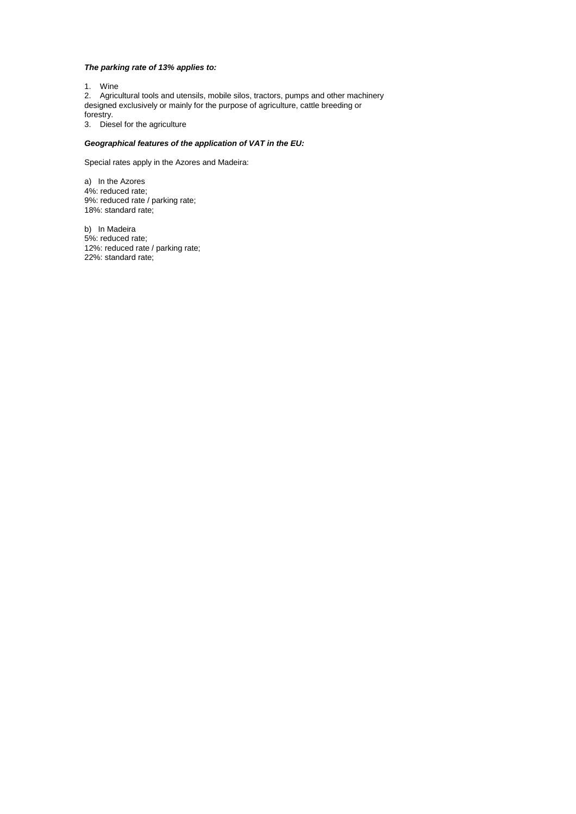### *The parking rate of 13% applies to:*

1. Wine

2. Agricultural tools and utensils, mobile silos, tractors, pumps and other machinery designed exclusively or mainly for the purpose of agriculture, cattle breeding or forestry.

3. Diesel for the agriculture

### *Geographical features of the application of VAT in the EU:*

Special rates apply in the Azores and Madeira:

a) In the Azores 4%: reduced rate; 9%: reduced rate / parking rate; 18%: standard rate;

b) In Madeira 5%: reduced rate; 12%: reduced rate / parking rate; 22%: standard rate;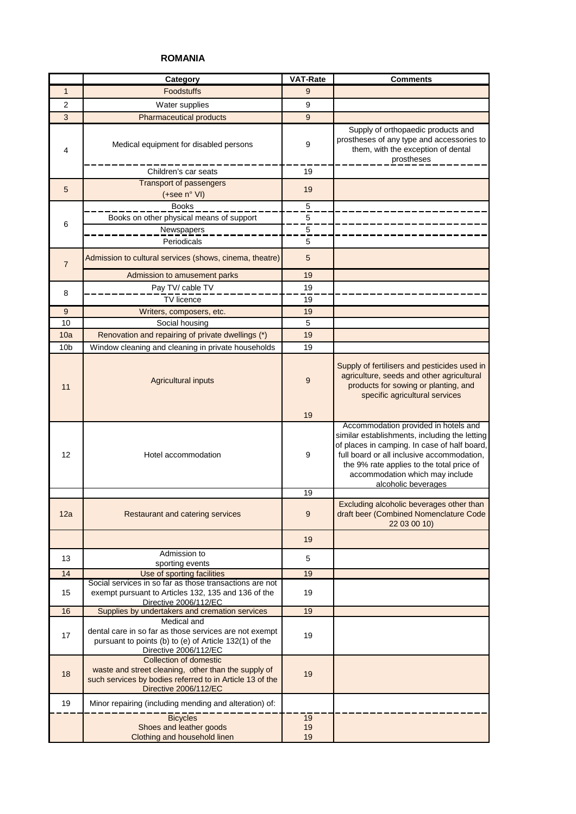# **ROMANIA**

|                 | Category                                                                                                                                                                  | <b>VAT-Rate</b> | <b>Comments</b>                                                                                                                                                                                                                                                                            |
|-----------------|---------------------------------------------------------------------------------------------------------------------------------------------------------------------------|-----------------|--------------------------------------------------------------------------------------------------------------------------------------------------------------------------------------------------------------------------------------------------------------------------------------------|
| $\mathbf{1}$    | <b>Foodstuffs</b>                                                                                                                                                         | 9               |                                                                                                                                                                                                                                                                                            |
| $\overline{2}$  | Water supplies                                                                                                                                                            | 9               |                                                                                                                                                                                                                                                                                            |
| 3               | <b>Pharmaceutical products</b>                                                                                                                                            | 9               |                                                                                                                                                                                                                                                                                            |
| 4               | Medical equipment for disabled persons                                                                                                                                    | 9               | Supply of orthopaedic products and<br>prostheses of any type and accessories to<br>them, with the exception of dental<br>prostheses                                                                                                                                                        |
|                 | Children's car seats                                                                                                                                                      | 19              |                                                                                                                                                                                                                                                                                            |
| 5               | <b>Transport of passengers</b>                                                                                                                                            | 19              |                                                                                                                                                                                                                                                                                            |
|                 | (+see n° VI)                                                                                                                                                              |                 |                                                                                                                                                                                                                                                                                            |
|                 | <b>Books</b>                                                                                                                                                              | $\,$ 5 $\,$     |                                                                                                                                                                                                                                                                                            |
| 6               | Books on other physical means of support<br>Newspapers                                                                                                                    | 5<br>5          |                                                                                                                                                                                                                                                                                            |
|                 | Periodicals                                                                                                                                                               | 5               |                                                                                                                                                                                                                                                                                            |
|                 |                                                                                                                                                                           |                 |                                                                                                                                                                                                                                                                                            |
| $\overline{7}$  | Admission to cultural services (shows, cinema, theatre)                                                                                                                   | $\sqrt{5}$      |                                                                                                                                                                                                                                                                                            |
|                 | Admission to amusement parks                                                                                                                                              | 19              |                                                                                                                                                                                                                                                                                            |
| 8               | Pay TV/ cable TV                                                                                                                                                          | 19              |                                                                                                                                                                                                                                                                                            |
|                 | <b>TV</b> licence                                                                                                                                                         | 19              |                                                                                                                                                                                                                                                                                            |
| 9<br>10         | Writers, composers, etc.<br>Social housing                                                                                                                                | 19<br>5         |                                                                                                                                                                                                                                                                                            |
| 10a             | Renovation and repairing of private dwellings (*)                                                                                                                         | 19              |                                                                                                                                                                                                                                                                                            |
| 10 <sub>b</sub> | Window cleaning and cleaning in private households                                                                                                                        | 19              |                                                                                                                                                                                                                                                                                            |
| 11              | <b>Agricultural inputs</b>                                                                                                                                                | 9               | Supply of fertilisers and pesticides used in<br>agriculture, seeds and other agricultural<br>products for sowing or planting, and<br>specific agricultural services                                                                                                                        |
|                 |                                                                                                                                                                           | 19              |                                                                                                                                                                                                                                                                                            |
| 12              | Hotel accommodation                                                                                                                                                       | 9               | Accommodation provided in hotels and<br>similar establishments, including the letting<br>of places in camping. In case of half board,<br>full board or all inclusive accommodation,<br>the 9% rate applies to the total price of<br>accommodation which may include<br>alcoholic beverages |
|                 |                                                                                                                                                                           | 19              |                                                                                                                                                                                                                                                                                            |
| 12a             | Restaurant and catering services                                                                                                                                          | 9               | Excluding alcoholic beverages other than<br>draft beer (Combined Nomenclature Code<br>22 03 00 10)                                                                                                                                                                                         |
|                 |                                                                                                                                                                           | 19              |                                                                                                                                                                                                                                                                                            |
| 13              | Admission to                                                                                                                                                              | 5               |                                                                                                                                                                                                                                                                                            |
| 14              | sporting events<br>Use of sporting facilities                                                                                                                             | 19              |                                                                                                                                                                                                                                                                                            |
| 15              | Social services in so far as those transactions are not<br>exempt pursuant to Articles 132, 135 and 136 of the<br>Directive 2006/112/EC                                   | 19              |                                                                                                                                                                                                                                                                                            |
| 16              | Supplies by undertakers and cremation services                                                                                                                            | 19              |                                                                                                                                                                                                                                                                                            |
| 17              | Medical and<br>dental care in so far as those services are not exempt<br>pursuant to points (b) to (e) of Article 132(1) of the<br>Directive 2006/112/EC                  | 19              |                                                                                                                                                                                                                                                                                            |
| 18              | <b>Collection of domestic</b><br>waste and street cleaning, other than the supply of<br>such services by bodies referred to in Article 13 of the<br>Directive 2006/112/EC | 19              |                                                                                                                                                                                                                                                                                            |
| 19              | Minor repairing (including mending and alteration) of:                                                                                                                    |                 |                                                                                                                                                                                                                                                                                            |
|                 | <b>Bicycles</b>                                                                                                                                                           | 19              |                                                                                                                                                                                                                                                                                            |
|                 | Shoes and leather goods                                                                                                                                                   | 19              |                                                                                                                                                                                                                                                                                            |
|                 | Clothing and household linen                                                                                                                                              | 19              |                                                                                                                                                                                                                                                                                            |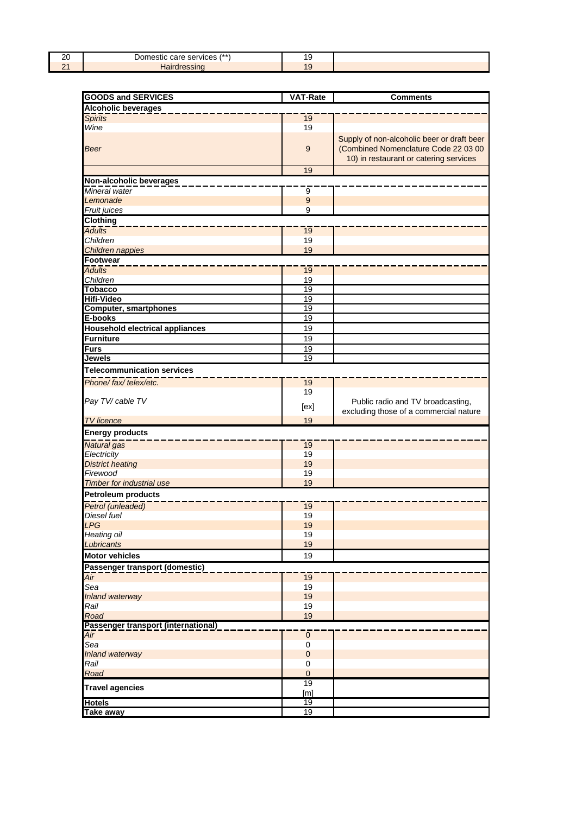| oc<br>∠∪<br>__ | $1**$<br>$- - - -$<br>rvices<br>ser<br>a c | . ఆ<br>$\sim$ |  |
|----------------|--------------------------------------------|---------------|--|
| -              |                                            | . .           |  |

| <b>GOODS and SERVICES</b>                | <b>VAT-Rate</b>            | <b>Comments</b>                            |  |  |
|------------------------------------------|----------------------------|--------------------------------------------|--|--|
| <b>Alcoholic beverages</b>               |                            |                                            |  |  |
| <b>Spirits</b>                           | 19                         |                                            |  |  |
| Wine                                     | 19                         |                                            |  |  |
|                                          |                            | Supply of non-alcoholic beer or draft beer |  |  |
| <b>Beer</b>                              | 9                          | (Combined Nomenclature Code 22 03 00       |  |  |
|                                          |                            | 10) in restaurant or catering services     |  |  |
|                                          | 19                         |                                            |  |  |
|                                          |                            |                                            |  |  |
| Non-alcoholic beverages<br>Mineral water |                            |                                            |  |  |
| Lemonade                                 | 9<br>$9$                   |                                            |  |  |
| Fruit juices                             | 9                          |                                            |  |  |
| <b>Clothing</b>                          |                            |                                            |  |  |
| <b>Adults</b>                            | $\overline{19}$            |                                            |  |  |
| Children                                 | 19                         |                                            |  |  |
| Children nappies                         | 19                         |                                            |  |  |
| Footwear                                 |                            |                                            |  |  |
| <b>Adults</b>                            | $\overline{19}$            |                                            |  |  |
| Children                                 | 19                         |                                            |  |  |
| <b>Tobacco</b>                           | $\overline{19}$            |                                            |  |  |
| <b>Hifi-Video</b>                        | 19                         |                                            |  |  |
| <b>Computer, smartphones</b>             | $\overline{19}$            |                                            |  |  |
| E-books                                  | 19                         |                                            |  |  |
| <b>Household electrical appliances</b>   | 19                         |                                            |  |  |
| <b>Furniture</b>                         | 19                         |                                            |  |  |
| <b>Furs</b>                              | 19                         |                                            |  |  |
| <b>Jewels</b>                            | 19                         |                                            |  |  |
| <b>Telecommunication services</b>        |                            |                                            |  |  |
| Phone/fax/telex/etc.                     | 19                         |                                            |  |  |
|                                          | 19                         |                                            |  |  |
| Pay TV/ cable TV                         |                            | Public radio and TV broadcasting,          |  |  |
|                                          | [ex]                       | excluding those of a commercial nature     |  |  |
| <b>TV</b> licence                        | 19                         |                                            |  |  |
| <b>Energy products</b>                   |                            |                                            |  |  |
| Natural gas                              | 19                         |                                            |  |  |
| Electricity                              | 19                         |                                            |  |  |
| <b>District heating</b>                  | 19                         |                                            |  |  |
| Firewood                                 | 19                         |                                            |  |  |
| <b>Timber for industrial use</b>         | 19                         |                                            |  |  |
| <b>Petroleum products</b>                |                            |                                            |  |  |
| Petrol (unleaded)                        | 19                         |                                            |  |  |
| <b>Diesel fuel</b>                       | 19                         |                                            |  |  |
| <b>LPG</b>                               | 19                         |                                            |  |  |
| Heating oil                              | 19                         |                                            |  |  |
| Lubricants                               | 19                         |                                            |  |  |
| <b>Motor vehicles</b>                    | 19                         |                                            |  |  |
| Passenger transport (domestic)           |                            |                                            |  |  |
| Air                                      | 19                         |                                            |  |  |
| Sea                                      | 19                         |                                            |  |  |
| Inland waterway                          | 19                         |                                            |  |  |
| Rail                                     | 19                         |                                            |  |  |
| Road                                     | 19                         |                                            |  |  |
| Passenger transport (international)      |                            |                                            |  |  |
| $\overline{Air}$                         | $\mathbf 0$                |                                            |  |  |
| Sea                                      | 0                          |                                            |  |  |
| Inland waterway<br>Rail                  | $\mathbf 0$<br>$\mathbf 0$ |                                            |  |  |
| Road                                     | $\overline{0}$             |                                            |  |  |
|                                          | 19                         |                                            |  |  |
| <b>Travel agencies</b>                   | [m]                        |                                            |  |  |
| <b>Hotels</b>                            | 19                         |                                            |  |  |
| <b>Take away</b>                         | 19                         |                                            |  |  |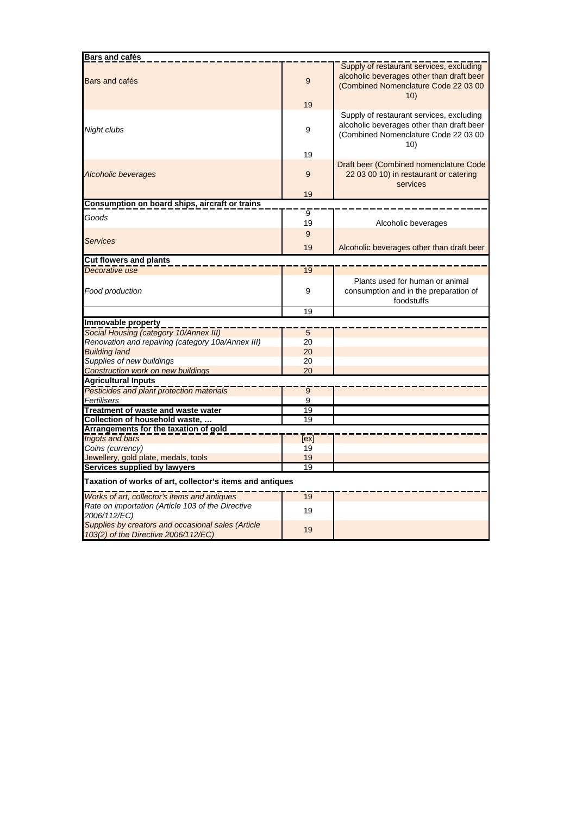| Bars and cafés                                                                             |                 |                                                                                                                                      |  |  |
|--------------------------------------------------------------------------------------------|-----------------|--------------------------------------------------------------------------------------------------------------------------------------|--|--|
| Bars and cafés                                                                             | 9<br>19         | Supply of restaurant services, excluding<br>alcoholic beverages other than draft beer<br>(Combined Nomenclature Code 22 03 00<br>10) |  |  |
| Night clubs                                                                                | 9               | Supply of restaurant services, excluding<br>alcoholic beverages other than draft beer<br>(Combined Nomenclature Code 22 03 00<br>10) |  |  |
|                                                                                            | 19              |                                                                                                                                      |  |  |
| <b>Alcoholic beverages</b>                                                                 | 9               | Draft beer (Combined nomenclature Code<br>22 03 00 10) in restaurant or catering<br>services                                         |  |  |
|                                                                                            | 19              |                                                                                                                                      |  |  |
| Consumption on board ships, aircraft or trains                                             |                 |                                                                                                                                      |  |  |
| Goods                                                                                      | 9<br>19         | Alcoholic beverages                                                                                                                  |  |  |
|                                                                                            | 9               |                                                                                                                                      |  |  |
| Services                                                                                   | 19              | Alcoholic beverages other than draft beer                                                                                            |  |  |
| <b>Cut flowers and plants</b>                                                              |                 |                                                                                                                                      |  |  |
| Decorative use                                                                             | 19              |                                                                                                                                      |  |  |
| Food production                                                                            | 9               | Plants used for human or animal<br>consumption and in the preparation of<br>foodstuffs                                               |  |  |
|                                                                                            | 19              |                                                                                                                                      |  |  |
| Immovable property                                                                         |                 |                                                                                                                                      |  |  |
| Social Housing (category 10/Annex III)                                                     | 5               |                                                                                                                                      |  |  |
| Renovation and repairing (category 10a/Annex III)                                          | 20              |                                                                                                                                      |  |  |
| <b>Building land</b>                                                                       | 20              |                                                                                                                                      |  |  |
| Supplies of new buildings                                                                  | 20              |                                                                                                                                      |  |  |
| <b>Construction work on new buildings</b>                                                  | 20              |                                                                                                                                      |  |  |
| <b>Agricultural Inputs</b>                                                                 |                 |                                                                                                                                      |  |  |
| Pesticides and plant protection materials                                                  | 9               |                                                                                                                                      |  |  |
| Fertilisers                                                                                | 9               |                                                                                                                                      |  |  |
| Treatment of waste and waste water                                                         | 19              |                                                                                                                                      |  |  |
| Collection of household waste,                                                             | $\overline{19}$ |                                                                                                                                      |  |  |
| Arrangements for the taxation of gold                                                      |                 |                                                                                                                                      |  |  |
| <b>Ingots and bars</b>                                                                     | [ex]            |                                                                                                                                      |  |  |
| Coins (currency)                                                                           | 19              |                                                                                                                                      |  |  |
| Jewellery, gold plate, medals, tools                                                       | 19              |                                                                                                                                      |  |  |
| Services supplied by lawyers                                                               | 19              |                                                                                                                                      |  |  |
| Taxation of works of art, collector's items and antiques                                   |                 |                                                                                                                                      |  |  |
| Works of art, collector's items and antiques                                               | $\overline{19}$ |                                                                                                                                      |  |  |
| Rate on importation (Article 103 of the Directive<br>2006/112/EC)                          | 19              |                                                                                                                                      |  |  |
| Supplies by creators and occasional sales (Article<br>103(2) of the Directive 2006/112/EC) | 19              |                                                                                                                                      |  |  |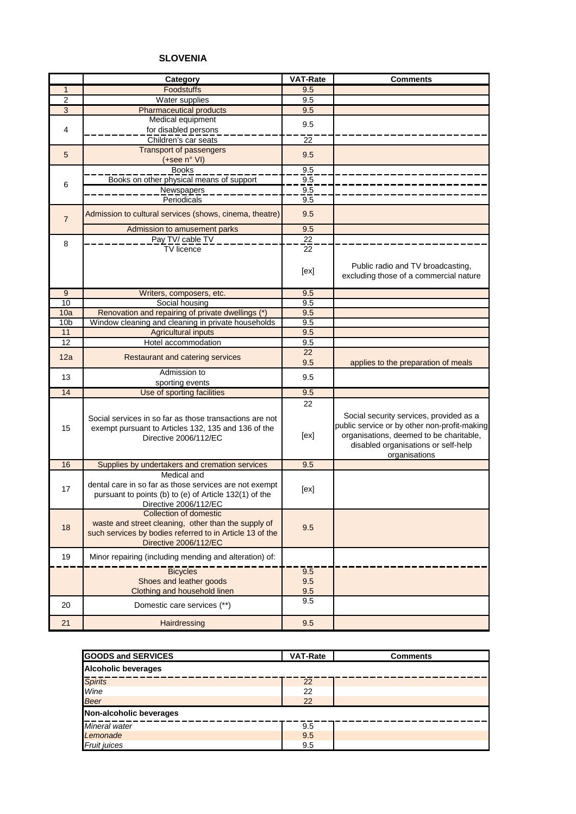# **SLOVENIA**

|                 | Category                                                                                                                                                           | <b>VAT-Rate</b>   | <b>Comments</b>                                                                                                                                                                            |
|-----------------|--------------------------------------------------------------------------------------------------------------------------------------------------------------------|-------------------|--------------------------------------------------------------------------------------------------------------------------------------------------------------------------------------------|
| $\mathbf{1}$    | Foodstuffs                                                                                                                                                         | 9.5               |                                                                                                                                                                                            |
| $\overline{2}$  | Water supplies                                                                                                                                                     | 9.5               |                                                                                                                                                                                            |
| $\overline{3}$  | <b>Pharmaceutical products</b>                                                                                                                                     | 9.5               |                                                                                                                                                                                            |
|                 | Medical equipment                                                                                                                                                  | 9.5               |                                                                                                                                                                                            |
| 4               | for disabled persons                                                                                                                                               |                   |                                                                                                                                                                                            |
|                 | Children's car seats                                                                                                                                               | 22                |                                                                                                                                                                                            |
| 5               | <b>Transport of passengers</b>                                                                                                                                     | 9.5               |                                                                                                                                                                                            |
|                 | (+see n° VI)                                                                                                                                                       |                   |                                                                                                                                                                                            |
|                 | <b>Books</b>                                                                                                                                                       | 9.5               |                                                                                                                                                                                            |
| 6               | Books on other physical means of support                                                                                                                           | 9.5               |                                                                                                                                                                                            |
|                 | <b>Newspapers</b>                                                                                                                                                  | 9.5               |                                                                                                                                                                                            |
|                 | Periodicals                                                                                                                                                        | 9.5               |                                                                                                                                                                                            |
| $\overline{7}$  | Admission to cultural services (shows, cinema, theatre)                                                                                                            | 9.5               |                                                                                                                                                                                            |
|                 | Admission to amusement parks                                                                                                                                       | 9.5               |                                                                                                                                                                                            |
| 8               | Pay TV/ cable TV                                                                                                                                                   | 22                |                                                                                                                                                                                            |
|                 | <b>TV</b> licence                                                                                                                                                  | 22                |                                                                                                                                                                                            |
|                 |                                                                                                                                                                    | [ex]              | Public radio and TV broadcasting,<br>excluding those of a commercial nature                                                                                                                |
| 9               | Writers, composers, etc.                                                                                                                                           | 9.5               |                                                                                                                                                                                            |
| 10              | Social housing                                                                                                                                                     | 9.5               |                                                                                                                                                                                            |
| 10a             | Renovation and repairing of private dwellings (*)                                                                                                                  | 9.5               |                                                                                                                                                                                            |
| 10 <sub>b</sub> | Window cleaning and cleaning in private households                                                                                                                 | 9.5               |                                                                                                                                                                                            |
| 11              | <b>Agricultural inputs</b>                                                                                                                                         | 9.5               |                                                                                                                                                                                            |
| 12              | Hotel accommodation                                                                                                                                                | 9.5               |                                                                                                                                                                                            |
| 12a             | Restaurant and catering services                                                                                                                                   | 22                |                                                                                                                                                                                            |
|                 |                                                                                                                                                                    | 9.5               | applies to the preparation of meals                                                                                                                                                        |
| 13              | Admission to                                                                                                                                                       | 9.5               |                                                                                                                                                                                            |
| 14              | sporting events                                                                                                                                                    | 9.5               |                                                                                                                                                                                            |
|                 | Use of sporting facilities                                                                                                                                         |                   |                                                                                                                                                                                            |
| 15              | Social services in so far as those transactions are not<br>exempt pursuant to Articles 132, 135 and 136 of the<br>Directive 2006/112/EC                            | 22<br>[ex]        | Social security services, provided as a<br>public service or by other non-profit-making<br>organisations, deemed to be charitable,<br>disabled organisations or self-help<br>organisations |
| 16              | Supplies by undertakers and cremation services                                                                                                                     | 9.5               |                                                                                                                                                                                            |
| 17              | Medical and<br>dental care in so far as those services are not exempt<br>pursuant to points (b) to (e) of Article 132(1) of the<br>Directive 2006/112/EC           | [ex]              |                                                                                                                                                                                            |
| 18              | Collection of domestic<br>waste and street cleaning, other than the supply of<br>such services by bodies referred to in Article 13 of the<br>Directive 2006/112/EC | 9.5               |                                                                                                                                                                                            |
| 19              | Minor repairing (including mending and alteration) of:                                                                                                             |                   |                                                                                                                                                                                            |
|                 | <b>Bicycles</b><br>Shoes and leather goods<br>Clothing and household linen                                                                                         | 9.5<br>9.5<br>9.5 |                                                                                                                                                                                            |
| 20              | Domestic care services (**)                                                                                                                                        | 9.5               |                                                                                                                                                                                            |
| 21              | Hairdressing                                                                                                                                                       | 9.5               |                                                                                                                                                                                            |

| <b>GOODS and SERVICES</b>  | <b>VAT-Rate</b> | <b>Comments</b> |  |  |  |
|----------------------------|-----------------|-----------------|--|--|--|
| <b>Alcoholic beverages</b> |                 |                 |  |  |  |
| <b>Spirits</b>             | 22              |                 |  |  |  |
| Wine                       | 22              |                 |  |  |  |
| <b>Beer</b>                | 22              |                 |  |  |  |
| Non-alcoholic beverages    |                 |                 |  |  |  |
| Mineral water              | 9.5             |                 |  |  |  |
| Lemonade                   | 9.5             |                 |  |  |  |
| <b>Fruit juices</b>        | 9.5             |                 |  |  |  |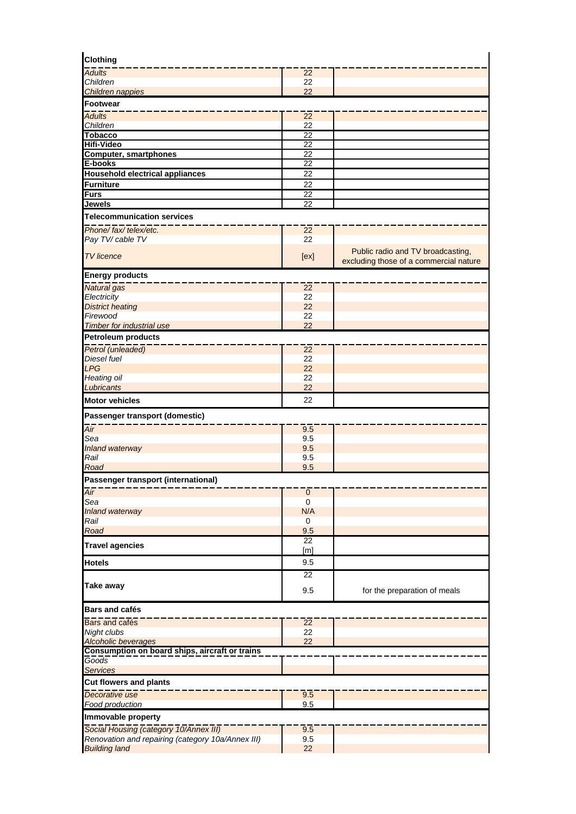| <b>Clothing</b>                                                              |                          |                                        |
|------------------------------------------------------------------------------|--------------------------|----------------------------------------|
| <b>Adults</b>                                                                | 22                       |                                        |
| Children<br>Children nappies                                                 | 22<br>22                 |                                        |
| Footwear                                                                     |                          |                                        |
| <b>Adults</b>                                                                | $\overline{22}$          |                                        |
| Children                                                                     | 22                       |                                        |
| <b>Tobacco</b>                                                               | 22                       |                                        |
| <b>Hifi-Video</b>                                                            | $\overline{22}$          |                                        |
| <b>Computer, smartphones</b>                                                 | 22                       |                                        |
| E-books                                                                      | 22                       |                                        |
| <b>Household electrical appliances</b><br><b>Furniture</b>                   | 22<br>22                 |                                        |
| <b>Furs</b>                                                                  | 22                       |                                        |
| <b>Jewels</b>                                                                | 22                       |                                        |
| <b>Telecommunication services</b>                                            |                          |                                        |
| Phone/fax/telex/etc.                                                         | 22                       |                                        |
| Pay TV/ cable TV                                                             | 22                       |                                        |
| <b>TV</b> licence                                                            |                          | Public radio and TV broadcasting,      |
|                                                                              | [ex]                     | excluding those of a commercial nature |
| <b>Energy products</b>                                                       |                          |                                        |
| Natural gas                                                                  | 22                       |                                        |
| Electricity                                                                  | 22<br>22                 |                                        |
| <b>District heating</b><br>Firewood                                          | 22                       |                                        |
| <b>Timber for industrial use</b>                                             | 22                       |                                        |
| <b>Petroleum products</b>                                                    |                          |                                        |
| Petrol (unleaded)                                                            | $\overline{22}$          |                                        |
| Diesel fuel                                                                  | 22                       |                                        |
| <b>LPG</b>                                                                   | 22                       |                                        |
| Heating oil                                                                  | 22                       |                                        |
| Lubricants                                                                   | 22                       |                                        |
| <b>Motor vehicles</b>                                                        | 22                       |                                        |
| Passenger transport (domestic)                                               |                          |                                        |
| Air                                                                          | 9.5                      |                                        |
| Sea                                                                          | 9.5                      |                                        |
| Inland waterway                                                              | 9.5                      |                                        |
| Rail                                                                         | 9.5                      |                                        |
| Road                                                                         | 9.5                      |                                        |
| Passenger transport (international)                                          |                          |                                        |
| Air<br>Sea                                                                   | $\pmb{0}$<br>$\mathbf 0$ |                                        |
| Inland waterway                                                              | N/A                      |                                        |
| Rail                                                                         | 0                        |                                        |
| Road                                                                         | 9.5                      |                                        |
| <b>Travel agencies</b>                                                       | $\overline{22}$          |                                        |
|                                                                              | [m]                      |                                        |
| <b>Hotels</b>                                                                | 9.5<br>22                |                                        |
| <b>Take away</b>                                                             |                          |                                        |
|                                                                              | 9.5                      | for the preparation of meals           |
| <b>Bars and cafés</b>                                                        |                          |                                        |
| Bars and cafés                                                               | 22                       |                                        |
| Night clubs                                                                  | 22<br>22                 |                                        |
| <b>Alcoholic beverages</b><br>Consumption on board ships, aircraft or trains |                          |                                        |
| Goods                                                                        |                          |                                        |
| <b>Services</b>                                                              |                          |                                        |
| <b>Cut flowers and plants</b>                                                |                          |                                        |
| Decorative use                                                               | 9.5                      |                                        |
| Food production                                                              | 9.5                      |                                        |
| Immovable property                                                           |                          |                                        |
| Social Housing (category 10/Annex III)                                       | 9.5                      |                                        |
| Renovation and repairing (category 10a/Annex III)                            | 9.5                      |                                        |
| <b>Building land</b>                                                         | 22                       |                                        |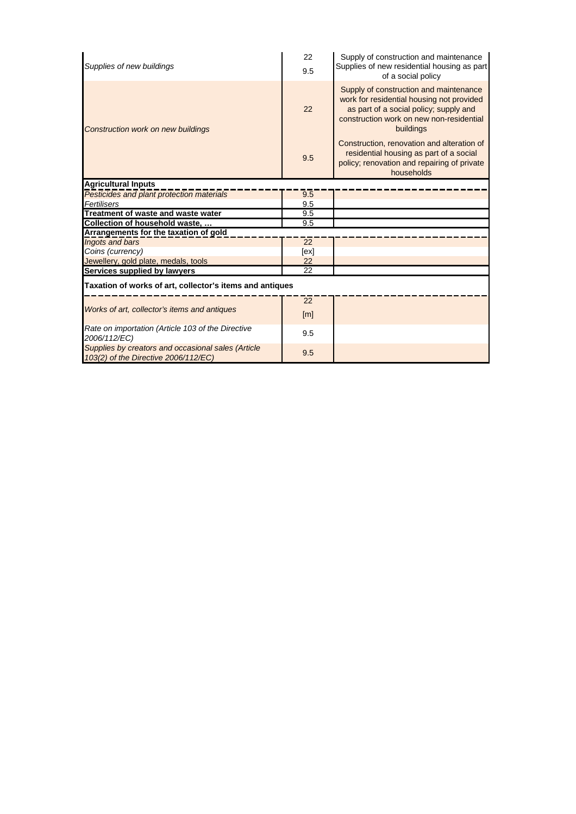| Supplies of new buildings                                                                  | 22<br>9.5       | Supply of construction and maintenance<br>Supplies of new residential housing as part<br>of a social policy                                                                            |
|--------------------------------------------------------------------------------------------|-----------------|----------------------------------------------------------------------------------------------------------------------------------------------------------------------------------------|
| <b>Construction work on new buildings</b>                                                  | 22              | Supply of construction and maintenance<br>work for residential housing not provided<br>as part of a social policy; supply and<br>construction work on new non-residential<br>buildings |
|                                                                                            | 9.5             | Construction, renovation and alteration of<br>residential housing as part of a social<br>policy; renovation and repairing of private<br>households                                     |
| <b>Agricultural Inputs</b>                                                                 |                 |                                                                                                                                                                                        |
| Pesticides and plant protection materials                                                  | 9.5             |                                                                                                                                                                                        |
| Fertilisers                                                                                | 9.5             |                                                                                                                                                                                        |
| Treatment of waste and waste water                                                         | 9.5             |                                                                                                                                                                                        |
| Collection of household waste,                                                             | 9.5             |                                                                                                                                                                                        |
| Arrangements for the taxation of gold                                                      |                 |                                                                                                                                                                                        |
| Ingots and bars                                                                            | 22              |                                                                                                                                                                                        |
| Coins (currency)                                                                           | [ex]            |                                                                                                                                                                                        |
| Jewellery, gold plate, medals, tools                                                       | 22              |                                                                                                                                                                                        |
| Services supplied by lawyers                                                               | $\overline{22}$ |                                                                                                                                                                                        |
| Taxation of works of art, collector's items and antiques                                   |                 |                                                                                                                                                                                        |
|                                                                                            | 22              |                                                                                                                                                                                        |
| Works of art, collector's items and antiques                                               | [m]             |                                                                                                                                                                                        |
| Rate on importation (Article 103 of the Directive<br>2006/112/EC)                          | 9.5             |                                                                                                                                                                                        |
| Supplies by creators and occasional sales (Article<br>103(2) of the Directive 2006/112/EC) | 9.5             |                                                                                                                                                                                        |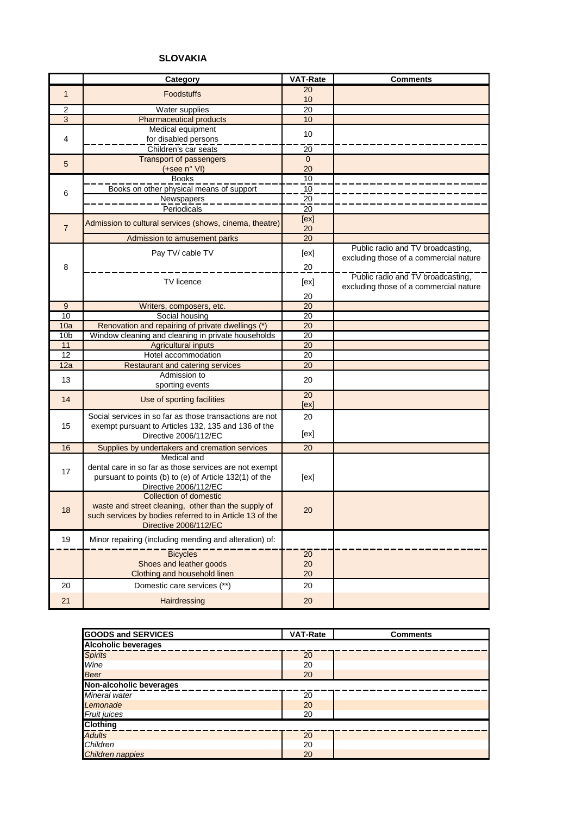# **SLOVAKIA**

|                 | Category                                                 | <b>VAT-Rate</b> | <b>Comments</b>                        |
|-----------------|----------------------------------------------------------|-----------------|----------------------------------------|
| $\mathbf{1}$    | <b>Foodstuffs</b>                                        | 20              |                                        |
|                 |                                                          | 10              |                                        |
| $\overline{2}$  | Water supplies                                           | 20              |                                        |
| $\sqrt{3}$      | <b>Pharmaceutical products</b>                           | 10              |                                        |
|                 | Medical equipment                                        | 10              |                                        |
| 4               | for disabled persons                                     |                 |                                        |
|                 | Children's car seats                                     | $\overline{20}$ |                                        |
| 5               | Transport of passengers                                  | $\mathbf{0}$    |                                        |
|                 | (+see n° VI)                                             | 20              |                                        |
|                 | <b>Books</b>                                             | 10              |                                        |
| 6               | Books on other physical means of support                 | 10              |                                        |
|                 | <b>Newspapers</b>                                        | 20              |                                        |
|                 | Periodicals                                              | 20              |                                        |
|                 | Admission to cultural services (shows, cinema, theatre)  | [ex]            |                                        |
| $\overline{7}$  |                                                          | 20              |                                        |
|                 | Admission to amusement parks                             | $\overline{20}$ |                                        |
|                 | Pay TV/ cable TV                                         | [ex]            | Public radio and TV broadcasting,      |
| 8               |                                                          | 20              | excluding those of a commercial nature |
|                 |                                                          |                 | Public radio and TV broadcasting,      |
|                 | <b>TV</b> licence                                        | [ex]            | excluding those of a commercial nature |
|                 |                                                          | 20              |                                        |
| 9               | Writers, composers, etc.                                 | 20              |                                        |
| 10              | Social housing                                           | 20              |                                        |
| 10a             | Renovation and repairing of private dwellings (*)        | 20              |                                        |
| 10 <sub>b</sub> | Window cleaning and cleaning in private households       | $\overline{20}$ |                                        |
| 11              | <b>Agricultural inputs</b>                               | 20              |                                        |
| 12              | Hotel accommodation                                      | 20              |                                        |
| 12a             | Restaurant and catering services                         | 20              |                                        |
| 13              | Admission to                                             | 20              |                                        |
|                 | sporting events                                          |                 |                                        |
| 14              | Use of sporting facilities                               | 20              |                                        |
|                 |                                                          | [ex]            |                                        |
|                 | Social services in so far as those transactions are not  | 20              |                                        |
| 15              | exempt pursuant to Articles 132, 135 and 136 of the      |                 |                                        |
|                 | Directive 2006/112/EC                                    | [ex]            |                                        |
| 16              | Supplies by undertakers and cremation services           | 20              |                                        |
|                 | Medical and                                              |                 |                                        |
| 17              | dental care in so far as those services are not exempt   |                 |                                        |
|                 | pursuant to points (b) to (e) of Article 132(1) of the   | [ex]            |                                        |
|                 | Directive 2006/112/EC                                    |                 |                                        |
|                 | <b>Collection of domestic</b>                            |                 |                                        |
| 18              | waste and street cleaning, other than the supply of      | 20              |                                        |
|                 | such services by bodies referred to in Article 13 of the |                 |                                        |
|                 | Directive 2006/112/EC                                    |                 |                                        |
| 19              | Minor repairing (including mending and alteration) of:   |                 |                                        |
|                 | <b>Bicycles</b>                                          | 20              |                                        |
|                 | Shoes and leather goods                                  | 20              |                                        |
|                 | Clothing and household linen                             | 20              |                                        |
| 20              | Domestic care services (**)                              | 20              |                                        |
|                 |                                                          |                 |                                        |
| 21              | Hairdressing                                             | 20              |                                        |

| <b>GOODS and SERVICES</b>  | VAT-Rate | <b>Comments</b> |
|----------------------------|----------|-----------------|
| <b>Alcoholic beverages</b> |          |                 |
| <b>Spirits</b>             | 20       |                 |
| Wine                       | 20       |                 |
| <b>Beer</b>                | 20       |                 |
| Non-alcoholic beverages    |          |                 |
| Mineral water              | 20       |                 |
| Lemonade                   | 20       |                 |
| Fruit juices               | 20       |                 |
| <b>Clothing</b>            |          |                 |
| <b>Adults</b>              | 20       |                 |
| Children                   | 20       |                 |
| <b>Children nappies</b>    | 20       |                 |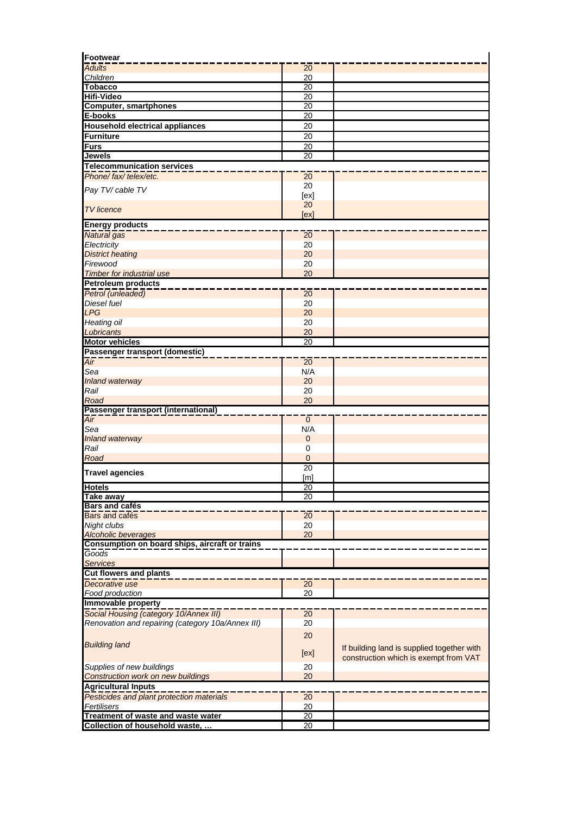| <b>Footwear</b>                                                      |                 |                                            |
|----------------------------------------------------------------------|-----------------|--------------------------------------------|
| <b>Adults</b>                                                        | 20              |                                            |
| Children                                                             | 20              |                                            |
| <b>Tobacco</b>                                                       | 20              |                                            |
| <b>Hifi-Video</b>                                                    | 20              |                                            |
| <b>Computer, smartphones</b>                                         | 20              |                                            |
| E-books                                                              | 20              |                                            |
| <b>Household electrical appliances</b>                               | 20              |                                            |
| <b>Furniture</b>                                                     | 20              |                                            |
| Furs                                                                 | $\overline{20}$ |                                            |
| <b>Jewels</b>                                                        | $\overline{20}$ |                                            |
| <b>Telecommunication services</b>                                    |                 |                                            |
| Phone/fax/telex/etc.                                                 | 20              |                                            |
|                                                                      | 20              |                                            |
| Pay TV/ cable TV                                                     | [ex]            |                                            |
|                                                                      | 20              |                                            |
| <b>TV</b> licence                                                    | [ex]            |                                            |
|                                                                      |                 |                                            |
| <b>Energy products</b>                                               |                 |                                            |
| <b>Natural</b> gas                                                   | 20              |                                            |
| Electricity                                                          | 20              |                                            |
| <b>District heating</b>                                              | 20              |                                            |
| Firewood                                                             | 20              |                                            |
| <b>Timber for industrial use</b>                                     | 20              |                                            |
| <b>Petroleum products</b>                                            |                 |                                            |
| Petrol (unleaded)                                                    | $\overline{20}$ |                                            |
| Diesel fuel                                                          | 20              |                                            |
| <b>LPG</b>                                                           | 20              |                                            |
| Heating oil                                                          | 20              |                                            |
| Lubricants                                                           | 20              |                                            |
| <b>Motor vehicles</b>                                                | 20              |                                            |
| Passenger transport (domestic)                                       |                 |                                            |
| Air                                                                  | 20              |                                            |
| Sea                                                                  | N/A             |                                            |
| Inland waterway                                                      | 20              |                                            |
| Rail                                                                 | 20              |                                            |
| Road                                                                 | 20              |                                            |
| Passenger transport (international)                                  |                 |                                            |
| Air                                                                  | $\mathbf{0}$    |                                            |
| Sea                                                                  | N/A             |                                            |
| Inland waterway                                                      | $\overline{0}$  |                                            |
| Rail                                                                 | 0               |                                            |
| Road                                                                 | $\mathbf 0$     |                                            |
|                                                                      | $\overline{20}$ |                                            |
| <b>Travel agencies</b>                                               | [m]             |                                            |
| <b>Hotels</b>                                                        | $\overline{20}$ |                                            |
| Take away                                                            | $\overline{20}$ |                                            |
| <b>Bars and cafés</b>                                                |                 |                                            |
| Bars and cafés                                                       | 20              |                                            |
| Night clubs                                                          | 20              |                                            |
| Alcoholic beverages                                                  | 20              |                                            |
| Consumption on board ships, aircraft or trains                       |                 |                                            |
| Goods                                                                |                 |                                            |
| <b>Services</b>                                                      |                 |                                            |
| <b>Cut flowers and plants</b>                                        |                 |                                            |
| Decorative use                                                       | 20              |                                            |
| Food production                                                      |                 |                                            |
|                                                                      |                 |                                            |
|                                                                      | 20              |                                            |
| Immovable property                                                   |                 |                                            |
| Social Housing (category 10/Annex III)                               | 20              |                                            |
| Renovation and repairing (category 10a/Annex III)                    | 20              |                                            |
|                                                                      | 20              |                                            |
| <b>Building land</b>                                                 |                 | If building land is supplied together with |
|                                                                      | [ex]            | construction which is exempt from VAT      |
| Supplies of new buildings                                            | 20              |                                            |
| <b>Construction work on new buildings</b>                            | 20              |                                            |
| <b>Agricultural Inputs</b>                                           |                 |                                            |
| Pesticides and plant protection materials                            | 20              |                                            |
| Fertilisers                                                          | 20              |                                            |
| Treatment of waste and waste water<br>Collection of household waste, | 20<br>20        |                                            |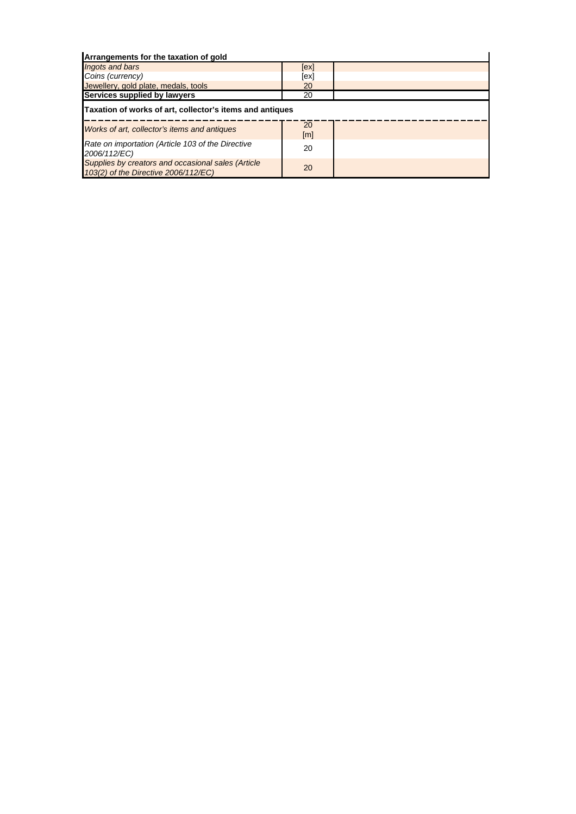| Arrangements for the taxation of gold                                                      |                         |  |
|--------------------------------------------------------------------------------------------|-------------------------|--|
| <b>Ingots and bars</b>                                                                     | [ex]                    |  |
| Coins (currency)                                                                           | [ex]                    |  |
| Jewellery, gold plate, medals, tools                                                       | 20                      |  |
| Services supplied by lawyers                                                               | 20                      |  |
| Taxation of works of art, collector's items and antiques                                   |                         |  |
| Works of art, collector's items and antiques                                               | 20<br>$\lceil m \rceil$ |  |
| Rate on importation (Article 103 of the Directive<br>2006/112/EC)                          | 20                      |  |
| Supplies by creators and occasional sales (Article<br>103(2) of the Directive 2006/112/EC) | 20                      |  |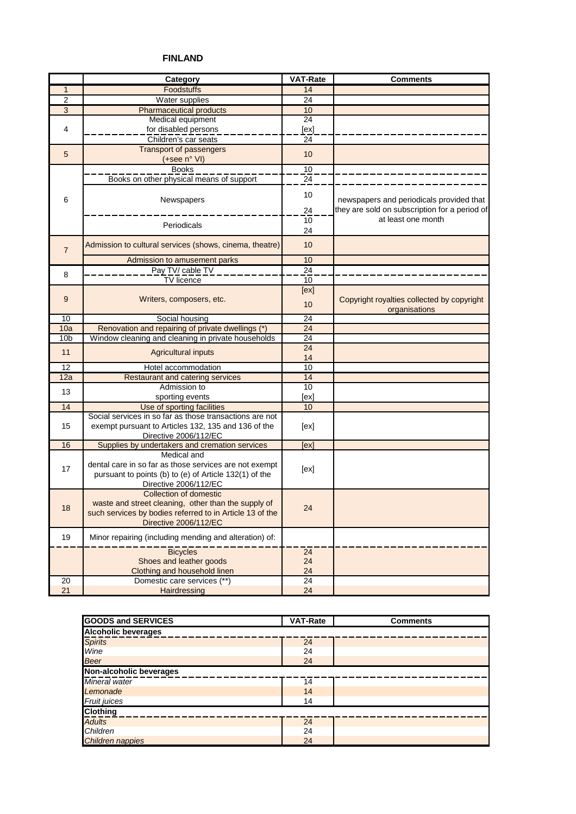# **FINLAND**

|                  | Category                                                 | <b>VAT-Rate</b> | <b>Comments</b>                                             |
|------------------|----------------------------------------------------------|-----------------|-------------------------------------------------------------|
| $\mathbf{1}$     | <b>Foodstuffs</b>                                        | 14              |                                                             |
| $\overline{2}$   | Water supplies                                           | 24              |                                                             |
| $\overline{3}$   | <b>Pharmaceutical products</b>                           | 10              |                                                             |
|                  | Medical equipment                                        | $\overline{24}$ |                                                             |
| 4                | for disabled persons                                     | [ex]            |                                                             |
|                  | Children's car seats                                     | 24              |                                                             |
|                  | <b>Transport of passengers</b>                           |                 |                                                             |
| 5                | (+see n° VI)                                             | 10              |                                                             |
|                  | <b>Books</b>                                             | 10              |                                                             |
|                  | Books on other physical means of support                 | $\overline{24}$ |                                                             |
|                  |                                                          |                 |                                                             |
| 6                | Newspapers                                               | 10              | newspapers and periodicals provided that                    |
|                  |                                                          | 24              | they are sold on subscription for a period of               |
|                  |                                                          |                 | at least one month                                          |
|                  | Periodicals                                              | 10<br>24        |                                                             |
|                  |                                                          |                 |                                                             |
| $\overline{7}$   | Admission to cultural services (shows, cinema, theatre)  | 10              |                                                             |
|                  |                                                          | 10              |                                                             |
|                  | Admission to amusement parks<br>Pay TV/ cable TV         | 24              |                                                             |
| 8                | TV licence                                               |                 |                                                             |
|                  |                                                          | 10              |                                                             |
| $\boldsymbol{9}$ |                                                          | [ex]            |                                                             |
|                  | Writers, composers, etc.                                 | 10              | Copyright royalties collected by copyright<br>organisations |
| 10               | Social housing                                           | 24              |                                                             |
| 10a              | Renovation and repairing of private dwellings (*)        | 24              |                                                             |
| 10 <sub>b</sub>  | Window cleaning and cleaning in private households       | 24              |                                                             |
|                  |                                                          | $\overline{24}$ |                                                             |
| 11               | <b>Agricultural inputs</b>                               | 14              |                                                             |
| 12               | Hotel accommodation                                      | 10              |                                                             |
| 12a              | <b>Restaurant and catering services</b>                  | 14              |                                                             |
|                  | Admission to                                             | 10              |                                                             |
| 13               | sporting events                                          | [ex]            |                                                             |
| 14               | Use of sporting facilities                               | 10              |                                                             |
|                  | Social services in so far as those transactions are not  |                 |                                                             |
| 15               | exempt pursuant to Articles 132, 135 and 136 of the      | [ex]            |                                                             |
|                  | Directive 2006/112/EC                                    |                 |                                                             |
| 16               | Supplies by undertakers and cremation services           | [ex]            |                                                             |
|                  | Medical and                                              |                 |                                                             |
| 17               | dental care in so far as those services are not exempt   |                 |                                                             |
|                  | pursuant to points (b) to (e) of Article 132(1) of the   | [ex]            |                                                             |
|                  | Directive 2006/112/EC                                    |                 |                                                             |
|                  | <b>Collection of domestic</b>                            |                 |                                                             |
|                  | waste and street cleaning, other than the supply of      |                 |                                                             |
| 18               | such services by bodies referred to in Article 13 of the | 24              |                                                             |
|                  | Directive 2006/112/EC                                    |                 |                                                             |
|                  |                                                          |                 |                                                             |
| 19               | Minor repairing (including mending and alteration) of:   |                 |                                                             |
|                  | <b>Bicycles</b>                                          | 24              |                                                             |
|                  | Shoes and leather goods                                  | 24              |                                                             |
|                  | Clothing and household linen                             | 24              |                                                             |
| 20               | Domestic care services (**)                              | $\overline{24}$ |                                                             |
| 21               | Hairdressing                                             | 24              |                                                             |

| <b>GOODS and SERVICES</b>  | <b>VAT-Rate</b> | <b>Comments</b> |
|----------------------------|-----------------|-----------------|
| <b>Alcoholic beverages</b> |                 |                 |
| <b>Spirits</b>             | 24              |                 |
| Wine                       | 24              |                 |
| <b>Beer</b>                | 24              |                 |
| Non-alcoholic beverages    |                 |                 |
| Mineral water              | 14              |                 |
| Lemonade                   | 14              |                 |
| Fruit juices               | 14              |                 |
| <b>Clothing</b>            |                 |                 |
| <b>Adults</b>              | 24              |                 |
| Children                   | 24              |                 |
| <b>Children nappies</b>    | 24              |                 |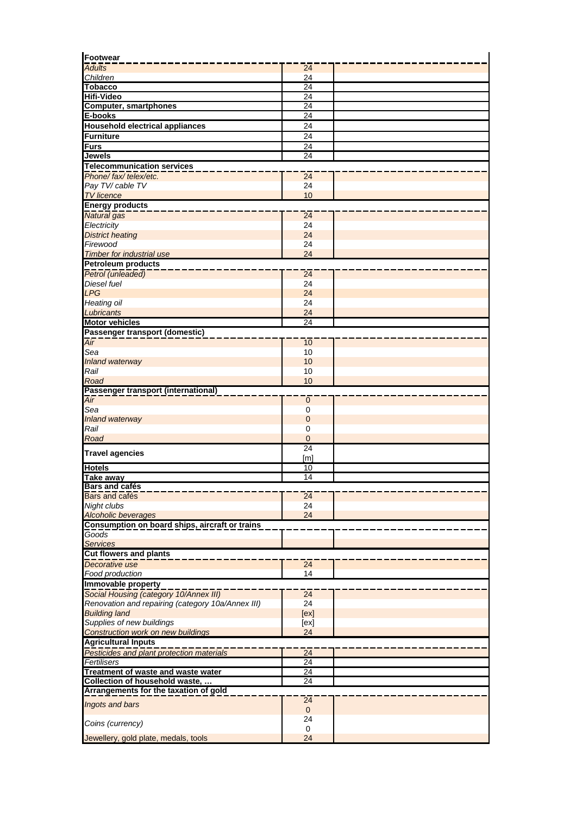| <b>Adults</b>                                                                | 24               |  |
|------------------------------------------------------------------------------|------------------|--|
| Children                                                                     | 24               |  |
| <b>Tobacco</b>                                                               | 24               |  |
| Hifi-Video                                                                   | $\overline{24}$  |  |
| <b>Computer, smartphones</b>                                                 | 24               |  |
| E-books                                                                      | $\overline{24}$  |  |
| <b>Household electrical appliances</b>                                       | 24               |  |
| <b>Furniture</b>                                                             | 24               |  |
| <b>Furs</b>                                                                  | 24               |  |
| Jewels                                                                       | $\overline{24}$  |  |
| <b>Telecommunication services</b><br>Phone/fax/telex/etc.                    |                  |  |
| Pay TV/ cable TV                                                             | 24<br>24         |  |
| <b>TV</b> licence                                                            | 10               |  |
| <b>Energy products</b>                                                       |                  |  |
| Natural gas                                                                  | $\overline{24}$  |  |
| Electricity                                                                  | 24               |  |
| <b>District heating</b>                                                      | 24               |  |
| Firewood                                                                     | 24               |  |
| Timber for industrial use                                                    | 24               |  |
| <b>Petroleum products</b>                                                    |                  |  |
| Petrol (unleaded)                                                            | $\overline{24}$  |  |
| Diesel fuel                                                                  | 24               |  |
| <b>LPG</b>                                                                   | 24               |  |
| <b>Heating oil</b>                                                           | 24               |  |
| Lubricants                                                                   | 24               |  |
| <b>Motor vehicles</b>                                                        | 24               |  |
| Passenger transport (domestic)                                               |                  |  |
| Air                                                                          | 10               |  |
| Sea                                                                          | 10               |  |
| <b>Inland waterway</b>                                                       | 10               |  |
| Rail                                                                         | 10               |  |
| Road                                                                         | 10               |  |
| Passenger transport (international)                                          |                  |  |
| Air<br>Sea                                                                   | $\mathbf 0$<br>0 |  |
| <b>Inland waterway</b>                                                       | $\mathbf{0}$     |  |
| Rail                                                                         | 0                |  |
| Road                                                                         | $\overline{0}$   |  |
|                                                                              | $\overline{24}$  |  |
| <b>Travel agencies</b>                                                       | [ <sub>m</sub> ] |  |
| <b>Hotels</b>                                                                | $\overline{10}$  |  |
| Take awav                                                                    | $\overline{14}$  |  |
| <b>Bars and cafés</b>                                                        |                  |  |
| Bars and cafés                                                               | $\overline{24}$  |  |
| Night clubs                                                                  | 24               |  |
| <b>Alcoholic beverages</b>                                                   | 24               |  |
| Consumption on board ships, aircraft or trains                               |                  |  |
| Goods                                                                        |                  |  |
| <b>Services</b><br><b>Cut flowers and plants</b>                             |                  |  |
|                                                                              |                  |  |
| Decorative use<br><b>Food production</b>                                     | $\overline{24}$  |  |
| Immovable property                                                           | 14               |  |
| Social Housing (category 10/Annex III)                                       | $\overline{24}$  |  |
| Renovation and repairing (category 10a/Annex III)                            | 24               |  |
| <b>Building land</b>                                                         | [ex]             |  |
| Supplies of new buildings                                                    | [ex]             |  |
| <b>Construction work on new buildings</b>                                    | 24               |  |
| <b>Agricultural Inputs</b>                                                   |                  |  |
| Pesticides and plant protection materials                                    | $\overline{24}$  |  |
| Fertilisers                                                                  | 24               |  |
| Treatment of waste and waste water                                           | 24               |  |
| Collection of household waste,                                               | 24               |  |
|                                                                              |                  |  |
|                                                                              |                  |  |
|                                                                              | 24               |  |
|                                                                              | $\mathbf{0}$     |  |
|                                                                              | 24               |  |
| Arrangements for the taxation of gold<br>Ingots and bars<br>Coins (currency) | $\mathbf 0$      |  |
| Jewellery, gold plate, medals, tools                                         | 24               |  |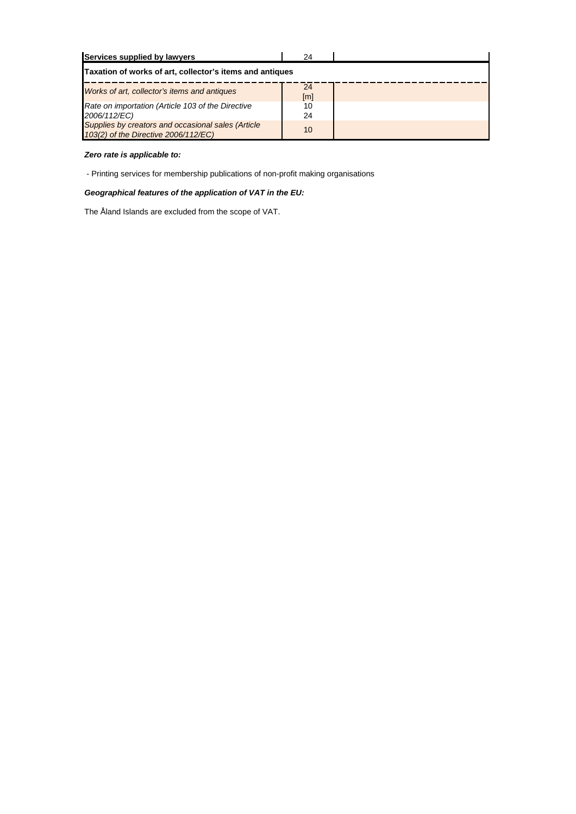| Services supplied by lawyers                                                               | 24                      |  |
|--------------------------------------------------------------------------------------------|-------------------------|--|
| Taxation of works of art, collector's items and antiques                                   |                         |  |
| Works of art, collector's items and antiques                                               | 24<br>$\lceil m \rceil$ |  |
| Rate on importation (Article 103 of the Directive<br>2006/112/EC)                          | 10<br>24                |  |
| Supplies by creators and occasional sales (Article<br>103(2) of the Directive 2006/112/EC) | 10                      |  |

### *Zero rate is applicable to:*

- Printing services for membership publications of non-profit making organisations

## *Geographical features of the application of VAT in the EU:*

The Åland Islands are excluded from the scope of VAT.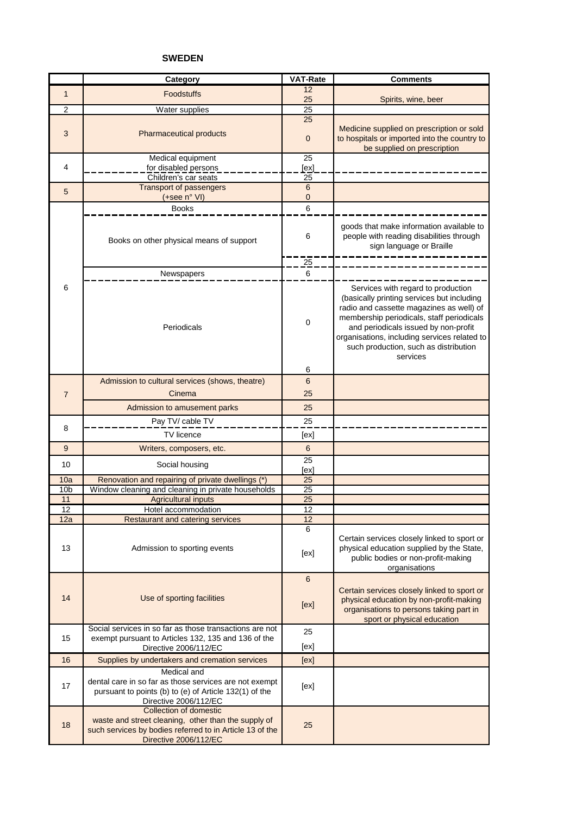### **SWEDEN**

|                       | Category                                                                                                                                                           | <b>VAT-Rate</b>       | <b>Comments</b>                                                                                                                                                                                                                                                                                                        |
|-----------------------|--------------------------------------------------------------------------------------------------------------------------------------------------------------------|-----------------------|------------------------------------------------------------------------------------------------------------------------------------------------------------------------------------------------------------------------------------------------------------------------------------------------------------------------|
| $\mathbf{1}$          | <b>Foodstuffs</b>                                                                                                                                                  | 12<br>25              | Spirits, wine, beer                                                                                                                                                                                                                                                                                                    |
| $\overline{2}$        | Water supplies                                                                                                                                                     | $\overline{25}$       |                                                                                                                                                                                                                                                                                                                        |
| 3                     | <b>Pharmaceutical products</b>                                                                                                                                     | 25<br>$\mathbf 0$     | Medicine supplied on prescription or sold<br>to hospitals or imported into the country to<br>be supplied on prescription                                                                                                                                                                                               |
|                       | Medical equipment                                                                                                                                                  | 25                    |                                                                                                                                                                                                                                                                                                                        |
| 4                     | for disabled persons                                                                                                                                               | [ex]                  |                                                                                                                                                                                                                                                                                                                        |
|                       | Children's car seats<br><b>Transport of passengers</b>                                                                                                             | 25<br>$6\phantom{1}6$ |                                                                                                                                                                                                                                                                                                                        |
| 5                     | (+see n° VI)                                                                                                                                                       | 0                     |                                                                                                                                                                                                                                                                                                                        |
|                       | <b>Books</b>                                                                                                                                                       | 6                     |                                                                                                                                                                                                                                                                                                                        |
|                       | Books on other physical means of support                                                                                                                           | 6                     | goods that make information available to<br>people with reading disabilities through<br>sign language or Braille                                                                                                                                                                                                       |
|                       |                                                                                                                                                                    | 25                    |                                                                                                                                                                                                                                                                                                                        |
|                       | Newspapers                                                                                                                                                         | 6                     |                                                                                                                                                                                                                                                                                                                        |
| 6                     | Periodicals                                                                                                                                                        | 0                     | Services with regard to production<br>(basically printing services but including<br>radio and cassette magazines as well) of<br>membership periodicals, staff periodicals<br>and periodicals issued by non-profit<br>organisations, including services related to<br>such production, such as distribution<br>services |
|                       |                                                                                                                                                                    | 6                     |                                                                                                                                                                                                                                                                                                                        |
|                       | Admission to cultural services (shows, theatre)                                                                                                                    | $6\phantom{1}6$       |                                                                                                                                                                                                                                                                                                                        |
| $\overline{7}$        | Cinema                                                                                                                                                             | 25                    |                                                                                                                                                                                                                                                                                                                        |
|                       | Admission to amusement parks                                                                                                                                       | 25                    |                                                                                                                                                                                                                                                                                                                        |
|                       | Pay TV/ cable TV                                                                                                                                                   | 25                    |                                                                                                                                                                                                                                                                                                                        |
| 8                     | <b>TV</b> licence                                                                                                                                                  | [ex]                  |                                                                                                                                                                                                                                                                                                                        |
| 9                     | Writers, composers, etc.                                                                                                                                           | 6                     |                                                                                                                                                                                                                                                                                                                        |
| 10                    | Social housing                                                                                                                                                     | $\overline{25}$       |                                                                                                                                                                                                                                                                                                                        |
|                       |                                                                                                                                                                    | [ex]                  |                                                                                                                                                                                                                                                                                                                        |
| 10a                   | Renovation and repairing of private dwellings (*)                                                                                                                  | 25                    |                                                                                                                                                                                                                                                                                                                        |
| 10 <sub>b</sub><br>11 | Window cleaning and cleaning in private households<br><b>Agricultural inputs</b>                                                                                   | $\overline{25}$<br>25 |                                                                                                                                                                                                                                                                                                                        |
| 12                    | Hotel accommodation                                                                                                                                                | $\overline{12}$       |                                                                                                                                                                                                                                                                                                                        |
| 12a                   | Restaurant and catering services                                                                                                                                   | 12                    |                                                                                                                                                                                                                                                                                                                        |
| 13                    | Admission to sporting events                                                                                                                                       | 6<br>[ex]             | Certain services closely linked to sport or<br>physical education supplied by the State,<br>public bodies or non-profit-making                                                                                                                                                                                         |
|                       |                                                                                                                                                                    |                       | organisations                                                                                                                                                                                                                                                                                                          |
| 14                    | Use of sporting facilities                                                                                                                                         | $\,6\,$<br>[ex]       | Certain services closely linked to sport or<br>physical education by non-profit-making<br>organisations to persons taking part in<br>sport or physical education                                                                                                                                                       |
|                       | Social services in so far as those transactions are not                                                                                                            | 25                    |                                                                                                                                                                                                                                                                                                                        |
| 15                    | exempt pursuant to Articles 132, 135 and 136 of the<br>Directive 2006/112/EC                                                                                       | [ex]                  |                                                                                                                                                                                                                                                                                                                        |
| 16                    | Supplies by undertakers and cremation services                                                                                                                     | [ex]                  |                                                                                                                                                                                                                                                                                                                        |
|                       | Medical and                                                                                                                                                        |                       |                                                                                                                                                                                                                                                                                                                        |
| 17                    | dental care in so far as those services are not exempt<br>pursuant to points (b) to (e) of Article 132(1) of the<br>Directive 2006/112/EC                          | [ex]                  |                                                                                                                                                                                                                                                                                                                        |
| 18                    | Collection of domestic<br>waste and street cleaning, other than the supply of<br>such services by bodies referred to in Article 13 of the<br>Directive 2006/112/EC | 25                    |                                                                                                                                                                                                                                                                                                                        |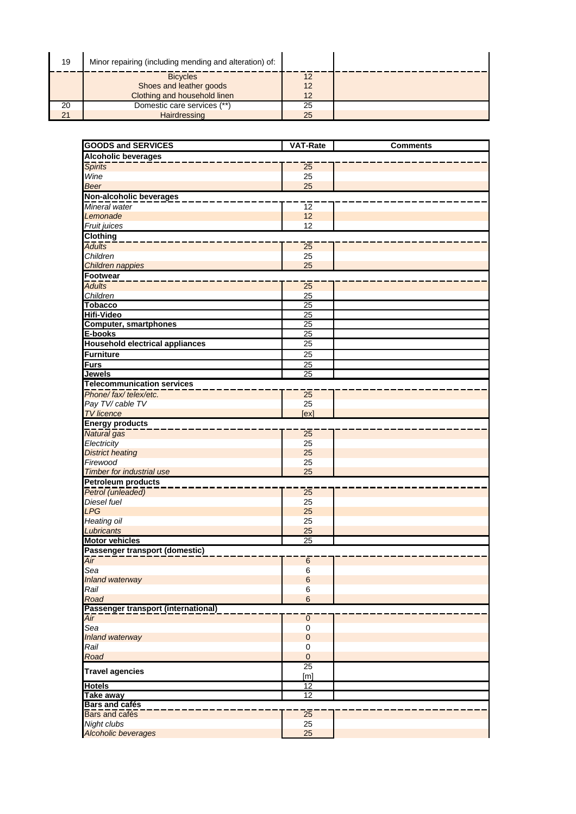| 19 | Minor repairing (including mending and alteration) of: |    |  |
|----|--------------------------------------------------------|----|--|
|    | <b>Bicycles</b>                                        | 12 |  |
|    | Shoes and leather goods                                | 12 |  |
|    | Clothing and household linen                           | 12 |  |
| 20 | Domestic care services (**)                            | 25 |  |
| 21 | Hairdressing                                           | 25 |  |

| <b>GOODS and SERVICES</b>                   | <b>VAT-Rate</b>      | <b>Comments</b> |  |
|---------------------------------------------|----------------------|-----------------|--|
|                                             |                      |                 |  |
| <b>Alcoholic beverages</b>                  |                      |                 |  |
| <b>Spirits</b>                              | $\overline{25}$      |                 |  |
| Wine                                        | 25                   |                 |  |
| <b>Beer</b>                                 | 25                   |                 |  |
| Non-alcoholic beverages                     |                      |                 |  |
| Mineral water                               | $\overline{12}$      |                 |  |
| Lemonade                                    | 12                   |                 |  |
| Fruit juices                                | 12                   |                 |  |
| Clothing                                    |                      |                 |  |
| <b>Adults</b>                               | $\overline{25}$      |                 |  |
| Children                                    | 25                   |                 |  |
| Children nappies                            | 25                   |                 |  |
| <b>Footwear</b>                             |                      |                 |  |
| <b>Adults</b>                               | 25                   |                 |  |
| Children                                    | 25                   |                 |  |
| <b>Tobacco</b>                              | 25                   |                 |  |
| <b>Hifi-Video</b>                           | 25                   |                 |  |
| <b>Computer, smartphones</b>                | 25                   |                 |  |
| E-books                                     | 25                   |                 |  |
| <b>Household electrical appliances</b>      | $\overline{25}$      |                 |  |
| Furniture                                   | 25                   |                 |  |
| <b>Furs</b>                                 | 25                   |                 |  |
| Jewels                                      | 25                   |                 |  |
| <b>Telecommunication services</b>           |                      |                 |  |
| Phone/fax/telex/etc.                        | $\overline{25}$      |                 |  |
| Pay TV/ cable TV                            | 25                   |                 |  |
| <b>TV</b> licence                           | [ex]                 |                 |  |
| <b>Energy products</b>                      |                      |                 |  |
| Natural gas                                 | 25                   |                 |  |
| Electricity                                 | 25                   |                 |  |
| <b>District heating</b>                     | 25                   |                 |  |
| Firewood                                    | 25                   |                 |  |
| <b>Timber for industrial use</b>            | 25                   |                 |  |
| <b>Petroleum products</b>                   |                      |                 |  |
| Petrol (unleaded)                           | $\overline{25}$      |                 |  |
| Diesel fuel                                 | 25                   |                 |  |
| <b>LPG</b>                                  | 25                   |                 |  |
| <b>Heating oil</b>                          | 25                   |                 |  |
| Lubricants                                  | 25                   |                 |  |
| <b>Motor vehicles</b>                       | 25                   |                 |  |
| Passenger transport (domestic)              |                      |                 |  |
| $\overline{Air}$                            | $6\phantom{1}6$      |                 |  |
| sea                                         | 6                    |                 |  |
| Inland waterway                             | $6\phantom{1}6$      |                 |  |
| Rail                                        | 6<br>$6\phantom{1}6$ |                 |  |
| Road<br>Passenger transport (international) |                      |                 |  |
|                                             |                      |                 |  |
| Air<br>Sea                                  | $\mathbf 0$<br>0     |                 |  |
| Inland waterway                             | $\mathbf 0$          |                 |  |
| Rail                                        | 0                    |                 |  |
| Road                                        | $\pmb{0}$            |                 |  |
|                                             | $\overline{25}$      |                 |  |
| <b>Travel agencies</b>                      | [m]                  |                 |  |
| <b>Hotels</b>                               | 12                   |                 |  |
| <b>Take away</b>                            | $\overline{12}$      |                 |  |
| <b>Bars and cafés</b>                       |                      |                 |  |
| Bars and cafés                              | $\overline{25}$      |                 |  |
| Night clubs                                 | 25                   |                 |  |
| Alcoholic beverages                         | 25                   |                 |  |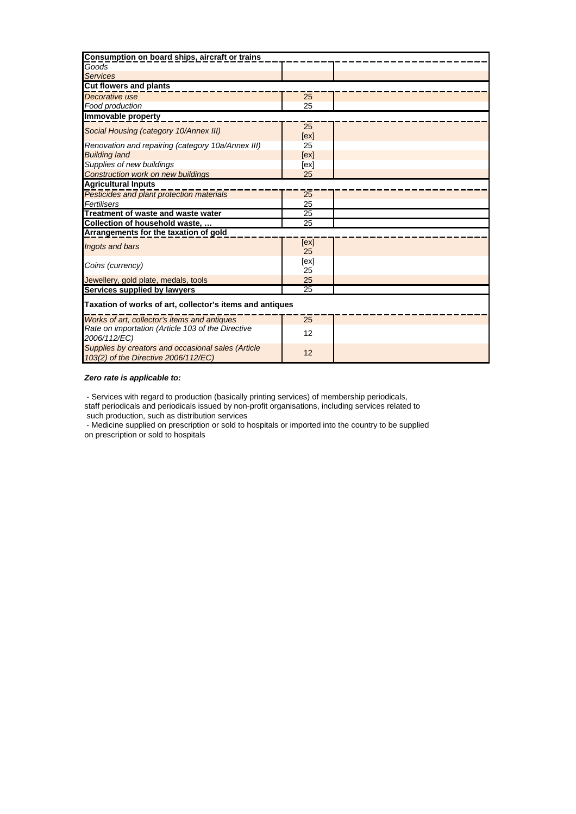| Consumption on board ships, aircraft or trains                                             |            |  |  |
|--------------------------------------------------------------------------------------------|------------|--|--|
| Goods                                                                                      |            |  |  |
| <b>Services</b>                                                                            |            |  |  |
| <b>Cut flowers and plants</b>                                                              |            |  |  |
| Decorative use                                                                             | 25         |  |  |
| Food production                                                                            | 25         |  |  |
| Immovable property                                                                         |            |  |  |
| Social Housing (category 10/Annex III)                                                     | 25<br>[ex] |  |  |
| Renovation and repairing (category 10a/Annex III)                                          | 25         |  |  |
| <b>Building land</b>                                                                       | [ex]       |  |  |
| Supplies of new buildings                                                                  | [ex]       |  |  |
| <b>Construction work on new buildings</b>                                                  | 25         |  |  |
| <b>Agricultural Inputs</b>                                                                 |            |  |  |
| Pesticides and plant protection materials                                                  | 25         |  |  |
| Fertilisers                                                                                | 25         |  |  |
| Treatment of waste and waste water                                                         | 25         |  |  |
| Collection of household waste,                                                             | 25         |  |  |
| Arrangements for the taxation of gold                                                      |            |  |  |
| Ingots and bars                                                                            | [ex]<br>25 |  |  |
| Coins (currency)                                                                           | [ex]       |  |  |
|                                                                                            | 25         |  |  |
| Jewellery, gold plate, medals, tools                                                       | 25         |  |  |
| Services supplied by lawyers                                                               | 25         |  |  |
| Taxation of works of art, collector's items and antiques                                   |            |  |  |
| Works of art, collector's items and antiques                                               | 25         |  |  |
| Rate on importation (Article 103 of the Directive<br>2006/112/EC)                          | 12         |  |  |
| Supplies by creators and occasional sales (Article<br>103(2) of the Directive 2006/112/EC) | 12         |  |  |

### *Zero rate is applicable to:*

 - Services with regard to production (basically printing services) of membership periodicals, staff periodicals and periodicals issued by non-profit organisations, including services related to such production, such as distribution services

 - Medicine supplied on prescription or sold to hospitals or imported into the country to be supplied on prescription or sold to hospitals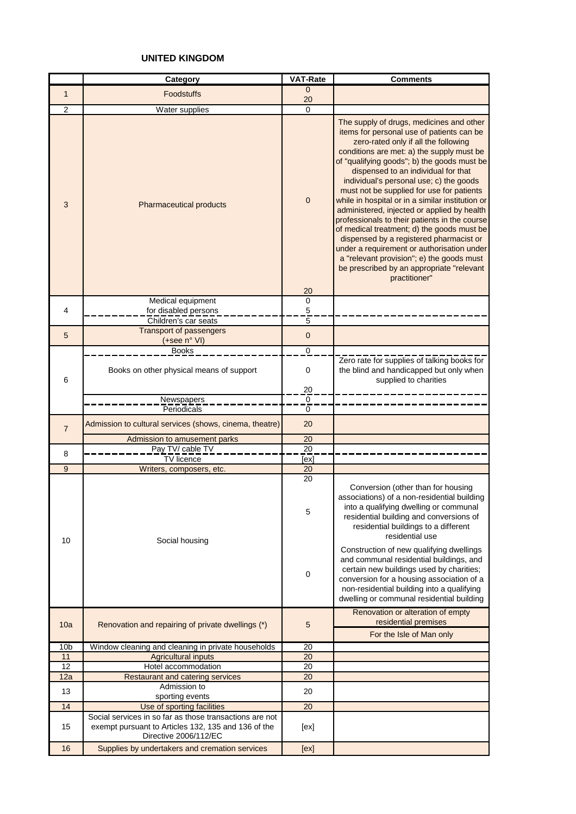# **UNITED KINGDOM**

|                       | Category                                                                                                                                | <b>VAT-Rate</b>                               | <b>Comments</b>                                                                                                                                                                                                                                                                                                                                                                                                                                                                                                                                                                                                                                                                                  |
|-----------------------|-----------------------------------------------------------------------------------------------------------------------------------------|-----------------------------------------------|--------------------------------------------------------------------------------------------------------------------------------------------------------------------------------------------------------------------------------------------------------------------------------------------------------------------------------------------------------------------------------------------------------------------------------------------------------------------------------------------------------------------------------------------------------------------------------------------------------------------------------------------------------------------------------------------------|
| $\mathbf{1}$          | <b>Foodstuffs</b>                                                                                                                       | $\mathbf{0}$                                  |                                                                                                                                                                                                                                                                                                                                                                                                                                                                                                                                                                                                                                                                                                  |
|                       |                                                                                                                                         | 20                                            |                                                                                                                                                                                                                                                                                                                                                                                                                                                                                                                                                                                                                                                                                                  |
| $\overline{2}$<br>3   | Water supplies<br>Pharmaceutical products                                                                                               | $\mathbf 0$<br>$\mathbf 0$                    | The supply of drugs, medicines and other<br>items for personal use of patients can be<br>zero-rated only if all the following<br>conditions are met: a) the supply must be<br>of "qualifying goods"; b) the goods must be<br>dispensed to an individual for that<br>individual's personal use; c) the goods<br>must not be supplied for use for patients<br>while in hospital or in a similar institution or<br>administered, injected or applied by health<br>professionals to their patients in the course<br>of medical treatment; d) the goods must be<br>dispensed by a registered pharmacist or<br>under a requirement or authorisation under<br>a "relevant provision"; e) the goods must |
|                       |                                                                                                                                         | 20                                            | be prescribed by an appropriate "relevant<br>practitioner"                                                                                                                                                                                                                                                                                                                                                                                                                                                                                                                                                                                                                                       |
|                       | Medical equipment                                                                                                                       | 0                                             |                                                                                                                                                                                                                                                                                                                                                                                                                                                                                                                                                                                                                                                                                                  |
| 4                     | for disabled persons                                                                                                                    | $\mathbf 5$                                   |                                                                                                                                                                                                                                                                                                                                                                                                                                                                                                                                                                                                                                                                                                  |
|                       | Children's car seats                                                                                                                    | $\overline{5}$                                |                                                                                                                                                                                                                                                                                                                                                                                                                                                                                                                                                                                                                                                                                                  |
| 5                     | <b>Transport of passengers</b><br>(+see n° VI)                                                                                          | $\mathbf 0$                                   |                                                                                                                                                                                                                                                                                                                                                                                                                                                                                                                                                                                                                                                                                                  |
|                       | <b>Books</b>                                                                                                                            | $\pmb{0}$                                     |                                                                                                                                                                                                                                                                                                                                                                                                                                                                                                                                                                                                                                                                                                  |
| 6                     | Books on other physical means of support                                                                                                | 0                                             | Zero rate for supplies of talking books for<br>the blind and handicapped but only when<br>supplied to charities                                                                                                                                                                                                                                                                                                                                                                                                                                                                                                                                                                                  |
|                       | Newspapers                                                                                                                              | $\overline{20}$<br>$\overline{0}$             |                                                                                                                                                                                                                                                                                                                                                                                                                                                                                                                                                                                                                                                                                                  |
|                       | Periodicals                                                                                                                             | 0                                             |                                                                                                                                                                                                                                                                                                                                                                                                                                                                                                                                                                                                                                                                                                  |
| $\overline{7}$        | Admission to cultural services (shows, cinema, theatre)                                                                                 | 20                                            |                                                                                                                                                                                                                                                                                                                                                                                                                                                                                                                                                                                                                                                                                                  |
|                       | Admission to amusement parks                                                                                                            | 20                                            |                                                                                                                                                                                                                                                                                                                                                                                                                                                                                                                                                                                                                                                                                                  |
| 8                     | Pay TV/ cable TV<br><b>TV</b> licence                                                                                                   | 20                                            |                                                                                                                                                                                                                                                                                                                                                                                                                                                                                                                                                                                                                                                                                                  |
| $\boldsymbol{9}$      | Writers, composers, etc.                                                                                                                | $\overline{[ex]}$<br>20                       |                                                                                                                                                                                                                                                                                                                                                                                                                                                                                                                                                                                                                                                                                                  |
| 10                    | Social housing                                                                                                                          | $\overline{20}$<br>$\mathbf 5$<br>$\mathbf 0$ | Conversion (other than for housing<br>associations) of a non-residential building<br>into a qualifying dwelling or communal<br>residential building and conversions of<br>residential buildings to a different<br>residential use<br>Construction of new qualifying dwellings<br>and communal residential buildings, and<br>certain new buildings used by charities;<br>conversion for a housing association of a<br>non-residential building into a qualifying<br>dwelling or communal residential building                                                                                                                                                                                     |
| 10a                   | Renovation and repairing of private dwellings (*)                                                                                       | 5                                             | Renovation or alteration of empty<br>residential premises                                                                                                                                                                                                                                                                                                                                                                                                                                                                                                                                                                                                                                        |
|                       |                                                                                                                                         |                                               | For the Isle of Man only                                                                                                                                                                                                                                                                                                                                                                                                                                                                                                                                                                                                                                                                         |
| 10 <sub>b</sub><br>11 | Window cleaning and cleaning in private households<br><b>Agricultural inputs</b>                                                        | 20<br>20                                      |                                                                                                                                                                                                                                                                                                                                                                                                                                                                                                                                                                                                                                                                                                  |
| 12                    | Hotel accommodation                                                                                                                     | 20                                            |                                                                                                                                                                                                                                                                                                                                                                                                                                                                                                                                                                                                                                                                                                  |
| 12a                   | Restaurant and catering services                                                                                                        | 20                                            |                                                                                                                                                                                                                                                                                                                                                                                                                                                                                                                                                                                                                                                                                                  |
| 13                    | Admission to                                                                                                                            | 20                                            |                                                                                                                                                                                                                                                                                                                                                                                                                                                                                                                                                                                                                                                                                                  |
|                       | sporting events                                                                                                                         |                                               |                                                                                                                                                                                                                                                                                                                                                                                                                                                                                                                                                                                                                                                                                                  |
| 14                    | Use of sporting facilities                                                                                                              | $\overline{20}$                               |                                                                                                                                                                                                                                                                                                                                                                                                                                                                                                                                                                                                                                                                                                  |
| 15                    | Social services in so far as those transactions are not<br>exempt pursuant to Articles 132, 135 and 136 of the<br>Directive 2006/112/EC | [ex]                                          |                                                                                                                                                                                                                                                                                                                                                                                                                                                                                                                                                                                                                                                                                                  |
| 16                    | Supplies by undertakers and cremation services                                                                                          | [ex]                                          |                                                                                                                                                                                                                                                                                                                                                                                                                                                                                                                                                                                                                                                                                                  |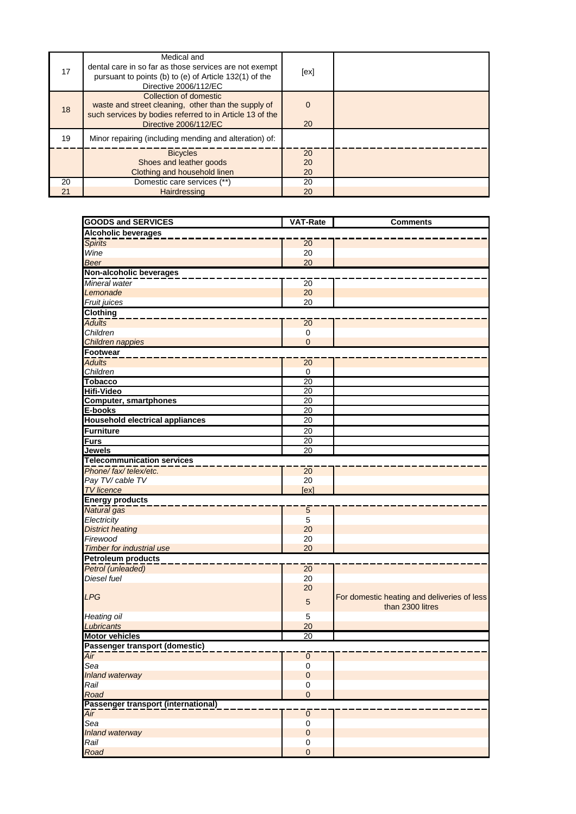| 17 | Medical and<br>dental care in so far as those services are not exempt<br>pursuant to points (b) to (e) of Article 132(1) of the<br>Directive 2006/112/EC           | [ex]           |  |
|----|--------------------------------------------------------------------------------------------------------------------------------------------------------------------|----------------|--|
| 18 | Collection of domestic<br>waste and street cleaning, other than the supply of<br>such services by bodies referred to in Article 13 of the<br>Directive 2006/112/EC | $\Omega$<br>20 |  |
| 19 | Minor repairing (including mending and alteration) of:                                                                                                             |                |  |
|    | <b>Bicycles</b>                                                                                                                                                    | 20             |  |
|    | Shoes and leather goods<br>Clothing and household linen                                                                                                            | 20<br>20       |  |
| 20 | Domestic care services (**)                                                                                                                                        | 20             |  |
| 21 | Hairdressing                                                                                                                                                       | 20             |  |

| <b>GOODS and SERVICES</b>              | <b>VAT-Rate</b> | <b>Comments</b>                                                 |  |
|----------------------------------------|-----------------|-----------------------------------------------------------------|--|
| <b>Alcoholic beverages</b>             |                 |                                                                 |  |
| <b>Spirits</b>                         | 20              |                                                                 |  |
| Wine                                   | 20              |                                                                 |  |
| <b>Beer</b>                            | 20              |                                                                 |  |
| Non-alcoholic beverages                |                 |                                                                 |  |
| Mineral water                          | $\overline{20}$ |                                                                 |  |
| Lemonade                               | 20              |                                                                 |  |
| Fruit juices                           | 20              |                                                                 |  |
| <b>Clothing</b>                        |                 |                                                                 |  |
| <b>Adults</b>                          | $\overline{20}$ |                                                                 |  |
| Children                               | 0               |                                                                 |  |
| Children nappies                       | $\overline{0}$  |                                                                 |  |
| Footwear                               |                 |                                                                 |  |
| <b>Adults</b>                          | $\overline{20}$ |                                                                 |  |
| Children                               | $\overline{0}$  |                                                                 |  |
| <b>Tobacco</b>                         | 20              |                                                                 |  |
| <b>Hifi-Video</b>                      | 20              |                                                                 |  |
| <b>Computer, smartphones</b>           | 20              |                                                                 |  |
| E-books                                | $\overline{20}$ |                                                                 |  |
| <b>Household electrical appliances</b> | 20              |                                                                 |  |
| <b>Furniture</b>                       | 20              |                                                                 |  |
| <b>Furs</b>                            | $\overline{20}$ |                                                                 |  |
| <b>Jewels</b>                          | $\overline{20}$ |                                                                 |  |
| <b>Telecommunication services</b>      |                 |                                                                 |  |
| Phone/fax/telex/etc.                   | $\overline{20}$ |                                                                 |  |
| Pay TV/ cable TV                       | 20              |                                                                 |  |
| <b>TV</b> licence                      | [ex]            |                                                                 |  |
| <b>Energy products</b>                 |                 |                                                                 |  |
| Natural gas                            | $\overline{5}$  |                                                                 |  |
| Electricity                            | 5               |                                                                 |  |
| <b>District heating</b>                | 20              |                                                                 |  |
| Firewood                               | 20              |                                                                 |  |
| <b>Timber for industrial use</b>       | 20              |                                                                 |  |
| <b>Petroleum products</b>              |                 |                                                                 |  |
| Petrol (unleaded)                      | $\overline{20}$ |                                                                 |  |
| Diesel fuel                            | 20              |                                                                 |  |
| <b>LPG</b>                             | 20              |                                                                 |  |
|                                        | $\overline{5}$  | For domestic heating and deliveries of less<br>than 2300 litres |  |
| Heating oil                            | 5               |                                                                 |  |
| Lubricants                             | 20              |                                                                 |  |
| <b>Motor vehicles</b>                  | 20              |                                                                 |  |
| Passenger transport (domestic)         |                 |                                                                 |  |
| Air                                    | $\pmb{0}$       |                                                                 |  |
| Sea                                    | $\pmb{0}$       |                                                                 |  |
| <b>Inland waterway</b>                 | $\overline{0}$  |                                                                 |  |
| Rail                                   | 0               |                                                                 |  |
| Road                                   | $\mathbf 0$     |                                                                 |  |
| Passenger transport (international)    |                 |                                                                 |  |
| Air                                    | $\overline{0}$  |                                                                 |  |
| Sea                                    | $\mathsf 0$     |                                                                 |  |
| <b>Inland waterway</b>                 | $\pmb{0}$       |                                                                 |  |
| Rail                                   | 0               |                                                                 |  |
| Road                                   | $\mathbf 0$     |                                                                 |  |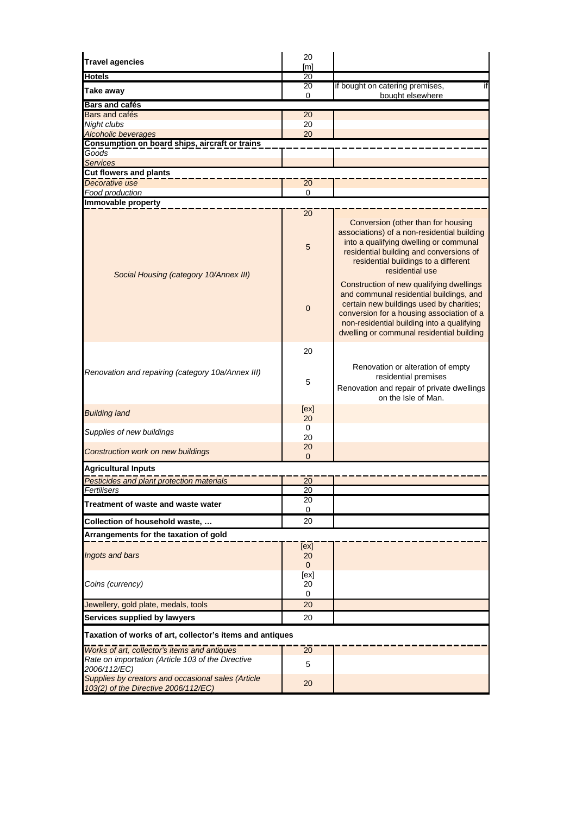| <b>Travel agencies</b>                                                                                            | 20                                  |                                                                                                                                                                                                                                                                               |  |  |
|-------------------------------------------------------------------------------------------------------------------|-------------------------------------|-------------------------------------------------------------------------------------------------------------------------------------------------------------------------------------------------------------------------------------------------------------------------------|--|--|
| <b>Hotels</b>                                                                                                     | [ <sub>m</sub> ]<br>$\overline{20}$ |                                                                                                                                                                                                                                                                               |  |  |
| Take away                                                                                                         | 20                                  | if bought on catering premises,<br>if                                                                                                                                                                                                                                         |  |  |
| <b>Bars and cafés</b>                                                                                             | 0                                   | bought elsewhere                                                                                                                                                                                                                                                              |  |  |
| Bars and cafés                                                                                                    | 20                                  |                                                                                                                                                                                                                                                                               |  |  |
| Night clubs                                                                                                       | 20                                  |                                                                                                                                                                                                                                                                               |  |  |
| Alcoholic beverages                                                                                               | 20                                  |                                                                                                                                                                                                                                                                               |  |  |
| Consumption on board ships, aircraft or trains                                                                    |                                     |                                                                                                                                                                                                                                                                               |  |  |
| Goods<br><b>Services</b>                                                                                          |                                     |                                                                                                                                                                                                                                                                               |  |  |
| <b>Cut flowers and plants</b>                                                                                     |                                     |                                                                                                                                                                                                                                                                               |  |  |
| Decorative use                                                                                                    | 20                                  |                                                                                                                                                                                                                                                                               |  |  |
| Food production                                                                                                   | $\mathbf 0$                         |                                                                                                                                                                                                                                                                               |  |  |
| Immovable property                                                                                                |                                     |                                                                                                                                                                                                                                                                               |  |  |
|                                                                                                                   | 20                                  |                                                                                                                                                                                                                                                                               |  |  |
| Social Housing (category 10/Annex III)                                                                            | 5                                   | Conversion (other than for housing<br>associations) of a non-residential building<br>into a qualifying dwelling or communal<br>residential building and conversions of<br>residential buildings to a different<br>residential use<br>Construction of new qualifying dwellings |  |  |
|                                                                                                                   | $\mathbf 0$                         | and communal residential buildings, and<br>certain new buildings used by charities;<br>conversion for a housing association of a<br>non-residential building into a qualifying<br>dwelling or communal residential building                                                   |  |  |
|                                                                                                                   | 20                                  |                                                                                                                                                                                                                                                                               |  |  |
| Renovation and repairing (category 10a/Annex III)                                                                 | 5                                   | Renovation or alteration of empty<br>residential premises<br>Renovation and repair of private dwellings                                                                                                                                                                       |  |  |
| <b>Building land</b>                                                                                              | [ex]<br>20                          | on the Isle of Man.                                                                                                                                                                                                                                                           |  |  |
|                                                                                                                   | 0                                   |                                                                                                                                                                                                                                                                               |  |  |
| Supplies of new buildings                                                                                         | 20                                  |                                                                                                                                                                                                                                                                               |  |  |
| <b>Construction work on new buildings</b>                                                                         | 20<br>$\Omega$                      |                                                                                                                                                                                                                                                                               |  |  |
| <b>Agricultural Inputs</b>                                                                                        |                                     |                                                                                                                                                                                                                                                                               |  |  |
| Pesticides and plant protection materials                                                                         | 20                                  |                                                                                                                                                                                                                                                                               |  |  |
| Fertilisers                                                                                                       | 20                                  |                                                                                                                                                                                                                                                                               |  |  |
|                                                                                                                   | 20                                  |                                                                                                                                                                                                                                                                               |  |  |
| Treatment of waste and waste water                                                                                | 0                                   |                                                                                                                                                                                                                                                                               |  |  |
| Collection of household waste,                                                                                    | 20                                  |                                                                                                                                                                                                                                                                               |  |  |
| Arrangements for the taxation of gold                                                                             |                                     |                                                                                                                                                                                                                                                                               |  |  |
|                                                                                                                   | [ex]                                |                                                                                                                                                                                                                                                                               |  |  |
| Ingots and bars                                                                                                   | 20                                  |                                                                                                                                                                                                                                                                               |  |  |
|                                                                                                                   | $\mathbf{0}$                        |                                                                                                                                                                                                                                                                               |  |  |
|                                                                                                                   | [ex]<br>20                          |                                                                                                                                                                                                                                                                               |  |  |
| Coins (currency)                                                                                                  | 0                                   |                                                                                                                                                                                                                                                                               |  |  |
| Jewellery, gold plate, medals, tools                                                                              | 20                                  |                                                                                                                                                                                                                                                                               |  |  |
| Services supplied by lawyers                                                                                      | 20                                  |                                                                                                                                                                                                                                                                               |  |  |
| Taxation of works of art, collector's items and antiques                                                          |                                     |                                                                                                                                                                                                                                                                               |  |  |
|                                                                                                                   |                                     |                                                                                                                                                                                                                                                                               |  |  |
| Works of art, collector's items and antiques<br>Rate on importation (Article 103 of the Directive<br>2006/112/EC) | 20<br>5                             |                                                                                                                                                                                                                                                                               |  |  |
| Supplies by creators and occasional sales (Article<br>103(2) of the Directive 2006/112/EC)                        | 20                                  |                                                                                                                                                                                                                                                                               |  |  |